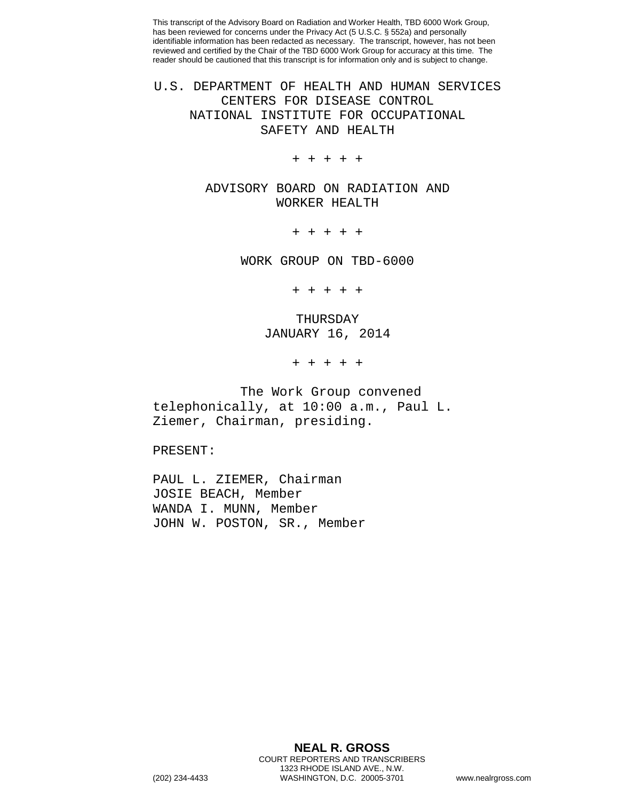This transcript of the Advisory Board on Radiation and Worker Health, TBD 6000 Work Group, has been reviewed for concerns under the Privacy Act (5 U.S.C. § 552a) and personally identifiable information has been redacted as necessary. The transcript, however, has not been reviewed and certified by the Chair of the TBD 6000 Work Group for accuracy at this time. The reader should be cautioned that this transcript is for information only and is subject to change.

## U.S. DEPARTMENT OF HEALTH AND HUMAN SERVICES CENTERS FOR DISEASE CONTROL NATIONAL INSTITUTE FOR OCCUPATIONAL SAFETY AND HEALTH

+ + + + +

ADVISORY BOARD ON RADIATION AND WORKER HEALTH

+ + + + +

WORK GROUP ON TBD-6000

+ + + + +

THURSDAY JANUARY 16, 2014

+ + + + +

The Work Group convened telephonically, at 10:00 a.m., Paul L. Ziemer, Chairman, presiding.

PRESENT:

PAUL L. ZIEMER, Chairman JOSIE BEACH, Member WANDA I. MUNN, Member JOHN W. POSTON, SR., Member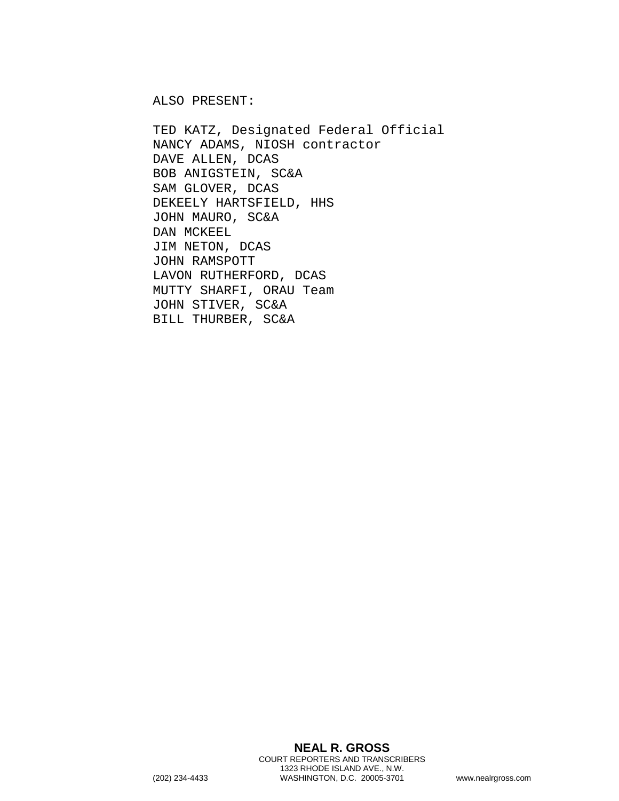ALSO PRESENT:

TED KATZ, Designated Federal Official NANCY ADAMS, NIOSH contractor DAVE ALLEN, DCAS BOB ANIGSTEIN, SC&A SAM GLOVER, DCAS DEKEELY HARTSFIELD, HHS JOHN MAURO, SC&A DAN MCKEEL JIM NETON, DCAS JOHN RAMSPOTT LAVON RUTHERFORD, DCAS MUTTY SHARFI, ORAU Team JOHN STIVER, SC&A BILL THURBER, SC&A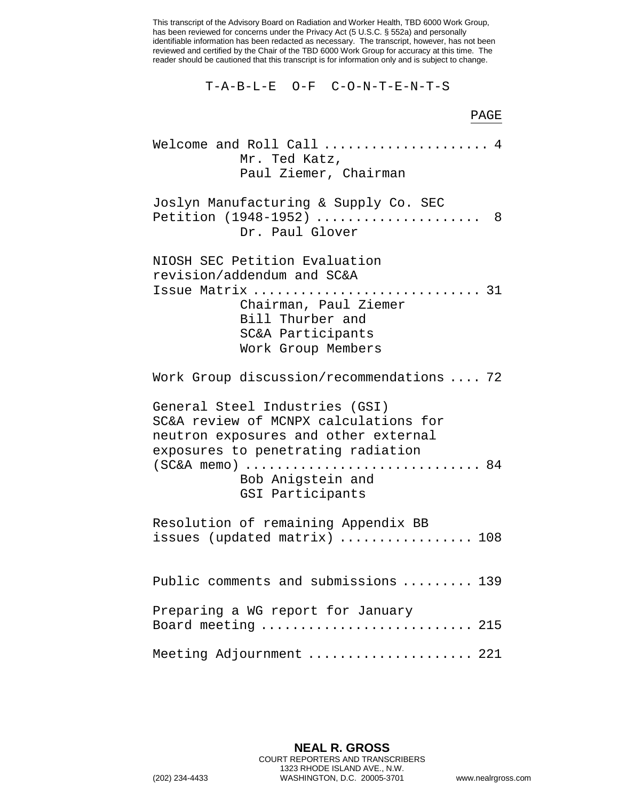This transcript of the Advisory Board on Radiation and Worker Health, TBD 6000 Work Group, has been reviewed for concerns under the Privacy Act (5 U.S.C. § 552a) and personally identifiable information has been redacted as necessary. The transcript, however, has not been reviewed and certified by the Chair of the TBD 6000 Work Group for accuracy at this time. The reader should be cautioned that this transcript is for information only and is subject to change.

T-A-B-L-E O-F C-O-N-T-E-N-T-S

## Welcome and Roll Call ...................... 4 Mr. Ted Katz, Paul Ziemer, Chairman Joslyn Manufacturing & Supply Co. SEC Petition (1948-1952) ...................... 8 Dr. Paul Glover NIOSH SEC Petition Evaluation revision/addendum and SC&A Issue Matrix ............................. 31 Chairman, Paul Ziemer Bill Thurber and SC&A Participants Work Group Members Work Group discussion/recommendations .... 72 General Steel Industries (GSI) SC&A review of MCNPX calculations for neutron exposures and other external exposures to penetrating radiation (SC&A memo) .............................. 84 Bob Anigstein and GSI Participants Resolution of remaining Appendix BB issues (updated matrix) ................. 108 Public comments and submissions ......... 139 Preparing a WG report for January Board meeting .............................. 215 Meeting Adjournment ...................... 221

PAGE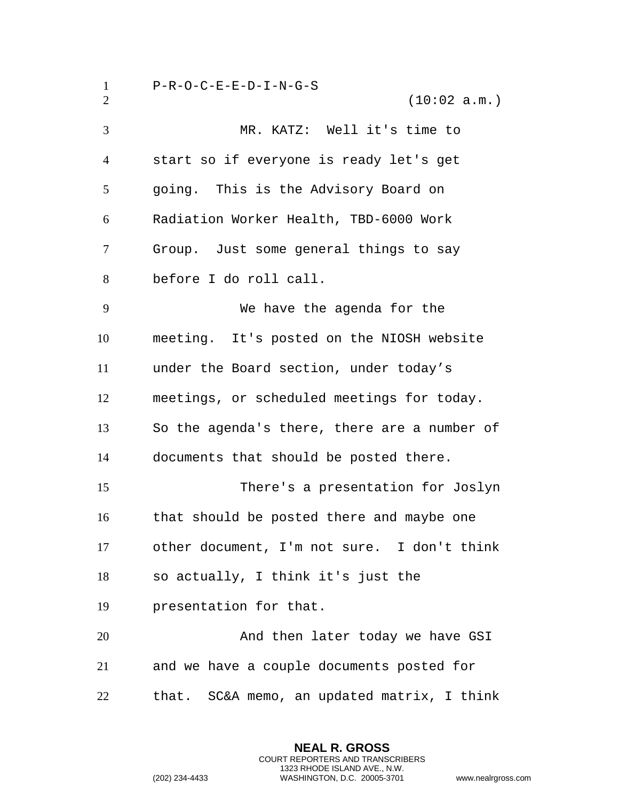P-R-O-C-E-E-D-I-N-G-S  $(10:02 a.m.)$  MR. KATZ: Well it's time to start so if everyone is ready let's get going. This is the Advisory Board on Radiation Worker Health, TBD-6000 Work Group. Just some general things to say before I do roll call. We have the agenda for the meeting. It's posted on the NIOSH website under the Board section, under today's meetings, or scheduled meetings for today. So the agenda's there, there are a number of documents that should be posted there. There's a presentation for Joslyn that should be posted there and maybe one other document, I'm not sure. I don't think so actually, I think it's just the presentation for that. And then later today we have GSI and we have a couple documents posted for that. SC&A memo, an updated matrix, I think

> **NEAL R. GROSS** COURT REPORTERS AND TRANSCRIBERS 1323 RHODE ISLAND AVE., N.W.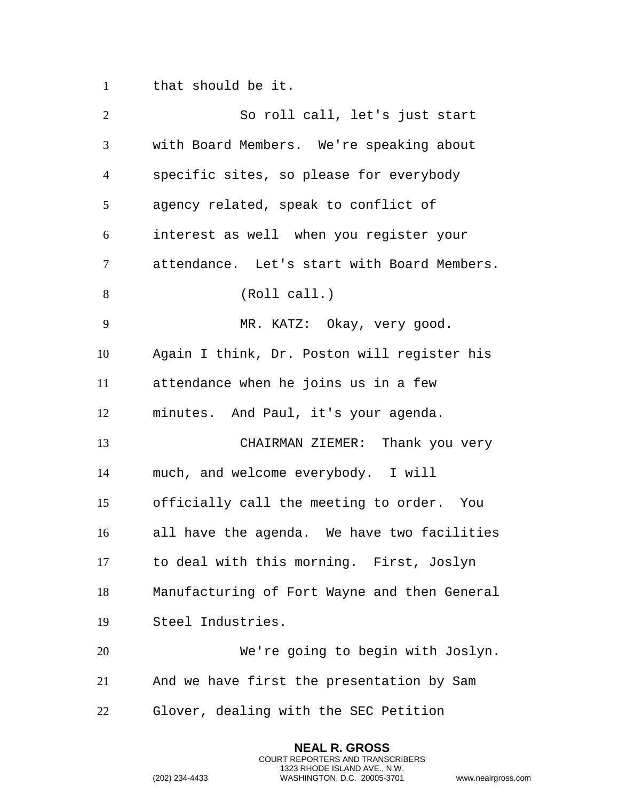that should be it.

| $\overline{2}$ | So roll call, let's just start               |
|----------------|----------------------------------------------|
| 3              | with Board Members. We're speaking about     |
| $\overline{4}$ | specific sites, so please for everybody      |
| 5              | agency related, speak to conflict of         |
| 6              | interest as well when you register your      |
| 7              | attendance. Let's start with Board Members.  |
| 8              | (Roll call.)                                 |
| 9              | MR. KATZ: Okay, very good.                   |
| 10             | Again I think, Dr. Poston will register his  |
| 11             | attendance when he joins us in a few         |
| 12             | minutes. And Paul, it's your agenda.         |
| 13             | CHAIRMAN ZIEMER: Thank you very              |
| 14             | much, and welcome everybody. I will          |
| 15             | officially call the meeting to order. You    |
| 16             | all have the agenda. We have two facilities  |
| 17             | to deal with this morning. First, Joslyn     |
| 18             | Manufacturing of Fort Wayne and then General |
| 19             | Steel Industries.                            |
| 20             | We're going to begin with Joslyn.            |
| 21             | And we have first the presentation by Sam    |
| 22             | Glover, dealing with the SEC Petition        |
|                |                                              |

**NEAL R. GROSS** COURT REPORTERS AND TRANSCRIBERS 1323 RHODE ISLAND AVE., N.W.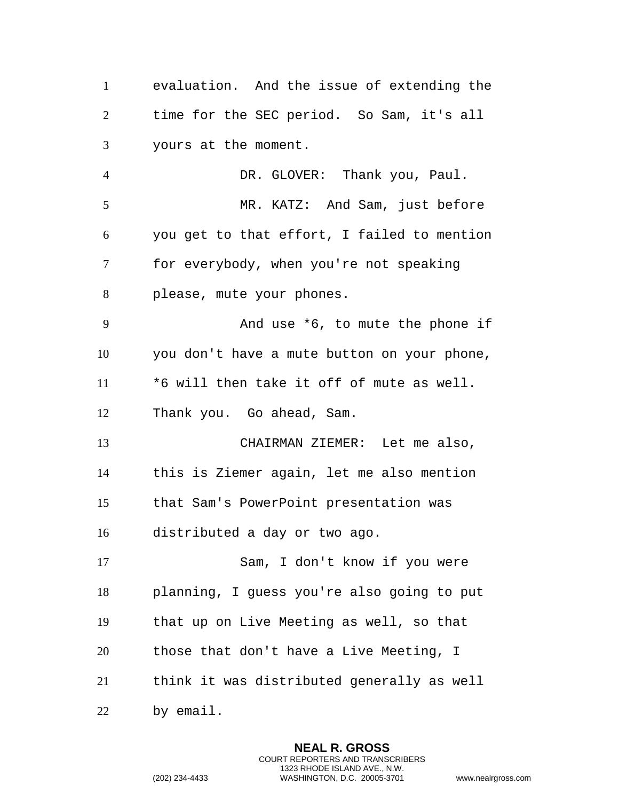evaluation. And the issue of extending the time for the SEC period. So Sam, it's all yours at the moment. DR. GLOVER: Thank you, Paul. MR. KATZ: And Sam, just before you get to that effort, I failed to mention for everybody, when you're not speaking please, mute your phones. And use \*6, to mute the phone if you don't have a mute button on your phone, \*6 will then take it off of mute as well. Thank you. Go ahead, Sam.

 CHAIRMAN ZIEMER: Let me also, this is Ziemer again, let me also mention that Sam's PowerPoint presentation was distributed a day or two ago.

 Sam, I don't know if you were planning, I guess you're also going to put that up on Live Meeting as well, so that those that don't have a Live Meeting, I think it was distributed generally as well by email.

> **NEAL R. GROSS** COURT REPORTERS AND TRANSCRIBERS 1323 RHODE ISLAND AVE., N.W.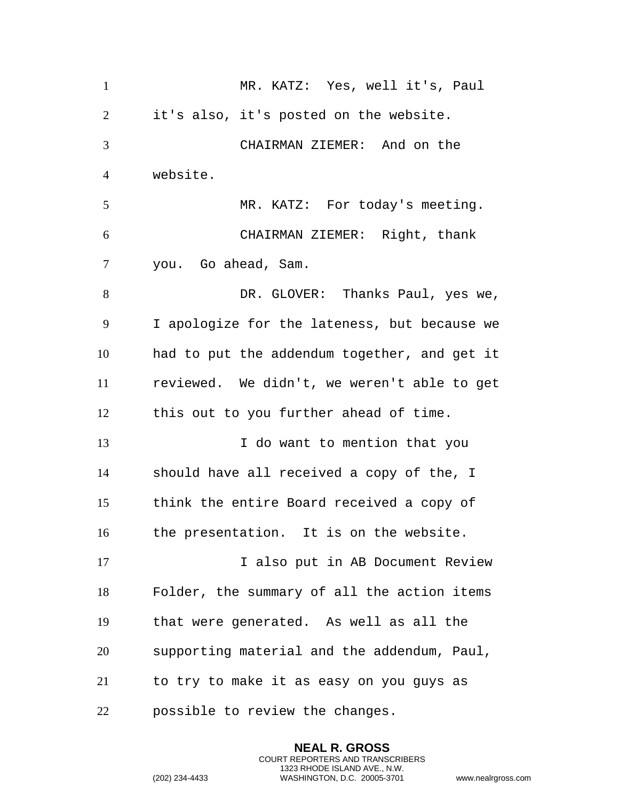| $\mathbf{1}$   | MR. KATZ: Yes, well it's, Paul               |
|----------------|----------------------------------------------|
| 2              | it's also, it's posted on the website.       |
| 3              | CHAIRMAN ZIEMER: And on the                  |
| $\overline{4}$ | website.                                     |
| 5              | MR. KATZ: For today's meeting.               |
| 6              | CHAIRMAN ZIEMER: Right, thank                |
| 7              | you. Go ahead, Sam.                          |
| 8              | DR. GLOVER: Thanks Paul, yes we,             |
| 9              | I apologize for the lateness, but because we |
| 10             | had to put the addendum together, and get it |
| 11             | reviewed. We didn't, we weren't able to get  |
| 12             | this out to you further ahead of time.       |
| 13             | I do want to mention that you                |
| 14             | should have all received a copy of the, I    |
| 15             | think the entire Board received a copy of    |
| 16             | the presentation. It is on the website.      |
| 17             | I also put in AB Document Review             |
| 18             | Folder, the summary of all the action items  |
| 19             | that were generated. As well as all the      |
| 20             | supporting material and the addendum, Paul,  |
| 21             | to try to make it as easy on you guys as     |
| 22             | possible to review the changes.              |

**NEAL R. GROSS** COURT REPORTERS AND TRANSCRIBERS 1323 RHODE ISLAND AVE., N.W.

```
(202) 234-4433 WASHINGTON, D.C. 20005-3701 www.nealrgross.com
```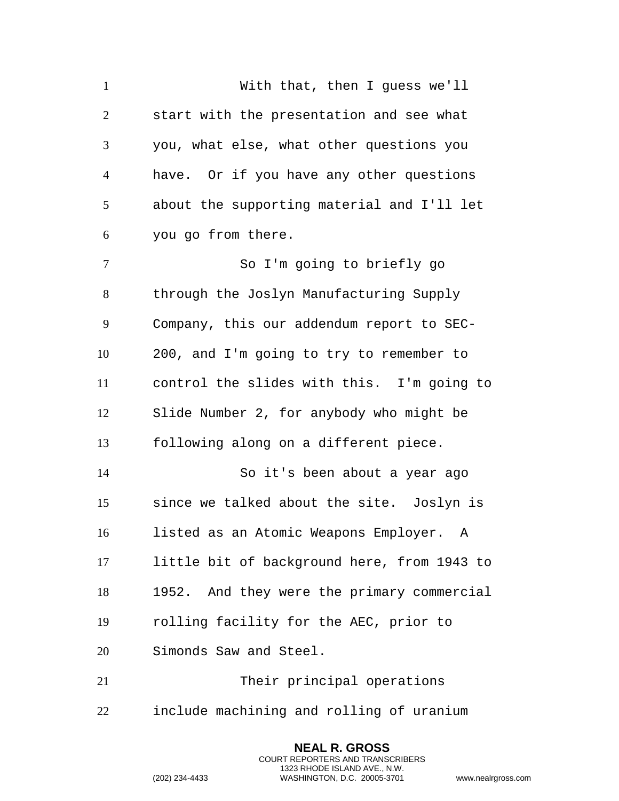With that, then I guess we'll start with the presentation and see what you, what else, what other questions you have. Or if you have any other questions about the supporting material and I'll let you go from there. So I'm going to briefly go through the Joslyn Manufacturing Supply Company, this our addendum report to SEC- 200, and I'm going to try to remember to control the slides with this. I'm going to Slide Number 2, for anybody who might be following along on a different piece. So it's been about a year ago since we talked about the site. Joslyn is listed as an Atomic Weapons Employer. A little bit of background here, from 1943 to 1952. And they were the primary commercial rolling facility for the AEC, prior to Simonds Saw and Steel. Their principal operations include machining and rolling of uranium

> **NEAL R. GROSS** COURT REPORTERS AND TRANSCRIBERS 1323 RHODE ISLAND AVE., N.W.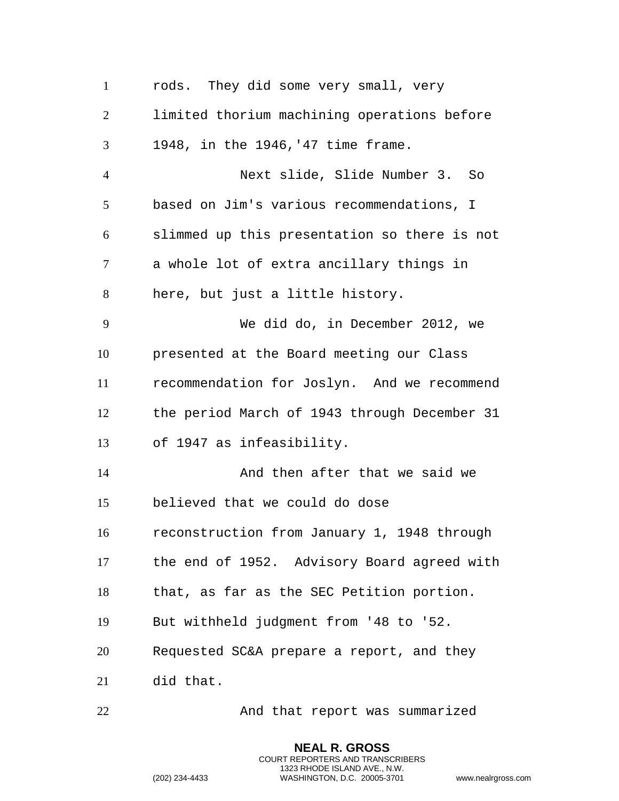| $\mathbf{1}$   | rods. They did some very small, very         |
|----------------|----------------------------------------------|
| $\overline{2}$ | limited thorium machining operations before  |
| 3              | 1948, in the 1946, '47 time frame.           |
| $\overline{4}$ | Next slide, Slide Number 3. So               |
| 5              | based on Jim's various recommendations, I    |
| 6              | slimmed up this presentation so there is not |
| 7              | a whole lot of extra ancillary things in     |
| 8              | here, but just a little history.             |
| 9              | We did do, in December 2012, we              |
| 10             | presented at the Board meeting our Class     |
| 11             | recommendation for Joslyn. And we recommend  |
| 12             | the period March of 1943 through December 31 |
| 13             | of 1947 as infeasibility.                    |
| 14             | And then after that we said we               |
| 15             | believed that we could do dose               |
| 16             | reconstruction from January 1, 1948 through  |
| 17             | the end of 1952. Advisory Board agreed with  |
| 18             | that, as far as the SEC Petition portion.    |
| 19             | But withheld judgment from '48 to '52.       |
| 20             | Requested SC&A prepare a report, and they    |
| 21             | did that.                                    |
| 22             | And that report was summarized               |

**NEAL R. GROSS** COURT REPORTERS AND TRANSCRIBERS 1323 RHODE ISLAND AVE., N.W.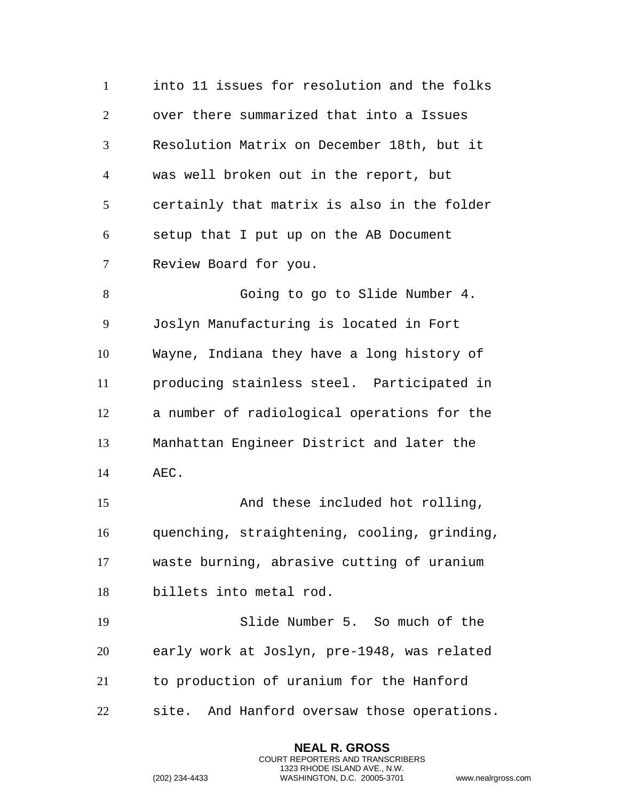into 11 issues for resolution and the folks over there summarized that into a Issues Resolution Matrix on December 18th, but it was well broken out in the report, but certainly that matrix is also in the folder setup that I put up on the AB Document Review Board for you. Going to go to Slide Number 4. Joslyn Manufacturing is located in Fort Wayne, Indiana they have a long history of producing stainless steel. Participated in a number of radiological operations for the Manhattan Engineer District and later the AEC. And these included hot rolling, quenching, straightening, cooling, grinding, waste burning, abrasive cutting of uranium billets into metal rod. Slide Number 5. So much of the early work at Joslyn, pre-1948, was related to production of uranium for the Hanford site. And Hanford oversaw those operations.

> **NEAL R. GROSS** COURT REPORTERS AND TRANSCRIBERS 1323 RHODE ISLAND AVE., N.W.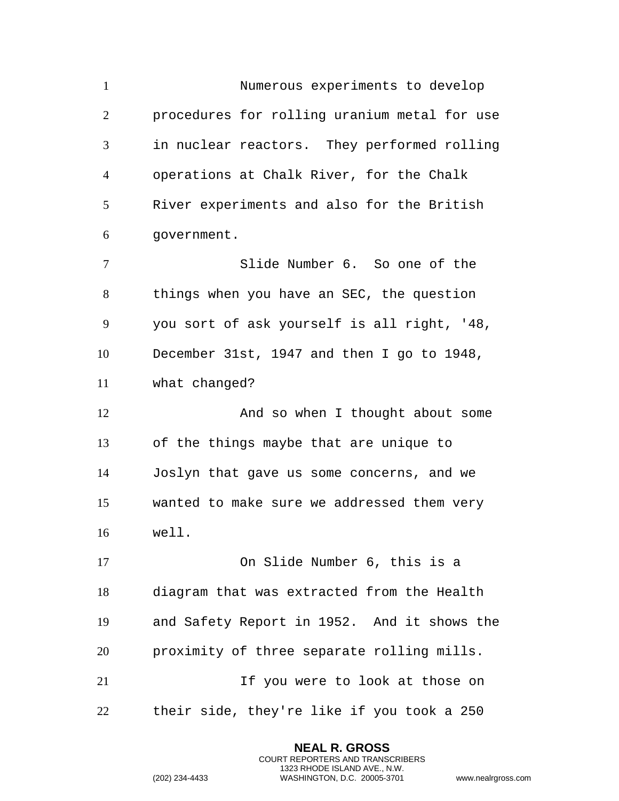Numerous experiments to develop procedures for rolling uranium metal for use in nuclear reactors. They performed rolling operations at Chalk River, for the Chalk River experiments and also for the British government. Slide Number 6. So one of the things when you have an SEC, the question you sort of ask yourself is all right, '48, December 31st, 1947 and then I go to 1948, what changed? 12 And so when I thought about some of the things maybe that are unique to Joslyn that gave us some concerns, and we wanted to make sure we addressed them very well. On Slide Number 6, this is a diagram that was extracted from the Health and Safety Report in 1952. And it shows the proximity of three separate rolling mills. If you were to look at those on their side, they're like if you took a 250

> **NEAL R. GROSS** COURT REPORTERS AND TRANSCRIBERS 1323 RHODE ISLAND AVE., N.W.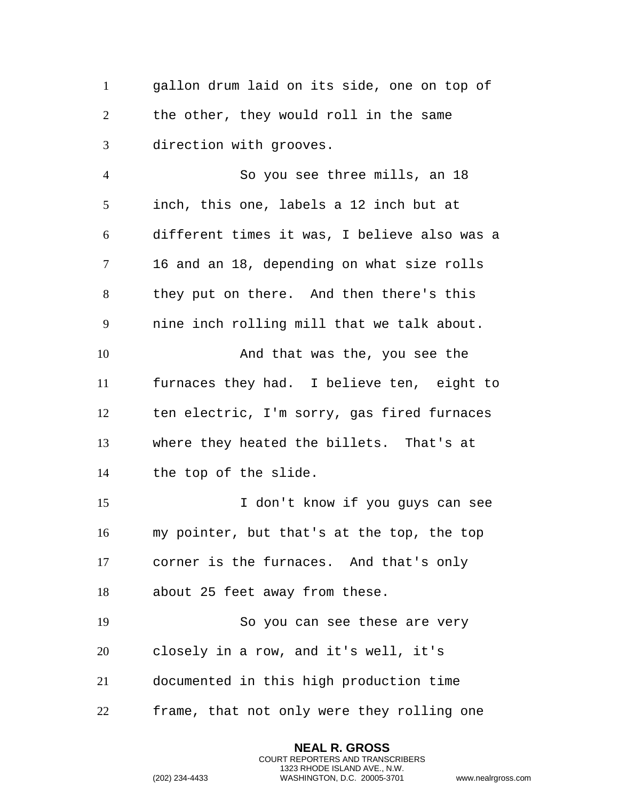gallon drum laid on its side, one on top of the other, they would roll in the same direction with grooves.

 So you see three mills, an 18 inch, this one, labels a 12 inch but at different times it was, I believe also was a 16 and an 18, depending on what size rolls they put on there. And then there's this nine inch rolling mill that we talk about. 10 And that was the, you see the furnaces they had. I believe ten, eight to ten electric, I'm sorry, gas fired furnaces where they heated the billets. That's at the top of the slide. I don't know if you guys can see my pointer, but that's at the top, the top corner is the furnaces. And that's only about 25 feet away from these. So you can see these are very closely in a row, and it's well, it's

documented in this high production time

frame, that not only were they rolling one

**NEAL R. GROSS** COURT REPORTERS AND TRANSCRIBERS 1323 RHODE ISLAND AVE., N.W.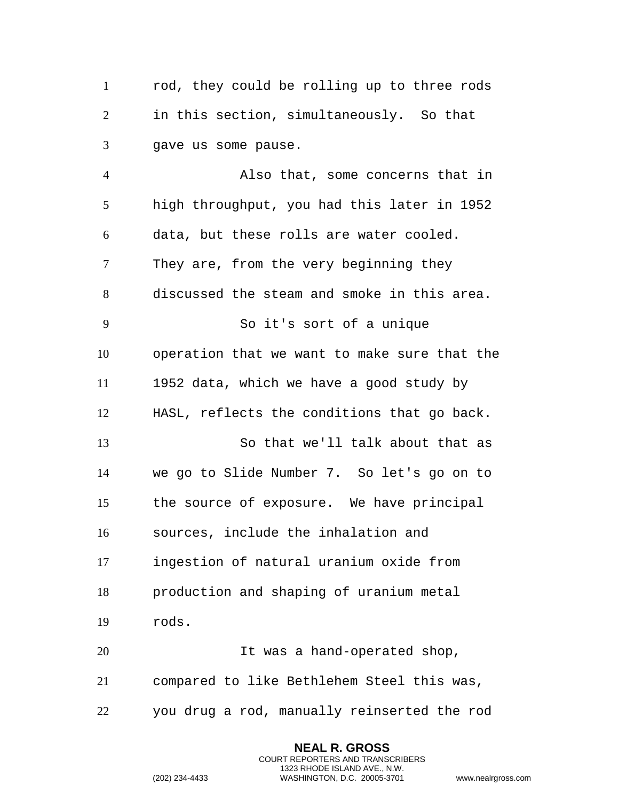rod, they could be rolling up to three rods in this section, simultaneously. So that gave us some pause.

 Also that, some concerns that in high throughput, you had this later in 1952 data, but these rolls are water cooled. They are, from the very beginning they discussed the steam and smoke in this area. So it's sort of a unique operation that we want to make sure that the 1952 data, which we have a good study by HASL, reflects the conditions that go back. So that we'll talk about that as we go to Slide Number 7. So let's go on to the source of exposure. We have principal sources, include the inhalation and ingestion of natural uranium oxide from production and shaping of uranium metal rods. 20 It was a hand-operated shop, compared to like Bethlehem Steel this was,

you drug a rod, manually reinserted the rod

**NEAL R. GROSS** COURT REPORTERS AND TRANSCRIBERS 1323 RHODE ISLAND AVE., N.W.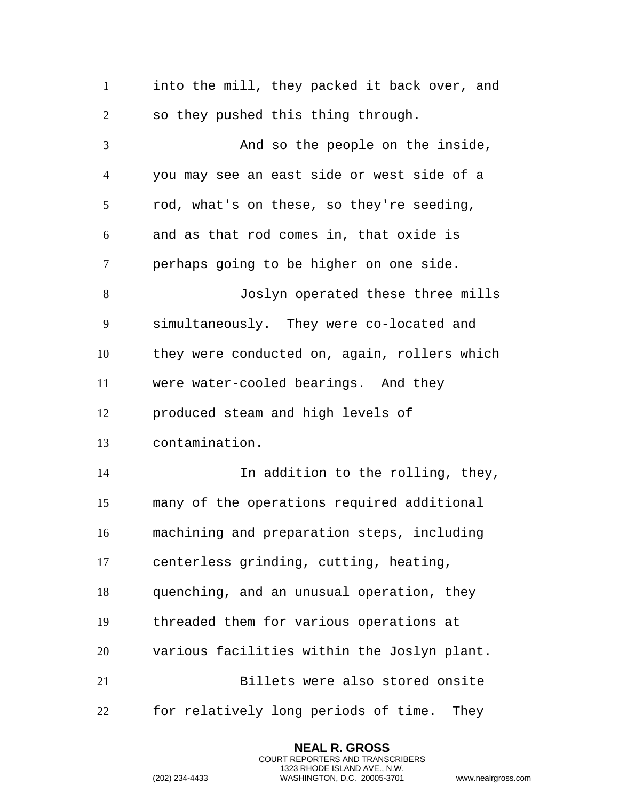into the mill, they packed it back over, and so they pushed this thing through. And so the people on the inside, you may see an east side or west side of a rod, what's on these, so they're seeding, and as that rod comes in, that oxide is perhaps going to be higher on one side. Joslyn operated these three mills simultaneously. They were co-located and they were conducted on, again, rollers which were water-cooled bearings. And they produced steam and high levels of contamination. In addition to the rolling, they, many of the operations required additional machining and preparation steps, including centerless grinding, cutting, heating, quenching, and an unusual operation, they threaded them for various operations at various facilities within the Joslyn plant. Billets were also stored onsite for relatively long periods of time. They

> **NEAL R. GROSS** COURT REPORTERS AND TRANSCRIBERS 1323 RHODE ISLAND AVE., N.W.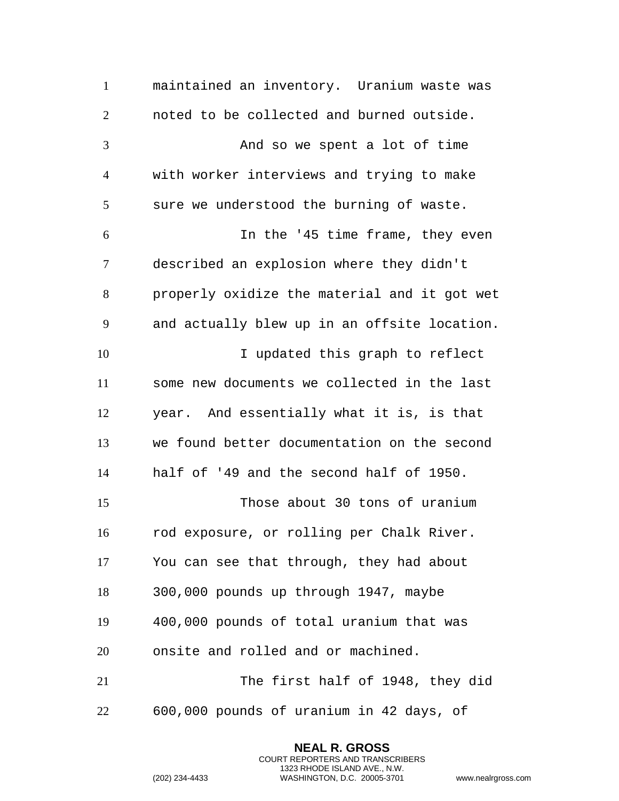maintained an inventory. Uranium waste was noted to be collected and burned outside. 3 And so we spent a lot of time with worker interviews and trying to make sure we understood the burning of waste. In the '45 time frame, they even described an explosion where they didn't properly oxidize the material and it got wet and actually blew up in an offsite location. I updated this graph to reflect some new documents we collected in the last year. And essentially what it is, is that we found better documentation on the second half of '49 and the second half of 1950. Those about 30 tons of uranium rod exposure, or rolling per Chalk River. You can see that through, they had about 300,000 pounds up through 1947, maybe 400,000 pounds of total uranium that was onsite and rolled and or machined. The first half of 1948, they did 600,000 pounds of uranium in 42 days, of

> **NEAL R. GROSS** COURT REPORTERS AND TRANSCRIBERS 1323 RHODE ISLAND AVE., N.W.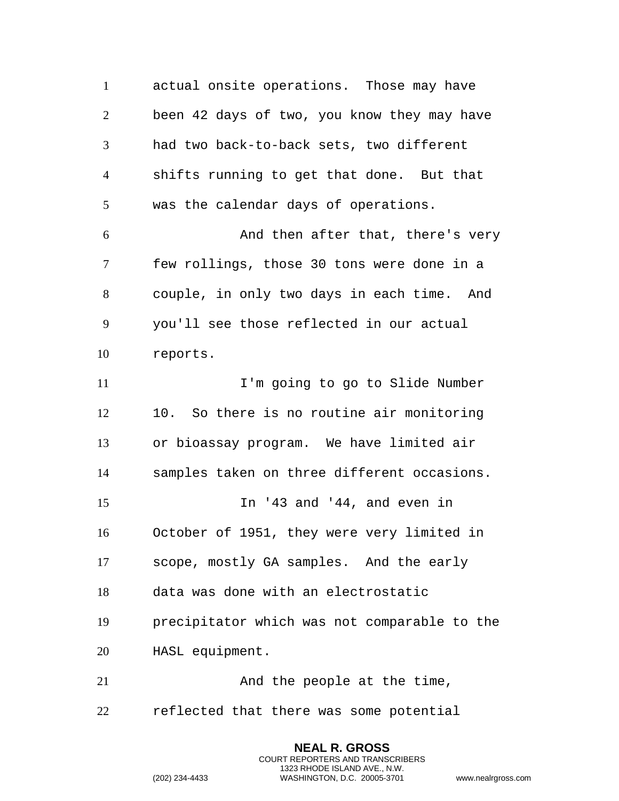actual onsite operations. Those may have been 42 days of two, you know they may have had two back-to-back sets, two different shifts running to get that done. But that was the calendar days of operations. And then after that, there's very few rollings, those 30 tons were done in a couple, in only two days in each time. And you'll see those reflected in our actual reports. **I'm going to go to Slide Number**  10. So there is no routine air monitoring or bioassay program. We have limited air samples taken on three different occasions. In '43 and '44, and even in October of 1951, they were very limited in scope, mostly GA samples. And the early data was done with an electrostatic precipitator which was not comparable to the HASL equipment. 21 And the people at the time, reflected that there was some potential

> **NEAL R. GROSS** COURT REPORTERS AND TRANSCRIBERS 1323 RHODE ISLAND AVE., N.W.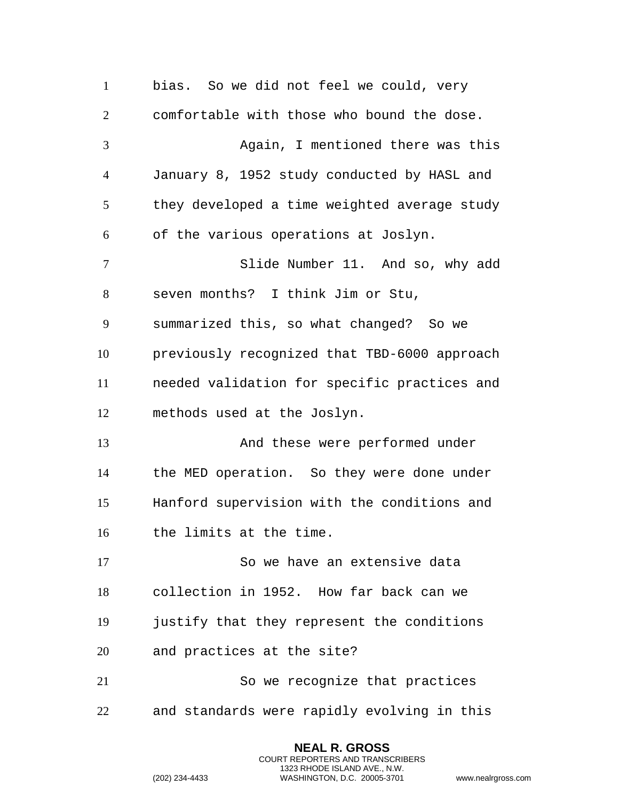bias. So we did not feel we could, very comfortable with those who bound the dose. Again, I mentioned there was this January 8, 1952 study conducted by HASL and they developed a time weighted average study of the various operations at Joslyn. Slide Number 11. And so, why add seven months? I think Jim or Stu, summarized this, so what changed? So we previously recognized that TBD-6000 approach needed validation for specific practices and methods used at the Joslyn. And these were performed under the MED operation. So they were done under Hanford supervision with the conditions and the limits at the time. So we have an extensive data collection in 1952. How far back can we justify that they represent the conditions and practices at the site? So we recognize that practices and standards were rapidly evolving in this

> **NEAL R. GROSS** COURT REPORTERS AND TRANSCRIBERS 1323 RHODE ISLAND AVE., N.W.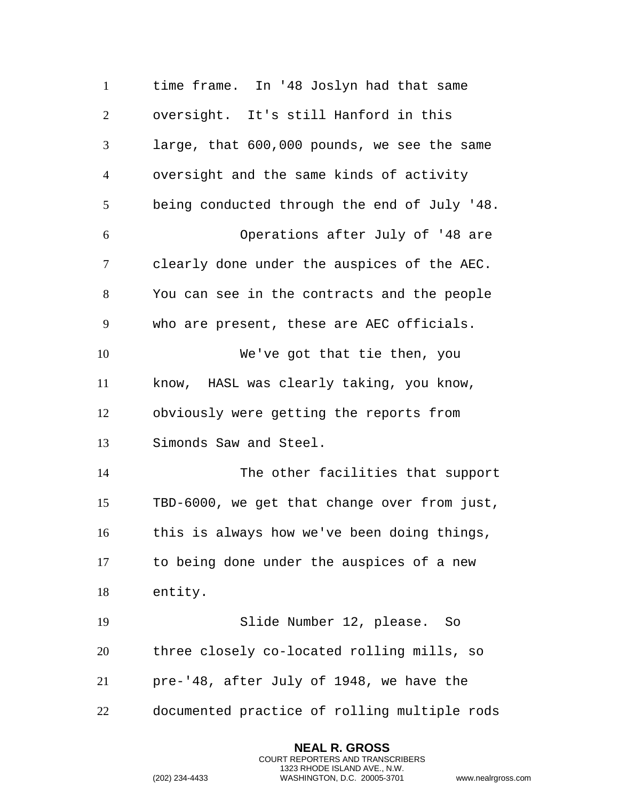time frame. In '48 Joslyn had that same oversight. It's still Hanford in this large, that 600,000 pounds, we see the same oversight and the same kinds of activity being conducted through the end of July '48. Operations after July of '48 are clearly done under the auspices of the AEC. You can see in the contracts and the people who are present, these are AEC officials. We've got that tie then, you know, HASL was clearly taking, you know, obviously were getting the reports from Simonds Saw and Steel. The other facilities that support TBD-6000, we get that change over from just, this is always how we've been doing things, to being done under the auspices of a new entity. Slide Number 12, please. So three closely co-located rolling mills, so pre-'48, after July of 1948, we have the documented practice of rolling multiple rods

> **NEAL R. GROSS** COURT REPORTERS AND TRANSCRIBERS 1323 RHODE ISLAND AVE., N.W.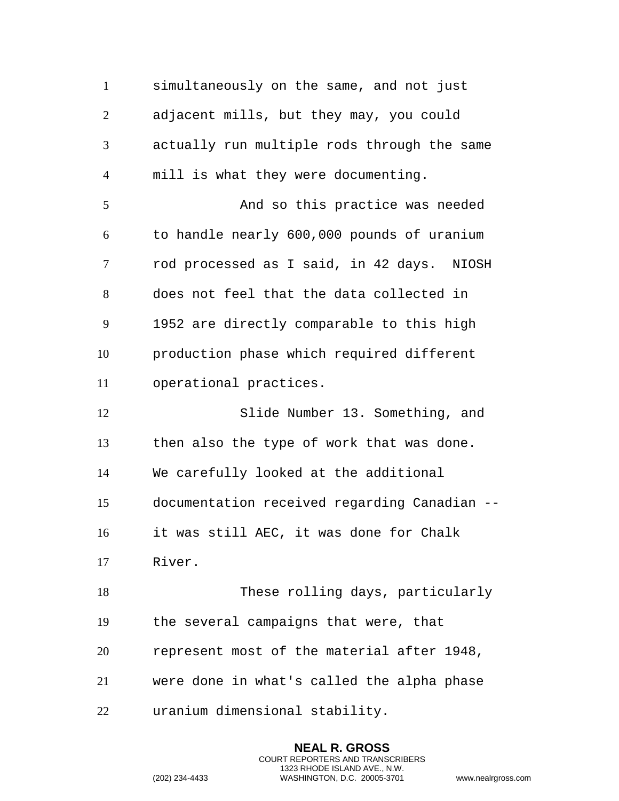simultaneously on the same, and not just adjacent mills, but they may, you could actually run multiple rods through the same mill is what they were documenting. And so this practice was needed to handle nearly 600,000 pounds of uranium rod processed as I said, in 42 days. NIOSH does not feel that the data collected in 1952 are directly comparable to this high production phase which required different operational practices. Slide Number 13. Something, and then also the type of work that was done. We carefully looked at the additional documentation received regarding Canadian -- it was still AEC, it was done for Chalk River. These rolling days, particularly the several campaigns that were, that represent most of the material after 1948, were done in what's called the alpha phase uranium dimensional stability.

> **NEAL R. GROSS** COURT REPORTERS AND TRANSCRIBERS 1323 RHODE ISLAND AVE., N.W.

```
(202) 234-4433 WASHINGTON, D.C. 20005-3701 www.nealrgross.com
```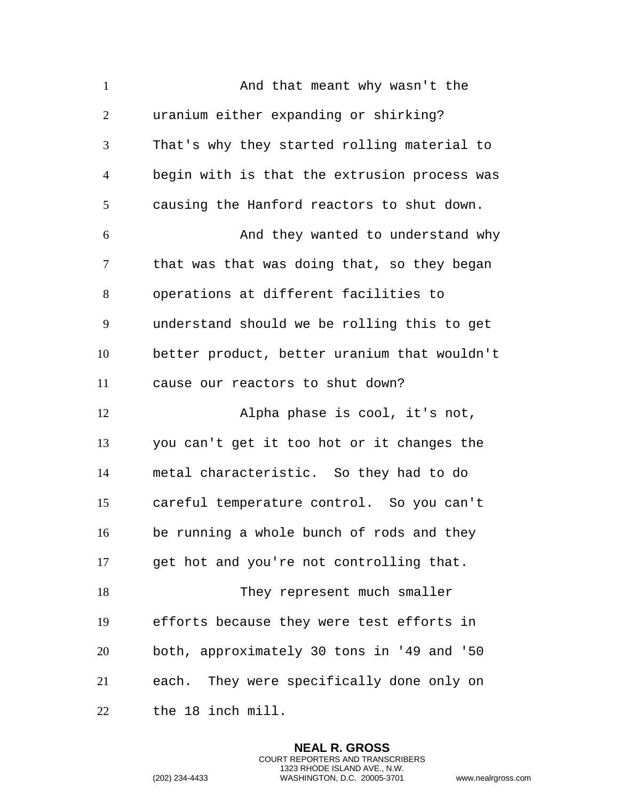| $\mathbf{1}$   | And that meant why wasn't the                |
|----------------|----------------------------------------------|
| $\overline{2}$ | uranium either expanding or shirking?        |
| 3              | That's why they started rolling material to  |
| $\overline{4}$ | begin with is that the extrusion process was |
| 5              | causing the Hanford reactors to shut down.   |
| 6              | And they wanted to understand why            |
| $\tau$         | that was that was doing that, so they began  |
| 8              | operations at different facilities to        |
| 9              | understand should we be rolling this to get  |
| 10             | better product, better uranium that wouldn't |
| 11             | cause our reactors to shut down?             |
| 12             | Alpha phase is cool, it's not,               |
| 13             | you can't get it too hot or it changes the   |
| 14             | metal characteristic. So they had to do      |
| 15             | careful temperature control. So you can't    |
| 16             | be running a whole bunch of rods and they    |
| 17             | get hot and you're not controlling that.     |
| 18             | They represent much smaller                  |
| 19             | efforts because they were test efforts in    |
| 20             | both, approximately 30 tons in '49 and '50   |
| 21             | each. They were specifically done only on    |
| 22             | the 18 inch mill.                            |

**NEAL R. GROSS** COURT REPORTERS AND TRANSCRIBERS 1323 RHODE ISLAND AVE., N.W.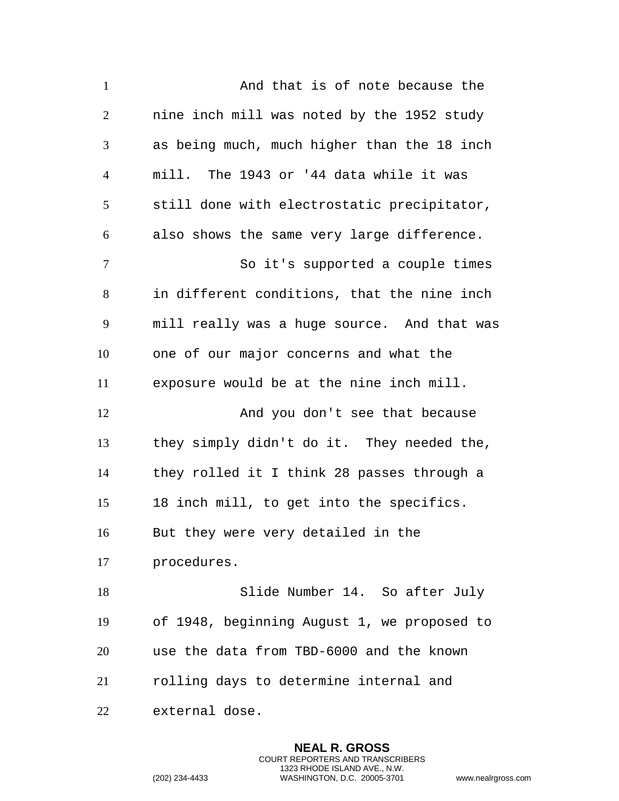| $\mathbf{1}$   | And that is of note because the             |
|----------------|---------------------------------------------|
| $\overline{2}$ | nine inch mill was noted by the 1952 study  |
| 3              | as being much, much higher than the 18 inch |
| $\overline{4}$ | mill. The 1943 or '44 data while it was     |
| 5              | still done with electrostatic precipitator, |
| 6              | also shows the same very large difference.  |
| $\tau$         | So it's supported a couple times            |
| 8              | in different conditions, that the nine inch |
| 9              | mill really was a huge source. And that was |
| 10             | one of our major concerns and what the      |
| 11             | exposure would be at the nine inch mill.    |
| 12             | And you don't see that because              |
| 13             | they simply didn't do it. They needed the,  |
| 14             | they rolled it I think 28 passes through a  |
| 15             | 18 inch mill, to get into the specifics.    |
| 16             | But they were very detailed in the          |
| 17             | procedures.                                 |
| 18             | Slide Number 14. So after July              |
| 19             | of 1948, beginning August 1, we proposed to |
| 20             | use the data from TBD-6000 and the known    |
| 21             | rolling days to determine internal and      |
| 22             | external dose.                              |

**NEAL R. GROSS** COURT REPORTERS AND TRANSCRIBERS 1323 RHODE ISLAND AVE., N.W.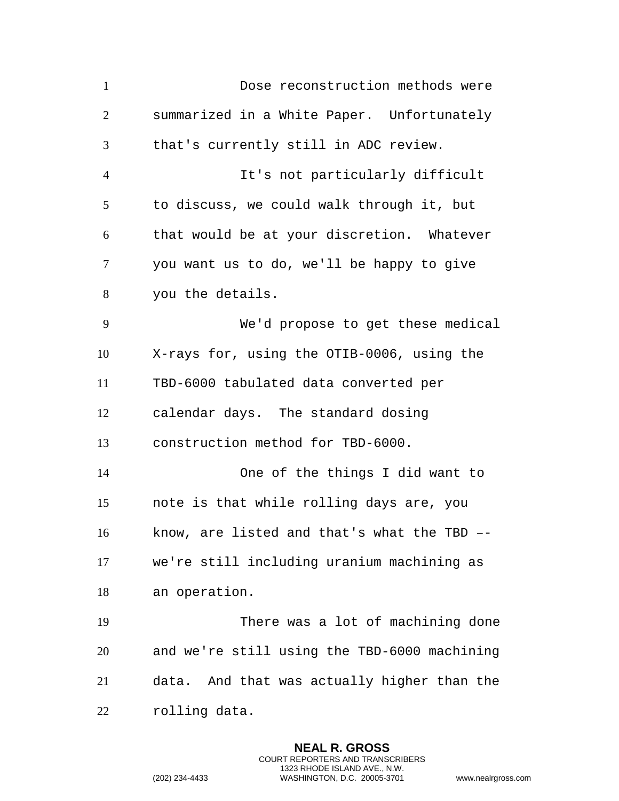Dose reconstruction methods were summarized in a White Paper. Unfortunately that's currently still in ADC review. It's not particularly difficult to discuss, we could walk through it, but that would be at your discretion. Whatever you want us to do, we'll be happy to give you the details. We'd propose to get these medical X-rays for, using the OTIB-0006, using the TBD-6000 tabulated data converted per calendar days. The standard dosing construction method for TBD-6000. One of the things I did want to note is that while rolling days are, you know, are listed and that's what the TBD –- we're still including uranium machining as an operation. There was a lot of machining done and we're still using the TBD-6000 machining data. And that was actually higher than the rolling data.

> **NEAL R. GROSS** COURT REPORTERS AND TRANSCRIBERS 1323 RHODE ISLAND AVE., N.W.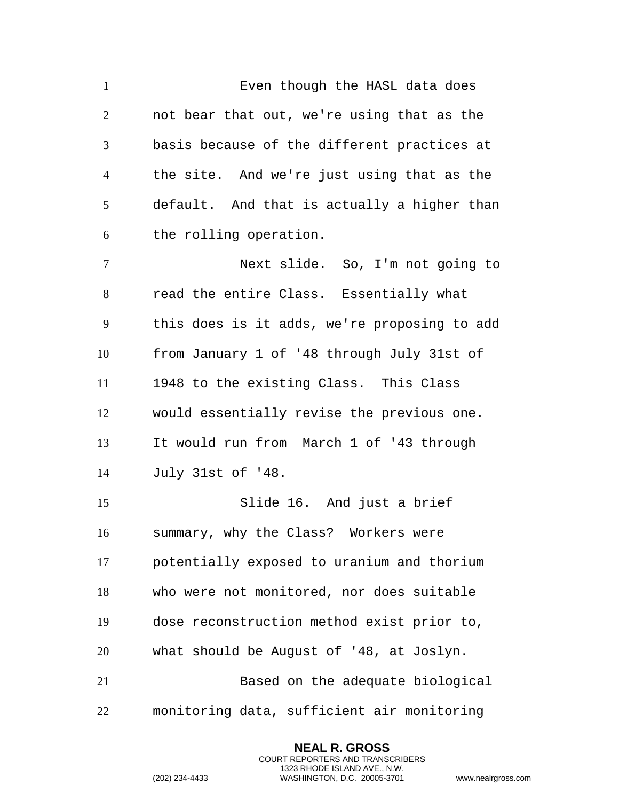1 Even though the HASL data does not bear that out, we're using that as the basis because of the different practices at the site. And we're just using that as the default. And that is actually a higher than the rolling operation. Next slide. So, I'm not going to read the entire Class. Essentially what this does is it adds, we're proposing to add from January 1 of '48 through July 31st of 1948 to the existing Class. This Class would essentially revise the previous one. It would run from March 1 of '43 through July 31st of '48. Slide 16. And just a brief summary, why the Class? Workers were potentially exposed to uranium and thorium who were not monitored, nor does suitable dose reconstruction method exist prior to, what should be August of '48, at Joslyn. Based on the adequate biological

monitoring data, sufficient air monitoring

**NEAL R. GROSS** COURT REPORTERS AND TRANSCRIBERS 1323 RHODE ISLAND AVE., N.W.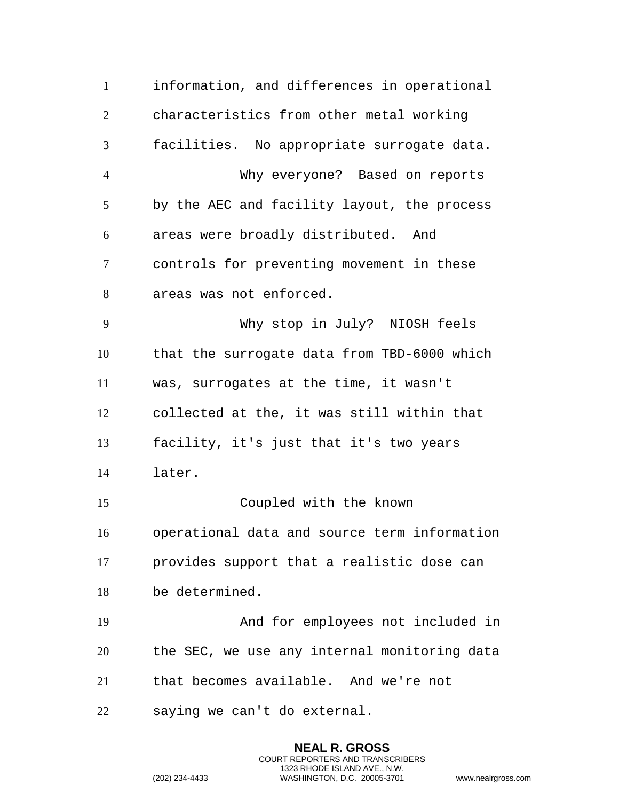information, and differences in operational characteristics from other metal working facilities. No appropriate surrogate data. Why everyone? Based on reports by the AEC and facility layout, the process areas were broadly distributed. And controls for preventing movement in these areas was not enforced. Why stop in July? NIOSH feels that the surrogate data from TBD-6000 which was, surrogates at the time, it wasn't collected at the, it was still within that facility, it's just that it's two years later. Coupled with the known operational data and source term information provides support that a realistic dose can be determined. And for employees not included in the SEC, we use any internal monitoring data that becomes available. And we're not saying we can't do external.

> **NEAL R. GROSS** COURT REPORTERS AND TRANSCRIBERS 1323 RHODE ISLAND AVE., N.W.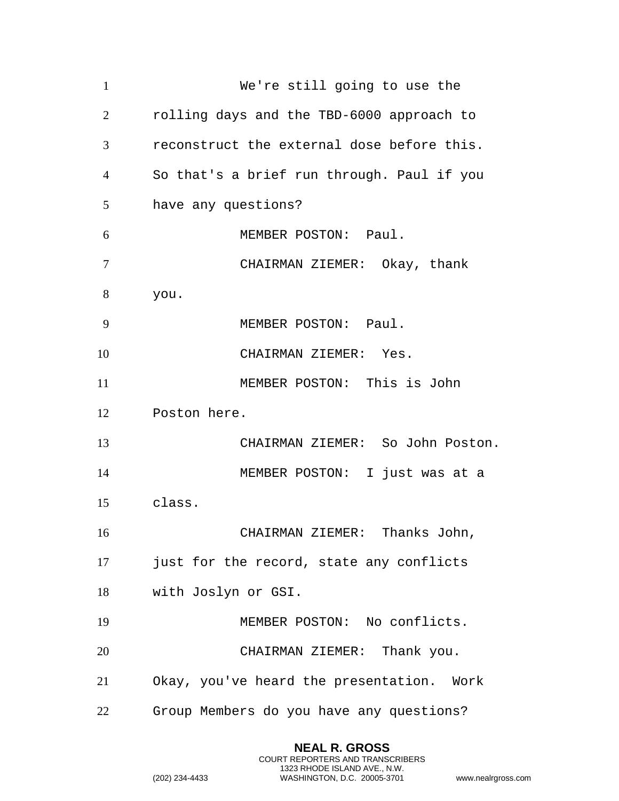| $\mathbf{1}$   | We're still going to use the               |
|----------------|--------------------------------------------|
| 2              | rolling days and the TBD-6000 approach to  |
| 3              | reconstruct the external dose before this. |
| $\overline{4}$ | So that's a brief run through. Paul if you |
| 5              | have any questions?                        |
| 6              | MEMBER POSTON: Paul.                       |
| $\overline{7}$ | CHAIRMAN ZIEMER: Okay, thank               |
| 8              | you.                                       |
| 9              | MEMBER POSTON: Paul.                       |
| 10             | CHAIRMAN ZIEMER: Yes.                      |
| 11             | MEMBER POSTON: This is John                |
| 12             | Poston here.                               |
| 13             | CHAIRMAN ZIEMER: So John Poston.           |
| 14             | MEMBER POSTON: I just was at a             |
| 15             | class.                                     |
| 16             | CHAIRMAN ZIEMER: Thanks John,              |
| 17             | just for the record, state any conflicts   |
| 18             | with Joslyn or GSI.                        |
| 19             | MEMBER POSTON: No conflicts.               |
| 20             | CHAIRMAN ZIEMER: Thank you.                |
| 21             | Okay, you've heard the presentation. Work  |
| 22             | Group Members do you have any questions?   |

**NEAL R. GROSS** COURT REPORTERS AND TRANSCRIBERS 1323 RHODE ISLAND AVE., N.W.

```
(202) 234-4433 WASHINGTON, D.C. 20005-3701 www.nealrgross.com
```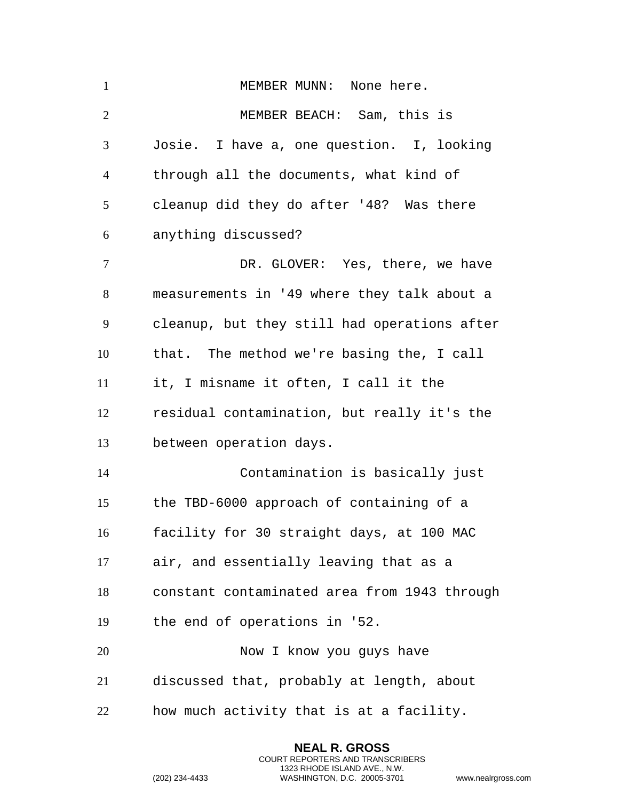| $\mathbf{1}$   | MEMBER MUNN: None here.                      |
|----------------|----------------------------------------------|
| $\overline{2}$ | MEMBER BEACH: Sam, this is                   |
| 3              | Josie. I have a, one question. I, looking    |
| $\overline{4}$ | through all the documents, what kind of      |
| 5              | cleanup did they do after '48? Was there     |
| 6              | anything discussed?                          |
| $\overline{7}$ | DR. GLOVER: Yes, there, we have              |
| 8              | measurements in '49 where they talk about a  |
| 9              | cleanup, but they still had operations after |
| 10             | that. The method we're basing the, I call    |
| 11             | it, I misname it often, I call it the        |
| 12             | residual contamination, but really it's the  |
| 13             | between operation days.                      |
| 14             | Contamination is basically just              |
| 15             | the TBD-6000 approach of containing of a     |
| 16             | facility for 30 straight days, at 100 MAC    |
| 17             | air, and essentially leaving that as a       |
| 18             | constant contaminated area from 1943 through |
| 19             | the end of operations in '52.                |
| 20             | Now I know you guys have                     |
| 21             | discussed that, probably at length, about    |
| 22             | how much activity that is at a facility.     |

**NEAL R. GROSS** COURT REPORTERS AND TRANSCRIBERS 1323 RHODE ISLAND AVE., N.W.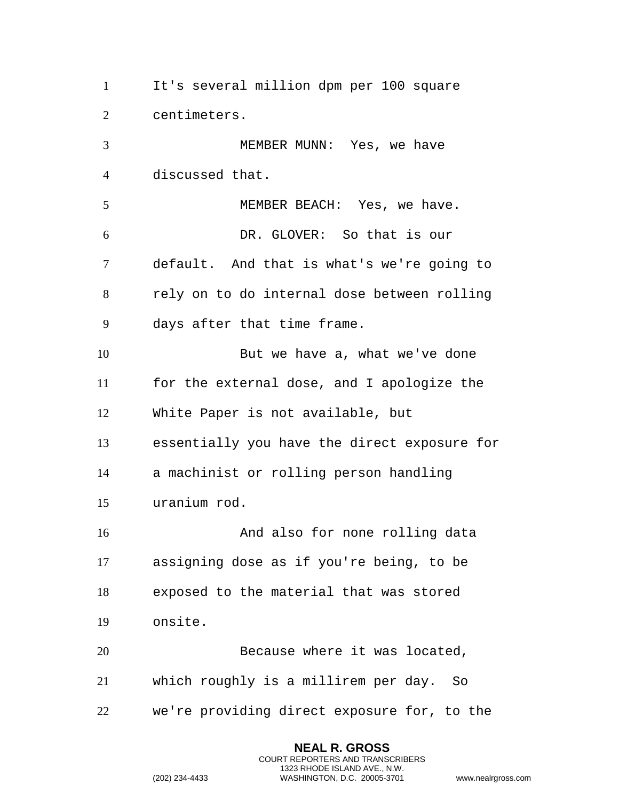It's several million dpm per 100 square centimeters. MEMBER MUNN: Yes, we have discussed that. MEMBER BEACH: Yes, we have. DR. GLOVER: So that is our default. And that is what's we're going to rely on to do internal dose between rolling days after that time frame. But we have a, what we've done for the external dose, and I apologize the White Paper is not available, but essentially you have the direct exposure for a machinist or rolling person handling uranium rod. 16 And also for none rolling data assigning dose as if you're being, to be exposed to the material that was stored onsite. 20 Because where it was located, which roughly is a millirem per day. So we're providing direct exposure for, to the

> **NEAL R. GROSS** COURT REPORTERS AND TRANSCRIBERS 1323 RHODE ISLAND AVE., N.W.

```
(202) 234-4433 WASHINGTON, D.C. 20005-3701 www.nealrgross.com
```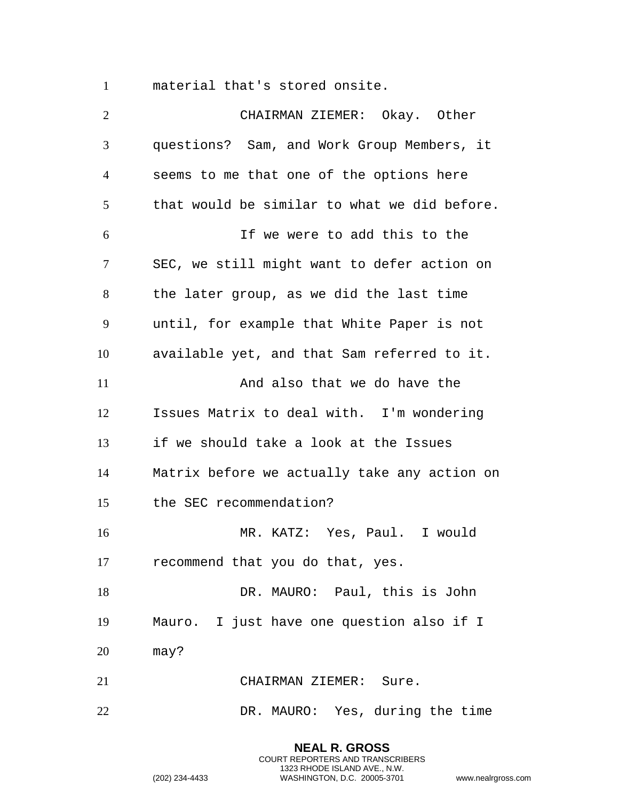material that's stored onsite.

 CHAIRMAN ZIEMER: Okay. Other questions? Sam, and Work Group Members, it seems to me that one of the options here that would be similar to what we did before. If we were to add this to the SEC, we still might want to defer action on the later group, as we did the last time until, for example that White Paper is not available yet, and that Sam referred to it. 11 And also that we do have the Issues Matrix to deal with. I'm wondering if we should take a look at the Issues Matrix before we actually take any action on the SEC recommendation? MR. KATZ: Yes, Paul. I would recommend that you do that, yes. 18 DR. MAURO: Paul, this is John Mauro. I just have one question also if I may? CHAIRMAN ZIEMER: Sure. DR. MAURO: Yes, during the time

> **NEAL R. GROSS** COURT REPORTERS AND TRANSCRIBERS 1323 RHODE ISLAND AVE., N.W.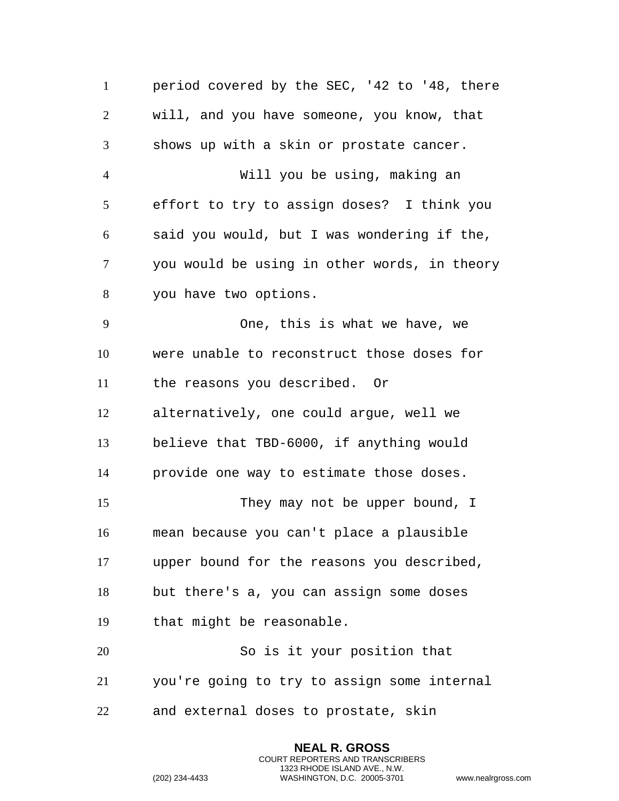period covered by the SEC, '42 to '48, there will, and you have someone, you know, that shows up with a skin or prostate cancer. Will you be using, making an effort to try to assign doses? I think you said you would, but I was wondering if the, you would be using in other words, in theory you have two options. One, this is what we have, we were unable to reconstruct those doses for the reasons you described. Or alternatively, one could argue, well we believe that TBD-6000, if anything would provide one way to estimate those doses. 15 They may not be upper bound, I mean because you can't place a plausible upper bound for the reasons you described, but there's a, you can assign some doses that might be reasonable. So is it your position that you're going to try to assign some internal and external doses to prostate, skin

> **NEAL R. GROSS** COURT REPORTERS AND TRANSCRIBERS 1323 RHODE ISLAND AVE., N.W.

```
(202) 234-4433 WASHINGTON, D.C. 20005-3701 www.nealrgross.com
```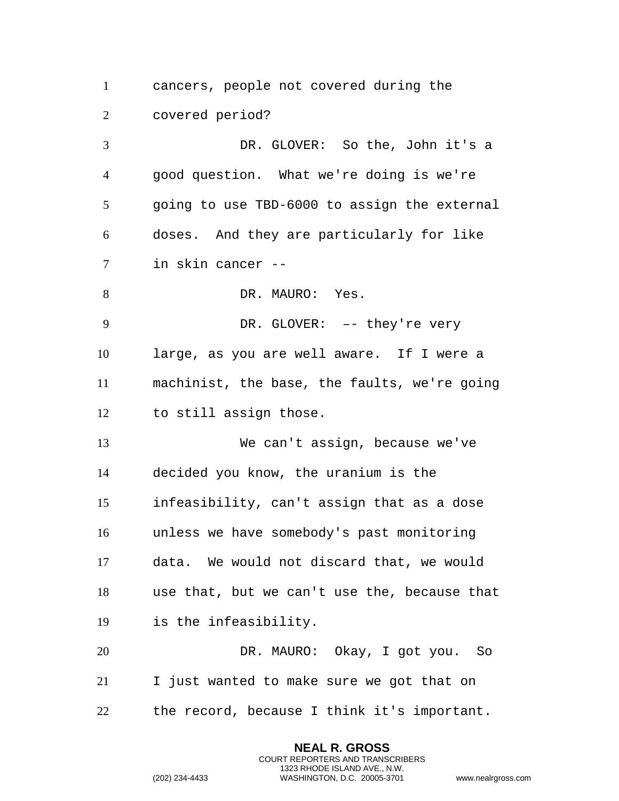cancers, people not covered during the covered period?

 DR. GLOVER: So the, John it's a good question. What we're doing is we're going to use TBD-6000 to assign the external doses. And they are particularly for like in skin cancer -- 8 DR. MAURO: Yes. DR. GLOVER: –- they're very large, as you are well aware. If I were a machinist, the base, the faults, we're going to still assign those. We can't assign, because we've decided you know, the uranium is the infeasibility, can't assign that as a dose unless we have somebody's past monitoring data. We would not discard that, we would use that, but we can't use the, because that is the infeasibility. DR. MAURO: Okay, I got you. So I just wanted to make sure we got that on the record, because I think it's important.

> **NEAL R. GROSS** COURT REPORTERS AND TRANSCRIBERS 1323 RHODE ISLAND AVE., N.W.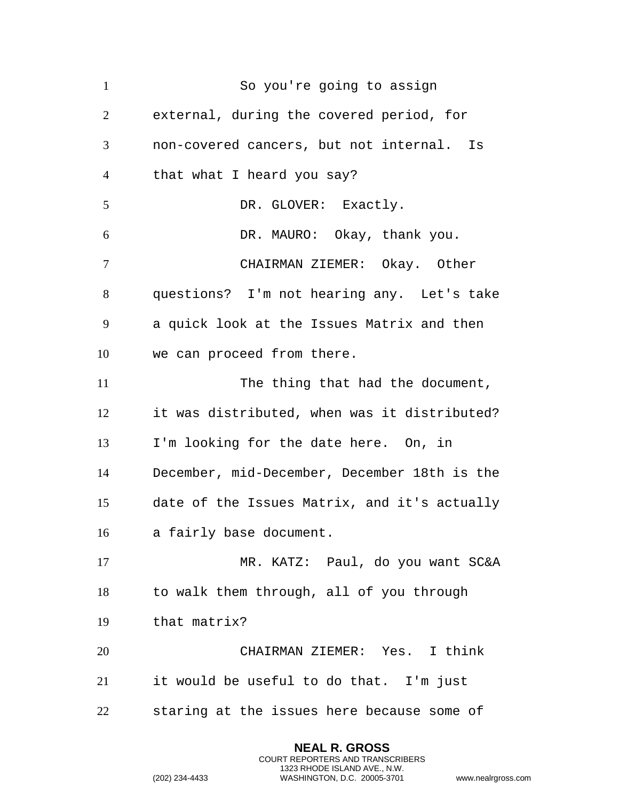So you're going to assign external, during the covered period, for non-covered cancers, but not internal. Is that what I heard you say? 5 DR. GLOVER: Exactly. DR. MAURO: Okay, thank you. CHAIRMAN ZIEMER: Okay. Other questions? I'm not hearing any. Let's take a quick look at the Issues Matrix and then we can proceed from there. 11 The thing that had the document, it was distributed, when was it distributed? I'm looking for the date here. On, in December, mid-December, December 18th is the date of the Issues Matrix, and it's actually a fairly base document. MR. KATZ: Paul, do you want SC&A to walk them through, all of you through that matrix? CHAIRMAN ZIEMER: Yes. I think it would be useful to do that. I'm just staring at the issues here because some of

> **NEAL R. GROSS** COURT REPORTERS AND TRANSCRIBERS 1323 RHODE ISLAND AVE., N.W.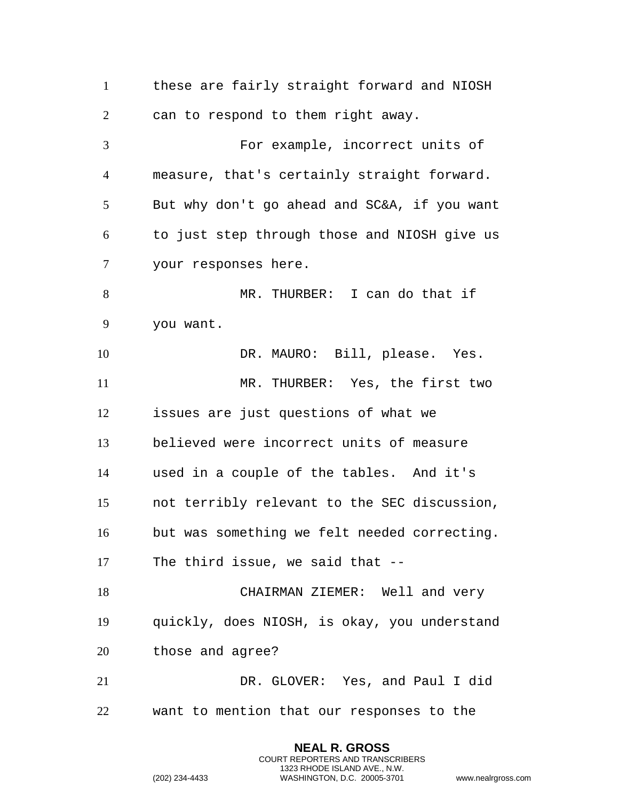these are fairly straight forward and NIOSH can to respond to them right away. For example, incorrect units of measure, that's certainly straight forward. But why don't go ahead and SC&A, if you want to just step through those and NIOSH give us your responses here. MR. THURBER: I can do that if you want. DR. MAURO: Bill, please. Yes. MR. THURBER: Yes, the first two issues are just questions of what we believed were incorrect units of measure used in a couple of the tables. And it's not terribly relevant to the SEC discussion, but was something we felt needed correcting. The third issue, we said that -- CHAIRMAN ZIEMER: Well and very quickly, does NIOSH, is okay, you understand those and agree? DR. GLOVER: Yes, and Paul I did want to mention that our responses to the

> **NEAL R. GROSS** COURT REPORTERS AND TRANSCRIBERS 1323 RHODE ISLAND AVE., N.W.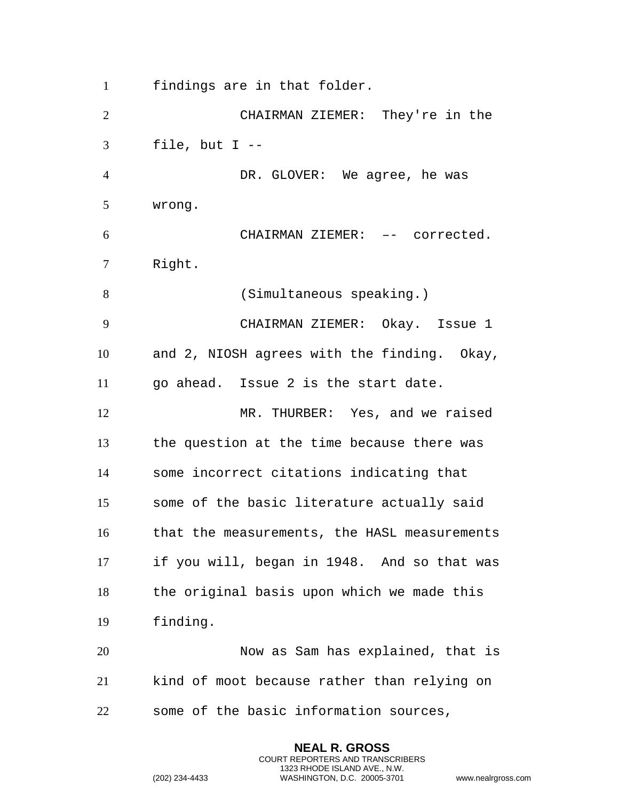findings are in that folder.

 CHAIRMAN ZIEMER: They're in the file, but I -- DR. GLOVER: We agree, he was wrong. CHAIRMAN ZIEMER: –- corrected. Right. (Simultaneous speaking.) CHAIRMAN ZIEMER: Okay. Issue 1 and 2, NIOSH agrees with the finding. Okay, go ahead. Issue 2 is the start date. MR. THURBER: Yes, and we raised the question at the time because there was some incorrect citations indicating that some of the basic literature actually said that the measurements, the HASL measurements if you will, began in 1948. And so that was the original basis upon which we made this finding. Now as Sam has explained, that is kind of moot because rather than relying on some of the basic information sources,

> **NEAL R. GROSS** COURT REPORTERS AND TRANSCRIBERS 1323 RHODE ISLAND AVE., N.W.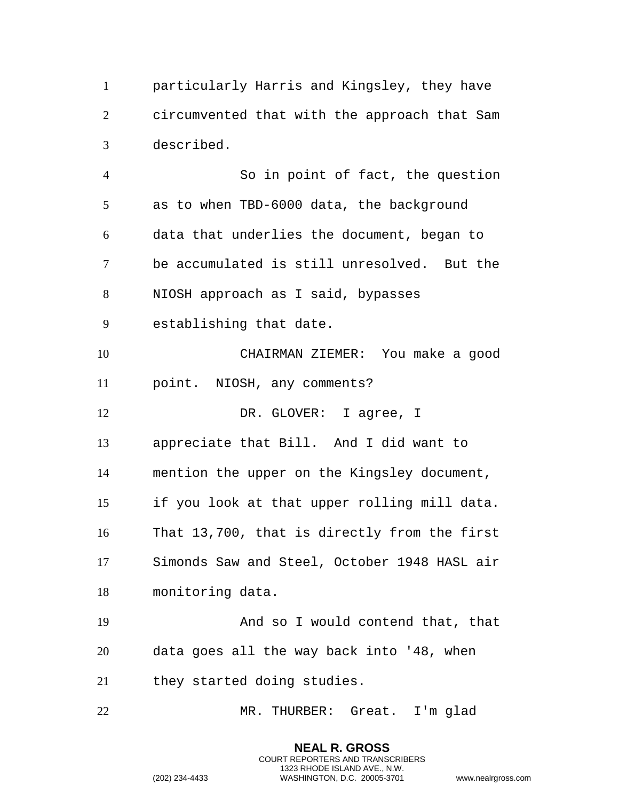particularly Harris and Kingsley, they have circumvented that with the approach that Sam described.

 So in point of fact, the question as to when TBD-6000 data, the background data that underlies the document, began to be accumulated is still unresolved. But the NIOSH approach as I said, bypasses establishing that date. CHAIRMAN ZIEMER: You make a good point. NIOSH, any comments? 12 DR. GLOVER: I agree, I appreciate that Bill. And I did want to mention the upper on the Kingsley document, if you look at that upper rolling mill data. That 13,700, that is directly from the first Simonds Saw and Steel, October 1948 HASL air monitoring data. And so I would contend that, that data goes all the way back into '48, when they started doing studies. MR. THURBER: Great. I'm glad

> **NEAL R. GROSS** COURT REPORTERS AND TRANSCRIBERS 1323 RHODE ISLAND AVE., N.W.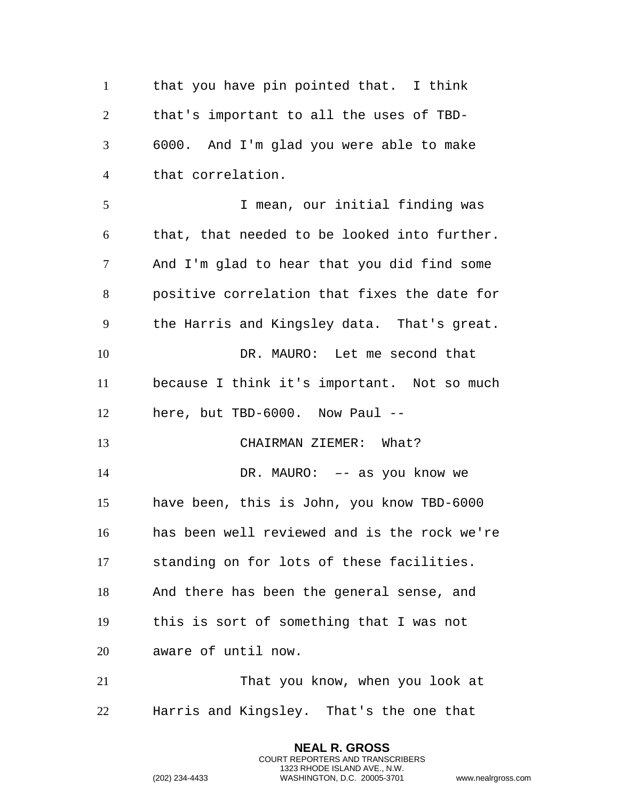that you have pin pointed that. I think that's important to all the uses of TBD- 6000. And I'm glad you were able to make that correlation. I mean, our initial finding was that, that needed to be looked into further. And I'm glad to hear that you did find some positive correlation that fixes the date for the Harris and Kingsley data. That's great. DR. MAURO: Let me second that because I think it's important. Not so much here, but TBD-6000. Now Paul -- CHAIRMAN ZIEMER: What? DR. MAURO: –- as you know we have been, this is John, you know TBD-6000 has been well reviewed and is the rock we're standing on for lots of these facilities. And there has been the general sense, and this is sort of something that I was not aware of until now. That you know, when you look at Harris and Kingsley. That's the one that

> **NEAL R. GROSS** COURT REPORTERS AND TRANSCRIBERS 1323 RHODE ISLAND AVE., N.W.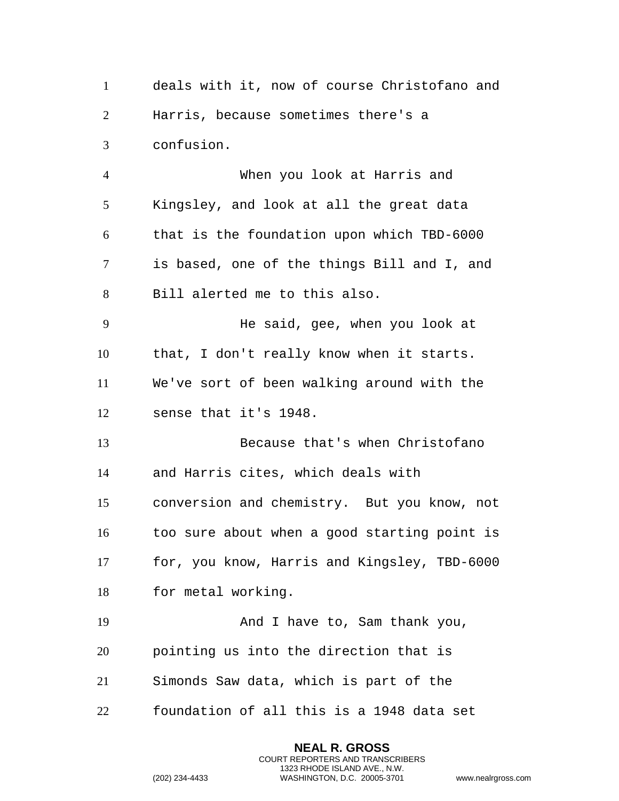deals with it, now of course Christofano and Harris, because sometimes there's a confusion.

 When you look at Harris and Kingsley, and look at all the great data that is the foundation upon which TBD-6000 is based, one of the things Bill and I, and Bill alerted me to this also.

 He said, gee, when you look at that, I don't really know when it starts. We've sort of been walking around with the sense that it's 1948.

 Because that's when Christofano and Harris cites, which deals with conversion and chemistry. But you know, not too sure about when a good starting point is for, you know, Harris and Kingsley, TBD-6000 for metal working.

19 And I have to, Sam thank you, pointing us into the direction that is Simonds Saw data, which is part of the

foundation of all this is a 1948 data set

**NEAL R. GROSS** COURT REPORTERS AND TRANSCRIBERS 1323 RHODE ISLAND AVE., N.W.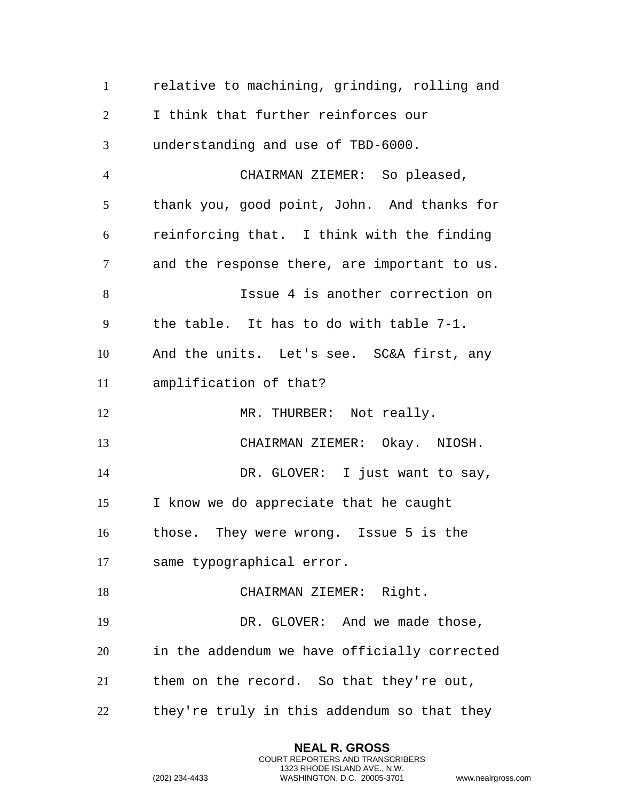| $\mathbf{1}$   | relative to machining, grinding, rolling and |
|----------------|----------------------------------------------|
| $\overline{2}$ | I think that further reinforces our          |
| 3              | understanding and use of TBD-6000.           |
| $\overline{4}$ | CHAIRMAN ZIEMER: So pleased,                 |
| 5              | thank you, good point, John. And thanks for  |
| 6              | reinforcing that. I think with the finding   |
| $\tau$         | and the response there, are important to us. |
| 8              | Issue 4 is another correction on             |
| 9              | the table. It has to do with table 7-1.      |
| 10             | And the units. Let's see. SC&A first, any    |
| 11             | amplification of that?                       |
| 12             | MR. THURBER: Not really.                     |
| 13             | CHAIRMAN ZIEMER: Okay. NIOSH.                |
| 14             | DR. GLOVER: I just want to say,              |
| 15             | I know we do appreciate that he caught       |
| 16             | those. They were wrong. Issue 5 is the       |
| 17             | same typographical error.                    |
| 18             | CHAIRMAN ZIEMER: Right.                      |
| 19             | DR. GLOVER: And we made those,               |
| 20             | in the addendum we have officially corrected |
| 21             | them on the record. So that they're out,     |
| 22             | they're truly in this addendum so that they  |

**NEAL R. GROSS** COURT REPORTERS AND TRANSCRIBERS 1323 RHODE ISLAND AVE., N.W.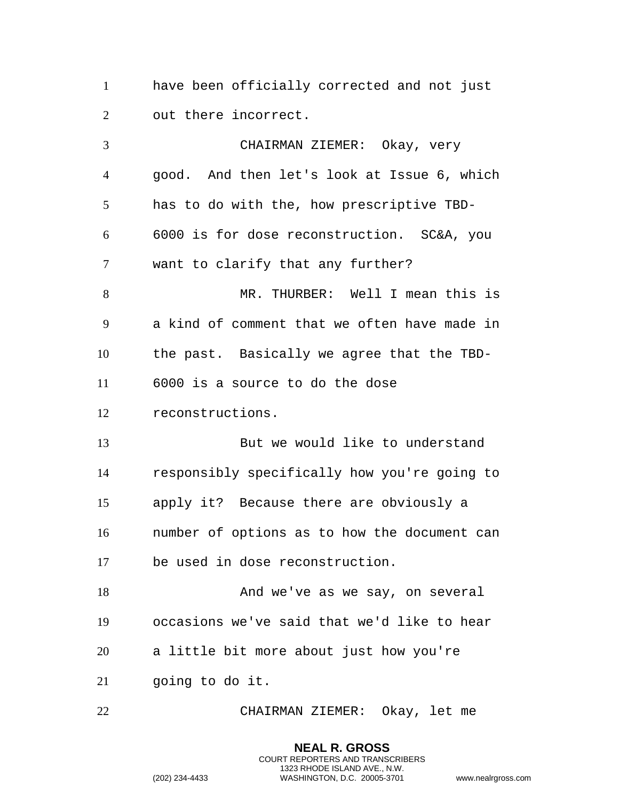have been officially corrected and not just out there incorrect.

 CHAIRMAN ZIEMER: Okay, very good. And then let's look at Issue 6, which has to do with the, how prescriptive TBD- 6000 is for dose reconstruction. SC&A, you want to clarify that any further? MR. THURBER: Well I mean this is a kind of comment that we often have made in the past. Basically we agree that the TBD- 6000 is a source to do the dose reconstructions. But we would like to understand responsibly specifically how you're going to apply it? Because there are obviously a number of options as to how the document can be used in dose reconstruction. 18 And we've as we say, on several occasions we've said that we'd like to hear a little bit more about just how you're going to do it.

CHAIRMAN ZIEMER: Okay, let me

**NEAL R. GROSS** COURT REPORTERS AND TRANSCRIBERS 1323 RHODE ISLAND AVE., N.W.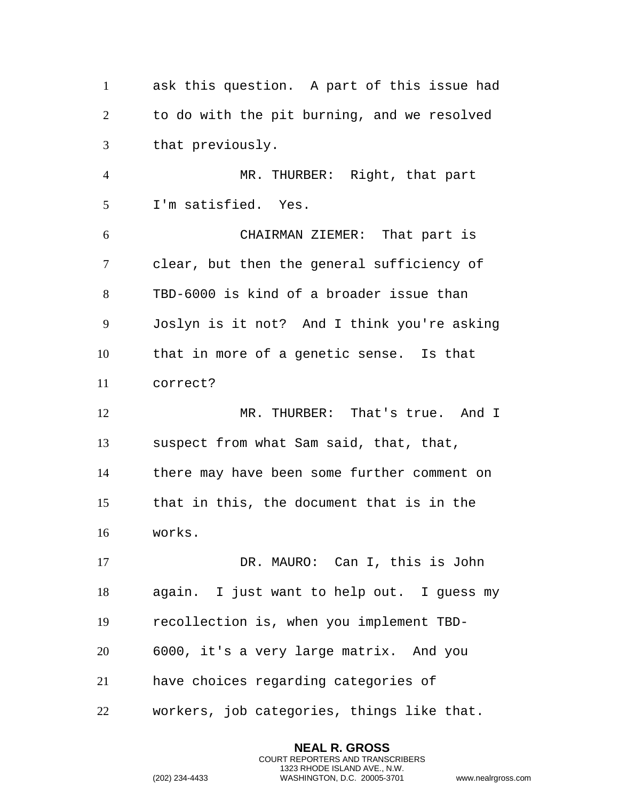ask this question. A part of this issue had to do with the pit burning, and we resolved that previously. MR. THURBER: Right, that part I'm satisfied. Yes. CHAIRMAN ZIEMER: That part is clear, but then the general sufficiency of TBD-6000 is kind of a broader issue than Joslyn is it not? And I think you're asking that in more of a genetic sense. Is that correct? MR. THURBER: That's true. And I suspect from what Sam said, that, that, there may have been some further comment on that in this, the document that is in the works. DR. MAURO: Can I, this is John again. I just want to help out. I guess my recollection is, when you implement TBD- 6000, it's a very large matrix. And you have choices regarding categories of workers, job categories, things like that.

> **NEAL R. GROSS** COURT REPORTERS AND TRANSCRIBERS 1323 RHODE ISLAND AVE., N.W.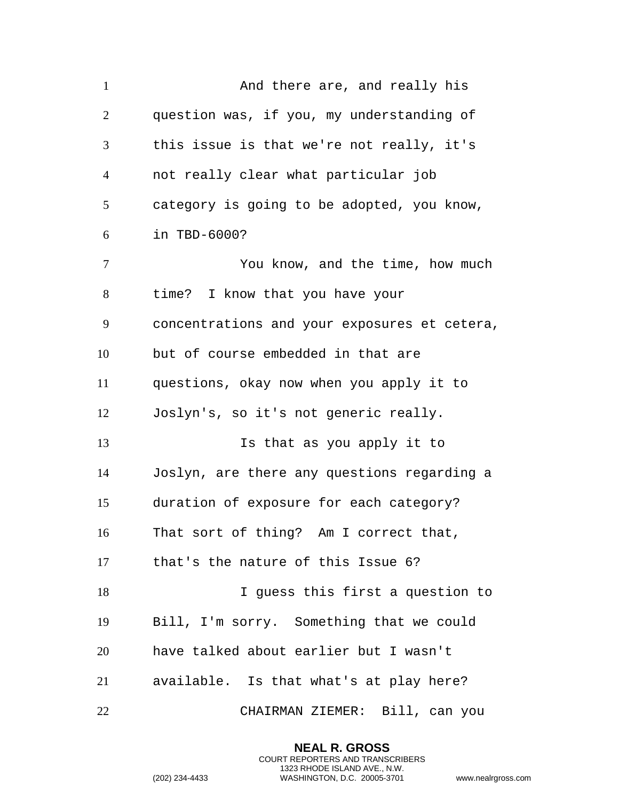| $\mathbf{1}$   | And there are, and really his                |
|----------------|----------------------------------------------|
| $\overline{2}$ | question was, if you, my understanding of    |
| 3              | this issue is that we're not really, it's    |
| 4              | not really clear what particular job         |
| 5              | category is going to be adopted, you know,   |
| 6              | in TBD-6000?                                 |
| $\tau$         | You know, and the time, how much             |
| 8              | time? I know that you have your              |
| 9              | concentrations and your exposures et cetera, |
| 10             | but of course embedded in that are           |
| 11             | questions, okay now when you apply it to     |
| 12             | Joslyn's, so it's not generic really.        |
| 13             | Is that as you apply it to                   |
| 14             | Joslyn, are there any questions regarding a  |
| 15             | duration of exposure for each category?      |
| 16             | That sort of thing? Am I correct that,       |
| 17             | that's the nature of this Issue 6?           |
| 18             | I guess this first a question to             |
| 19             | Bill, I'm sorry. Something that we could     |
| 20             | have talked about earlier but I wasn't       |
| 21             | available. Is that what's at play here?      |
| 22             | CHAIRMAN ZIEMER: Bill, can you               |

**NEAL R. GROSS** COURT REPORTERS AND TRANSCRIBERS 1323 RHODE ISLAND AVE., N.W.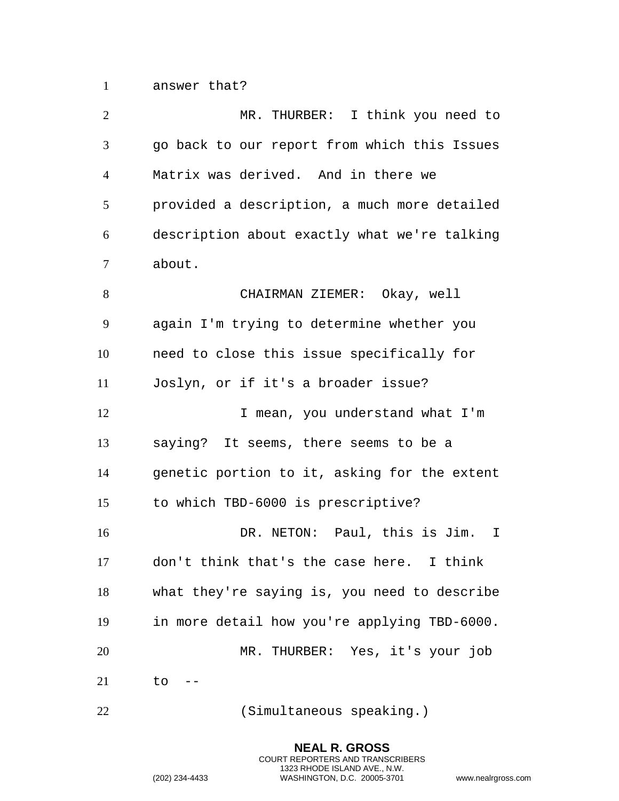answer that?

| $\overline{2}$ | MR. THURBER: I think you need to             |
|----------------|----------------------------------------------|
| 3              | go back to our report from which this Issues |
| $\overline{4}$ | Matrix was derived. And in there we          |
| 5              | provided a description, a much more detailed |
| 6              | description about exactly what we're talking |
| 7              | about.                                       |
| 8              | CHAIRMAN ZIEMER: Okay, well                  |
| 9              | again I'm trying to determine whether you    |
| 10             | need to close this issue specifically for    |
| 11             | Joslyn, or if it's a broader issue?          |
| 12             | I mean, you understand what I'm              |
| 13             | saying? It seems, there seems to be a        |
| 14             | genetic portion to it, asking for the extent |
| 15             | to which TBD-6000 is prescriptive?           |
| 16             | DR. NETON: Paul, this is Jim.<br>$\mathbf I$ |
| 17             | don't think that's the case here. I think    |
| 18             | what they're saying is, you need to describe |
| 19             | in more detail how you're applying TBD-6000. |
| 20             | MR. THURBER: Yes, it's your job              |
| 21             | to                                           |
| 22             | (Simultaneous speaking.)                     |

**NEAL R. GROSS** COURT REPORTERS AND TRANSCRIBERS 1323 RHODE ISLAND AVE., N.W.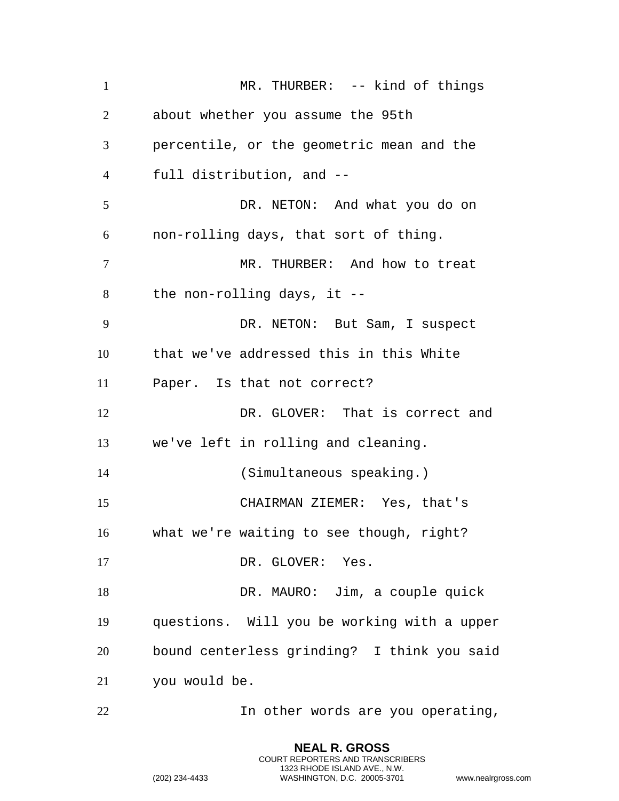| $\mathbf{1}$   | MR. THURBER: -- kind of things              |
|----------------|---------------------------------------------|
| $\overline{2}$ | about whether you assume the 95th           |
| 3              | percentile, or the geometric mean and the   |
| $\overline{4}$ | full distribution, and --                   |
| 5              | DR. NETON: And what you do on               |
| 6              | non-rolling days, that sort of thing.       |
| $\overline{7}$ | MR. THURBER: And how to treat               |
| 8              | the non-rolling days, it $-$ -              |
| 9              | DR. NETON: But Sam, I suspect               |
| 10             | that we've addressed this in this White     |
| 11             | Paper. Is that not correct?                 |
| 12             | DR. GLOVER: That is correct and             |
| 13             | we've left in rolling and cleaning.         |
| 14             | (Simultaneous speaking.)                    |
| 15             | CHAIRMAN ZIEMER: Yes, that's                |
| 16             | what we're waiting to see though, right?    |
| 17             | DR. GLOVER: Yes.                            |
| 18             | DR. MAURO: Jim, a couple quick              |
| 19             | questions. Will you be working with a upper |
| 20             | bound centerless grinding? I think you said |
| 21             | you would be.                               |
| 22             | In other words are you operating,           |

**NEAL R. GROSS** COURT REPORTERS AND TRANSCRIBERS 1323 RHODE ISLAND AVE., N.W.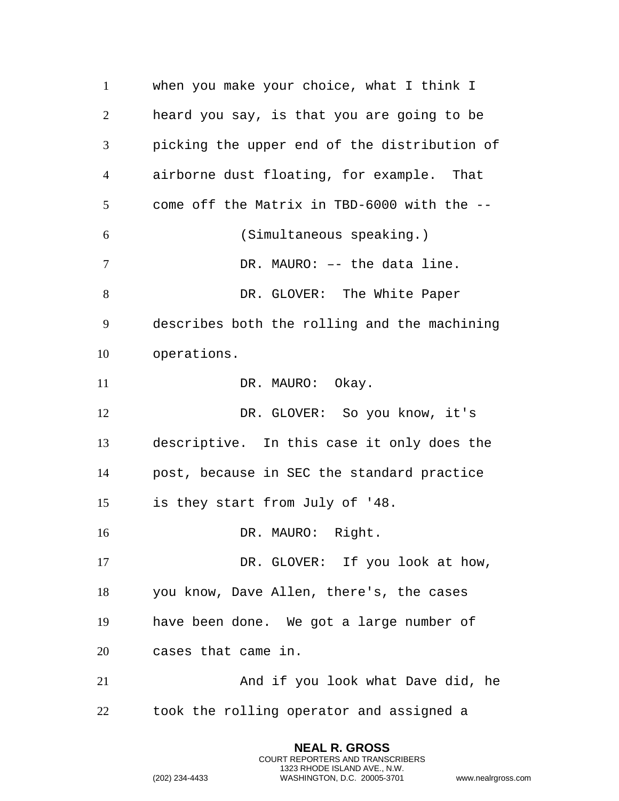when you make your choice, what I think I heard you say, is that you are going to be picking the upper end of the distribution of airborne dust floating, for example. That come off the Matrix in TBD-6000 with the -- (Simultaneous speaking.) 7 DR. MAURO: -- the data line. 8 DR. GLOVER: The White Paper describes both the rolling and the machining operations. 11 DR. MAURO: Okay. DR. GLOVER: So you know, it's descriptive. In this case it only does the post, because in SEC the standard practice is they start from July of '48. 16 DR. MAURO: Right. 17 DR. GLOVER: If you look at how, you know, Dave Allen, there's, the cases have been done. We got a large number of cases that came in. 21 And if you look what Dave did, he took the rolling operator and assigned a

> **NEAL R. GROSS** COURT REPORTERS AND TRANSCRIBERS 1323 RHODE ISLAND AVE., N.W.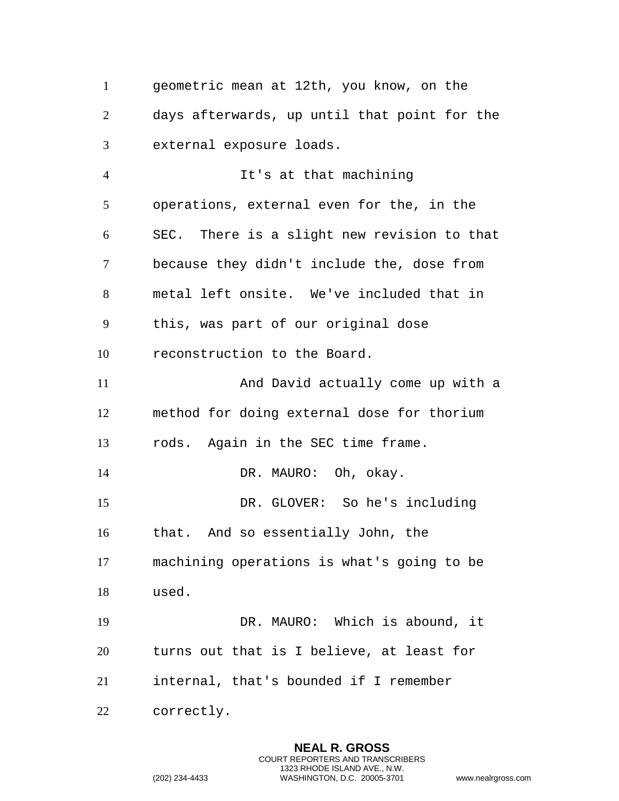geometric mean at 12th, you know, on the days afterwards, up until that point for the external exposure loads. It's at that machining operations, external even for the, in the SEC. There is a slight new revision to that because they didn't include the, dose from metal left onsite. We've included that in this, was part of our original dose reconstruction to the Board. And David actually come up with a method for doing external dose for thorium rods. Again in the SEC time frame. 14 DR. MAURO: Oh, okay. DR. GLOVER: So he's including that. And so essentially John, the machining operations is what's going to be used. DR. MAURO: Which is abound, it turns out that is I believe, at least for internal, that's bounded if I remember correctly.

> **NEAL R. GROSS** COURT REPORTERS AND TRANSCRIBERS 1323 RHODE ISLAND AVE., N.W.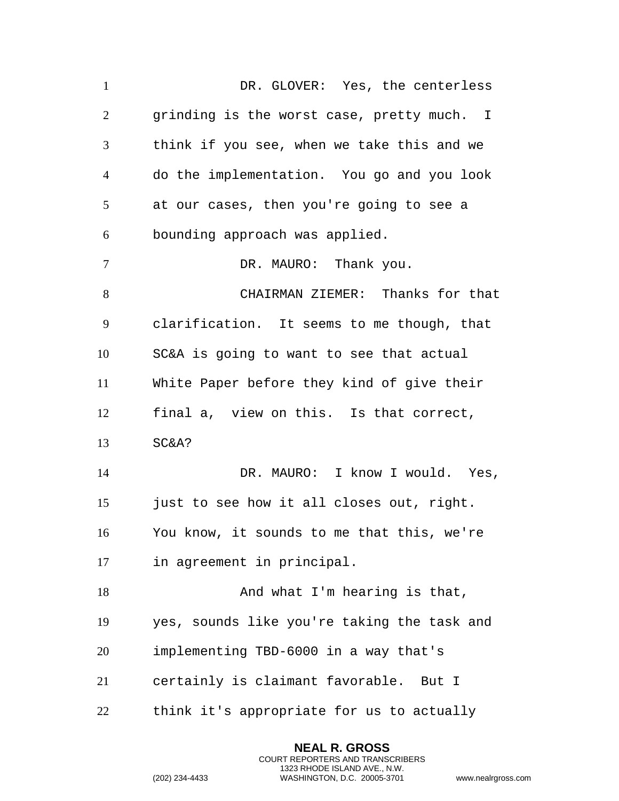DR. GLOVER: Yes, the centerless grinding is the worst case, pretty much. I think if you see, when we take this and we do the implementation. You go and you look at our cases, then you're going to see a bounding approach was applied. 7 DR. MAURO: Thank you. CHAIRMAN ZIEMER: Thanks for that clarification. It seems to me though, that SC&A is going to want to see that actual White Paper before they kind of give their final a, view on this. Is that correct, SC&A? DR. MAURO: I know I would. Yes, 15 just to see how it all closes out, right. You know, it sounds to me that this, we're in agreement in principal. 18 And what I'm hearing is that, yes, sounds like you're taking the task and implementing TBD-6000 in a way that's certainly is claimant favorable. But I think it's appropriate for us to actually

> **NEAL R. GROSS** COURT REPORTERS AND TRANSCRIBERS 1323 RHODE ISLAND AVE., N.W.

```
(202) 234-4433 WASHINGTON, D.C. 20005-3701 www.nealrgross.com
```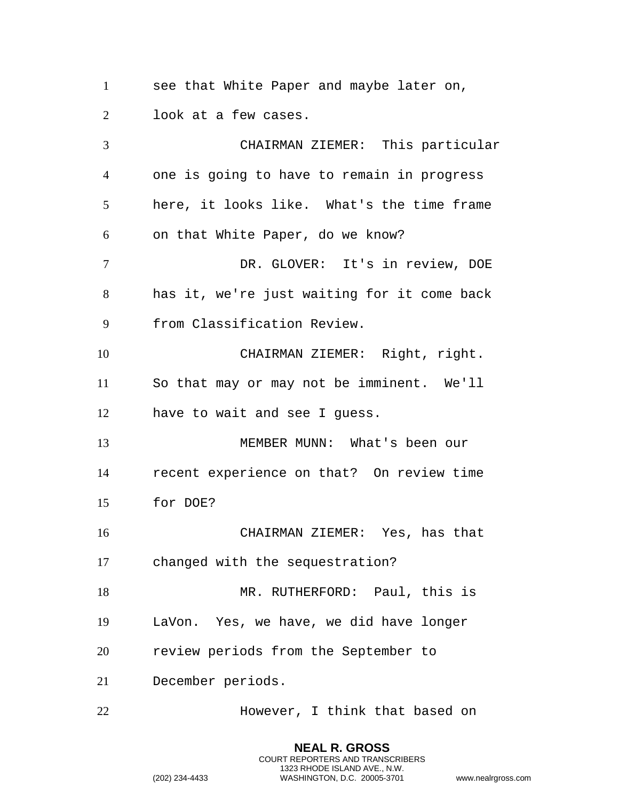see that White Paper and maybe later on, look at a few cases.

 CHAIRMAN ZIEMER: This particular one is going to have to remain in progress here, it looks like. What's the time frame on that White Paper, do we know? DR. GLOVER: It's in review, DOE has it, we're just waiting for it come back from Classification Review. CHAIRMAN ZIEMER: Right, right. So that may or may not be imminent. We'll have to wait and see I guess. MEMBER MUNN: What's been our recent experience on that? On review time for DOE? CHAIRMAN ZIEMER: Yes, has that changed with the sequestration? 18 MR. RUTHERFORD: Paul, this is LaVon. Yes, we have, we did have longer review periods from the September to December periods. However, I think that based on

> **NEAL R. GROSS** COURT REPORTERS AND TRANSCRIBERS 1323 RHODE ISLAND AVE., N.W.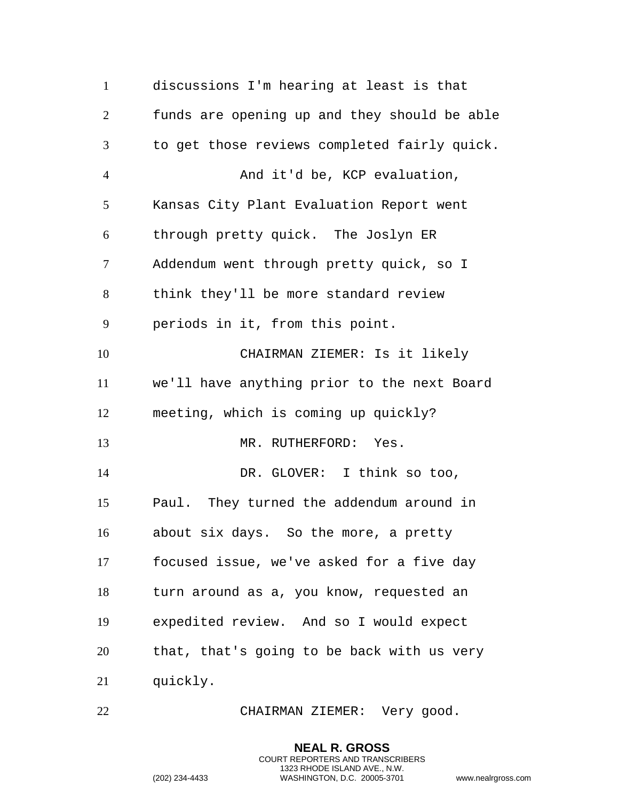discussions I'm hearing at least is that funds are opening up and they should be able to get those reviews completed fairly quick. And it'd be, KCP evaluation, Kansas City Plant Evaluation Report went through pretty quick. The Joslyn ER Addendum went through pretty quick, so I think they'll be more standard review periods in it, from this point. CHAIRMAN ZIEMER: Is it likely we'll have anything prior to the next Board meeting, which is coming up quickly? 13 MR. RUTHERFORD: Yes. 14 DR. GLOVER: I think so too, Paul. They turned the addendum around in about six days. So the more, a pretty focused issue, we've asked for a five day turn around as a, you know, requested an expedited review. And so I would expect that, that's going to be back with us very quickly.

CHAIRMAN ZIEMER: Very good.

**NEAL R. GROSS** COURT REPORTERS AND TRANSCRIBERS 1323 RHODE ISLAND AVE., N.W.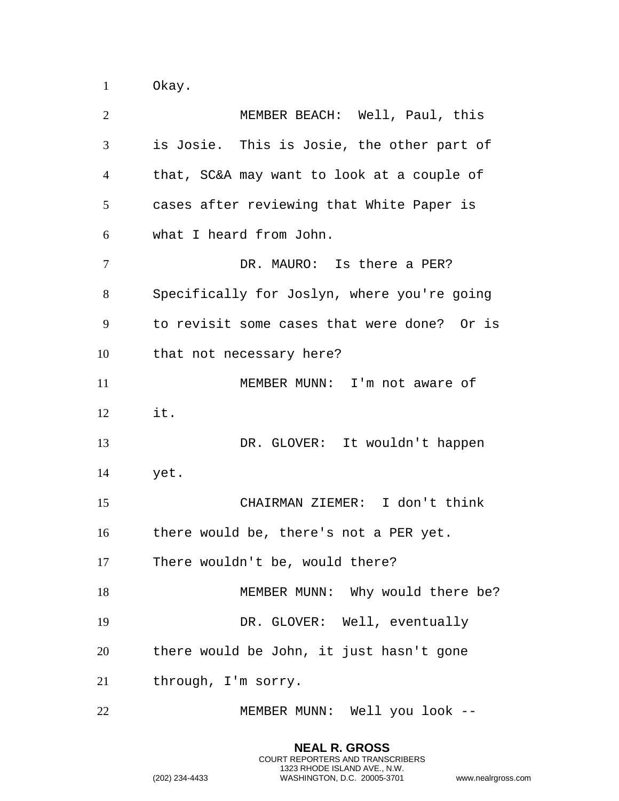Okay.

| 2              | MEMBER BEACH: Well, Paul, this              |
|----------------|---------------------------------------------|
| 3              | is Josie. This is Josie, the other part of  |
| $\overline{4}$ | that, SC&A may want to look at a couple of  |
| 5              | cases after reviewing that White Paper is   |
| 6              | what I heard from John.                     |
| 7              | DR. MAURO: Is there a PER?                  |
| 8              | Specifically for Joslyn, where you're going |
| 9              | to revisit some cases that were done? Or is |
| 10             | that not necessary here?                    |
| 11             | MEMBER MUNN: I'm not aware of               |
| 12             | it.                                         |
| 13             | DR. GLOVER: It wouldn't happen              |
| 14             | yet.                                        |
| 15             | CHAIRMAN ZIEMER: I don't think              |
| 16             | there would be, there's not a PER yet.      |
| 17             | There wouldn't be, would there?             |
| 18             | MEMBER MUNN: Why would there be?            |
| 19             | DR. GLOVER: Well, eventually                |
| 20             | there would be John, it just hasn't gone    |
| 21             | through, I'm sorry.                         |
| 22             | MEMBER MUNN: Well you look --               |

**NEAL R. GROSS** COURT REPORTERS AND TRANSCRIBERS 1323 RHODE ISLAND AVE., N.W.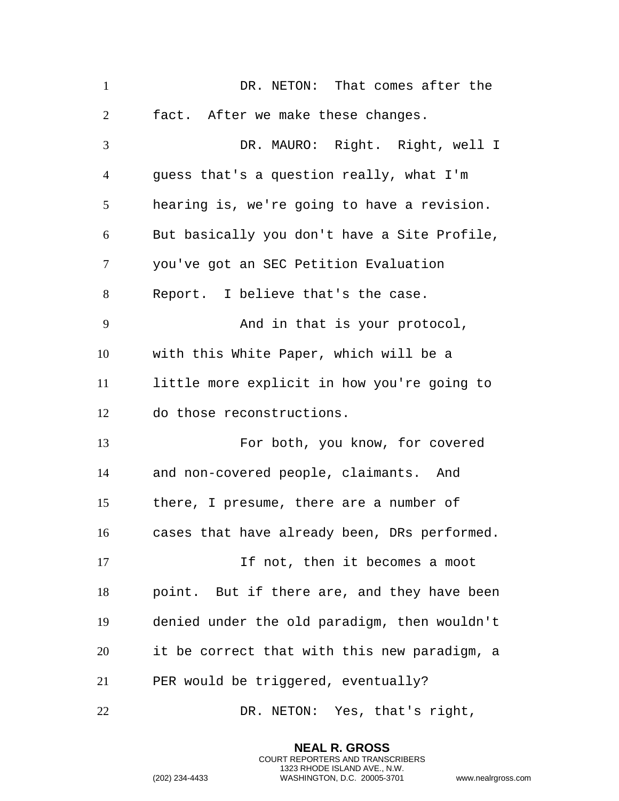| $\mathbf{1}$   | DR. NETON: That comes after the              |
|----------------|----------------------------------------------|
| $\overline{2}$ | fact. After we make these changes.           |
| 3              | DR. MAURO: Right. Right, well I              |
| $\overline{4}$ | guess that's a question really, what I'm     |
| 5              | hearing is, we're going to have a revision.  |
| 6              | But basically you don't have a Site Profile, |
| 7              | you've got an SEC Petition Evaluation        |
| 8              | Report. I believe that's the case.           |
| 9              | And in that is your protocol,                |
| 10             | with this White Paper, which will be a       |
| 11             | little more explicit in how you're going to  |
| 12             | do those reconstructions.                    |
| 13             | For both, you know, for covered              |
| 14             | and non-covered people, claimants. And       |
| 15             | there, I presume, there are a number of      |
| 16             | cases that have already been, DRs performed. |
| 17             | If not, then it becomes a moot               |
| 18             | point. But if there are, and they have been  |
| 19             | denied under the old paradigm, then wouldn't |
| 20             | it be correct that with this new paradigm, a |
| 21             | PER would be triggered, eventually?          |
| 22             | DR. NETON: Yes, that's right,                |

**NEAL R. GROSS** COURT REPORTERS AND TRANSCRIBERS 1323 RHODE ISLAND AVE., N.W.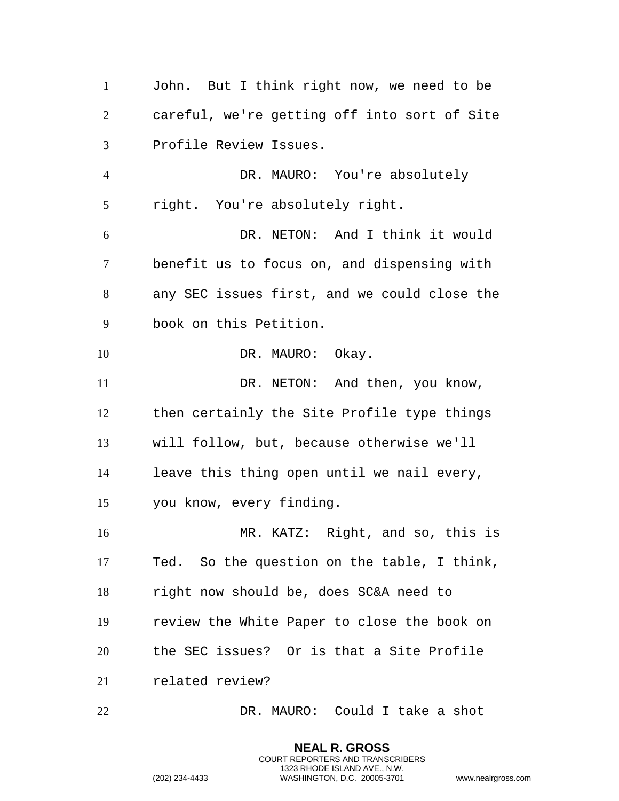John. But I think right now, we need to be careful, we're getting off into sort of Site Profile Review Issues. DR. MAURO: You're absolutely right. You're absolutely right. DR. NETON: And I think it would benefit us to focus on, and dispensing with any SEC issues first, and we could close the book on this Petition. 10 DR. MAURO: Okay. 11 DR. NETON: And then, you know, then certainly the Site Profile type things will follow, but, because otherwise we'll leave this thing open until we nail every, you know, every finding. MR. KATZ: Right, and so, this is Ted. So the question on the table, I think, right now should be, does SC&A need to review the White Paper to close the book on the SEC issues? Or is that a Site Profile related review? DR. MAURO: Could I take a shot

> **NEAL R. GROSS** COURT REPORTERS AND TRANSCRIBERS 1323 RHODE ISLAND AVE., N.W.

```
(202) 234-4433 WASHINGTON, D.C. 20005-3701 www.nealrgross.com
```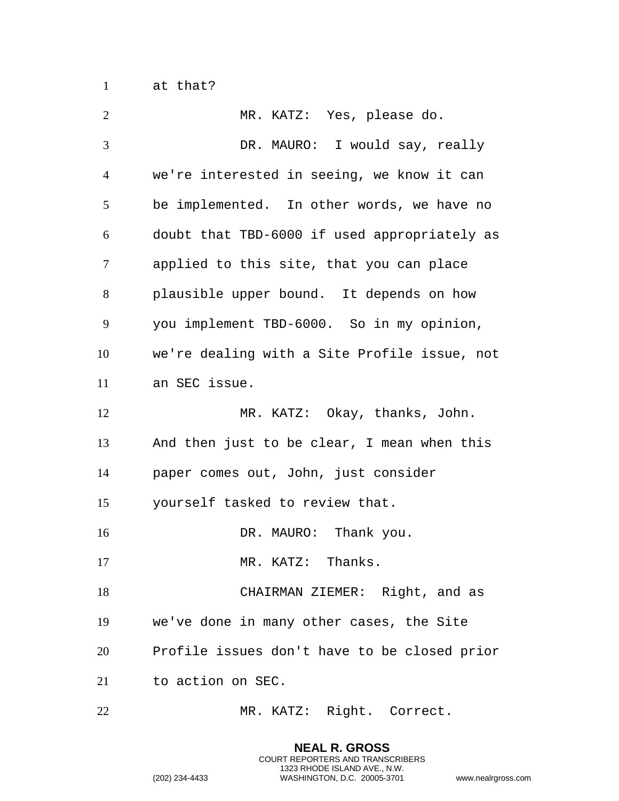at that?

| $\overline{2}$ | MR. KATZ: Yes, please do.                    |
|----------------|----------------------------------------------|
| 3              | DR. MAURO: I would say, really               |
| $\overline{4}$ | we're interested in seeing, we know it can   |
| 5              | be implemented. In other words, we have no   |
| 6              | doubt that TBD-6000 if used appropriately as |
| 7              | applied to this site, that you can place     |
| 8              | plausible upper bound. It depends on how     |
| 9              | you implement TBD-6000. So in my opinion,    |
| 10             | we're dealing with a Site Profile issue, not |
| 11             | an SEC issue.                                |
| 12             | MR. KATZ: Okay, thanks, John.                |
| 13             | And then just to be clear, I mean when this  |
| 14             | paper comes out, John, just consider         |
| 15             | yourself tasked to review that.              |
| 16             | DR. MAURO: Thank you.                        |
| 17             | MR. KATZ: Thanks.                            |
| 18             | CHAIRMAN ZIEMER: Right, and as               |
| 19             | we've done in many other cases, the Site     |
| 20             | Profile issues don't have to be closed prior |
| 21             | to action on SEC.                            |
| 22             | MR. KATZ: Right. Correct.                    |

**NEAL R. GROSS** COURT REPORTERS AND TRANSCRIBERS 1323 RHODE ISLAND AVE., N.W.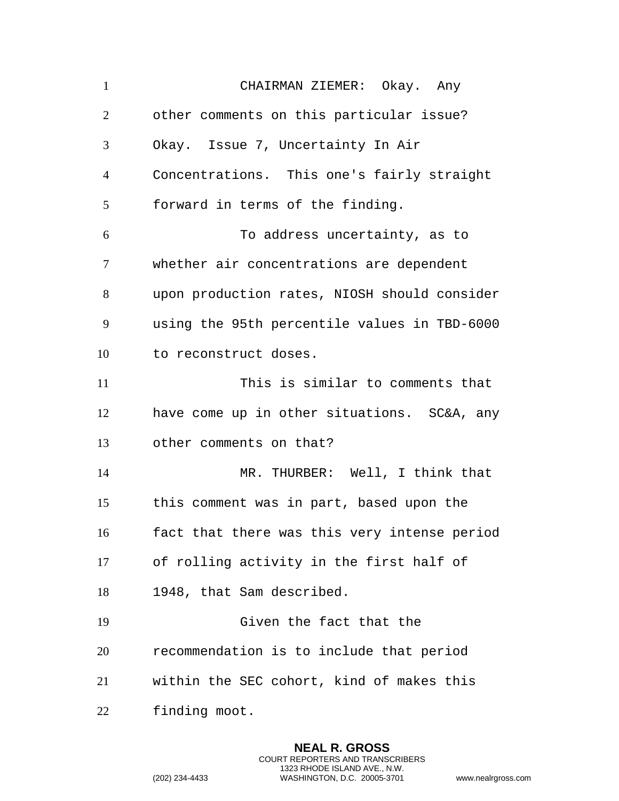CHAIRMAN ZIEMER: Okay. Any other comments on this particular issue? Okay. Issue 7, Uncertainty In Air Concentrations. This one's fairly straight forward in terms of the finding. To address uncertainty, as to whether air concentrations are dependent upon production rates, NIOSH should consider using the 95th percentile values in TBD-6000 to reconstruct doses. This is similar to comments that have come up in other situations. SC&A, any other comments on that? MR. THURBER: Well, I think that this comment was in part, based upon the fact that there was this very intense period of rolling activity in the first half of 1948, that Sam described. Given the fact that the recommendation is to include that period within the SEC cohort, kind of makes this finding moot.

> **NEAL R. GROSS** COURT REPORTERS AND TRANSCRIBERS 1323 RHODE ISLAND AVE., N.W.

```
(202) 234-4433 WASHINGTON, D.C. 20005-3701 www.nealrgross.com
```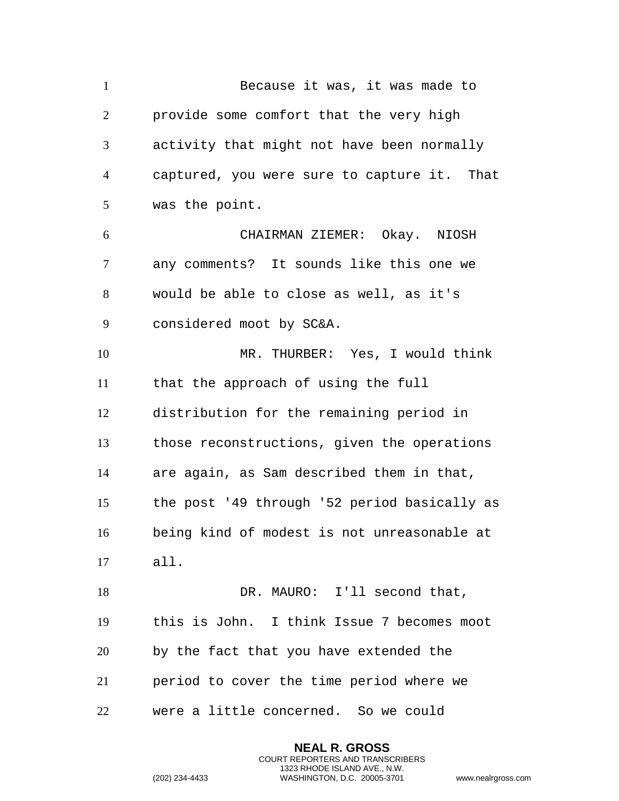Because it was, it was made to provide some comfort that the very high activity that might not have been normally captured, you were sure to capture it. That was the point. CHAIRMAN ZIEMER: Okay. NIOSH any comments? It sounds like this one we would be able to close as well, as it's considered moot by SC&A. MR. THURBER: Yes, I would think that the approach of using the full distribution for the remaining period in those reconstructions, given the operations are again, as Sam described them in that, the post '49 through '52 period basically as being kind of modest is not unreasonable at all. 18 DR. MAURO: I'll second that, this is John. I think Issue 7 becomes moot by the fact that you have extended the period to cover the time period where we were a little concerned. So we could

> **NEAL R. GROSS** COURT REPORTERS AND TRANSCRIBERS 1323 RHODE ISLAND AVE., N.W.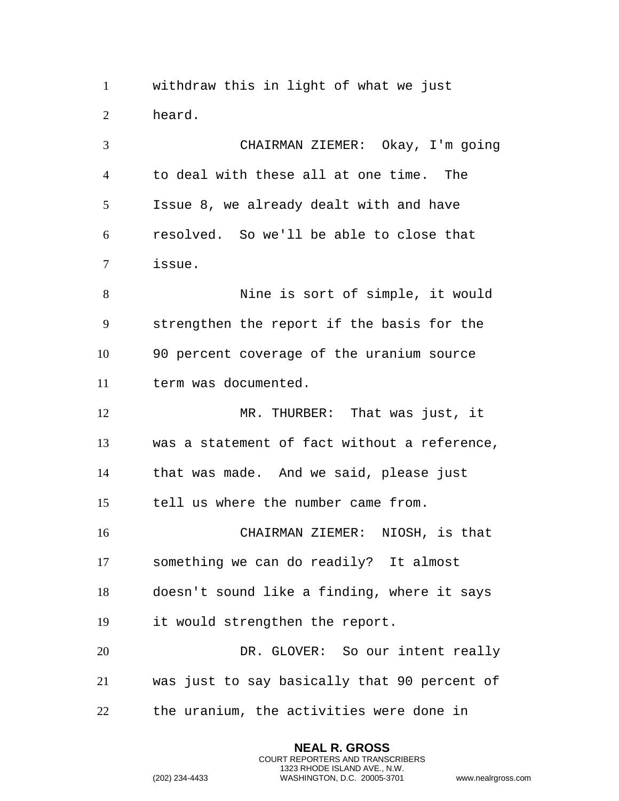withdraw this in light of what we just heard.

 CHAIRMAN ZIEMER: Okay, I'm going to deal with these all at one time. The Issue 8, we already dealt with and have resolved. So we'll be able to close that issue. Nine is sort of simple, it would strengthen the report if the basis for the 90 percent coverage of the uranium source term was documented. MR. THURBER: That was just, it was a statement of fact without a reference, that was made. And we said, please just tell us where the number came from. CHAIRMAN ZIEMER: NIOSH, is that something we can do readily? It almost doesn't sound like a finding, where it says it would strengthen the report.

 DR. GLOVER: So our intent really was just to say basically that 90 percent of the uranium, the activities were done in

> **NEAL R. GROSS** COURT REPORTERS AND TRANSCRIBERS 1323 RHODE ISLAND AVE., N.W.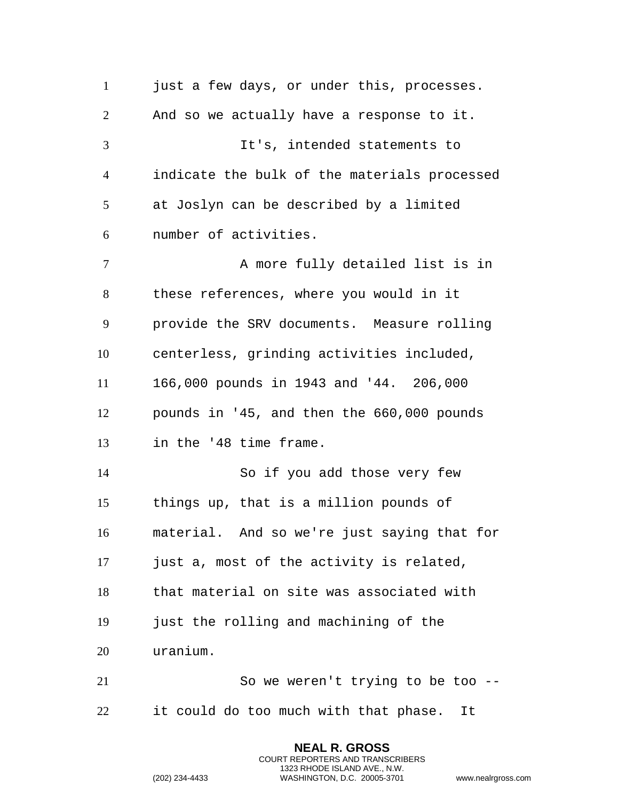1 just a few days, or under this, processes. And so we actually have a response to it. It's, intended statements to indicate the bulk of the materials processed at Joslyn can be described by a limited number of activities. 7 A more fully detailed list is in these references, where you would in it provide the SRV documents. Measure rolling centerless, grinding activities included, 166,000 pounds in 1943 and '44. 206,000 pounds in '45, and then the 660,000 pounds in the '48 time frame. So if you add those very few things up, that is a million pounds of material. And so we're just saying that for just a, most of the activity is related, that material on site was associated with just the rolling and machining of the uranium. So we weren't trying to be too -- it could do too much with that phase. It

> **NEAL R. GROSS** COURT REPORTERS AND TRANSCRIBERS 1323 RHODE ISLAND AVE., N.W.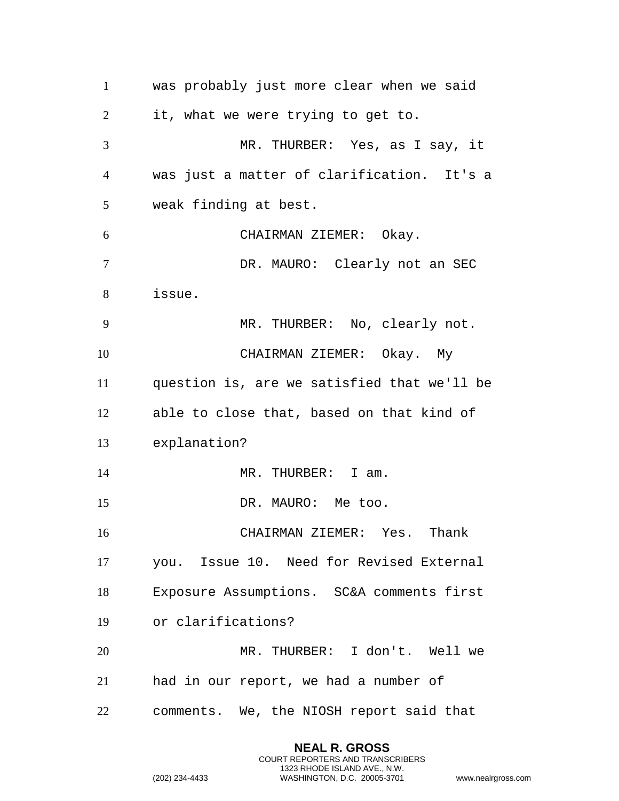was probably just more clear when we said it, what we were trying to get to. MR. THURBER: Yes, as I say, it was just a matter of clarification. It's a weak finding at best. CHAIRMAN ZIEMER: Okay. 7 DR. MAURO: Clearly not an SEC issue. MR. THURBER: No, clearly not. CHAIRMAN ZIEMER: Okay. My question is, are we satisfied that we'll be able to close that, based on that kind of explanation? 14 MR. THURBER: I am. 15 DR. MAURO: Me too. CHAIRMAN ZIEMER: Yes. Thank you. Issue 10. Need for Revised External Exposure Assumptions. SC&A comments first or clarifications? MR. THURBER: I don't. Well we had in our report, we had a number of comments. We, the NIOSH report said that

> **NEAL R. GROSS** COURT REPORTERS AND TRANSCRIBERS 1323 RHODE ISLAND AVE., N.W.

```
(202) 234-4433 WASHINGTON, D.C. 20005-3701 www.nealrgross.com
```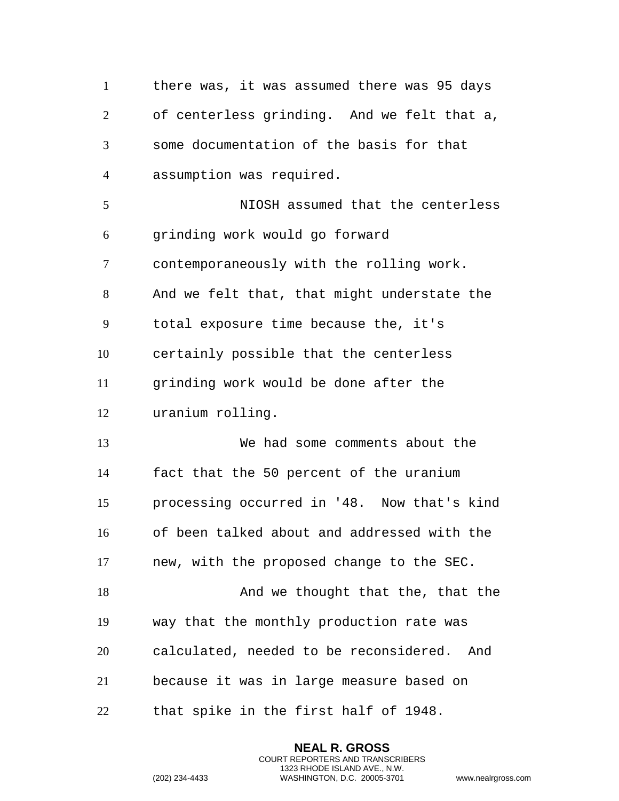there was, it was assumed there was 95 days of centerless grinding. And we felt that a, some documentation of the basis for that assumption was required. NIOSH assumed that the centerless grinding work would go forward contemporaneously with the rolling work. And we felt that, that might understate the total exposure time because the, it's certainly possible that the centerless grinding work would be done after the uranium rolling. We had some comments about the fact that the 50 percent of the uranium processing occurred in '48. Now that's kind of been talked about and addressed with the new, with the proposed change to the SEC. 18 And we thought that the, that the way that the monthly production rate was calculated, needed to be reconsidered. And because it was in large measure based on that spike in the first half of 1948.

> **NEAL R. GROSS** COURT REPORTERS AND TRANSCRIBERS 1323 RHODE ISLAND AVE., N.W.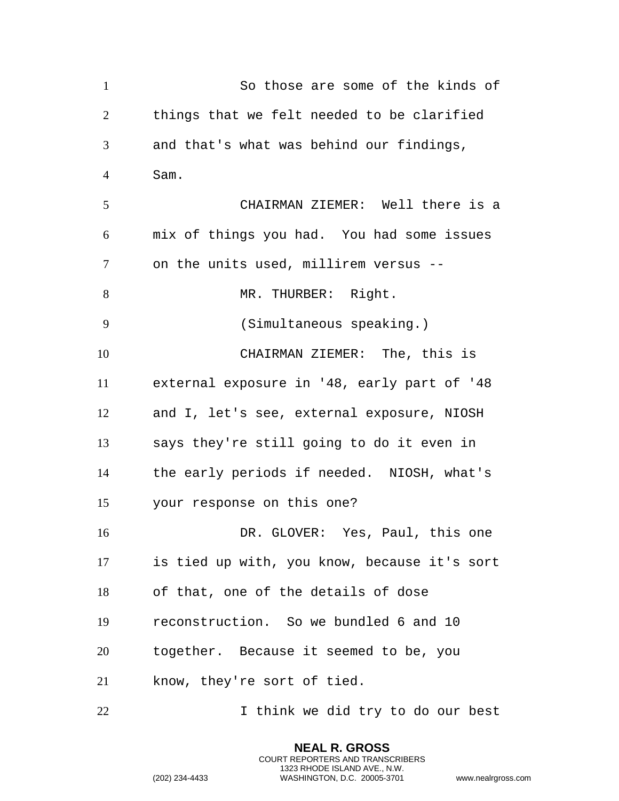So those are some of the kinds of things that we felt needed to be clarified and that's what was behind our findings, Sam. CHAIRMAN ZIEMER: Well there is a mix of things you had. You had some issues on the units used, millirem versus -- 8 MR. THURBER: Right. (Simultaneous speaking.) CHAIRMAN ZIEMER: The, this is external exposure in '48, early part of '48 and I, let's see, external exposure, NIOSH says they're still going to do it even in the early periods if needed. NIOSH, what's your response on this one? DR. GLOVER: Yes, Paul, this one is tied up with, you know, because it's sort of that, one of the details of dose reconstruction. So we bundled 6 and 10 together. Because it seemed to be, you know, they're sort of tied. I think we did try to do our best

> **NEAL R. GROSS** COURT REPORTERS AND TRANSCRIBERS 1323 RHODE ISLAND AVE., N.W.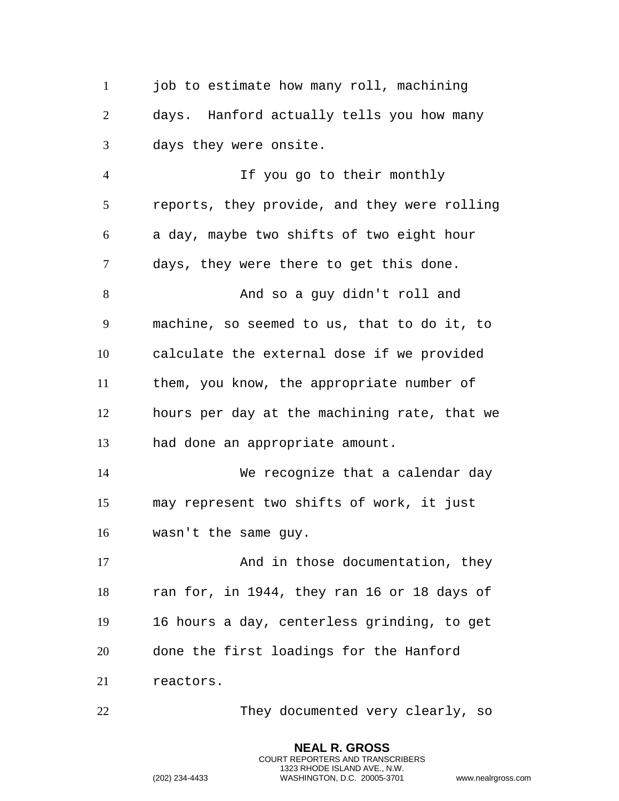1 iob to estimate how many roll, machining days. Hanford actually tells you how many days they were onsite.

 If you go to their monthly reports, they provide, and they were rolling a day, maybe two shifts of two eight hour days, they were there to get this done. And so a guy didn't roll and machine, so seemed to us, that to do it, to calculate the external dose if we provided them, you know, the appropriate number of hours per day at the machining rate, that we had done an appropriate amount. We recognize that a calendar day may represent two shifts of work, it just wasn't the same guy. 17 And in those documentation, they ran for, in 1944, they ran 16 or 18 days of 16 hours a day, centerless grinding, to get done the first loadings for the Hanford reactors.

They documented very clearly, so

**NEAL R. GROSS** COURT REPORTERS AND TRANSCRIBERS 1323 RHODE ISLAND AVE., N.W.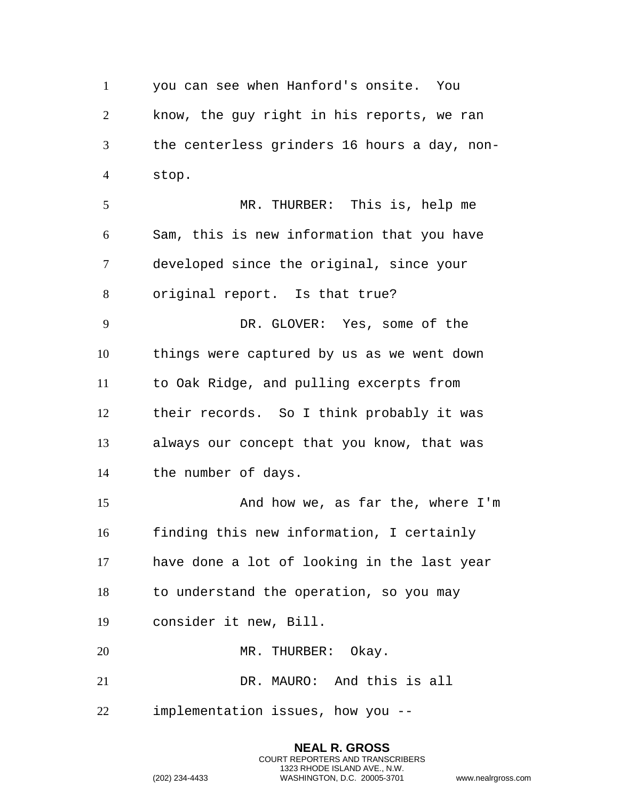you can see when Hanford's onsite. You know, the guy right in his reports, we ran the centerless grinders 16 hours a day, non-stop.

 MR. THURBER: This is, help me Sam, this is new information that you have developed since the original, since your original report. Is that true? DR. GLOVER: Yes, some of the things were captured by us as we went down to Oak Ridge, and pulling excerpts from their records. So I think probably it was always our concept that you know, that was the number of days.

 And how we, as far the, where I'm finding this new information, I certainly have done a lot of looking in the last year to understand the operation, so you may consider it new, Bill. 20 MR. THURBER: Okay.

> **NEAL R. GROSS** COURT REPORTERS AND TRANSCRIBERS 1323 RHODE ISLAND AVE., N.W.

DR. MAURO: And this is all

implementation issues, how you --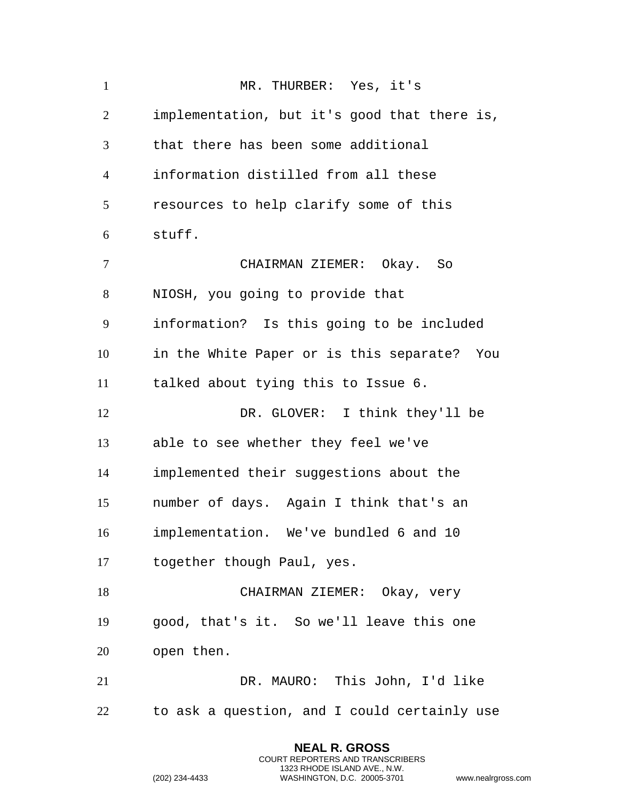| $\mathbf{1}$   | MR. THURBER: Yes, it's                         |
|----------------|------------------------------------------------|
| $\overline{2}$ | implementation, but it's good that there is,   |
| 3              | that there has been some additional            |
| $\overline{4}$ | information distilled from all these           |
| 5              | resources to help clarify some of this         |
| 6              | stuff.                                         |
| $\overline{7}$ | CHAIRMAN ZIEMER: Okay. So                      |
| 8              | NIOSH, you going to provide that               |
| 9              | information? Is this going to be included      |
| 10             | in the White Paper or is this separate?<br>You |
| 11             | talked about tying this to Issue 6.            |
| 12             | DR. GLOVER: I think they'll be                 |
| 13             | able to see whether they feel we've            |
| 14             | implemented their suggestions about the        |
| 15             | number of days. Again I think that's an        |
| 16             | implementation. We've bundled 6 and 10         |
| 17             | together though Paul, yes.                     |
| 18             | CHAIRMAN ZIEMER: Okay, very                    |
| 19             | good, that's it. So we'll leave this one       |
| 20             | open then.                                     |
| 21             | DR. MAURO: This John, I'd like                 |
| 22             | to ask a question, and I could certainly use   |

**NEAL R. GROSS** COURT REPORTERS AND TRANSCRIBERS 1323 RHODE ISLAND AVE., N.W.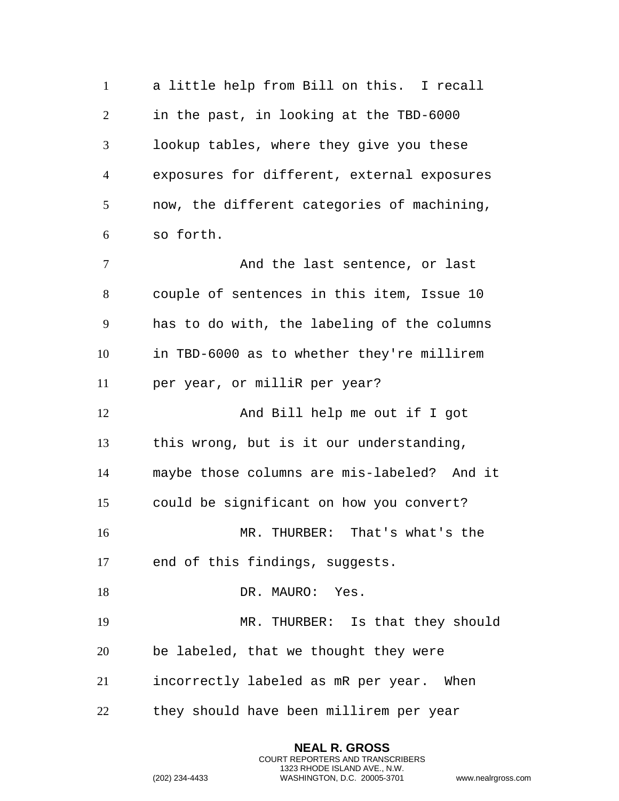a little help from Bill on this. I recall in the past, in looking at the TBD-6000 lookup tables, where they give you these exposures for different, external exposures now, the different categories of machining, so forth. 7 And the last sentence, or last couple of sentences in this item, Issue 10 has to do with, the labeling of the columns in TBD-6000 as to whether they're millirem per year, or milliR per year? 12 And Bill help me out if I got this wrong, but is it our understanding, maybe those columns are mis-labeled? And it could be significant on how you convert? MR. THURBER: That's what's the end of this findings, suggests. 18 DR. MAURO: Yes. MR. THURBER: Is that they should be labeled, that we thought they were incorrectly labeled as mR per year. When they should have been millirem per year

> **NEAL R. GROSS** COURT REPORTERS AND TRANSCRIBERS 1323 RHODE ISLAND AVE., N.W.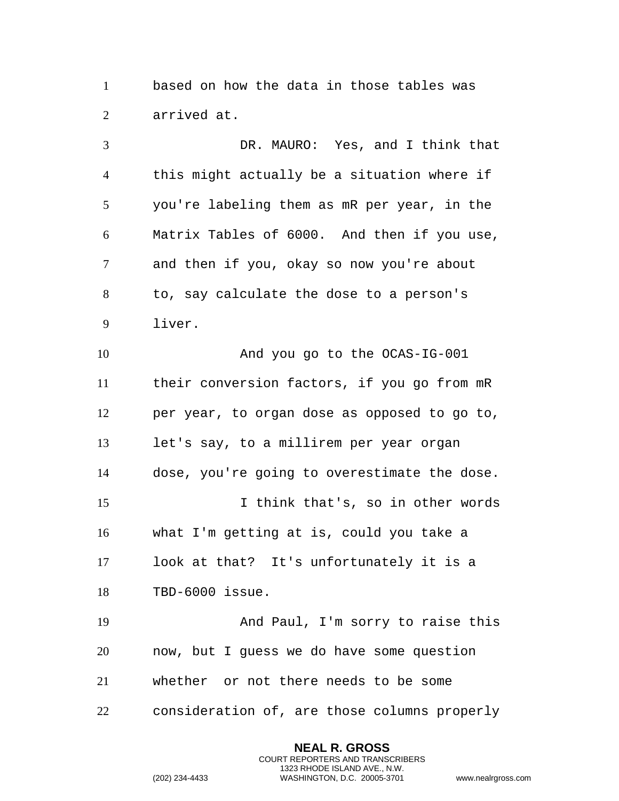based on how the data in those tables was arrived at.

 DR. MAURO: Yes, and I think that this might actually be a situation where if you're labeling them as mR per year, in the Matrix Tables of 6000. And then if you use, and then if you, okay so now you're about to, say calculate the dose to a person's liver. And you go to the OCAS-IG-001 their conversion factors, if you go from mR per year, to organ dose as opposed to go to, let's say, to a millirem per year organ dose, you're going to overestimate the dose. I think that's, so in other words what I'm getting at is, could you take a look at that? It's unfortunately it is a TBD-6000 issue. And Paul, I'm sorry to raise this now, but I guess we do have some question whether or not there needs to be some consideration of, are those columns properly

> **NEAL R. GROSS** COURT REPORTERS AND TRANSCRIBERS 1323 RHODE ISLAND AVE., N.W.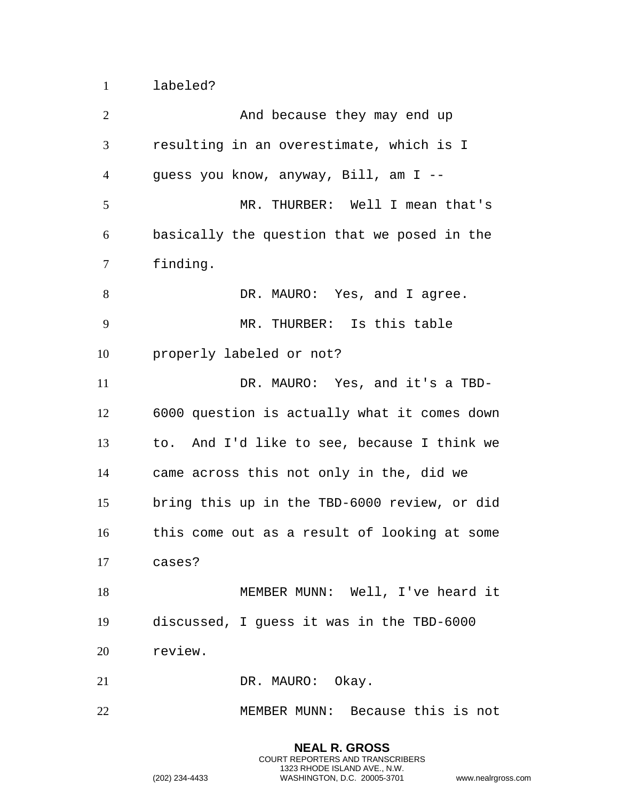labeled?

| $\overline{2}$ | And because they may end up                  |
|----------------|----------------------------------------------|
| 3              | resulting in an overestimate, which is I     |
| $\overline{4}$ | guess you know, anyway, Bill, am I --        |
| 5              | MR. THURBER: Well I mean that's              |
| 6              | basically the question that we posed in the  |
| 7              | finding.                                     |
| 8              | DR. MAURO: Yes, and I agree.                 |
| 9              | MR. THURBER: Is this table                   |
| 10             | properly labeled or not?                     |
| 11             | DR. MAURO: Yes, and it's a TBD-              |
| 12             | 6000 question is actually what it comes down |
| 13             | to. And I'd like to see, because I think we  |
| 14             | came across this not only in the, did we     |
| 15             | bring this up in the TBD-6000 review, or did |
| 16             | this come out as a result of looking at some |
| 17             | cases?                                       |
| 18             | MEMBER MUNN: Well, I've heard it             |
| 19             | discussed, I guess it was in the TBD-6000    |
| 20             | review.                                      |
| 21             | DR. MAURO: Okay.                             |
| 22             | MEMBER MUNN: Because this is not             |

**NEAL R. GROSS** COURT REPORTERS AND TRANSCRIBERS 1323 RHODE ISLAND AVE., N.W.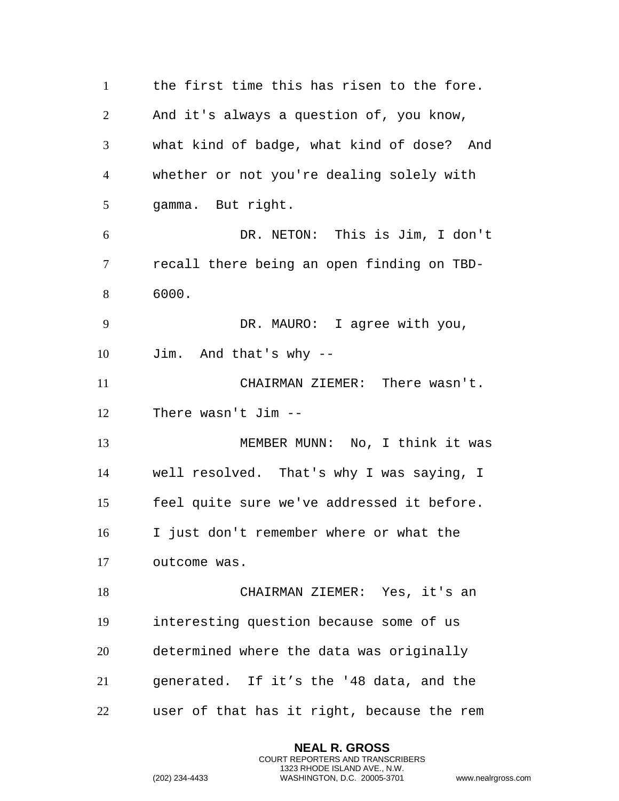the first time this has risen to the fore. And it's always a question of, you know, what kind of badge, what kind of dose? And whether or not you're dealing solely with gamma. But right. DR. NETON: This is Jim, I don't recall there being an open finding on TBD- 6000. DR. MAURO: I agree with you, Jim. And that's why -- CHAIRMAN ZIEMER: There wasn't. There wasn't Jim -- MEMBER MUNN: No, I think it was well resolved. That's why I was saying, I feel quite sure we've addressed it before. I just don't remember where or what the outcome was. CHAIRMAN ZIEMER: Yes, it's an interesting question because some of us determined where the data was originally generated. If it's the '48 data, and the user of that has it right, because the rem

> **NEAL R. GROSS** COURT REPORTERS AND TRANSCRIBERS 1323 RHODE ISLAND AVE., N.W.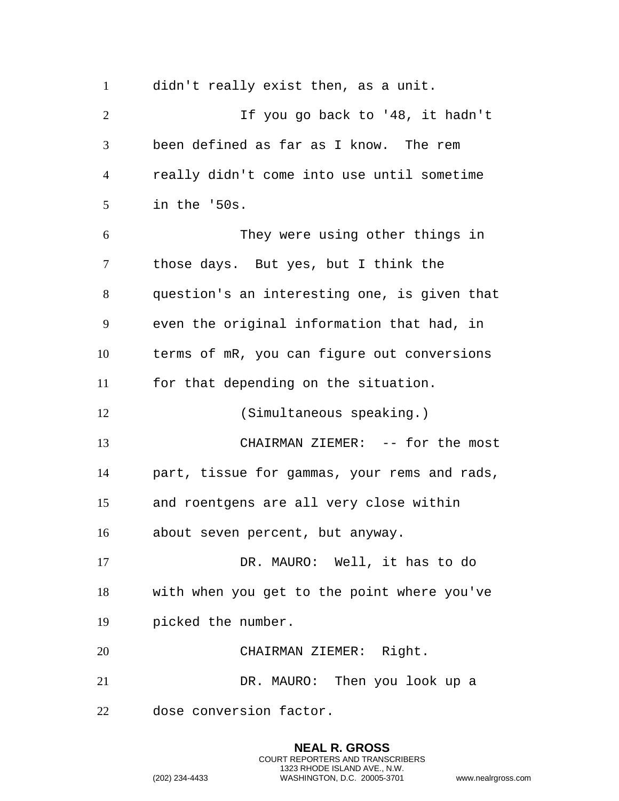didn't really exist then, as a unit. If you go back to '48, it hadn't been defined as far as I know. The rem really didn't come into use until sometime in the '50s. They were using other things in those days. But yes, but I think the question's an interesting one, is given that even the original information that had, in terms of mR, you can figure out conversions for that depending on the situation. (Simultaneous speaking.) CHAIRMAN ZIEMER: -- for the most part, tissue for gammas, your rems and rads, and roentgens are all very close within about seven percent, but anyway. DR. MAURO: Well, it has to do with when you get to the point where you've picked the number. CHAIRMAN ZIEMER: Right. DR. MAURO: Then you look up a dose conversion factor.

> **NEAL R. GROSS** COURT REPORTERS AND TRANSCRIBERS 1323 RHODE ISLAND AVE., N.W.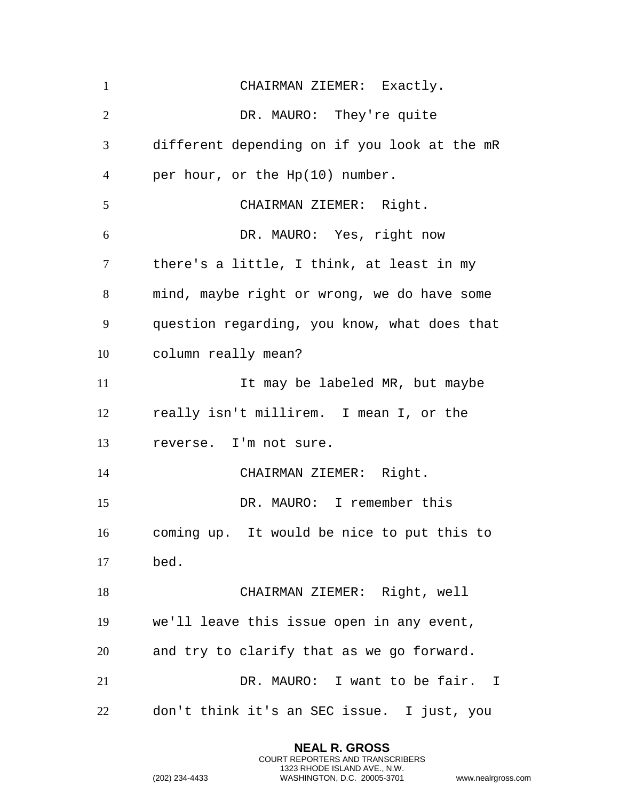CHAIRMAN ZIEMER: Exactly. DR. MAURO: They're quite different depending on if you look at the mR per hour, or the Hp(10) number. CHAIRMAN ZIEMER: Right. DR. MAURO: Yes, right now there's a little, I think, at least in my mind, maybe right or wrong, we do have some question regarding, you know, what does that column really mean? 11 11 It may be labeled MR, but maybe really isn't millirem. I mean I, or the reverse. I'm not sure. CHAIRMAN ZIEMER: Right. DR. MAURO: I remember this coming up. It would be nice to put this to bed. CHAIRMAN ZIEMER: Right, well we'll leave this issue open in any event, and try to clarify that as we go forward. DR. MAURO: I want to be fair. I don't think it's an SEC issue. I just, you

> **NEAL R. GROSS** COURT REPORTERS AND TRANSCRIBERS 1323 RHODE ISLAND AVE., N.W.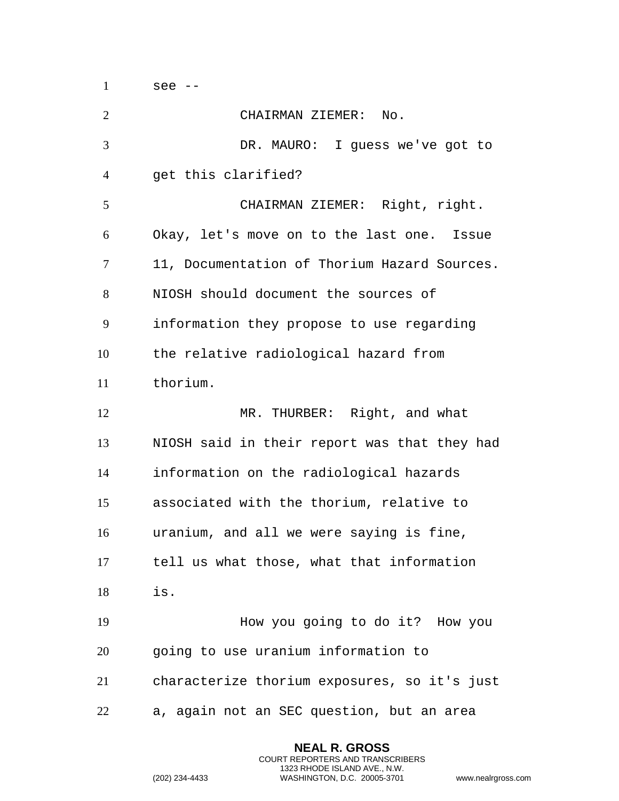see --

| $\overline{2}$ | CHAIRMAN ZIEMER: No.                         |
|----------------|----------------------------------------------|
| 3              | DR. MAURO: I guess we've got to              |
| 4              | get this clarified?                          |
| 5              | CHAIRMAN ZIEMER: Right, right.               |
| 6              | Okay, let's move on to the last one. Issue   |
| 7              | 11, Documentation of Thorium Hazard Sources. |
| 8              | NIOSH should document the sources of         |
| 9              | information they propose to use regarding    |
| 10             | the relative radiological hazard from        |
| 11             | thorium.                                     |
| 12             | MR. THURBER: Right, and what                 |
| 13             | NIOSH said in their report was that they had |
| 14             | information on the radiological hazards      |
| 15             | associated with the thorium, relative to     |
| 16             | uranium, and all we were saying is fine,     |
| 17             | tell us what those, what that information    |
| 18             | is.                                          |
| 19             | How you going to do it? How you              |
| 20             | going to use uranium information to          |
| 21             | characterize thorium exposures, so it's just |
| 22             | a, again not an SEC question, but an area    |

**NEAL R. GROSS** COURT REPORTERS AND TRANSCRIBERS 1323 RHODE ISLAND AVE., N.W.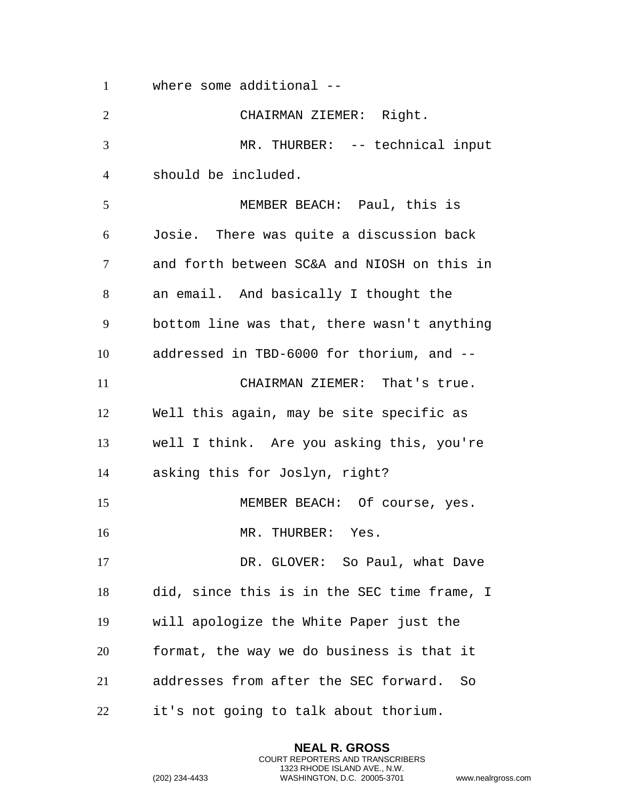where some additional --

 CHAIRMAN ZIEMER: Right. MR. THURBER: -- technical input should be included. MEMBER BEACH: Paul, this is Josie. There was quite a discussion back and forth between SC&A and NIOSH on this in an email. And basically I thought the bottom line was that, there wasn't anything addressed in TBD-6000 for thorium, and -- CHAIRMAN ZIEMER: That's true. Well this again, may be site specific as well I think. Are you asking this, you're asking this for Joslyn, right? 15 MEMBER BEACH: Of course, yes. 16 MR. THURBER: Yes. 17 DR. GLOVER: So Paul, what Dave did, since this is in the SEC time frame, I will apologize the White Paper just the format, the way we do business is that it addresses from after the SEC forward. So it's not going to talk about thorium.

> **NEAL R. GROSS** COURT REPORTERS AND TRANSCRIBERS 1323 RHODE ISLAND AVE., N.W.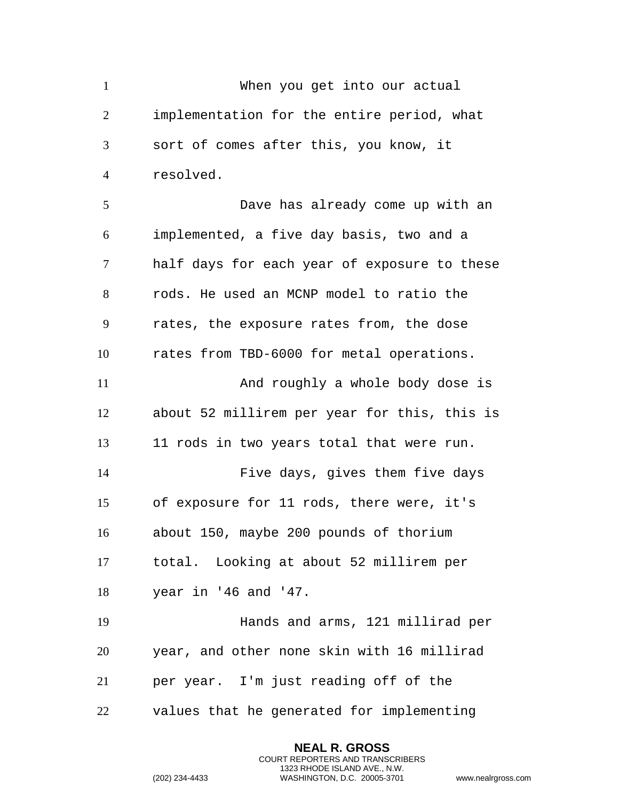When you get into our actual implementation for the entire period, what sort of comes after this, you know, it resolved. Dave has already come up with an implemented, a five day basis, two and a half days for each year of exposure to these rods. He used an MCNP model to ratio the rates, the exposure rates from, the dose rates from TBD-6000 for metal operations. And roughly a whole body dose is about 52 millirem per year for this, this is 11 rods in two years total that were run. Five days, gives them five days of exposure for 11 rods, there were, it's about 150, maybe 200 pounds of thorium total. Looking at about 52 millirem per year in '46 and '47. Hands and arms, 121 millirad per year, and other none skin with 16 millirad per year. I'm just reading off of the values that he generated for implementing

> **NEAL R. GROSS** COURT REPORTERS AND TRANSCRIBERS 1323 RHODE ISLAND AVE., N.W.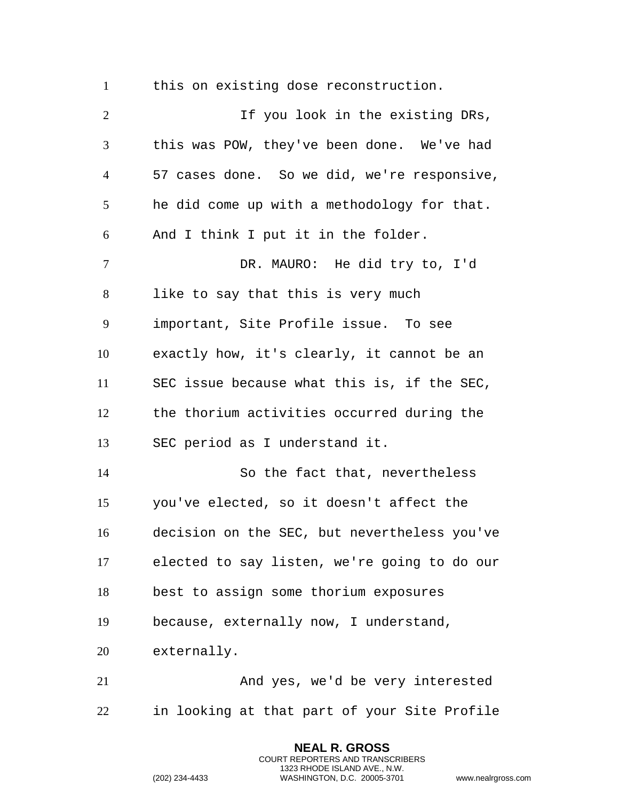this on existing dose reconstruction.

2 1 If you look in the existing DRs, this was POW, they've been done. We've had 57 cases done. So we did, we're responsive, he did come up with a methodology for that. And I think I put it in the folder. DR. MAURO: He did try to, I'd like to say that this is very much important, Site Profile issue. To see exactly how, it's clearly, it cannot be an SEC issue because what this is, if the SEC, the thorium activities occurred during the SEC period as I understand it. So the fact that, nevertheless you've elected, so it doesn't affect the decision on the SEC, but nevertheless you've elected to say listen, we're going to do our best to assign some thorium exposures because, externally now, I understand, externally. And yes, we'd be very interested in looking at that part of your Site Profile

> **NEAL R. GROSS** COURT REPORTERS AND TRANSCRIBERS 1323 RHODE ISLAND AVE., N.W.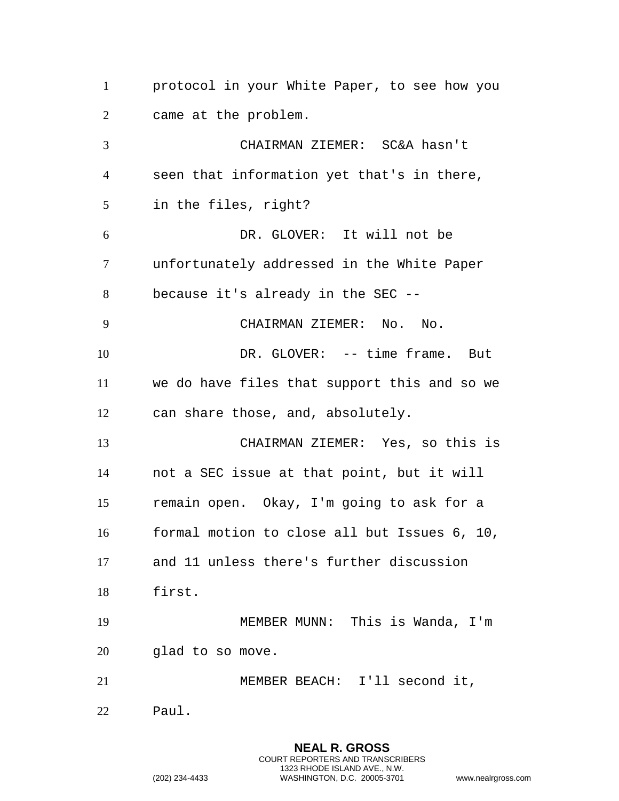protocol in your White Paper, to see how you came at the problem. CHAIRMAN ZIEMER: SC&A hasn't seen that information yet that's in there, in the files, right? DR. GLOVER: It will not be unfortunately addressed in the White Paper because it's already in the SEC -- CHAIRMAN ZIEMER: No. No. 10 DR. GLOVER: -- time frame. But we do have files that support this and so we can share those, and, absolutely. CHAIRMAN ZIEMER: Yes, so this is not a SEC issue at that point, but it will remain open. Okay, I'm going to ask for a formal motion to close all but Issues 6, 10, and 11 unless there's further discussion first. MEMBER MUNN: This is Wanda, I'm glad to so move. MEMBER BEACH: I'll second it, Paul.

> **NEAL R. GROSS** COURT REPORTERS AND TRANSCRIBERS 1323 RHODE ISLAND AVE., N.W.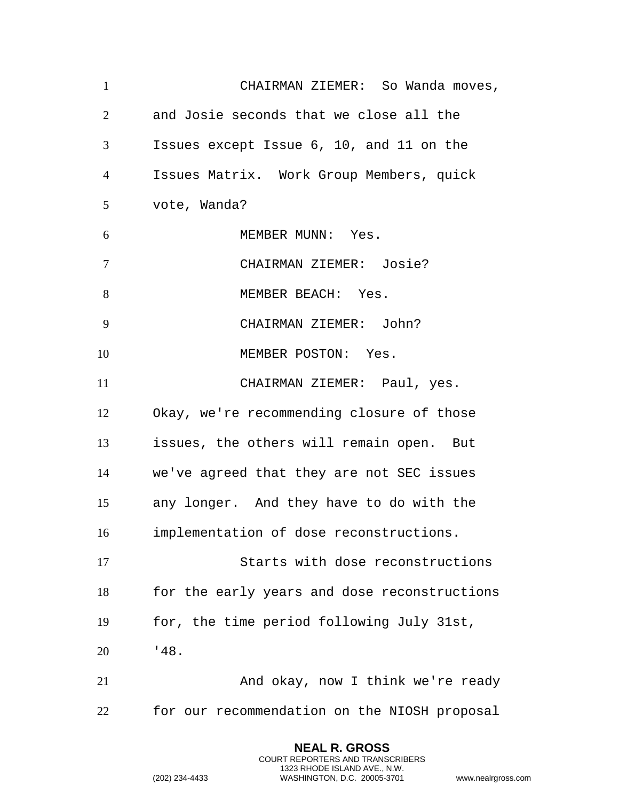CHAIRMAN ZIEMER: So Wanda moves, and Josie seconds that we close all the Issues except Issue 6, 10, and 11 on the Issues Matrix. Work Group Members, quick vote, Wanda? 6 MEMBER MUNN: Yes. CHAIRMAN ZIEMER: Josie? 8 MEMBER BEACH: Yes. CHAIRMAN ZIEMER: John? 10 MEMBER POSTON: Yes. CHAIRMAN ZIEMER: Paul, yes. Okay, we're recommending closure of those issues, the others will remain open. But we've agreed that they are not SEC issues any longer. And they have to do with the implementation of dose reconstructions. Starts with dose reconstructions for the early years and dose reconstructions for, the time period following July 31st, '48. And okay, now I think we're ready for our recommendation on the NIOSH proposal

> **NEAL R. GROSS** COURT REPORTERS AND TRANSCRIBERS 1323 RHODE ISLAND AVE., N.W.

```
(202) 234-4433 WASHINGTON, D.C. 20005-3701 www.nealrgross.com
```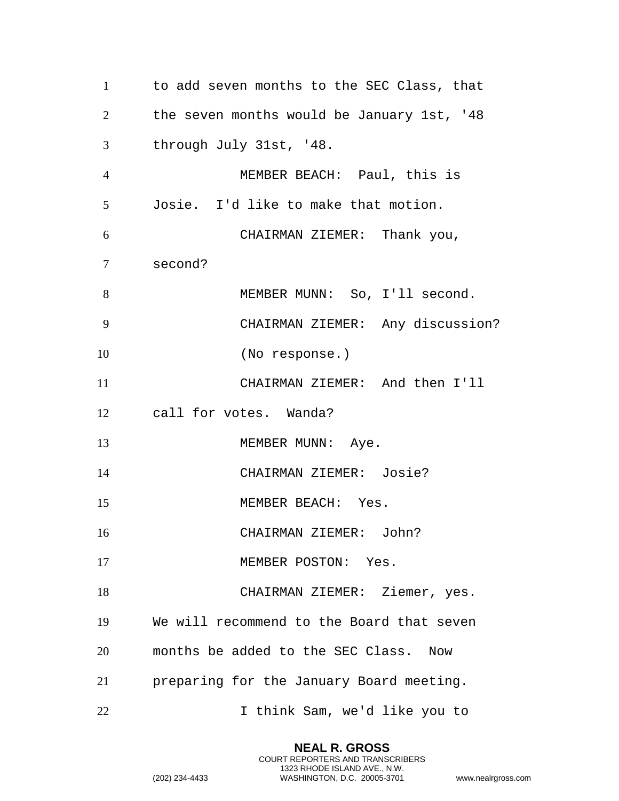to add seven months to the SEC Class, that the seven months would be January 1st, '48 through July 31st, '48. MEMBER BEACH: Paul, this is Josie. I'd like to make that motion. CHAIRMAN ZIEMER: Thank you, second? MEMBER MUNN: So, I'll second. CHAIRMAN ZIEMER: Any discussion? (No response.) CHAIRMAN ZIEMER: And then I'll call for votes. Wanda? 13 MEMBER MUNN: Aye. CHAIRMAN ZIEMER: Josie? 15 MEMBER BEACH: Yes. CHAIRMAN ZIEMER: John? 17 MEMBER POSTON: Yes. CHAIRMAN ZIEMER: Ziemer, yes. We will recommend to the Board that seven months be added to the SEC Class. Now preparing for the January Board meeting. I think Sam, we'd like you to

> **NEAL R. GROSS** COURT REPORTERS AND TRANSCRIBERS 1323 RHODE ISLAND AVE., N.W.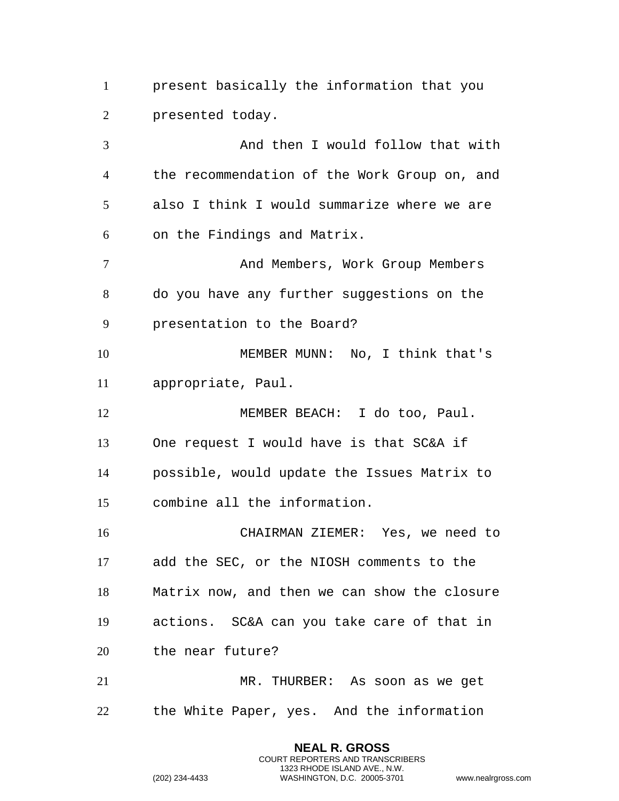present basically the information that you presented today.

 And then I would follow that with the recommendation of the Work Group on, and also I think I would summarize where we are on the Findings and Matrix. And Members, Work Group Members do you have any further suggestions on the presentation to the Board? MEMBER MUNN: No, I think that's appropriate, Paul. 12 MEMBER BEACH: I do too, Paul. One request I would have is that SC&A if possible, would update the Issues Matrix to combine all the information. CHAIRMAN ZIEMER: Yes, we need to add the SEC, or the NIOSH comments to the Matrix now, and then we can show the closure actions. SC&A can you take care of that in the near future? MR. THURBER: As soon as we get the White Paper, yes. And the information

> **NEAL R. GROSS** COURT REPORTERS AND TRANSCRIBERS 1323 RHODE ISLAND AVE., N.W.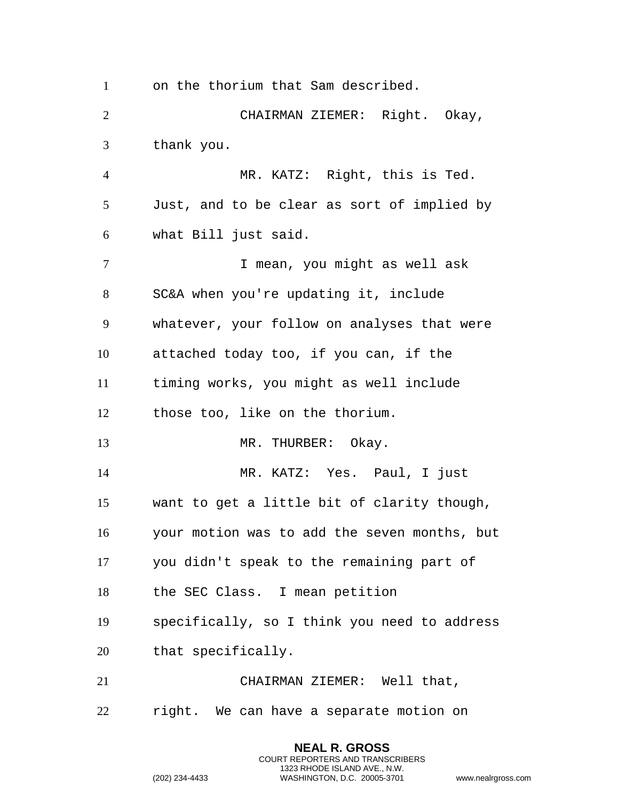on the thorium that Sam described. CHAIRMAN ZIEMER: Right. Okay, thank you. MR. KATZ: Right, this is Ted. Just, and to be clear as sort of implied by what Bill just said. **I** mean, you might as well ask SC&A when you're updating it, include whatever, your follow on analyses that were attached today too, if you can, if the timing works, you might as well include those too, like on the thorium. 13 MR. THURBER: Okay. MR. KATZ: Yes. Paul, I just want to get a little bit of clarity though, your motion was to add the seven months, but you didn't speak to the remaining part of the SEC Class. I mean petition specifically, so I think you need to address that specifically. CHAIRMAN ZIEMER: Well that, right. We can have a separate motion on

> **NEAL R. GROSS** COURT REPORTERS AND TRANSCRIBERS 1323 RHODE ISLAND AVE., N.W.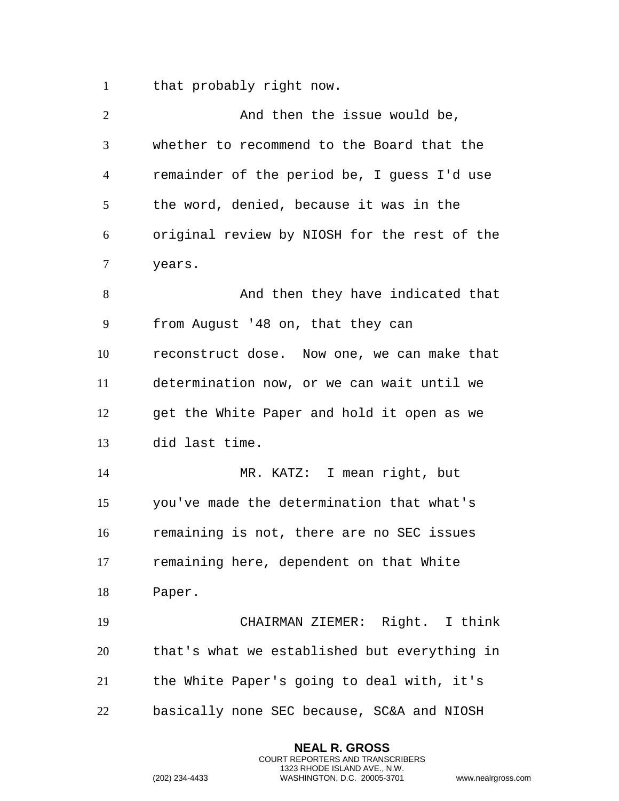that probably right now.

| $\overline{2}$ | And then the issue would be,                 |
|----------------|----------------------------------------------|
| 3              | whether to recommend to the Board that the   |
| $\overline{4}$ | remainder of the period be, I guess I'd use  |
| 5              | the word, denied, because it was in the      |
| 6              | original review by NIOSH for the rest of the |
| $\tau$         | years.                                       |
| 8              | And then they have indicated that            |
| 9              | from August '48 on, that they can            |
| 10             | reconstruct dose. Now one, we can make that  |
| 11             | determination now, or we can wait until we   |
| 12             | get the White Paper and hold it open as we   |
| 13             | did last time.                               |
| 14             | MR. KATZ: I mean right, but                  |
| 15             | you've made the determination that what's    |
| 16             | remaining is not, there are no SEC issues    |
| 17             | remaining here, dependent on that White      |
| 18             | Paper.                                       |
| 19             | CHAIRMAN ZIEMER: Right. I think              |
| 20             | that's what we established but everything in |
| 21             | the White Paper's going to deal with, it's   |
| 22             | basically none SEC because, SC&A and NIOSH   |

**NEAL R. GROSS** COURT REPORTERS AND TRANSCRIBERS 1323 RHODE ISLAND AVE., N.W.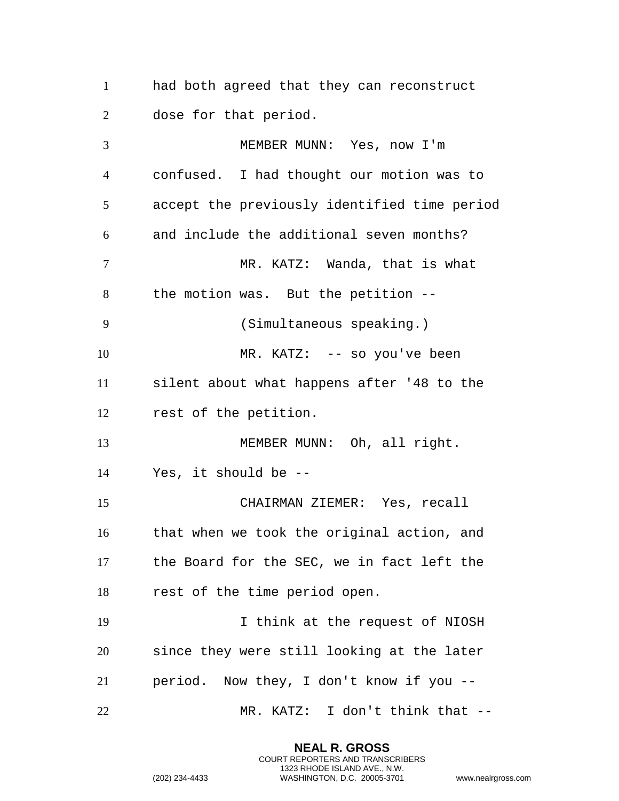had both agreed that they can reconstruct dose for that period.

 MEMBER MUNN: Yes, now I'm confused. I had thought our motion was to accept the previously identified time period and include the additional seven months? 7 MR. KATZ: Wanda, that is what the motion was. But the petition -- (Simultaneous speaking.) 10 MR. KATZ: -- so you've been silent about what happens after '48 to the rest of the petition. 13 MEMBER MUNN: Oh, all right. Yes, it should be -- CHAIRMAN ZIEMER: Yes, recall that when we took the original action, and the Board for the SEC, we in fact left the rest of the time period open. I think at the request of NIOSH since they were still looking at the later period. Now they, I don't know if you -- MR. KATZ: I don't think that --

> **NEAL R. GROSS** COURT REPORTERS AND TRANSCRIBERS 1323 RHODE ISLAND AVE., N.W.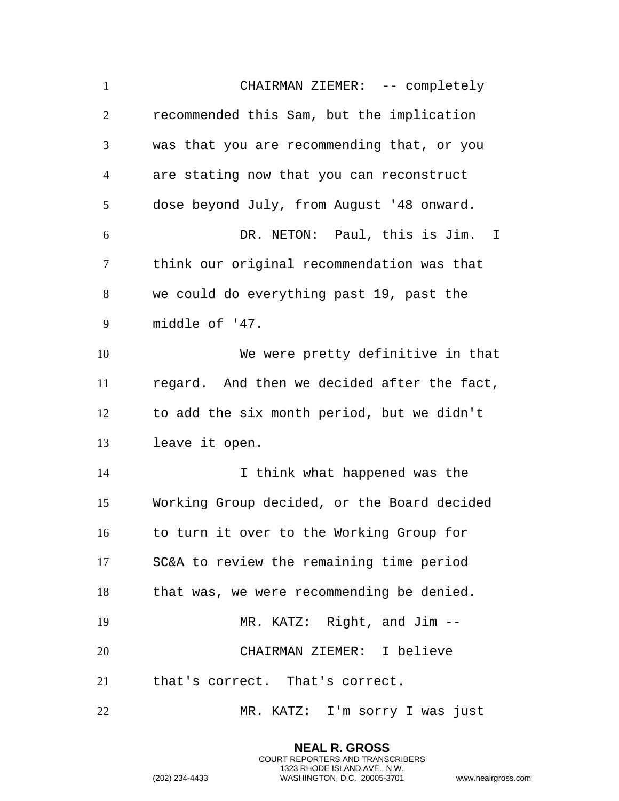CHAIRMAN ZIEMER: -- completely recommended this Sam, but the implication was that you are recommending that, or you are stating now that you can reconstruct dose beyond July, from August '48 onward. DR. NETON: Paul, this is Jim. I think our original recommendation was that we could do everything past 19, past the middle of '47. We were pretty definitive in that regard. And then we decided after the fact, to add the six month period, but we didn't leave it open. 14 14 I think what happened was the Working Group decided, or the Board decided to turn it over to the Working Group for SC&A to review the remaining time period that was, we were recommending be denied. MR. KATZ: Right, and Jim -- CHAIRMAN ZIEMER: I believe that's correct. That's correct. MR. KATZ: I'm sorry I was just

> **NEAL R. GROSS** COURT REPORTERS AND TRANSCRIBERS 1323 RHODE ISLAND AVE., N.W.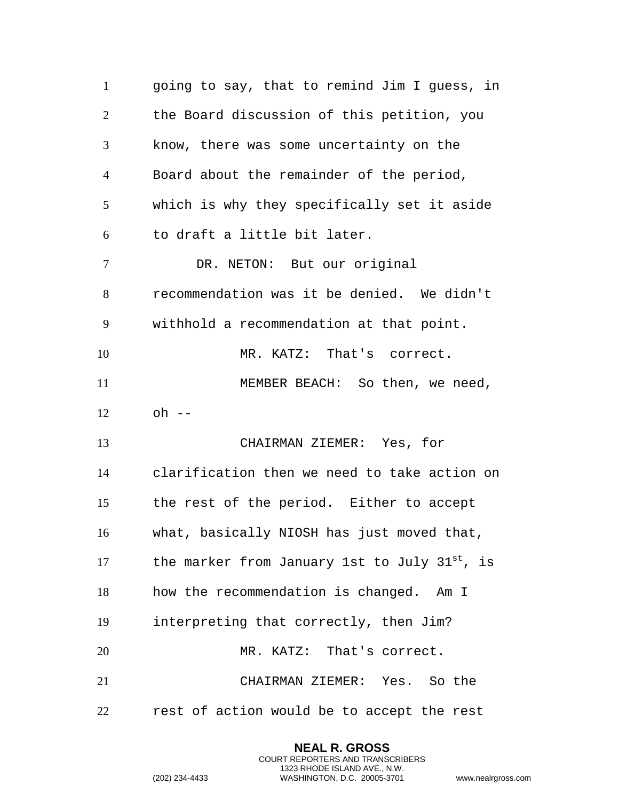going to say, that to remind Jim I guess, in the Board discussion of this petition, you know, there was some uncertainty on the Board about the remainder of the period, which is why they specifically set it aside to draft a little bit later. DR. NETON: But our original recommendation was it be denied. We didn't withhold a recommendation at that point. MR. KATZ: That's correct. 11 MEMBER BEACH: So then, we need, oh  $-$  CHAIRMAN ZIEMER: Yes, for clarification then we need to take action on the rest of the period. Either to accept what, basically NIOSH has just moved that, 17 the marker from January 1st to July  $31^{st}$ , is how the recommendation is changed. Am I interpreting that correctly, then Jim? 20 MR. KATZ: That's correct. CHAIRMAN ZIEMER: Yes. So the rest of action would be to accept the rest

> **NEAL R. GROSS** COURT REPORTERS AND TRANSCRIBERS 1323 RHODE ISLAND AVE., N.W.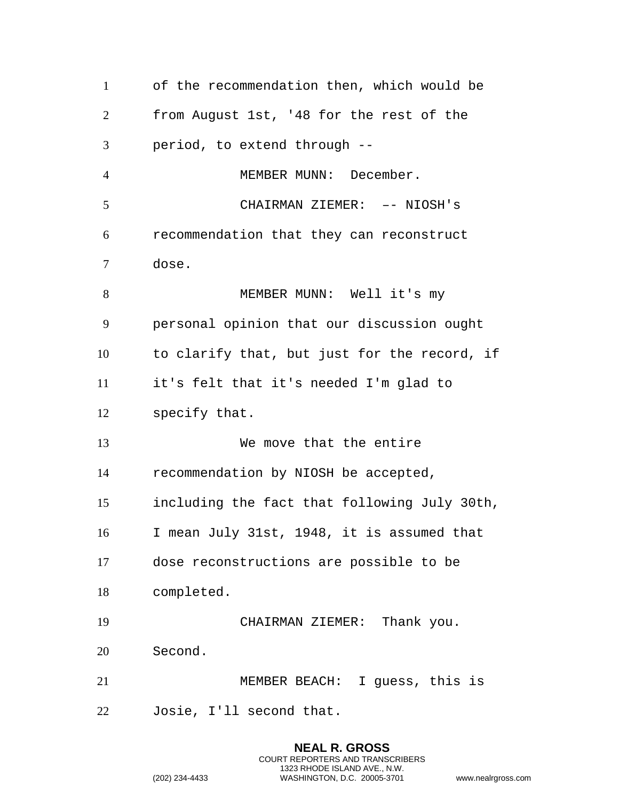| $\mathbf{1}$   | of the recommendation then, which would be   |
|----------------|----------------------------------------------|
| $\overline{2}$ | from August 1st, '48 for the rest of the     |
| 3              | period, to extend through --                 |
| $\overline{4}$ | MEMBER MUNN: December.                       |
| 5              | CHAIRMAN ZIEMER: -- NIOSH's                  |
| 6              | recommendation that they can reconstruct     |
| $\tau$         | dose.                                        |
| 8              | MEMBER MUNN: Well it's my                    |
| 9              | personal opinion that our discussion ought   |
| 10             | to clarify that, but just for the record, if |
| 11             | it's felt that it's needed I'm glad to       |
| 12             | specify that.                                |
| 13             | We move that the entire                      |
| 14             | recommendation by NIOSH be accepted,         |
|                |                                              |
| 15             | including the fact that following July 30th, |
| 16             | I mean July 31st, 1948, it is assumed that   |
| 17             | dose reconstructions are possible to be      |
| 18             | completed.                                   |
| 19             | CHAIRMAN ZIEMER: Thank you.                  |
| 20             | Second.                                      |
| 21             | MEMBER BEACH: I guess, this is               |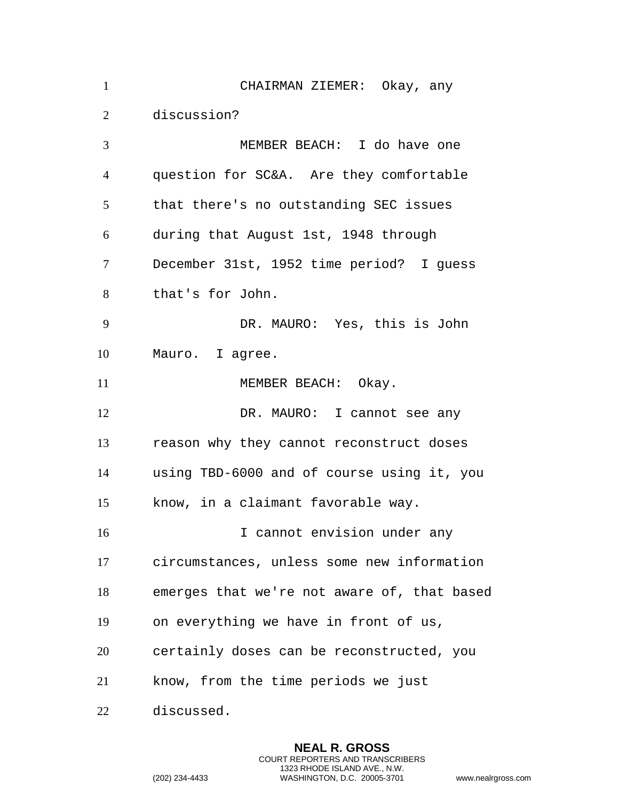| $\mathbf{1}$   | CHAIRMAN ZIEMER: Okay, any                  |
|----------------|---------------------------------------------|
| 2              | discussion?                                 |
| 3              | MEMBER BEACH: I do have one                 |
| $\overline{4}$ | question for SC&A. Are they comfortable     |
| 5              | that there's no outstanding SEC issues      |
| 6              | during that August 1st, 1948 through        |
| $\tau$         | December 31st, 1952 time period? I guess    |
| 8              | that's for John.                            |
| 9              | DR. MAURO: Yes, this is John                |
| 10             | Mauro. I agree.                             |
| 11             | MEMBER BEACH: Okay.                         |
| 12             | DR. MAURO: I cannot see any                 |
| 13             | reason why they cannot reconstruct doses    |
| 14             | using TBD-6000 and of course using it, you  |
| 15             | know, in a claimant favorable way.          |
| 16             | I cannot envision under any                 |
| 17             | circumstances, unless some new information  |
| 18             | emerges that we're not aware of, that based |
| 19             | on everything we have in front of us,       |
| 20             | certainly doses can be reconstructed, you   |
| 21             | know, from the time periods we just         |
| 22             | discussed.                                  |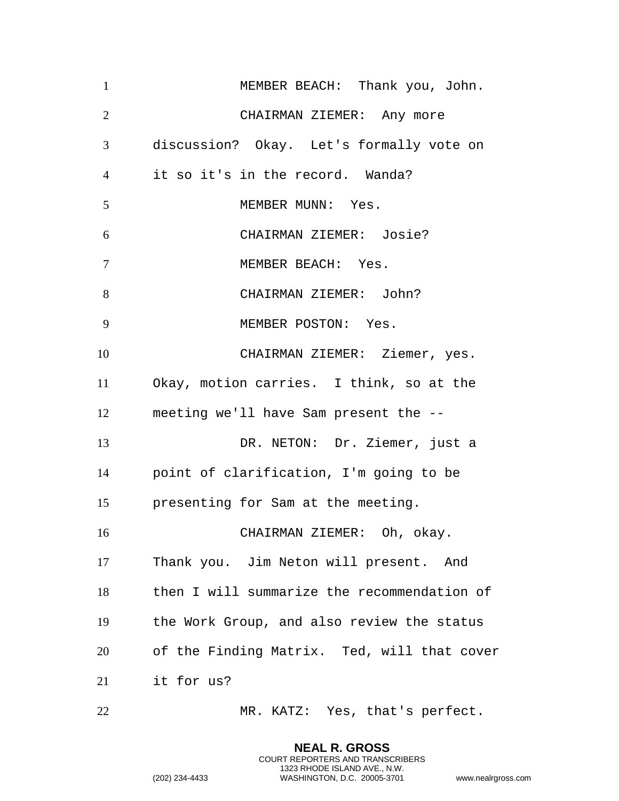| $\mathbf{1}$   | MEMBER BEACH: Thank you, John.              |
|----------------|---------------------------------------------|
| $\overline{2}$ | CHAIRMAN ZIEMER: Any more                   |
| 3              | discussion? Okay. Let's formally vote on    |
| $\overline{4}$ | it so it's in the record. Wanda?            |
| 5              | MEMBER MUNN: Yes.                           |
| 6              | CHAIRMAN ZIEMER: Josie?                     |
| $\overline{7}$ | MEMBER BEACH: Yes.                          |
| 8              | CHAIRMAN ZIEMER: John?                      |
| 9              | MEMBER POSTON: Yes.                         |
| 10             | CHAIRMAN ZIEMER: Ziemer, yes.               |
| 11             | Okay, motion carries. I think, so at the    |
| 12             | meeting we'll have Sam present the --       |
| 13             | DR. NETON: Dr. Ziemer, just a               |
| 14             | point of clarification, I'm going to be     |
| 15             | presenting for Sam at the meeting.          |
| 16             | CHAIRMAN ZIEMER: Oh, okay.                  |
| 17             | Thank you. Jim Neton will present. And      |
| 18             | then I will summarize the recommendation of |
| 19             | the Work Group, and also review the status  |
| 20             | of the Finding Matrix. Ted, will that cover |
| 21             | it for us?                                  |
| 22             | MR. KATZ: Yes, that's perfect.              |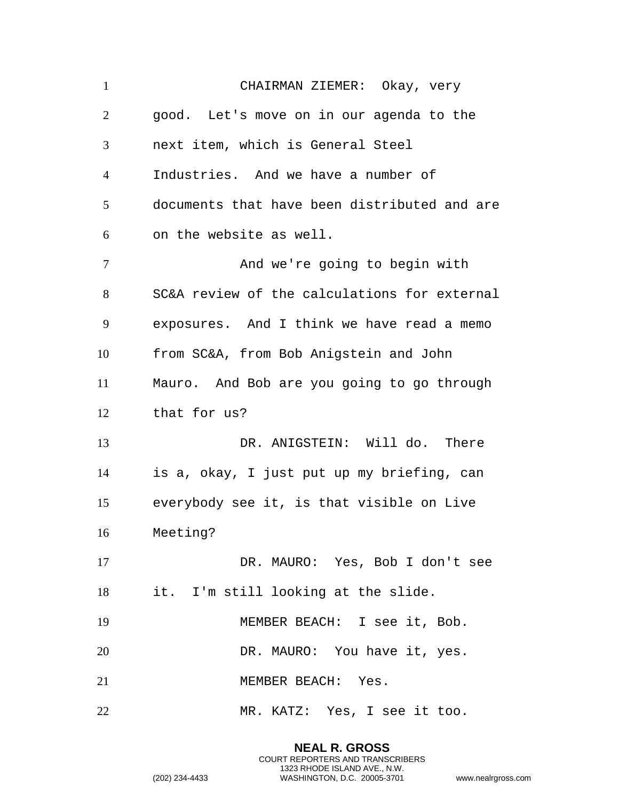CHAIRMAN ZIEMER: Okay, very good. Let's move on in our agenda to the next item, which is General Steel Industries. And we have a number of documents that have been distributed and are on the website as well. 7 And we're going to begin with SC&A review of the calculations for external exposures. And I think we have read a memo from SC&A, from Bob Anigstein and John Mauro. And Bob are you going to go through that for us? 13 DR. ANIGSTEIN: Will do. There is a, okay, I just put up my briefing, can everybody see it, is that visible on Live Meeting? DR. MAURO: Yes, Bob I don't see it. I'm still looking at the slide. MEMBER BEACH: I see it, Bob. 20 DR. MAURO: You have it, yes. 21 MEMBER BEACH: Yes. MR. KATZ: Yes, I see it too.

> **NEAL R. GROSS** COURT REPORTERS AND TRANSCRIBERS 1323 RHODE ISLAND AVE., N.W.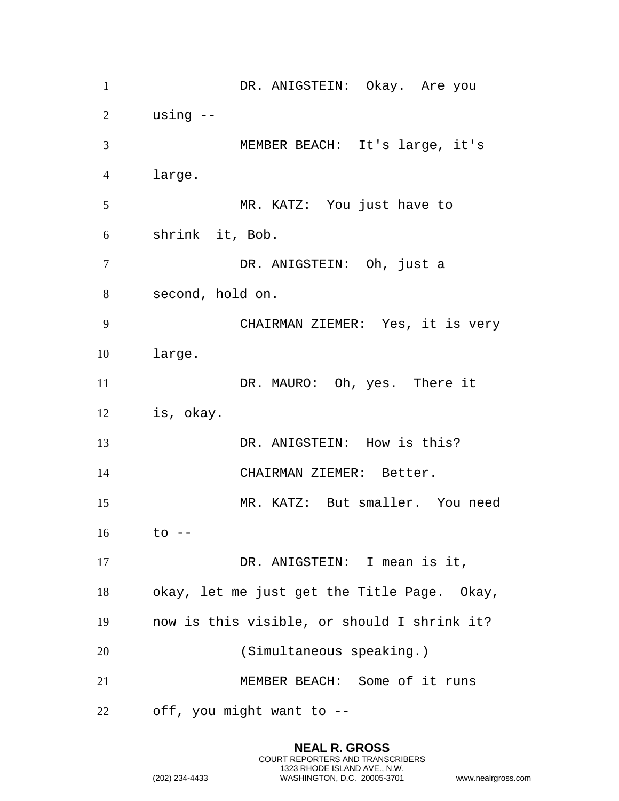1 DR. ANIGSTEIN: Okay. Are you using -- MEMBER BEACH: It's large, it's large. MR. KATZ: You just have to shrink it, Bob. DR. ANIGSTEIN: Oh, just a second, hold on. CHAIRMAN ZIEMER: Yes, it is very large. 11 DR. MAURO: Oh, yes. There it is, okay. 13 DR. ANIGSTEIN: How is this? CHAIRMAN ZIEMER: Better. MR. KATZ: But smaller. You need to -- 17 DR. ANIGSTEIN: I mean is it, okay, let me just get the Title Page. Okay, now is this visible, or should I shrink it? (Simultaneous speaking.) MEMBER BEACH: Some of it runs off, you might want to --

> **NEAL R. GROSS** COURT REPORTERS AND TRANSCRIBERS 1323 RHODE ISLAND AVE., N.W.

```
(202) 234-4433 WASHINGTON, D.C. 20005-3701 www.nealrgross.com
```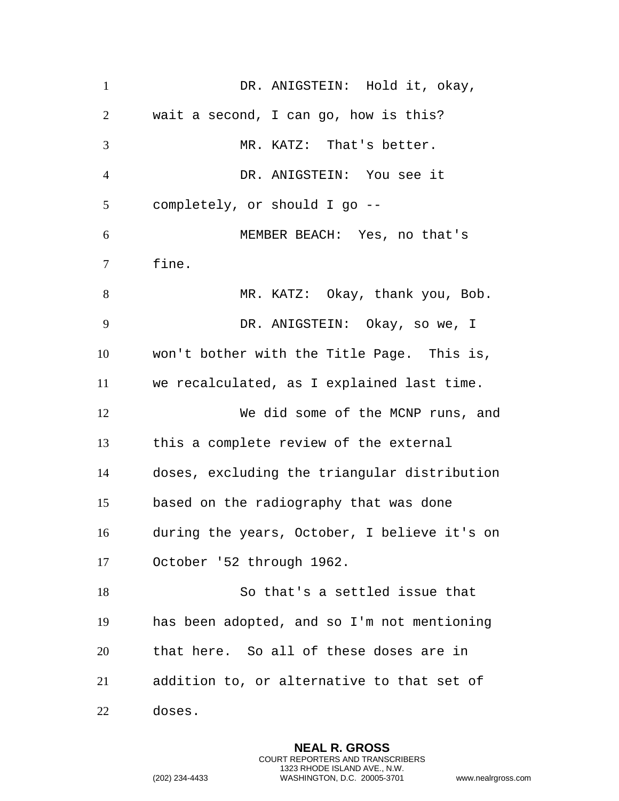| $\mathbf{1}$   | DR. ANIGSTEIN: Hold it, okay,                |
|----------------|----------------------------------------------|
| 2              | wait a second, I can go, how is this?        |
| 3              | MR. KATZ: That's better.                     |
| $\overline{4}$ | DR. ANIGSTEIN: You see it                    |
| 5              | completely, or should I go --                |
| 6              | MEMBER BEACH: Yes, no that's                 |
| $\tau$         | fine.                                        |
| 8              | MR. KATZ: Okay, thank you, Bob.              |
| 9              | DR. ANIGSTEIN: Okay, so we, I                |
| 10             | won't bother with the Title Page. This is,   |
| 11             | we recalculated, as I explained last time.   |
| 12             | We did some of the MCNP runs, and            |
| 13             | this a complete review of the external       |
| 14             | doses, excluding the triangular distribution |
| 15             | based on the radiography that was done       |
| 16             | during the years, October, I believe it's on |
| 17             | October '52 through 1962.                    |
| 18             | So that's a settled issue that               |
| 19             | has been adopted, and so I'm not mentioning  |
| 20             | that here. So all of these doses are in      |
| 21             | addition to, or alternative to that set of   |
| 22             | doses.                                       |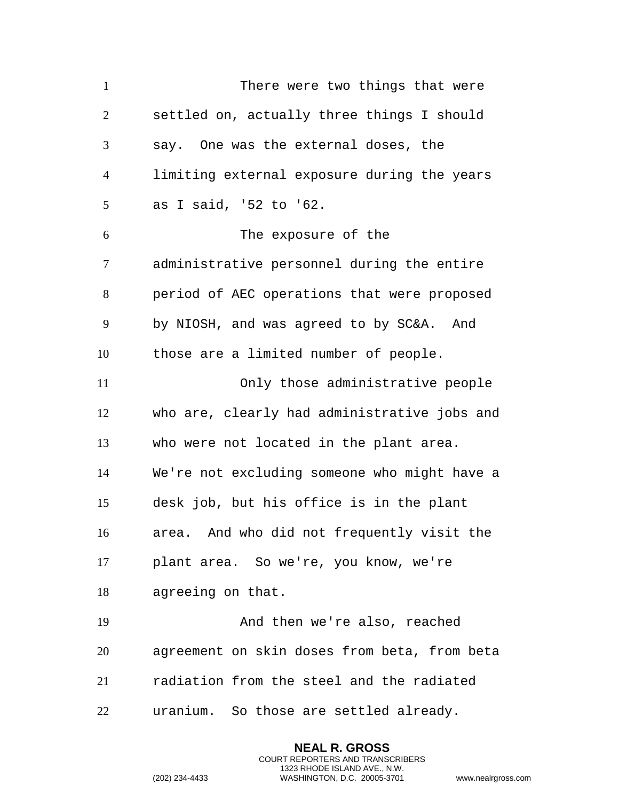There were two things that were settled on, actually three things I should say. One was the external doses, the limiting external exposure during the years as I said, '52 to '62. The exposure of the administrative personnel during the entire period of AEC operations that were proposed by NIOSH, and was agreed to by SC&A. And those are a limited number of people. Only those administrative people who are, clearly had administrative jobs and who were not located in the plant area. We're not excluding someone who might have a desk job, but his office is in the plant area. And who did not frequently visit the plant area. So we're, you know, we're agreeing on that. And then we're also, reached agreement on skin doses from beta, from beta radiation from the steel and the radiated uranium. So those are settled already.

> **NEAL R. GROSS** COURT REPORTERS AND TRANSCRIBERS 1323 RHODE ISLAND AVE., N.W.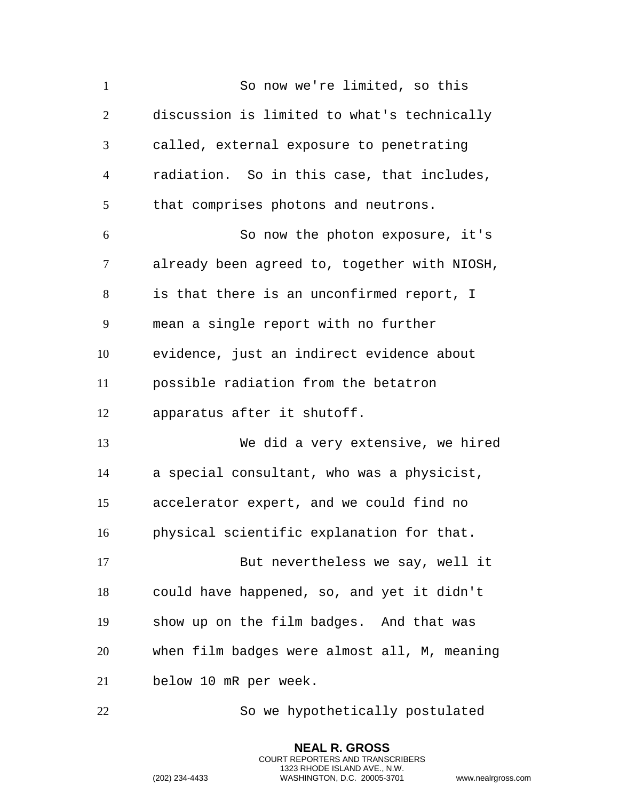So now we're limited, so this discussion is limited to what's technically called, external exposure to penetrating radiation. So in this case, that includes, that comprises photons and neutrons. So now the photon exposure, it's already been agreed to, together with NIOSH, is that there is an unconfirmed report, I mean a single report with no further evidence, just an indirect evidence about possible radiation from the betatron apparatus after it shutoff. We did a very extensive, we hired a special consultant, who was a physicist, accelerator expert, and we could find no physical scientific explanation for that. But nevertheless we say, well it could have happened, so, and yet it didn't show up on the film badges. And that was when film badges were almost all, M, meaning below 10 mR per week.

So we hypothetically postulated

**NEAL R. GROSS** COURT REPORTERS AND TRANSCRIBERS 1323 RHODE ISLAND AVE., N.W.

```
(202) 234-4433 WASHINGTON, D.C. 20005-3701 www.nealrgross.com
```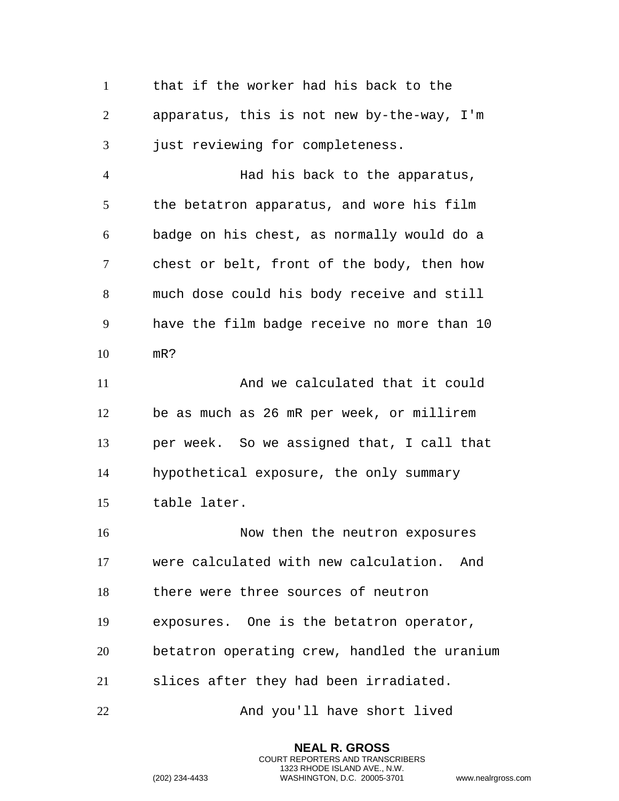that if the worker had his back to the apparatus, this is not new by-the-way, I'm just reviewing for completeness. Had his back to the apparatus, the betatron apparatus, and wore his film badge on his chest, as normally would do a chest or belt, front of the body, then how much dose could his body receive and still have the film badge receive no more than 10 mR? 11 And we calculated that it could be as much as 26 mR per week, or millirem per week. So we assigned that, I call that hypothetical exposure, the only summary table later. 16 Now then the neutron exposures were calculated with new calculation. And there were three sources of neutron exposures. One is the betatron operator, betatron operating crew, handled the uranium slices after they had been irradiated. 22 And you'll have short lived

> **NEAL R. GROSS** COURT REPORTERS AND TRANSCRIBERS 1323 RHODE ISLAND AVE., N.W.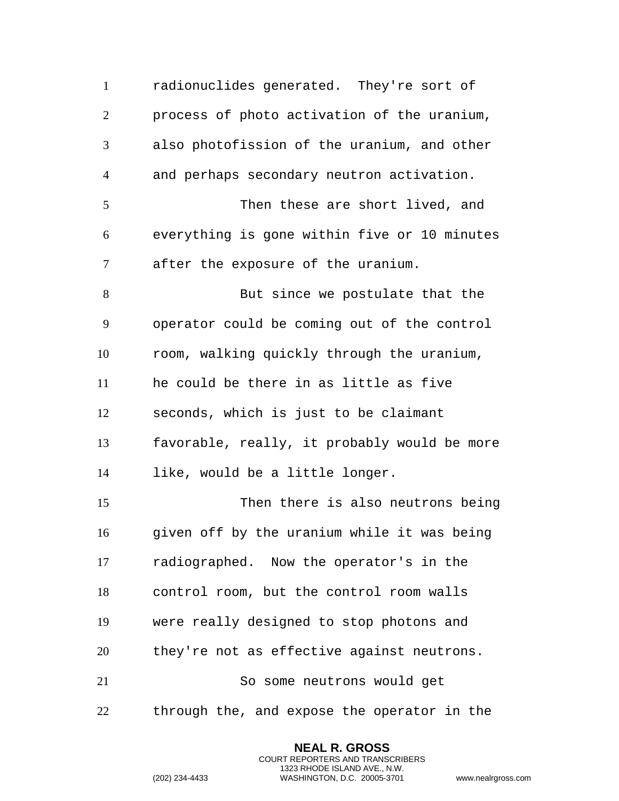radionuclides generated. They're sort of process of photo activation of the uranium, also photofission of the uranium, and other and perhaps secondary neutron activation. Then these are short lived, and everything is gone within five or 10 minutes after the exposure of the uranium. 8 But since we postulate that the operator could be coming out of the control room, walking quickly through the uranium, he could be there in as little as five seconds, which is just to be claimant favorable, really, it probably would be more like, would be a little longer. Then there is also neutrons being given off by the uranium while it was being radiographed. Now the operator's in the control room, but the control room walls were really designed to stop photons and they're not as effective against neutrons. So some neutrons would get through the, and expose the operator in the

> **NEAL R. GROSS** COURT REPORTERS AND TRANSCRIBERS 1323 RHODE ISLAND AVE., N.W.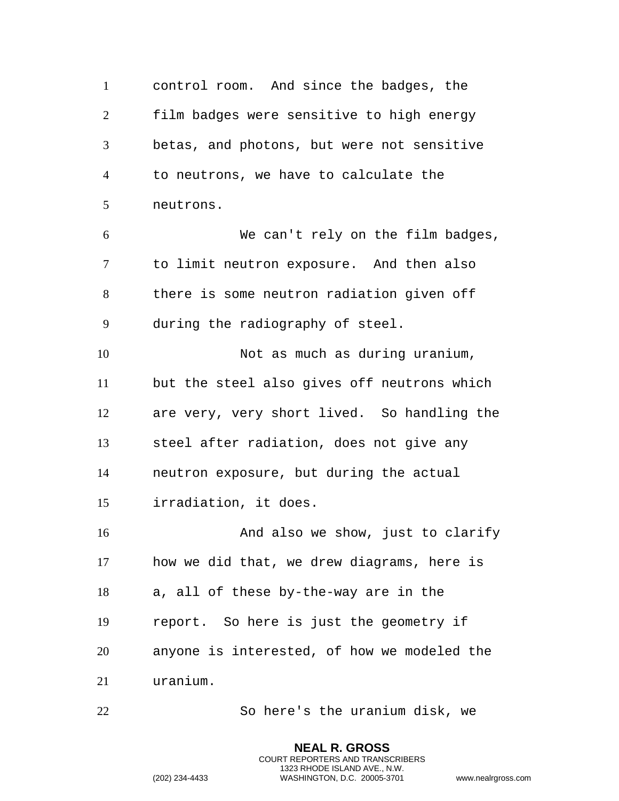control room. And since the badges, the film badges were sensitive to high energy betas, and photons, but were not sensitive to neutrons, we have to calculate the neutrons. We can't rely on the film badges, to limit neutron exposure. And then also there is some neutron radiation given off during the radiography of steel. Not as much as during uranium, but the steel also gives off neutrons which are very, very short lived. So handling the steel after radiation, does not give any neutron exposure, but during the actual irradiation, it does. And also we show, just to clarify how we did that, we drew diagrams, here is a, all of these by-the-way are in the report. So here is just the geometry if anyone is interested, of how we modeled the uranium.

So here's the uranium disk, we

**NEAL R. GROSS** COURT REPORTERS AND TRANSCRIBERS 1323 RHODE ISLAND AVE., N.W.

```
(202) 234-4433 WASHINGTON, D.C. 20005-3701 www.nealrgross.com
```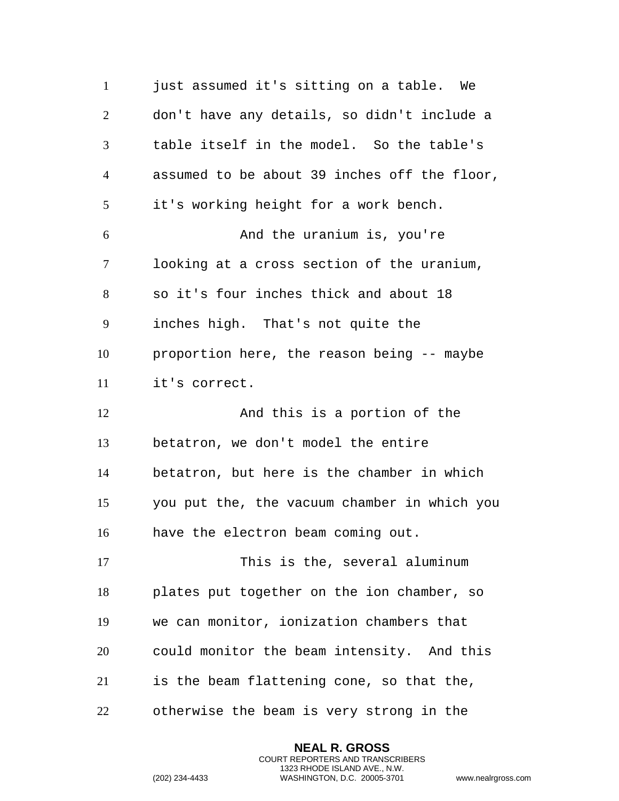1 just assumed it's sitting on a table. We don't have any details, so didn't include a table itself in the model. So the table's assumed to be about 39 inches off the floor, it's working height for a work bench. And the uranium is, you're looking at a cross section of the uranium, so it's four inches thick and about 18 inches high. That's not quite the proportion here, the reason being -- maybe it's correct. 12 And this is a portion of the betatron, we don't model the entire betatron, but here is the chamber in which you put the, the vacuum chamber in which you have the electron beam coming out. 17 This is the, several aluminum plates put together on the ion chamber, so we can monitor, ionization chambers that could monitor the beam intensity. And this is the beam flattening cone, so that the, otherwise the beam is very strong in the

> **NEAL R. GROSS** COURT REPORTERS AND TRANSCRIBERS 1323 RHODE ISLAND AVE., N.W.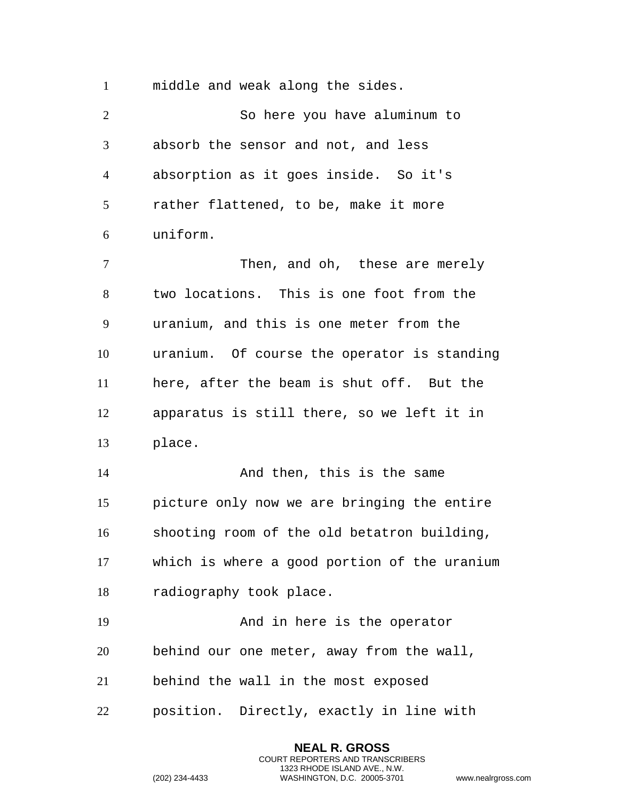middle and weak along the sides.

 So here you have aluminum to absorb the sensor and not, and less absorption as it goes inside. So it's rather flattened, to be, make it more uniform. Then, and oh, these are merely two locations. This is one foot from the uranium, and this is one meter from the uranium. Of course the operator is standing here, after the beam is shut off. But the apparatus is still there, so we left it in place. 14 And then, this is the same picture only now we are bringing the entire shooting room of the old betatron building, which is where a good portion of the uranium radiography took place. And in here is the operator behind our one meter, away from the wall, behind the wall in the most exposed position. Directly, exactly in line with

> **NEAL R. GROSS** COURT REPORTERS AND TRANSCRIBERS 1323 RHODE ISLAND AVE., N.W.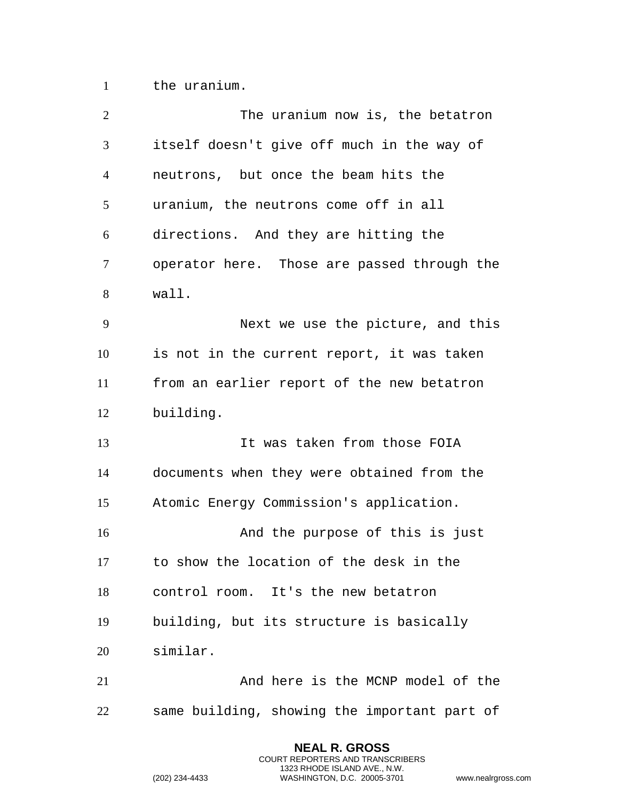the uranium.

| $\overline{2}$ | The uranium now is, the betatron             |
|----------------|----------------------------------------------|
| 3              | itself doesn't give off much in the way of   |
| $\overline{4}$ | neutrons, but once the beam hits the         |
| 5              | uranium, the neutrons come off in all        |
| 6              | directions. And they are hitting the         |
| 7              | operator here. Those are passed through the  |
| 8              | wall.                                        |
| 9              | Next we use the picture, and this            |
| 10             | is not in the current report, it was taken   |
| 11             | from an earlier report of the new betatron   |
| 12             | building.                                    |
| 13             | It was taken from those FOIA                 |
| 14             | documents when they were obtained from the   |
| 15             | Atomic Energy Commission's application.      |
| 16             | And the purpose of this is just              |
| 17             | to show the location of the desk in the      |
| 18             | control room. It's the new betatron          |
| 19             | building, but its structure is basically     |
| 20             | similar.                                     |
| 21             | And here is the MCNP model of the            |
| 22             | same building, showing the important part of |

**NEAL R. GROSS** COURT REPORTERS AND TRANSCRIBERS 1323 RHODE ISLAND AVE., N.W.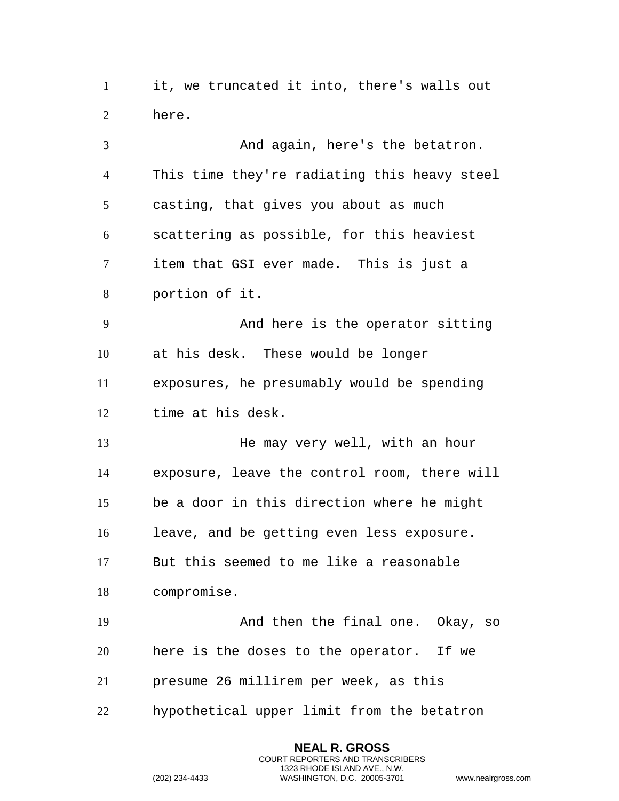it, we truncated it into, there's walls out here.

 And again, here's the betatron. This time they're radiating this heavy steel casting, that gives you about as much scattering as possible, for this heaviest item that GSI ever made. This is just a portion of it. And here is the operator sitting at his desk. These would be longer exposures, he presumably would be spending time at his desk. 13 He may very well, with an hour exposure, leave the control room, there will be a door in this direction where he might leave, and be getting even less exposure. But this seemed to me like a reasonable compromise. And then the final one. Okay, so here is the doses to the operator. If we presume 26 millirem per week, as this hypothetical upper limit from the betatron

> **NEAL R. GROSS** COURT REPORTERS AND TRANSCRIBERS 1323 RHODE ISLAND AVE., N.W.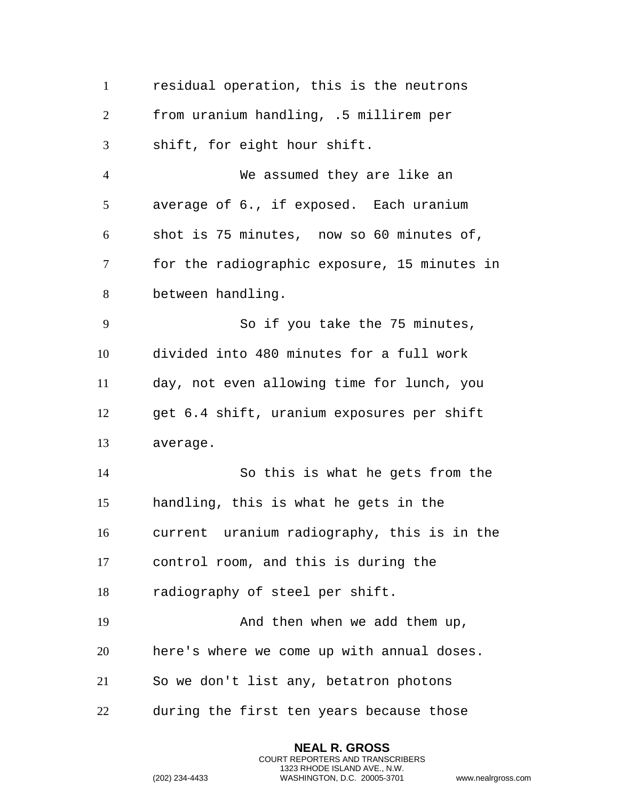| $\mathbf{1}$   | residual operation, this is the neutrons     |
|----------------|----------------------------------------------|
| $\overline{2}$ | from uranium handling, .5 millirem per       |
| 3              | shift, for eight hour shift.                 |
| $\overline{4}$ | We assumed they are like an                  |
| 5              | average of 6., if exposed. Each uranium      |
| 6              | shot is 75 minutes, now so 60 minutes of,    |
| 7              | for the radiographic exposure, 15 minutes in |
| 8              | between handling.                            |
| 9              | So if you take the 75 minutes,               |
| 10             | divided into 480 minutes for a full work     |
| 11             | day, not even allowing time for lunch, you   |
| 12             | get 6.4 shift, uranium exposures per shift   |
| 13             | average.                                     |
| 14             | So this is what he gets from the             |
| 15             | handling, this is what he gets in the        |
| 16             | current uranium radiography, this is in the  |
| 17             | control room, and this is during the         |
| 18             | radiography of steel per shift.              |
| 19             | And then when we add them up,                |
| 20             | here's where we come up with annual doses.   |
| 21             | So we don't list any, betatron photons       |
| 22             | during the first ten years because those     |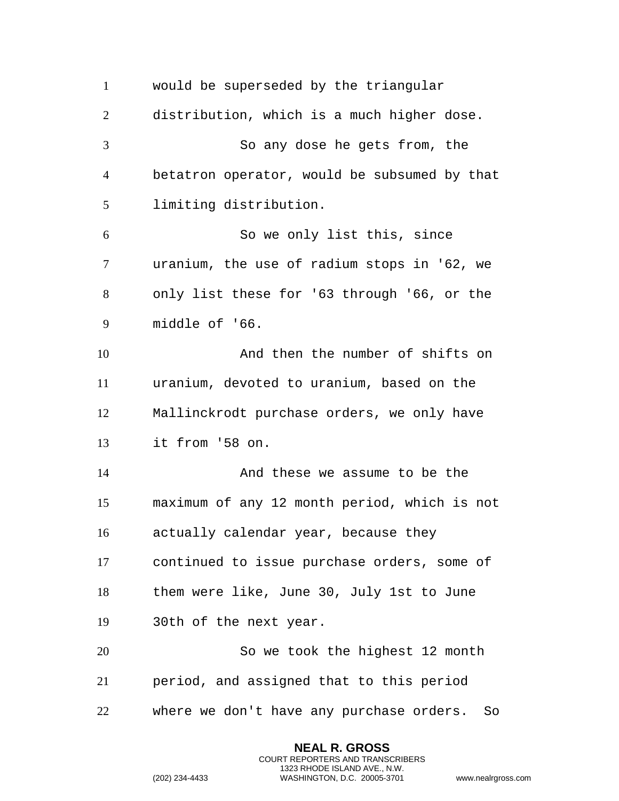would be superseded by the triangular distribution, which is a much higher dose. So any dose he gets from, the betatron operator, would be subsumed by that limiting distribution. So we only list this, since uranium, the use of radium stops in '62, we only list these for '63 through '66, or the middle of '66. And then the number of shifts on uranium, devoted to uranium, based on the Mallinckrodt purchase orders, we only have it from '58 on. And these we assume to be the maximum of any 12 month period, which is not actually calendar year, because they continued to issue purchase orders, some of them were like, June 30, July 1st to June 30th of the next year. So we took the highest 12 month period, and assigned that to this period where we don't have any purchase orders. So

> **NEAL R. GROSS** COURT REPORTERS AND TRANSCRIBERS 1323 RHODE ISLAND AVE., N.W.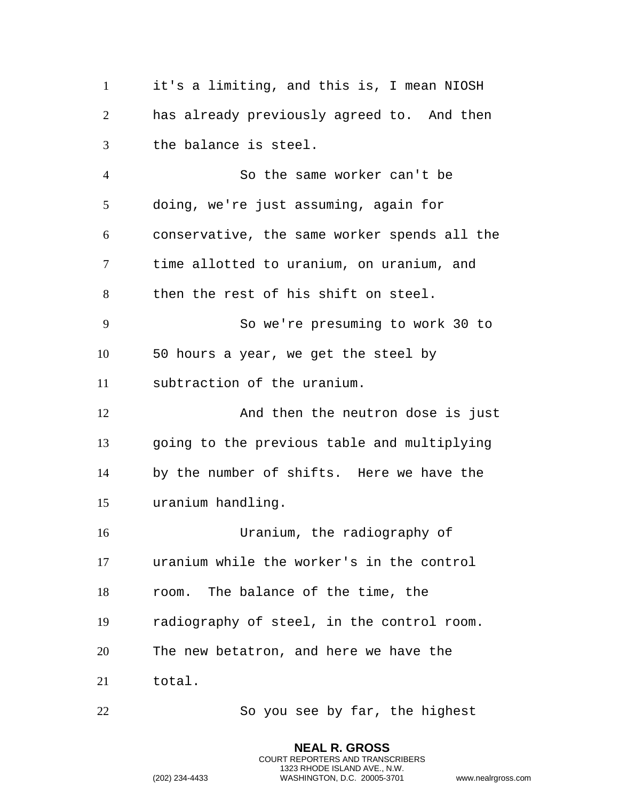it's a limiting, and this is, I mean NIOSH has already previously agreed to. And then the balance is steel. So the same worker can't be doing, we're just assuming, again for conservative, the same worker spends all the time allotted to uranium, on uranium, and then the rest of his shift on steel. So we're presuming to work 30 to 50 hours a year, we get the steel by subtraction of the uranium. And then the neutron dose is just going to the previous table and multiplying by the number of shifts. Here we have the uranium handling. Uranium, the radiography of uranium while the worker's in the control room. The balance of the time, the radiography of steel, in the control room. The new betatron, and here we have the total. So you see by far, the highest

> **NEAL R. GROSS** COURT REPORTERS AND TRANSCRIBERS 1323 RHODE ISLAND AVE., N.W.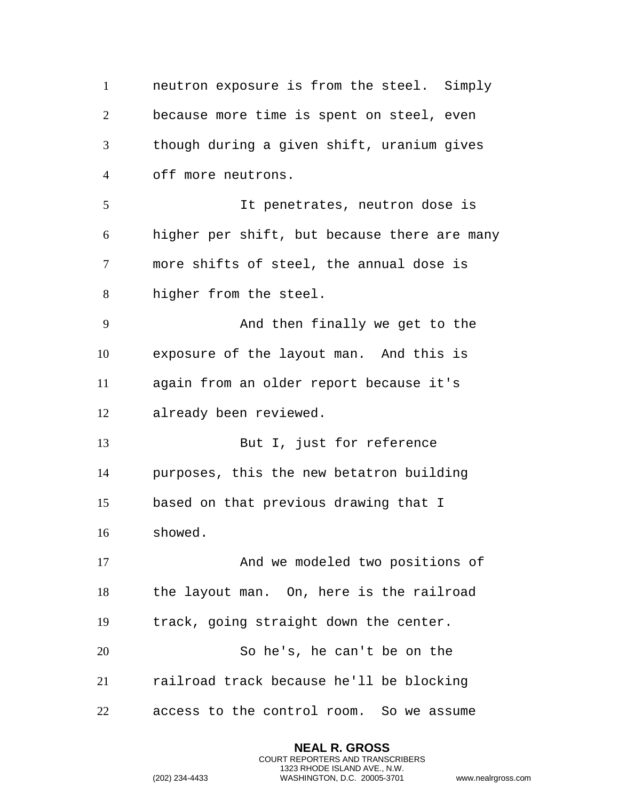neutron exposure is from the steel. Simply because more time is spent on steel, even though during a given shift, uranium gives off more neutrons. It penetrates, neutron dose is higher per shift, but because there are many more shifts of steel, the annual dose is higher from the steel. And then finally we get to the exposure of the layout man. And this is again from an older report because it's already been reviewed. 13 But I, just for reference purposes, this the new betatron building based on that previous drawing that I showed. And we modeled two positions of the layout man. On, here is the railroad track, going straight down the center. So he's, he can't be on the railroad track because he'll be blocking access to the control room. So we assume

> **NEAL R. GROSS** COURT REPORTERS AND TRANSCRIBERS 1323 RHODE ISLAND AVE., N.W.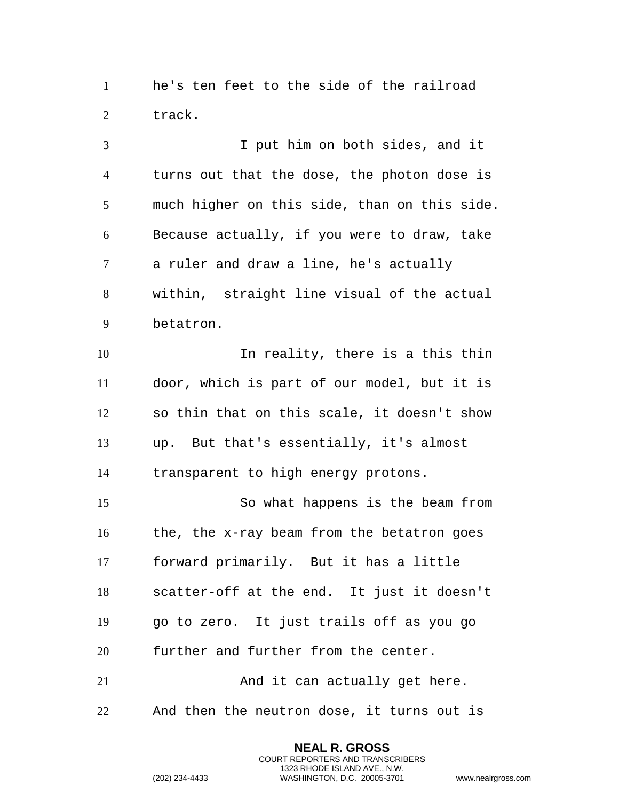he's ten feet to the side of the railroad track.

 I put him on both sides, and it turns out that the dose, the photon dose is much higher on this side, than on this side. Because actually, if you were to draw, take a ruler and draw a line, he's actually within, straight line visual of the actual betatron. In reality, there is a this thin door, which is part of our model, but it is so thin that on this scale, it doesn't show up. But that's essentially, it's almost transparent to high energy protons. So what happens is the beam from the, the x-ray beam from the betatron goes forward primarily. But it has a little scatter-off at the end. It just it doesn't go to zero. It just trails off as you go further and further from the center. 21 And it can actually get here. And then the neutron dose, it turns out is

> **NEAL R. GROSS** COURT REPORTERS AND TRANSCRIBERS 1323 RHODE ISLAND AVE., N.W.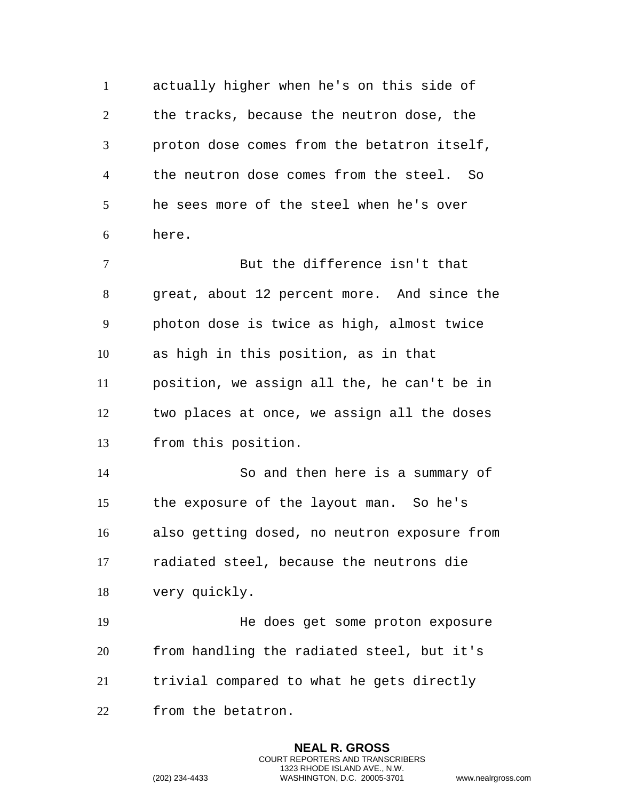actually higher when he's on this side of the tracks, because the neutron dose, the proton dose comes from the betatron itself, the neutron dose comes from the steel. So he sees more of the steel when he's over here. But the difference isn't that great, about 12 percent more. And since the photon dose is twice as high, almost twice as high in this position, as in that position, we assign all the, he can't be in two places at once, we assign all the doses from this position. So and then here is a summary of the exposure of the layout man. So he's also getting dosed, no neutron exposure from radiated steel, because the neutrons die very quickly. He does get some proton exposure from handling the radiated steel, but it's

trivial compared to what he gets directly

**NEAL R. GROSS** COURT REPORTERS AND TRANSCRIBERS 1323 RHODE ISLAND AVE., N.W.

from the betatron.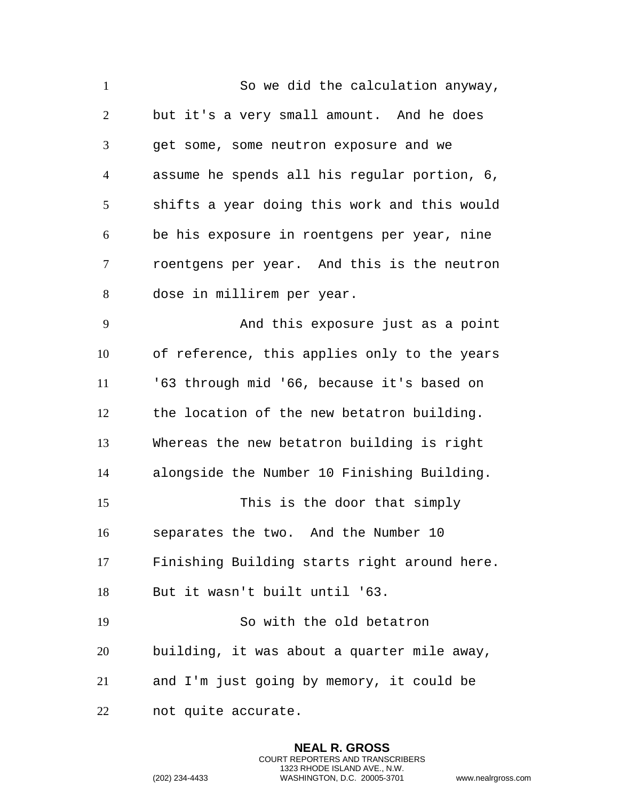So we did the calculation anyway, but it's a very small amount. And he does get some, some neutron exposure and we assume he spends all his regular portion, 6, shifts a year doing this work and this would be his exposure in roentgens per year, nine roentgens per year. And this is the neutron dose in millirem per year. And this exposure just as a point of reference, this applies only to the years '63 through mid '66, because it's based on the location of the new betatron building. Whereas the new betatron building is right alongside the Number 10 Finishing Building. This is the door that simply separates the two. And the Number 10 Finishing Building starts right around here. But it wasn't built until '63. So with the old betatron building, it was about a quarter mile away, and I'm just going by memory, it could be not quite accurate.

> **NEAL R. GROSS** COURT REPORTERS AND TRANSCRIBERS 1323 RHODE ISLAND AVE., N.W.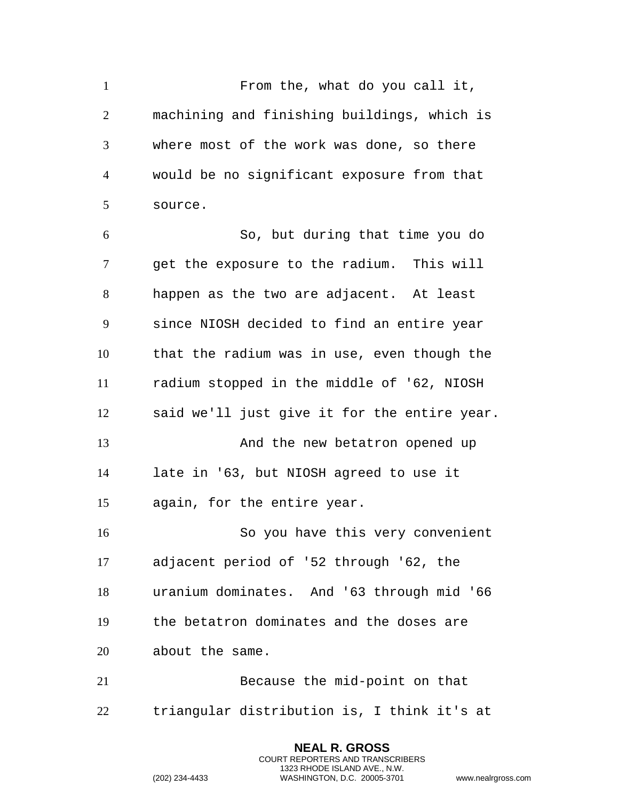From the, what do you call it, machining and finishing buildings, which is where most of the work was done, so there would be no significant exposure from that source. So, but during that time you do get the exposure to the radium. This will happen as the two are adjacent. At least since NIOSH decided to find an entire year that the radium was in use, even though the radium stopped in the middle of '62, NIOSH said we'll just give it for the entire year. 13 And the new betatron opened up late in '63, but NIOSH agreed to use it again, for the entire year. So you have this very convenient adjacent period of '52 through '62, the uranium dominates. And '63 through mid '66 the betatron dominates and the doses are about the same. Because the mid-point on that triangular distribution is, I think it's at

> **NEAL R. GROSS** COURT REPORTERS AND TRANSCRIBERS 1323 RHODE ISLAND AVE., N.W.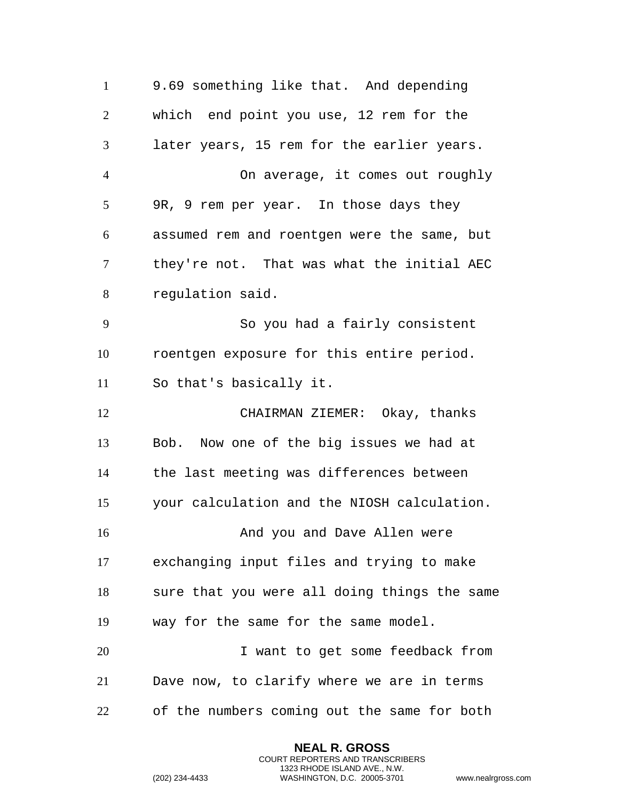9.69 something like that. And depending which end point you use, 12 rem for the later years, 15 rem for the earlier years. On average, it comes out roughly 9R, 9 rem per year. In those days they assumed rem and roentgen were the same, but they're not. That was what the initial AEC regulation said. So you had a fairly consistent roentgen exposure for this entire period. So that's basically it. CHAIRMAN ZIEMER: Okay, thanks Bob. Now one of the big issues we had at the last meeting was differences between your calculation and the NIOSH calculation. 16 And you and Dave Allen were exchanging input files and trying to make sure that you were all doing things the same way for the same for the same model. I want to get some feedback from Dave now, to clarify where we are in terms of the numbers coming out the same for both

> **NEAL R. GROSS** COURT REPORTERS AND TRANSCRIBERS 1323 RHODE ISLAND AVE., N.W.

```
(202) 234-4433 WASHINGTON, D.C. 20005-3701 www.nealrgross.com
```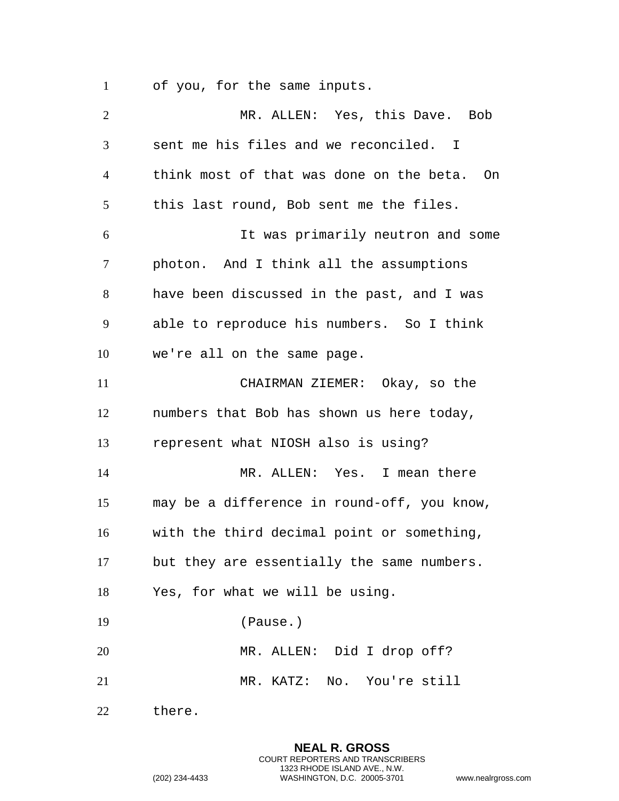of you, for the same inputs.

 MR. ALLEN: Yes, this Dave. Bob sent me his files and we reconciled. I think most of that was done on the beta. On this last round, Bob sent me the files. It was primarily neutron and some photon. And I think all the assumptions have been discussed in the past, and I was able to reproduce his numbers. So I think we're all on the same page. CHAIRMAN ZIEMER: Okay, so the numbers that Bob has shown us here today, represent what NIOSH also is using? MR. ALLEN: Yes. I mean there may be a difference in round-off, you know, with the third decimal point or something, but they are essentially the same numbers. Yes, for what we will be using. (Pause.) MR. ALLEN: Did I drop off? MR. KATZ: No. You're still there.

> **NEAL R. GROSS** COURT REPORTERS AND TRANSCRIBERS 1323 RHODE ISLAND AVE., N.W.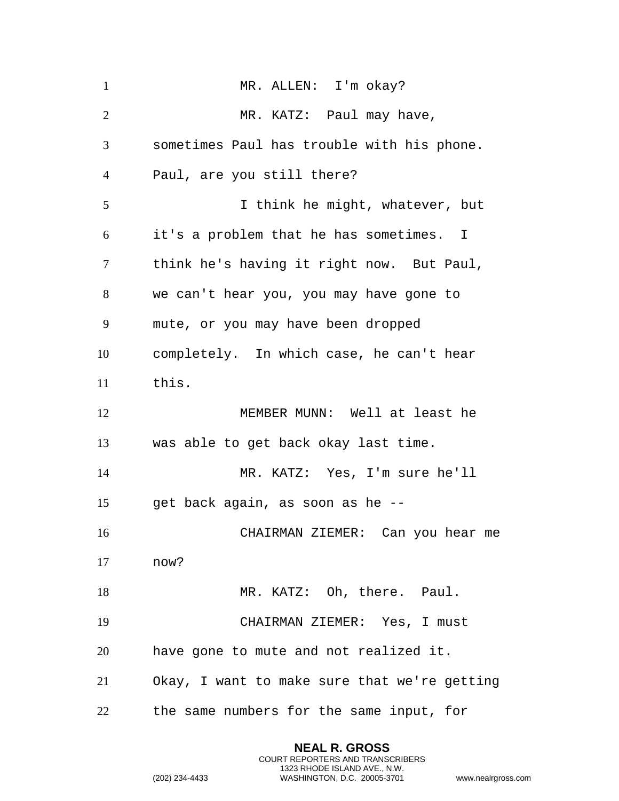| $\mathbf{1}$   | MR. ALLEN: I'm okay?                         |
|----------------|----------------------------------------------|
| 2              | MR. KATZ: Paul may have,                     |
| 3              | sometimes Paul has trouble with his phone.   |
| $\overline{4}$ | Paul, are you still there?                   |
| 5              | I think he might, whatever, but              |
| 6              | it's a problem that he has sometimes. I      |
| 7              | think he's having it right now. But Paul,    |
| 8              | we can't hear you, you may have gone to      |
| 9              | mute, or you may have been dropped           |
| 10             | completely. In which case, he can't hear     |
| 11             | this.                                        |
| 12             | MEMBER MUNN: Well at least he                |
| 13             | was able to get back okay last time.         |
| 14             | MR. KATZ: Yes, I'm sure he'll                |
| 15             | get back again, as soon as he --             |
| 16             | CHAIRMAN ZIEMER: Can you hear me             |
| 17             | now?                                         |
| 18             | MR. KATZ: Oh, there. Paul.                   |
| 19             | CHAIRMAN ZIEMER: Yes, I must                 |
| 20             | have gone to mute and not realized it.       |
| 21             | Okay, I want to make sure that we're getting |
| 22             | the same numbers for the same input, for     |

```
(202) 234-4433 WASHINGTON, D.C. 20005-3701 www.nealrgross.com
```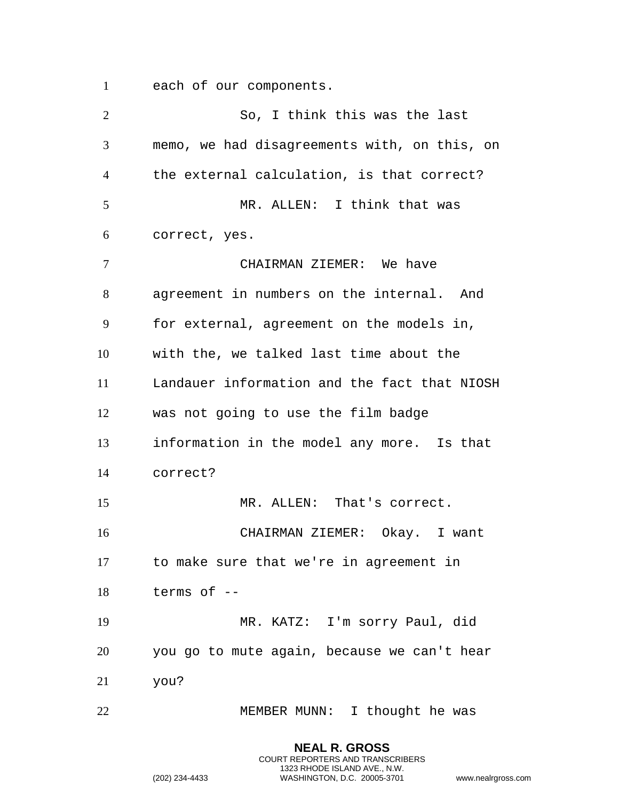each of our components.

| $\overline{2}$ | So, I think this was the last                |
|----------------|----------------------------------------------|
| 3              | memo, we had disagreements with, on this, on |
| 4              | the external calculation, is that correct?   |
| 5              | MR. ALLEN: I think that was                  |
| 6              | correct, yes.                                |
| 7              | CHAIRMAN ZIEMER: We have                     |
| 8              | agreement in numbers on the internal. And    |
| 9              | for external, agreement on the models in,    |
| 10             | with the, we talked last time about the      |
| 11             | Landauer information and the fact that NIOSH |
| 12             | was not going to use the film badge          |
| 13             | information in the model any more. Is that   |
| 14             | correct?                                     |
| 15             | MR. ALLEN: That's correct.                   |
| 16             | CHAIRMAN ZIEMER: Okay. I want                |
| 17             | to make sure that we're in agreement in      |
| 18             | terms of --                                  |
| 19             | MR. KATZ: I'm sorry Paul, did                |
| 20             | you go to mute again, because we can't hear  |
| 21             | you?                                         |
| 22             | MEMBER MUNN: I thought he was                |

**NEAL R. GROSS** COURT REPORTERS AND TRANSCRIBERS 1323 RHODE ISLAND AVE., N.W.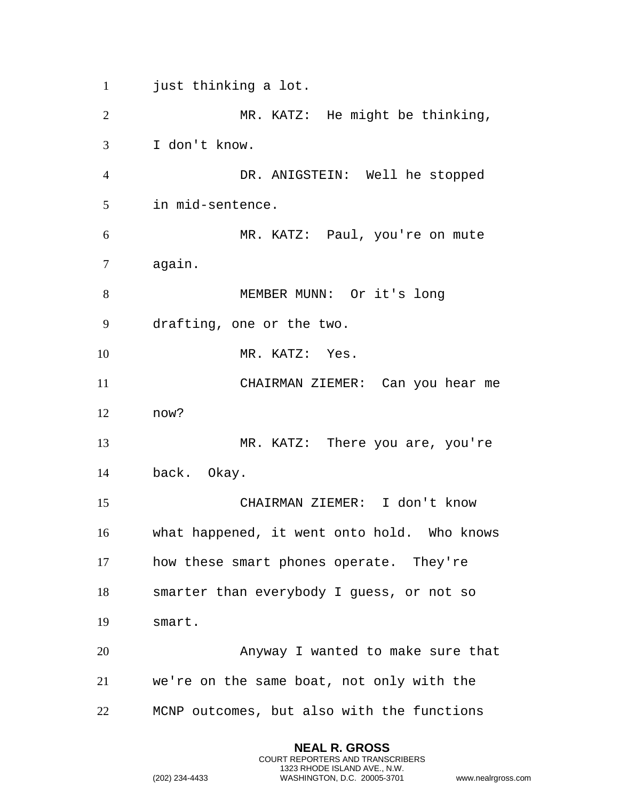just thinking a lot.

 MR. KATZ: He might be thinking, I don't know. DR. ANIGSTEIN: Well he stopped in mid-sentence. MR. KATZ: Paul, you're on mute again. MEMBER MUNN: Or it's long drafting, one or the two. 10 MR. KATZ: Yes. CHAIRMAN ZIEMER: Can you hear me now? MR. KATZ: There you are, you're back. Okay. CHAIRMAN ZIEMER: I don't know what happened, it went onto hold. Who knows how these smart phones operate. They're smarter than everybody I guess, or not so smart. Anyway I wanted to make sure that we're on the same boat, not only with the MCNP outcomes, but also with the functions

> **NEAL R. GROSS** COURT REPORTERS AND TRANSCRIBERS 1323 RHODE ISLAND AVE., N.W.

```
(202) 234-4433 WASHINGTON, D.C. 20005-3701 www.nealrgross.com
```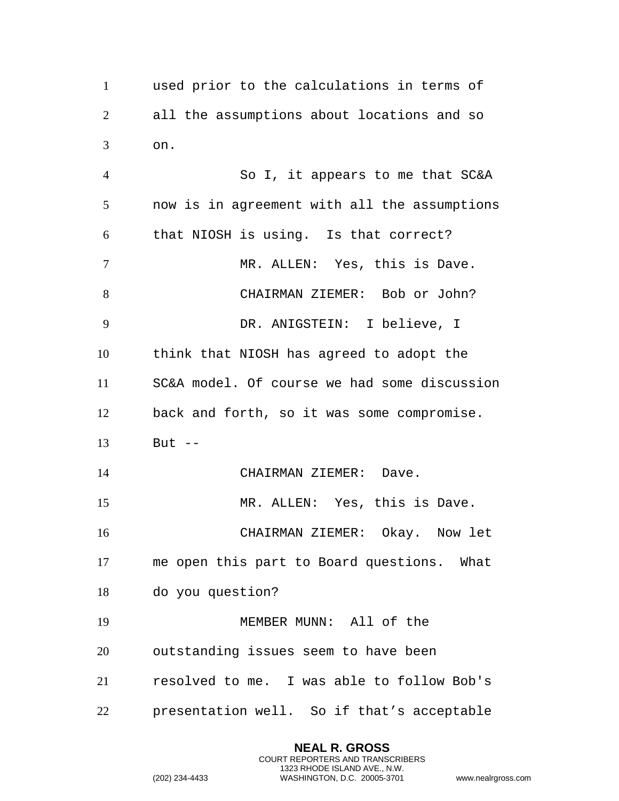used prior to the calculations in terms of all the assumptions about locations and so on.

 So I, it appears to me that SC&A now is in agreement with all the assumptions that NIOSH is using. Is that correct? 7 MR. ALLEN: Yes, this is Dave. CHAIRMAN ZIEMER: Bob or John? DR. ANIGSTEIN: I believe, I think that NIOSH has agreed to adopt the SC&A model. Of course we had some discussion back and forth, so it was some compromise. But -- CHAIRMAN ZIEMER: Dave. MR. ALLEN: Yes, this is Dave. CHAIRMAN ZIEMER: Okay. Now let me open this part to Board questions. What do you question? MEMBER MUNN: All of the outstanding issues seem to have been resolved to me. I was able to follow Bob's presentation well. So if that's acceptable

> **NEAL R. GROSS** COURT REPORTERS AND TRANSCRIBERS 1323 RHODE ISLAND AVE., N.W.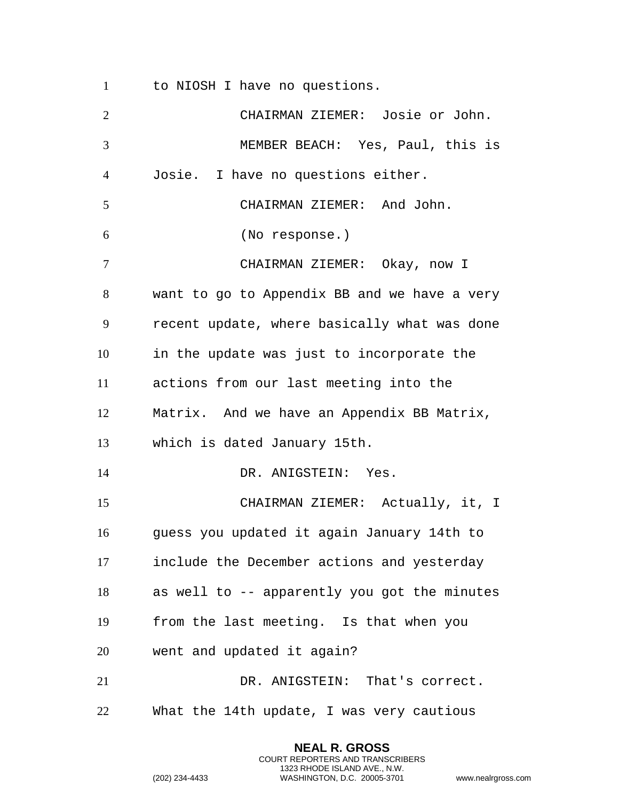to NIOSH I have no questions.

 CHAIRMAN ZIEMER: Josie or John. MEMBER BEACH: Yes, Paul, this is Josie. I have no questions either. CHAIRMAN ZIEMER: And John. (No response.) CHAIRMAN ZIEMER: Okay, now I want to go to Appendix BB and we have a very recent update, where basically what was done in the update was just to incorporate the actions from our last meeting into the Matrix. And we have an Appendix BB Matrix, which is dated January 15th. DR. ANIGSTEIN: Yes. CHAIRMAN ZIEMER: Actually, it, I guess you updated it again January 14th to include the December actions and yesterday as well to -- apparently you got the minutes from the last meeting. Is that when you went and updated it again? DR. ANIGSTEIN: That's correct. What the 14th update, I was very cautious

> **NEAL R. GROSS** COURT REPORTERS AND TRANSCRIBERS 1323 RHODE ISLAND AVE., N.W.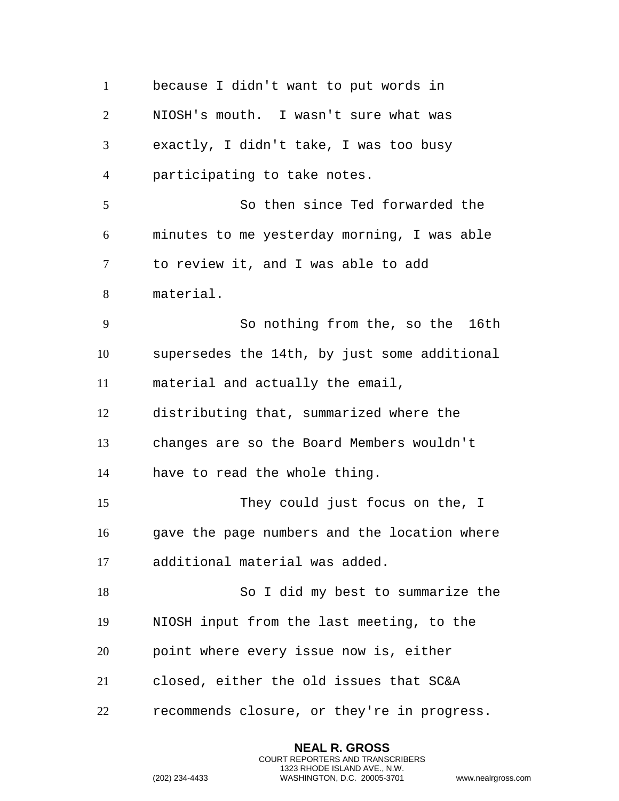because I didn't want to put words in NIOSH's mouth. I wasn't sure what was exactly, I didn't take, I was too busy participating to take notes. So then since Ted forwarded the minutes to me yesterday morning, I was able to review it, and I was able to add material. So nothing from the, so the 16th supersedes the 14th, by just some additional material and actually the email, distributing that, summarized where the changes are so the Board Members wouldn't have to read the whole thing. They could just focus on the, I gave the page numbers and the location where additional material was added. So I did my best to summarize the NIOSH input from the last meeting, to the point where every issue now is, either closed, either the old issues that SC&A recommends closure, or they're in progress.

> **NEAL R. GROSS** COURT REPORTERS AND TRANSCRIBERS 1323 RHODE ISLAND AVE., N.W.

```
(202) 234-4433 WASHINGTON, D.C. 20005-3701 www.nealrgross.com
```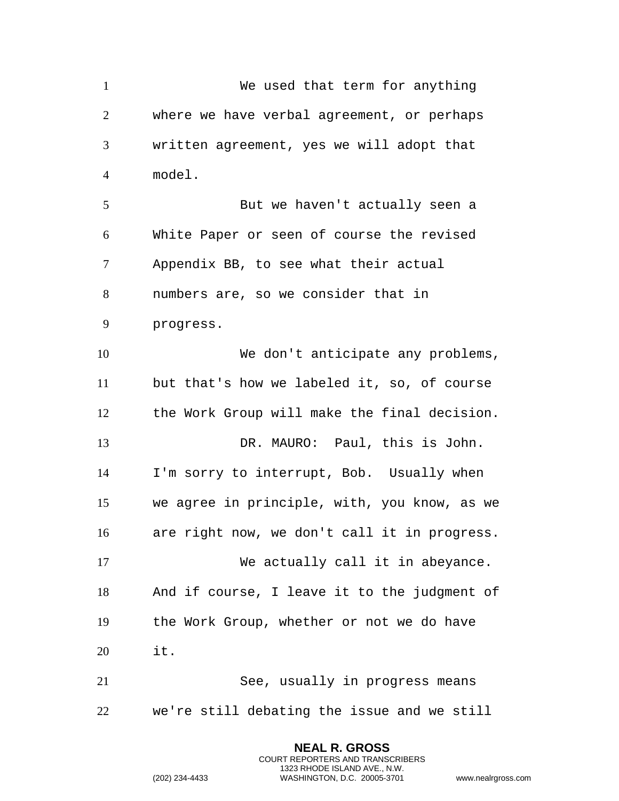We used that term for anything where we have verbal agreement, or perhaps written agreement, yes we will adopt that model. But we haven't actually seen a White Paper or seen of course the revised Appendix BB, to see what their actual numbers are, so we consider that in progress. 10 We don't anticipate any problems, but that's how we labeled it, so, of course the Work Group will make the final decision. DR. MAURO: Paul, this is John. I'm sorry to interrupt, Bob. Usually when we agree in principle, with, you know, as we are right now, we don't call it in progress. We actually call it in abeyance. And if course, I leave it to the judgment of the Work Group, whether or not we do have it. See, usually in progress means we're still debating the issue and we still

> **NEAL R. GROSS** COURT REPORTERS AND TRANSCRIBERS 1323 RHODE ISLAND AVE., N.W.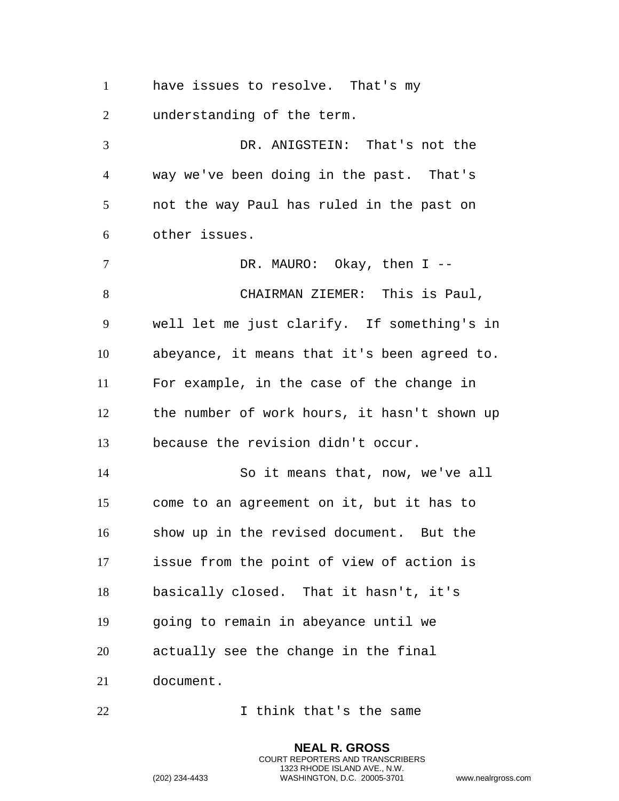have issues to resolve. That's my

understanding of the term.

 DR. ANIGSTEIN: That's not the way we've been doing in the past. That's not the way Paul has ruled in the past on other issues.

7 DR. MAURO: Okay, then I -- CHAIRMAN ZIEMER: This is Paul, well let me just clarify. If something's in abeyance, it means that it's been agreed to. For example, in the case of the change in the number of work hours, it hasn't shown up because the revision didn't occur. So it means that, now, we've all come to an agreement on it, but it has to show up in the revised document. But the issue from the point of view of action is basically closed. That it hasn't, it's going to remain in abeyance until we

actually see the change in the final

document.

I think that's the same

**NEAL R. GROSS** COURT REPORTERS AND TRANSCRIBERS 1323 RHODE ISLAND AVE., N.W. (202) 234-4433 WASHINGTON, D.C. 20005-3701 www.nealrgross.com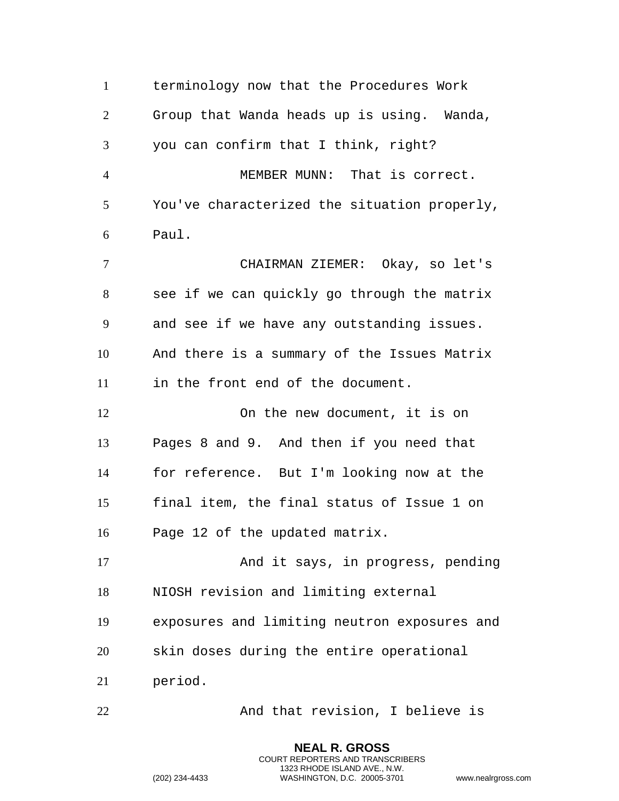terminology now that the Procedures Work Group that Wanda heads up is using. Wanda, you can confirm that I think, right? MEMBER MUNN: That is correct. You've characterized the situation properly, Paul. CHAIRMAN ZIEMER: Okay, so let's see if we can quickly go through the matrix and see if we have any outstanding issues. And there is a summary of the Issues Matrix in the front end of the document. On the new document, it is on Pages 8 and 9. And then if you need that for reference. But I'm looking now at the final item, the final status of Issue 1 on Page 12 of the updated matrix. 17 And it says, in progress, pending NIOSH revision and limiting external exposures and limiting neutron exposures and skin doses during the entire operational period. And that revision, I believe is

> **NEAL R. GROSS** COURT REPORTERS AND TRANSCRIBERS 1323 RHODE ISLAND AVE., N.W.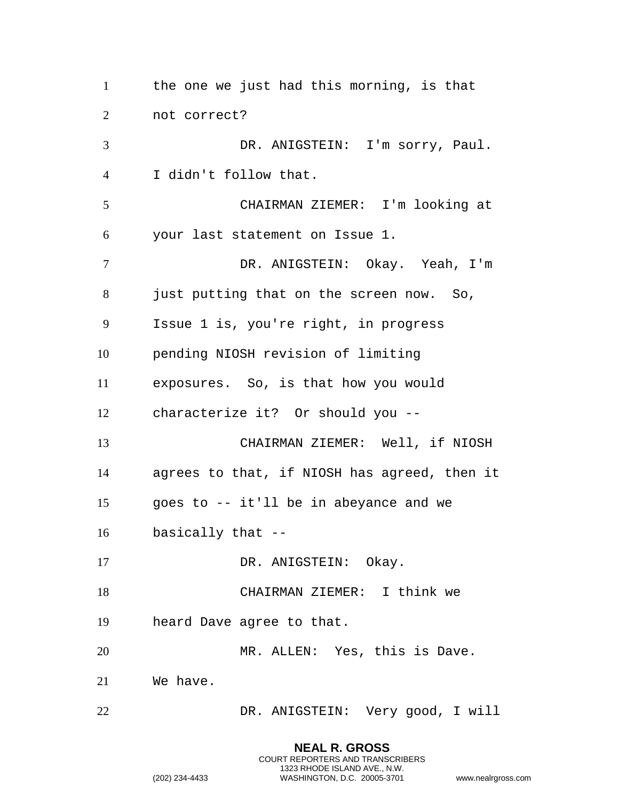the one we just had this morning, is that not correct? DR. ANIGSTEIN: I'm sorry, Paul. I didn't follow that. CHAIRMAN ZIEMER: I'm looking at your last statement on Issue 1. DR. ANIGSTEIN: Okay. Yeah, I'm 8 just putting that on the screen now. So, Issue 1 is, you're right, in progress pending NIOSH revision of limiting exposures. So, is that how you would characterize it? Or should you -- CHAIRMAN ZIEMER: Well, if NIOSH agrees to that, if NIOSH has agreed, then it goes to -- it'll be in abeyance and we basically that -- 17 DR. ANIGSTEIN: Okay. CHAIRMAN ZIEMER: I think we heard Dave agree to that. MR. ALLEN: Yes, this is Dave. We have. DR. ANIGSTEIN: Very good, I will

> **NEAL R. GROSS** COURT REPORTERS AND TRANSCRIBERS 1323 RHODE ISLAND AVE., N.W.

```
(202) 234-4433 WASHINGTON, D.C. 20005-3701 www.nealrgross.com
```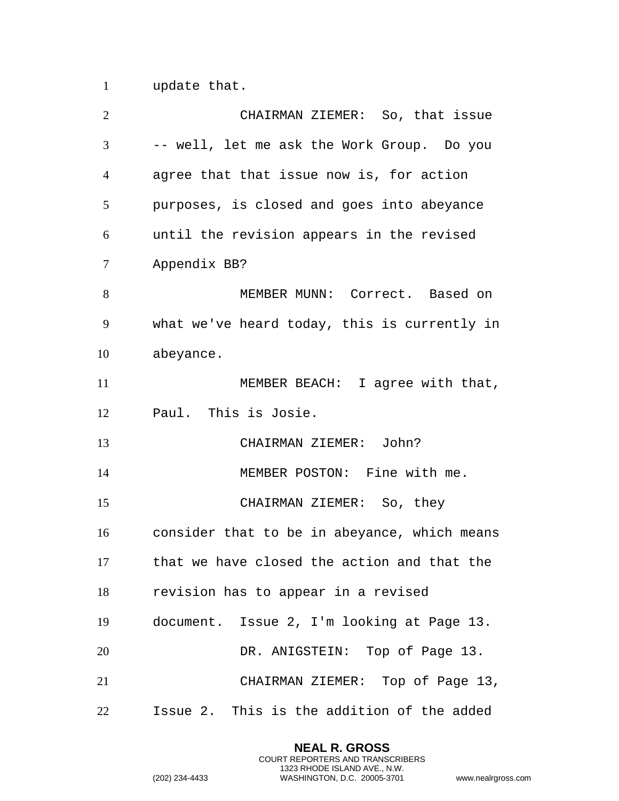update that.

| $\overline{2}$ | CHAIRMAN ZIEMER: So, that issue              |
|----------------|----------------------------------------------|
| 3              | -- well, let me ask the Work Group. Do you   |
| 4              | agree that that issue now is, for action     |
| 5              | purposes, is closed and goes into abeyance   |
| 6              | until the revision appears in the revised    |
| 7              | Appendix BB?                                 |
| 8              | MEMBER MUNN: Correct. Based on               |
| 9              | what we've heard today, this is currently in |
| 10             | abeyance.                                    |
| 11             | MEMBER BEACH: I agree with that,             |
| 12             | Paul. This is Josie.                         |
| 13             | CHAIRMAN ZIEMER: John?                       |
| 14             | MEMBER POSTON: Fine with me.                 |
| 15             | CHAIRMAN ZIEMER: So, they                    |
| 16             | consider that to be in abeyance, which means |
| 17             | that we have closed the action and that the  |
| 18             | revision has to appear in a revised          |
| 19             | document. Issue 2, I'm looking at Page 13.   |
| 20             | DR. ANIGSTEIN: Top of Page 13.               |
| 21             | CHAIRMAN ZIEMER: Top of Page 13,             |
| 22             | Issue 2. This is the addition of the added   |

**NEAL R. GROSS** COURT REPORTERS AND TRANSCRIBERS 1323 RHODE ISLAND AVE., N.W.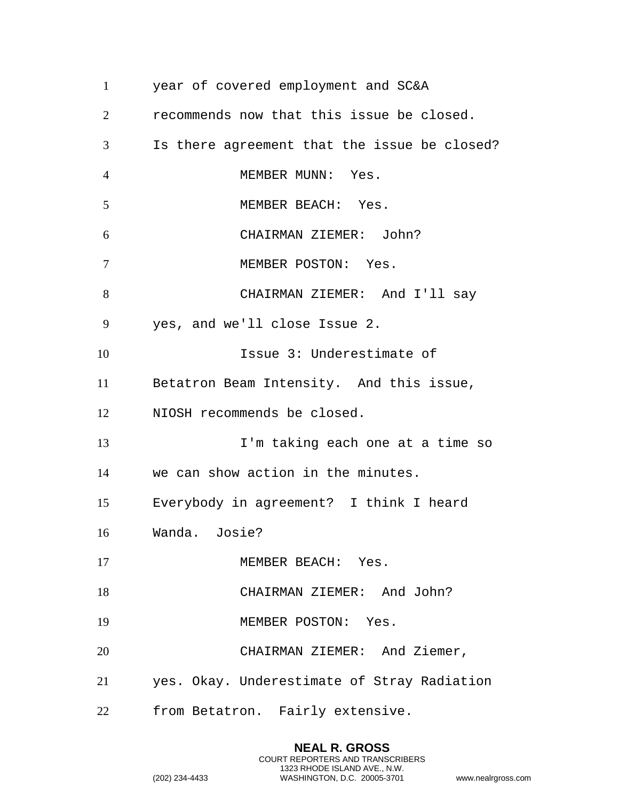| $\mathbf{1}$   | year of covered employment and SC&A          |
|----------------|----------------------------------------------|
| $\overline{2}$ | recommends now that this issue be closed.    |
| 3              | Is there agreement that the issue be closed? |
| $\overline{4}$ | MEMBER MUNN: Yes.                            |
| 5              | MEMBER BEACH: Yes.                           |
| 6              | CHAIRMAN ZIEMER: John?                       |
| $\overline{7}$ | MEMBER POSTON: Yes.                          |
| 8              | CHAIRMAN ZIEMER: And I'll say                |
| 9              | yes, and we'll close Issue 2.                |
| 10             | Issue 3: Underestimate of                    |
| 11             | Betatron Beam Intensity. And this issue,     |
| 12             | NIOSH recommends be closed.                  |
| 13             | I'm taking each one at a time so             |
| 14             | we can show action in the minutes.           |
| 15             | Everybody in agreement? I think I heard      |
| 16             | Wanda. Josie?                                |
| 17             | MEMBER BEACH: Yes.                           |
| 18             | CHAIRMAN ZIEMER: And John?                   |
| 19             | MEMBER POSTON: Yes.                          |
| 20             | CHAIRMAN ZIEMER: And Ziemer,                 |
| 21             | yes. Okay. Underestimate of Stray Radiation  |
| 22             | from Betatron. Fairly extensive.             |

**NEAL R. GROSS** COURT REPORTERS AND TRANSCRIBERS 1323 RHODE ISLAND AVE., N.W.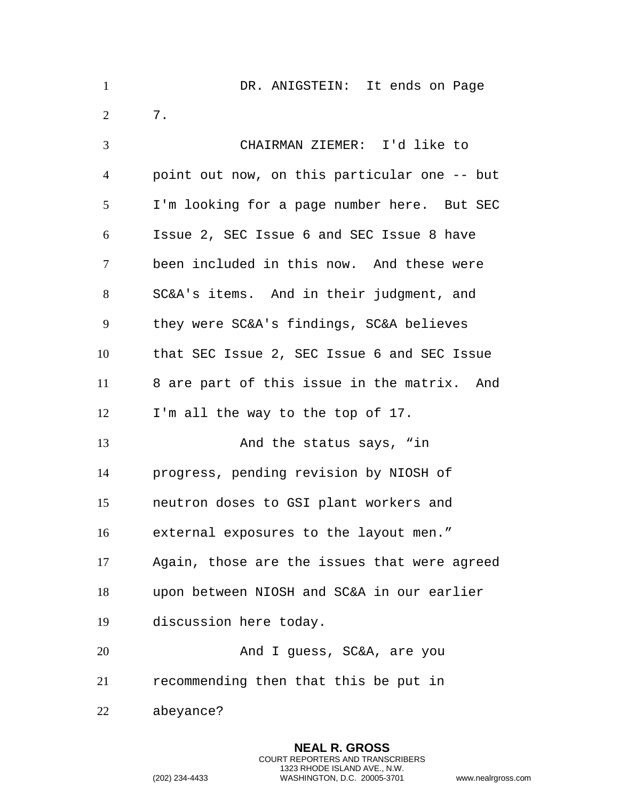| $\mathbf{1}$   | DR. ANIGSTEIN: It ends on Page               |
|----------------|----------------------------------------------|
| $\overline{2}$ | $7$ .                                        |
| 3              | CHAIRMAN ZIEMER: I'd like to                 |
| $\overline{4}$ | point out now, on this particular one -- but |
| 5              | I'm looking for a page number here. But SEC  |
| 6              | Issue 2, SEC Issue 6 and SEC Issue 8 have    |
| 7              | been included in this now. And these were    |
| 8              | SC&A's items. And in their judgment, and     |
| 9              | they were SC&A's findings, SC&A believes     |
| 10             | that SEC Issue 2, SEC Issue 6 and SEC Issue  |
| 11             | 8 are part of this issue in the matrix. And  |
| 12             | I'm all the way to the top of 17.            |
| 13             | And the status says, "in                     |
| 14             | progress, pending revision by NIOSH of       |
| 15             | neutron doses to GSI plant workers and       |
| 16             | external exposures to the layout men."       |
| 17             | Again, those are the issues that were agreed |
| 18             | upon between NIOSH and SC&A in our earlier   |
| 19             | discussion here today.                       |
| 20             | And I guess, SC&A, are you                   |
| 21             | recommending then that this be put in        |
| 22             | abeyance?                                    |

**NEAL R. GROSS** COURT REPORTERS AND TRANSCRIBERS 1323 RHODE ISLAND AVE., N.W.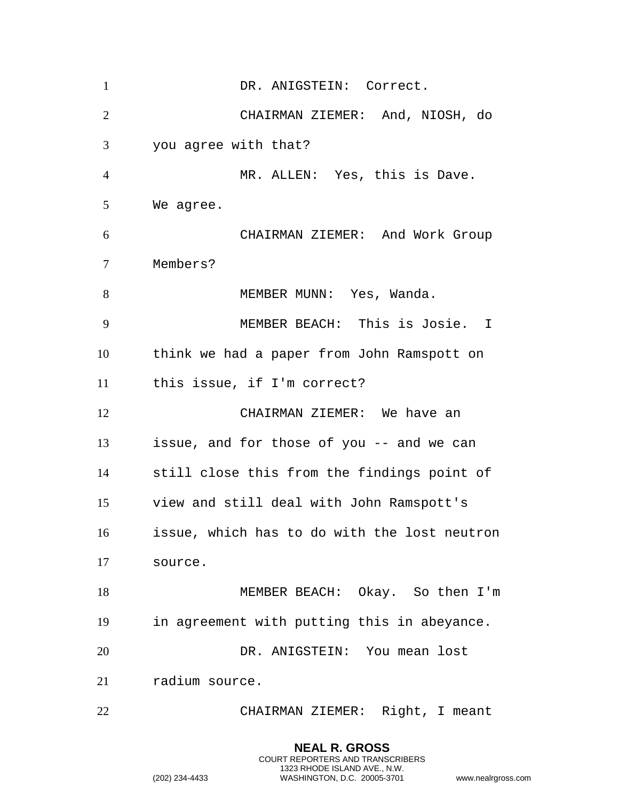1 DR. ANIGSTEIN: Correct. CHAIRMAN ZIEMER: And, NIOSH, do you agree with that? MR. ALLEN: Yes, this is Dave. We agree. CHAIRMAN ZIEMER: And Work Group Members? 8 MEMBER MUNN: Yes, Wanda. MEMBER BEACH: This is Josie. I think we had a paper from John Ramspott on this issue, if I'm correct? CHAIRMAN ZIEMER: We have an issue, and for those of you -- and we can still close this from the findings point of view and still deal with John Ramspott's issue, which has to do with the lost neutron source. MEMBER BEACH: Okay. So then I'm in agreement with putting this in abeyance. DR. ANIGSTEIN: You mean lost radium source. CHAIRMAN ZIEMER: Right, I meant

> **NEAL R. GROSS** COURT REPORTERS AND TRANSCRIBERS 1323 RHODE ISLAND AVE., N.W.

```
(202) 234-4433 WASHINGTON, D.C. 20005-3701 www.nealrgross.com
```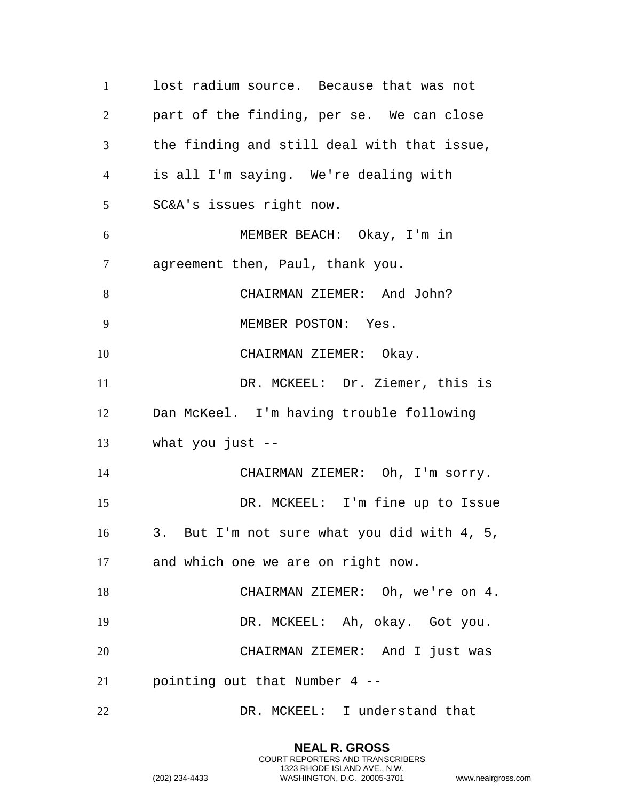lost radium source. Because that was not part of the finding, per se. We can close the finding and still deal with that issue, is all I'm saying. We're dealing with SC&A's issues right now. MEMBER BEACH: Okay, I'm in agreement then, Paul, thank you. CHAIRMAN ZIEMER: And John? MEMBER POSTON: Yes. CHAIRMAN ZIEMER: Okay. DR. MCKEEL: Dr. Ziemer, this is Dan McKeel. I'm having trouble following what you just -- CHAIRMAN ZIEMER: Oh, I'm sorry. DR. MCKEEL: I'm fine up to Issue 3. But I'm not sure what you did with 4, 5, and which one we are on right now. CHAIRMAN ZIEMER: Oh, we're on 4. DR. MCKEEL: Ah, okay. Got you. CHAIRMAN ZIEMER: And I just was pointing out that Number 4 -- DR. MCKEEL: I understand that

> **NEAL R. GROSS** COURT REPORTERS AND TRANSCRIBERS 1323 RHODE ISLAND AVE., N.W.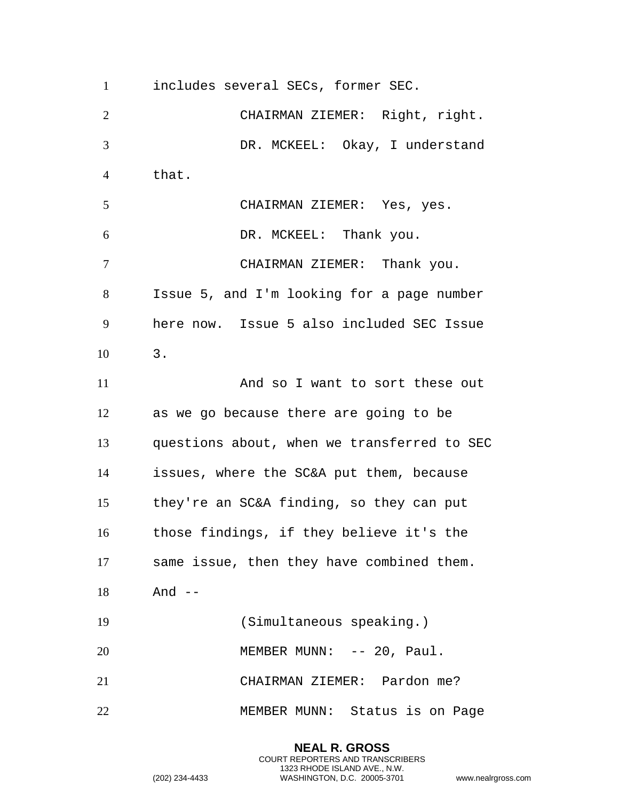includes several SECs, former SEC. CHAIRMAN ZIEMER: Right, right. DR. MCKEEL: Okay, I understand that. CHAIRMAN ZIEMER: Yes, yes. DR. MCKEEL: Thank you. CHAIRMAN ZIEMER: Thank you. Issue 5, and I'm looking for a page number here now. Issue 5 also included SEC Issue 3. And so I want to sort these out as we go because there are going to be questions about, when we transferred to SEC issues, where the SC&A put them, because they're an SC&A finding, so they can put those findings, if they believe it's the same issue, then they have combined them. And -- (Simultaneous speaking.) 20 MEMBER MUNN: -- 20, Paul. CHAIRMAN ZIEMER: Pardon me? MEMBER MUNN: Status is on Page

> **NEAL R. GROSS** COURT REPORTERS AND TRANSCRIBERS 1323 RHODE ISLAND AVE., N.W. (202) 234-4433 WASHINGTON, D.C. 20005-3701 www.nealrgross.com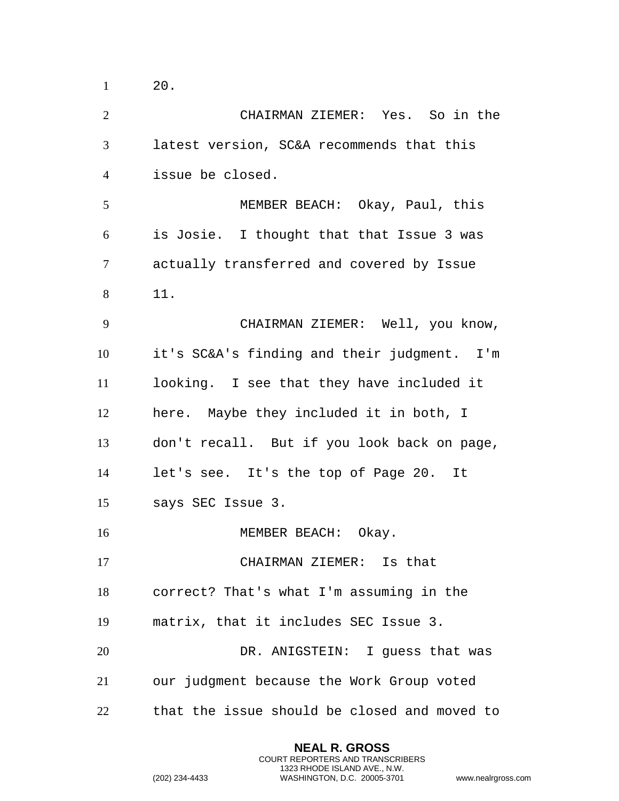| $\overline{2}$ | CHAIRMAN ZIEMER: Yes. So in the              |
|----------------|----------------------------------------------|
| 3              | latest version, SC&A recommends that this    |
| $\overline{4}$ | issue be closed.                             |
| 5              | MEMBER BEACH: Okay, Paul, this               |
| 6              | is Josie. I thought that that Issue 3 was    |
| $\tau$         | actually transferred and covered by Issue    |
| 8              | 11.                                          |
| 9              | CHAIRMAN ZIEMER: Well, you know,             |
| 10             | it's SC&A's finding and their judgment. I'm  |
| 11             | looking. I see that they have included it    |
| 12             | here. Maybe they included it in both, I      |
| 13             | don't recall. But if you look back on page,  |
| 14             | let's see. It's the top of Page 20. It       |
| 15             | says SEC Issue 3.                            |
| 16             | MEMBER BEACH: Okay.                          |
| 17             | CHAIRMAN ZIEMER: Is that                     |
| 18             | correct? That's what I'm assuming in the     |
| 19             | matrix, that it includes SEC Issue 3.        |
| 20             | DR. ANIGSTEIN: I guess that was              |
| 21             | our judgment because the Work Group voted    |
| 22             | that the issue should be closed and moved to |

**NEAL R. GROSS** COURT REPORTERS AND TRANSCRIBERS 1323 RHODE ISLAND AVE., N.W.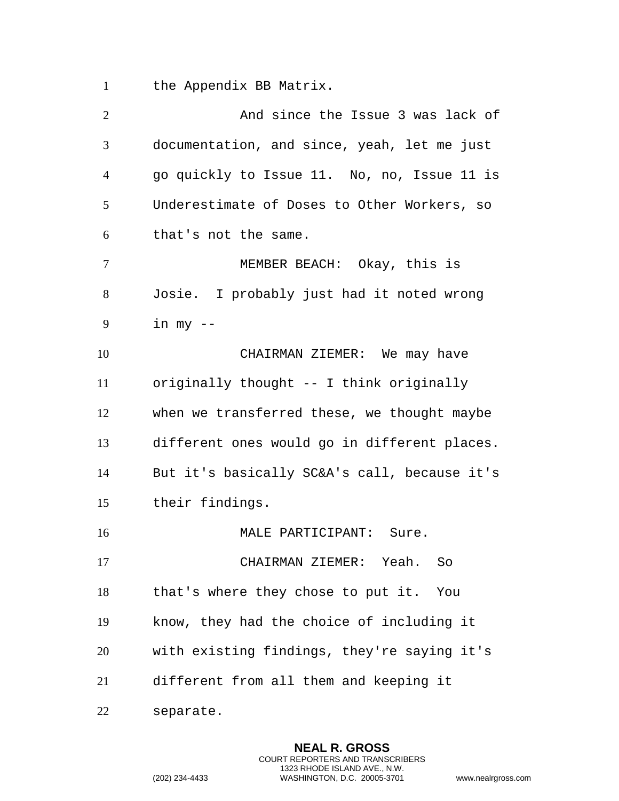the Appendix BB Matrix.

| $\mathbf{2}$ | And since the Issue 3 was lack of            |
|--------------|----------------------------------------------|
| 3            | documentation, and since, yeah, let me just  |
| 4            | go quickly to Issue 11. No, no, Issue 11 is  |
| 5            | Underestimate of Doses to Other Workers, so  |
| 6            | that's not the same.                         |
| 7            | MEMBER BEACH: Okay, this is                  |
| 8            | Josie. I probably just had it noted wrong    |
| 9            | in $my - -$                                  |
| 10           | CHAIRMAN ZIEMER: We may have                 |
| 11           | originally thought -- I think originally     |
| 12           | when we transferred these, we thought maybe  |
| 13           | different ones would go in different places. |
| 14           | But it's basically SC&A's call, because it's |
| 15           | their findings.                              |
| 16           | MALE PARTICIPANT: Sure.                      |
| 17           | CHAIRMAN ZIEMER: Yeah.<br>So                 |
| 18           | that's where they chose to put it. You       |
| 19           | know, they had the choice of including it    |
| 20           | with existing findings, they're saying it's  |
| 21           | different from all them and keeping it       |
| 22           | separate.                                    |

**NEAL R. GROSS** COURT REPORTERS AND TRANSCRIBERS 1323 RHODE ISLAND AVE., N.W.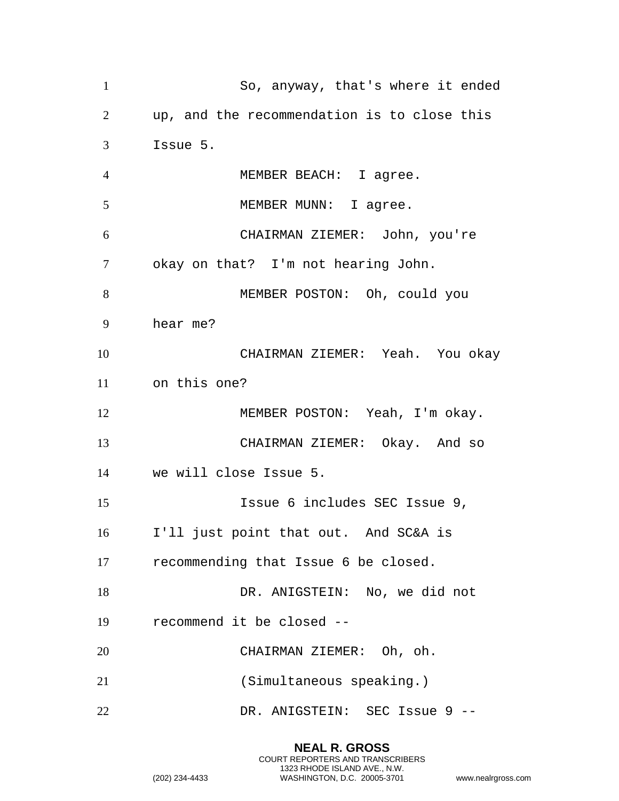So, anyway, that's where it ended up, and the recommendation is to close this Issue 5. MEMBER BEACH: I agree. 5 MEMBER MUNN: I agree. CHAIRMAN ZIEMER: John, you're okay on that? I'm not hearing John. MEMBER POSTON: Oh, could you hear me? CHAIRMAN ZIEMER: Yeah. You okay on this one? MEMBER POSTON: Yeah, I'm okay. CHAIRMAN ZIEMER: Okay. And so we will close Issue 5. Issue 6 includes SEC Issue 9, I'll just point that out. And SC&A is recommending that Issue 6 be closed. 18 DR. ANIGSTEIN: No, we did not recommend it be closed -- CHAIRMAN ZIEMER: Oh, oh. (Simultaneous speaking.) DR. ANIGSTEIN: SEC Issue 9 --

> **NEAL R. GROSS** COURT REPORTERS AND TRANSCRIBERS 1323 RHODE ISLAND AVE., N.W.

```
(202) 234-4433 WASHINGTON, D.C. 20005-3701 www.nealrgross.com
```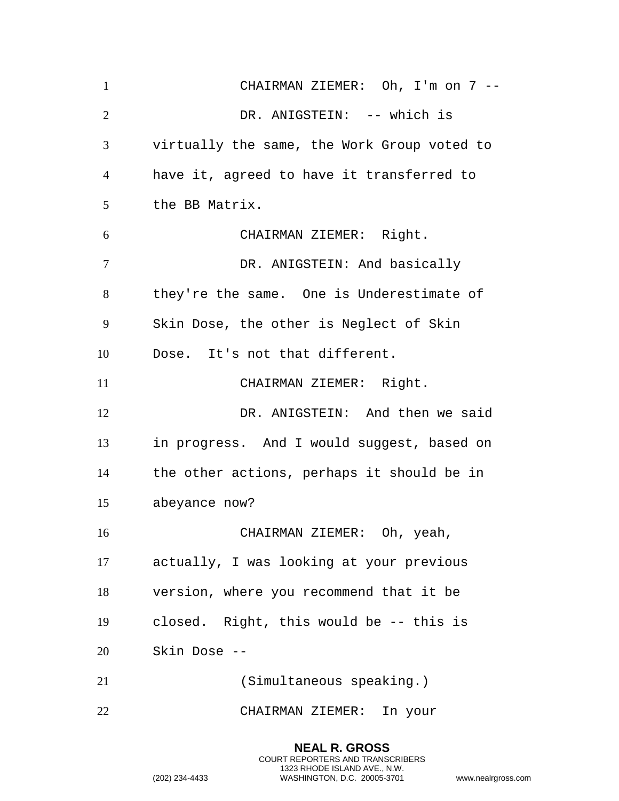CHAIRMAN ZIEMER: Oh, I'm on 7 -- DR. ANIGSTEIN: -- which is virtually the same, the Work Group voted to have it, agreed to have it transferred to the BB Matrix. CHAIRMAN ZIEMER: Right. DR. ANIGSTEIN: And basically they're the same. One is Underestimate of Skin Dose, the other is Neglect of Skin Dose. It's not that different. 11 CHAIRMAN ZIEMER: Right. DR. ANIGSTEIN: And then we said in progress. And I would suggest, based on the other actions, perhaps it should be in abeyance now? CHAIRMAN ZIEMER: Oh, yeah, actually, I was looking at your previous version, where you recommend that it be closed. Right, this would be -- this is Skin Dose -- (Simultaneous speaking.) CHAIRMAN ZIEMER: In your

> **NEAL R. GROSS** COURT REPORTERS AND TRANSCRIBERS 1323 RHODE ISLAND AVE., N.W.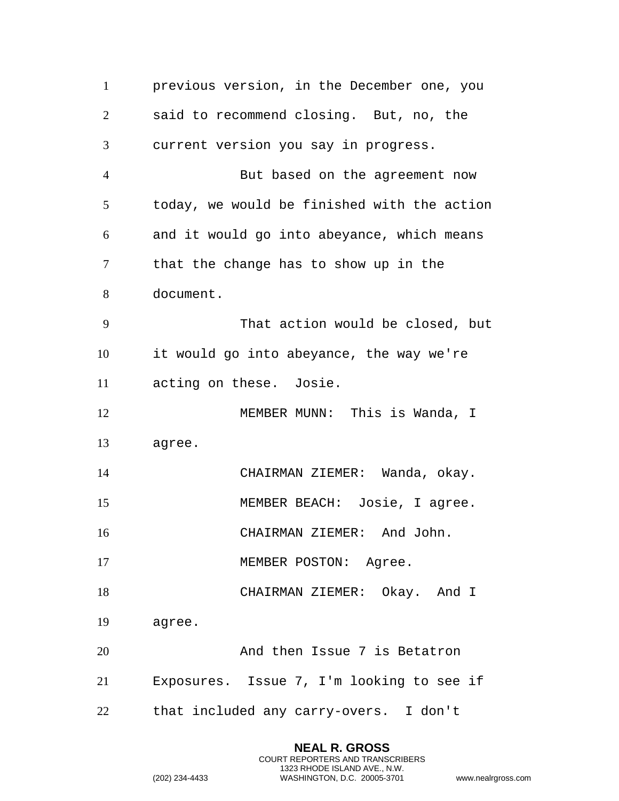| $\mathbf{1}$   | previous version, in the December one, you  |
|----------------|---------------------------------------------|
| $\overline{2}$ | said to recommend closing. But, no, the     |
| 3              | current version you say in progress.        |
| $\overline{4}$ | But based on the agreement now              |
| 5              | today, we would be finished with the action |
| 6              | and it would go into abeyance, which means  |
| $\tau$         | that the change has to show up in the       |
| 8              | document.                                   |
| 9              | That action would be closed, but            |
| 10             | it would go into abeyance, the way we're    |
| 11             | acting on these. Josie.                     |
| 12             | MEMBER MUNN: This is Wanda, I               |
| 13             | agree.                                      |
| 14             | CHAIRMAN ZIEMER: Wanda, okay.               |
| 15             | MEMBER BEACH: Josie, I agree.               |
| 16             | CHAIRMAN ZIEMER: And John.                  |
| 17             | MEMBER POSTON: Agree.                       |
| 18             | CHAIRMAN ZIEMER: Okay. And I                |
| 19             | agree.                                      |
| 20             | And then Issue 7 is Betatron                |
| 21             | Exposures. Issue 7, I'm looking to see if   |
| 22             | that included any carry-overs. I don't      |

**NEAL R. GROSS** COURT REPORTERS AND TRANSCRIBERS 1323 RHODE ISLAND AVE., N.W.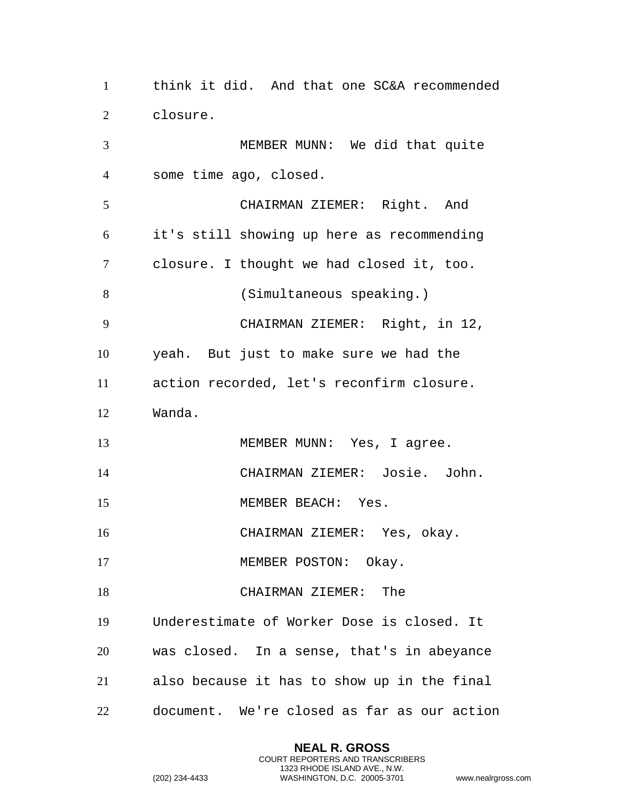think it did. And that one SC&A recommended closure. MEMBER MUNN: We did that quite some time ago, closed. CHAIRMAN ZIEMER: Right. And it's still showing up here as recommending closure. I thought we had closed it, too. (Simultaneous speaking.) CHAIRMAN ZIEMER: Right, in 12, yeah. But just to make sure we had the action recorded, let's reconfirm closure. Wanda. 13 MEMBER MUNN: Yes, I agree. CHAIRMAN ZIEMER: Josie. John. 15 MEMBER BEACH: Yes. CHAIRMAN ZIEMER: Yes, okay. 17 MEMBER POSTON: Okay. CHAIRMAN ZIEMER: The Underestimate of Worker Dose is closed. It was closed. In a sense, that's in abeyance also because it has to show up in the final document. We're closed as far as our action

> **NEAL R. GROSS** COURT REPORTERS AND TRANSCRIBERS 1323 RHODE ISLAND AVE., N.W.

```
(202) 234-4433 WASHINGTON, D.C. 20005-3701 www.nealrgross.com
```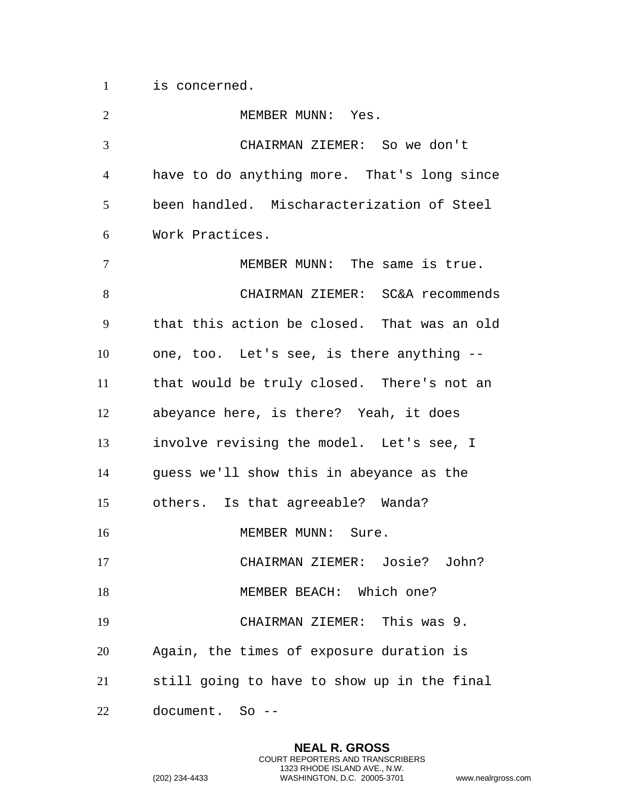is concerned.

2 MEMBER MUNN: Yes. CHAIRMAN ZIEMER: So we don't have to do anything more. That's long since been handled. Mischaracterization of Steel Work Practices. MEMBER MUNN: The same is true. CHAIRMAN ZIEMER: SC&A recommends that this action be closed. That was an old one, too. Let's see, is there anything -- that would be truly closed. There's not an abeyance here, is there? Yeah, it does involve revising the model. Let's see, I guess we'll show this in abeyance as the others. Is that agreeable? Wanda? 16 MEMBER MUNN: Sure. CHAIRMAN ZIEMER: Josie? John? 18 MEMBER BEACH: Which one? CHAIRMAN ZIEMER: This was 9. Again, the times of exposure duration is still going to have to show up in the final document. So --

> **NEAL R. GROSS** COURT REPORTERS AND TRANSCRIBERS 1323 RHODE ISLAND AVE., N.W.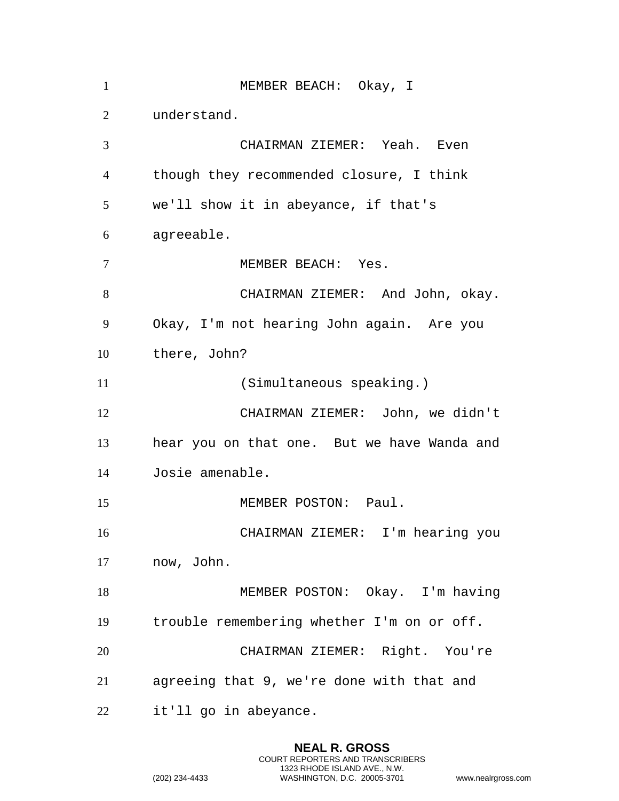| $\mathbf{1}$   | MEMBER BEACH: Okay, I                       |
|----------------|---------------------------------------------|
| 2              | understand.                                 |
| $\overline{3}$ | CHAIRMAN ZIEMER: Yeah. Even                 |
| $\overline{4}$ | though they recommended closure, I think    |
| 5              | we'll show it in abeyance, if that's        |
| 6              | agreeable.                                  |
| $\overline{7}$ | MEMBER BEACH: Yes.                          |
| 8              | CHAIRMAN ZIEMER: And John, okay.            |
| 9              | Okay, I'm not hearing John again. Are you   |
| 10             | there, John?                                |
| 11             | (Simultaneous speaking.)                    |
| 12             | CHAIRMAN ZIEMER: John, we didn't            |
| 13             | hear you on that one. But we have Wanda and |
| 14             | Josie amenable.                             |
| 15             | MEMBER POSTON: Paul.                        |
| 16             | CHAIRMAN ZIEMER: I'm hearing you            |
| 17             | now, John.                                  |
| 18             | MEMBER POSTON: Okay. I'm having             |
| 19             | trouble remembering whether I'm on or off.  |
| 20             | CHAIRMAN ZIEMER: Right. You're              |
| 21             | agreeing that 9, we're done with that and   |
| 22             | it'll go in abeyance.                       |

**NEAL R. GROSS** COURT REPORTERS AND TRANSCRIBERS 1323 RHODE ISLAND AVE., N.W.

```
(202) 234-4433 WASHINGTON, D.C. 20005-3701 www.nealrgross.com
```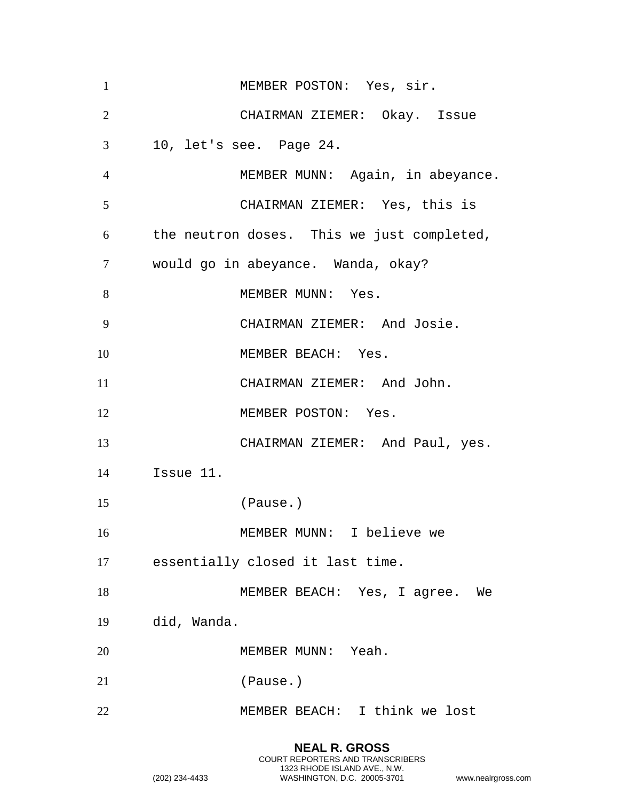| CHAIRMAN ZIEMER: Okay. Issue<br>10, let's see. Page 24. |
|---------------------------------------------------------|
|                                                         |
|                                                         |
| MEMBER MUNN: Again, in abeyance.                        |
| CHAIRMAN ZIEMER: Yes, this is                           |
| the neutron doses. This we just completed,              |
| would go in abeyance. Wanda, okay?                      |
| MEMBER MUNN: Yes.                                       |
| CHAIRMAN ZIEMER: And Josie.                             |
| MEMBER BEACH: Yes.                                      |
| CHAIRMAN ZIEMER: And John.                              |
| MEMBER POSTON: Yes.                                     |
| CHAIRMAN ZIEMER: And Paul, yes.                         |
| Issue 11.                                               |
| (Pause.)                                                |
| MEMBER MUNN: I believe we                               |
| essentially closed it last time.                        |
| MEMBER BEACH: Yes, I agree. We                          |
| did, Wanda.                                             |
| MEMBER MUNN: Yeah.                                      |
| (Pause.)                                                |
| MEMBER BEACH: I think we lost                           |
|                                                         |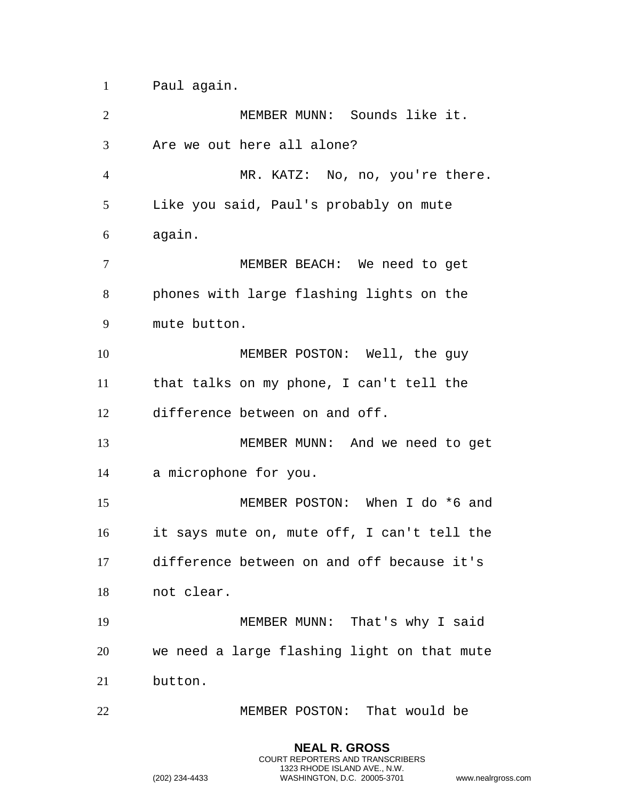Paul again.

| $\overline{2}$ | MEMBER MUNN: Sounds like it.                |
|----------------|---------------------------------------------|
| 3              | Are we out here all alone?                  |
| $\overline{4}$ | MR. KATZ: No, no, you're there.             |
| 5              | Like you said, Paul's probably on mute      |
| 6              | again.                                      |
| $\tau$         | MEMBER BEACH: We need to get                |
| 8              | phones with large flashing lights on the    |
| 9              | mute button.                                |
| 10             | MEMBER POSTON: Well, the guy                |
| 11             | that talks on my phone, I can't tell the    |
| 12             | difference between on and off.              |
| 13             | MEMBER MUNN: And we need to get             |
| 14             | a microphone for you.                       |
| 15             | MEMBER POSTON: When I do *6 and             |
| 16             | it says mute on, mute off, I can't tell the |
| 17             | difference between on and off because it's  |
| 18             | not clear.                                  |
| 19             | MEMBER MUNN: That's why I said              |
| 20             | we need a large flashing light on that mute |
| 21             | button.                                     |
| 22             | MEMBER POSTON: That would be                |

**NEAL R. GROSS** COURT REPORTERS AND TRANSCRIBERS 1323 RHODE ISLAND AVE., N.W.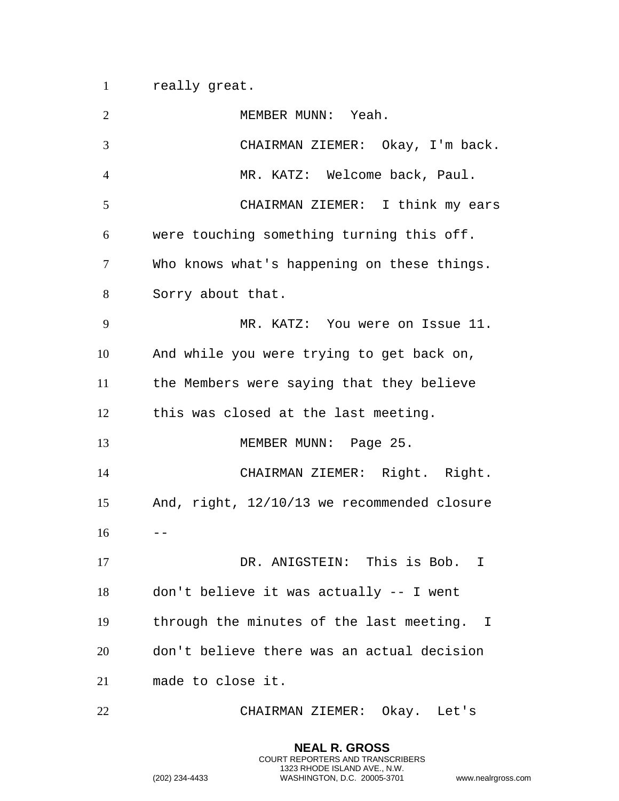really great.

| $\overline{2}$ | MEMBER MUNN: Yeah.                          |
|----------------|---------------------------------------------|
| 3              | CHAIRMAN ZIEMER: Okay, I'm back.            |
| $\overline{4}$ | MR. KATZ: Welcome back, Paul.               |
| 5              | CHAIRMAN ZIEMER: I think my ears            |
| 6              | were touching something turning this off.   |
| 7              | Who knows what's happening on these things. |
| 8              | Sorry about that.                           |
| 9              | MR. KATZ: You were on Issue 11.             |
| 10             | And while you were trying to get back on,   |
| 11             | the Members were saying that they believe   |
| 12             | this was closed at the last meeting.        |
| 13             | MEMBER MUNN: Page 25.                       |
| 14             | CHAIRMAN ZIEMER: Right. Right.              |
| 15             | And, right, 12/10/13 we recommended closure |
| 16             |                                             |
| 17             | DR. ANIGSTEIN: This is Bob.                 |
| 18             | don't believe it was actually -- I went     |
| 19             | through the minutes of the last meeting. I  |
| 20             | don't believe there was an actual decision  |
| 21             | made to close it.                           |
| 22             | CHAIRMAN ZIEMER: Okay. Let's                |

**NEAL R. GROSS** COURT REPORTERS AND TRANSCRIBERS 1323 RHODE ISLAND AVE., N.W.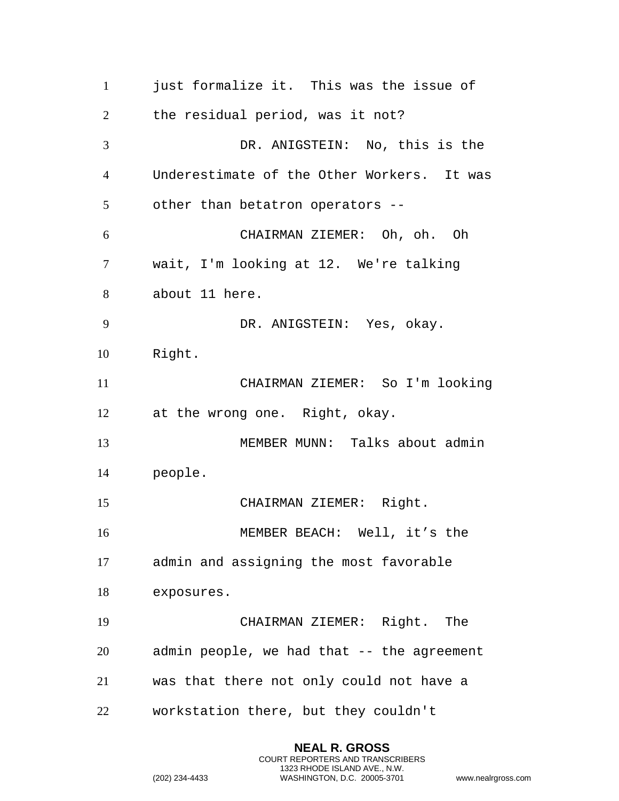just formalize it. This was the issue of the residual period, was it not? DR. ANIGSTEIN: No, this is the Underestimate of the Other Workers. It was other than betatron operators -- CHAIRMAN ZIEMER: Oh, oh. Oh wait, I'm looking at 12. We're talking about 11 here. DR. ANIGSTEIN: Yes, okay. Right. CHAIRMAN ZIEMER: So I'm looking at the wrong one. Right, okay. MEMBER MUNN: Talks about admin people. CHAIRMAN ZIEMER: Right. MEMBER BEACH: Well, it's the admin and assigning the most favorable exposures. CHAIRMAN ZIEMER: Right. The admin people, we had that -- the agreement was that there not only could not have a workstation there, but they couldn't

> **NEAL R. GROSS** COURT REPORTERS AND TRANSCRIBERS 1323 RHODE ISLAND AVE., N.W.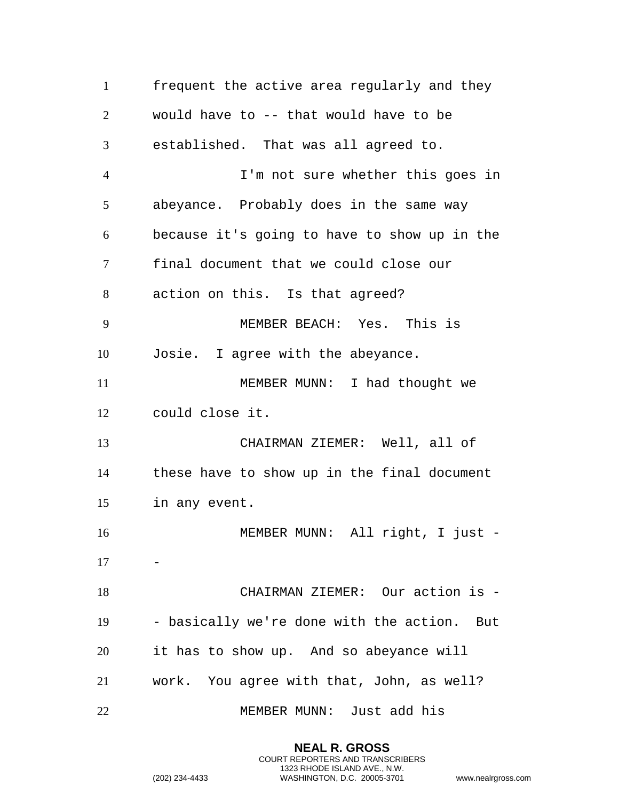frequent the active area regularly and they would have to -- that would have to be established. That was all agreed to. I'm not sure whether this goes in abeyance. Probably does in the same way because it's going to have to show up in the final document that we could close our action on this. Is that agreed? MEMBER BEACH: Yes. This is Josie. I agree with the abeyance. 11 MEMBER MUNN: I had thought we could close it. CHAIRMAN ZIEMER: Well, all of these have to show up in the final document in any event. MEMBER MUNN: All right, I just - CHAIRMAN ZIEMER: Our action is - - basically we're done with the action. But it has to show up. And so abeyance will work. You agree with that, John, as well? MEMBER MUNN: Just add his

> **NEAL R. GROSS** COURT REPORTERS AND TRANSCRIBERS 1323 RHODE ISLAND AVE., N.W.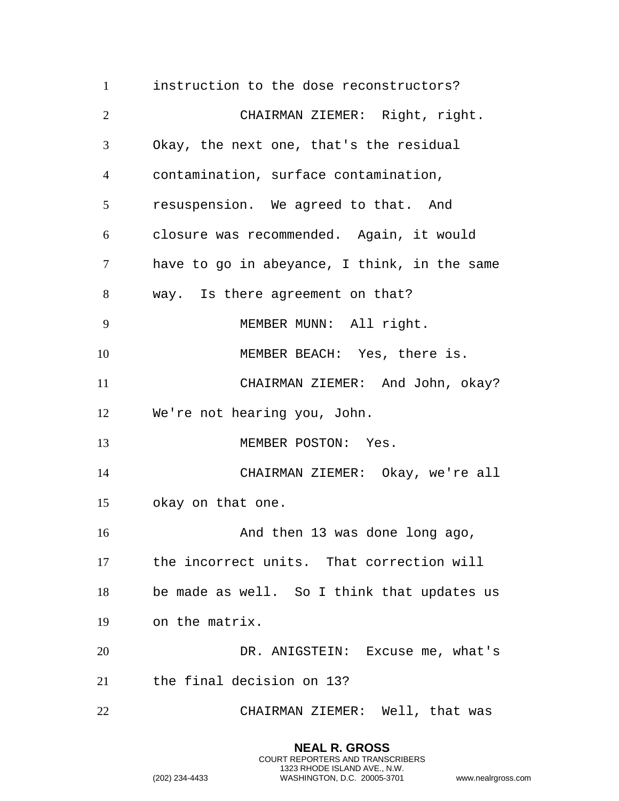instruction to the dose reconstructors? CHAIRMAN ZIEMER: Right, right. Okay, the next one, that's the residual contamination, surface contamination, resuspension. We agreed to that. And closure was recommended. Again, it would have to go in abeyance, I think, in the same way. Is there agreement on that? MEMBER MUNN: All right. 10 MEMBER BEACH: Yes, there is. CHAIRMAN ZIEMER: And John, okay? We're not hearing you, John. 13 MEMBER POSTON: Yes. CHAIRMAN ZIEMER: Okay, we're all okay on that one. 16 And then 13 was done long ago, the incorrect units. That correction will be made as well. So I think that updates us on the matrix. DR. ANIGSTEIN: Excuse me, what's the final decision on 13? CHAIRMAN ZIEMER: Well, that was

> **NEAL R. GROSS** COURT REPORTERS AND TRANSCRIBERS 1323 RHODE ISLAND AVE., N.W.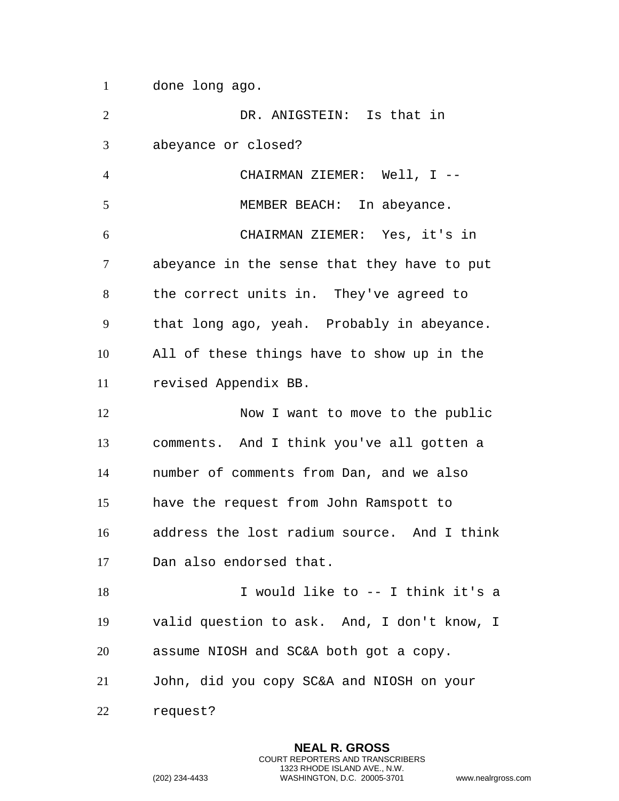done long ago.

 DR. ANIGSTEIN: Is that in abeyance or closed? CHAIRMAN ZIEMER: Well, I -- 5 MEMBER BEACH: In abeyance. CHAIRMAN ZIEMER: Yes, it's in abeyance in the sense that they have to put the correct units in. They've agreed to that long ago, yeah. Probably in abeyance. All of these things have to show up in the revised Appendix BB. 12 Now I want to move to the public comments. And I think you've all gotten a number of comments from Dan, and we also have the request from John Ramspott to address the lost radium source. And I think Dan also endorsed that. 18 I would like to -- I think it's a valid question to ask. And, I don't know, I assume NIOSH and SC&A both got a copy. John, did you copy SC&A and NIOSH on your request?

> **NEAL R. GROSS** COURT REPORTERS AND TRANSCRIBERS 1323 RHODE ISLAND AVE., N.W.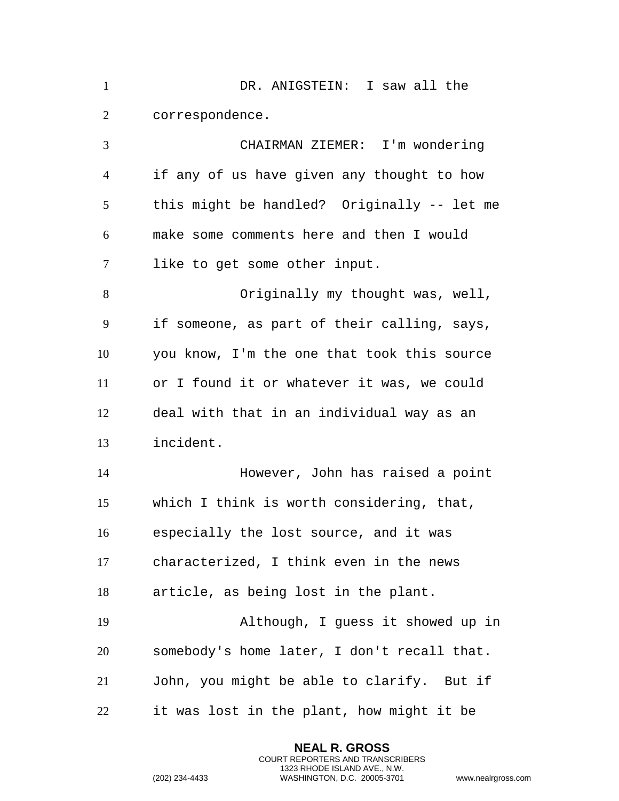DR. ANIGSTEIN: I saw all the correspondence. CHAIRMAN ZIEMER: I'm wondering if any of us have given any thought to how this might be handled? Originally -- let me make some comments here and then I would like to get some other input. Originally my thought was, well, if someone, as part of their calling, says, you know, I'm the one that took this source or I found it or whatever it was, we could deal with that in an individual way as an incident. However, John has raised a point which I think is worth considering, that, especially the lost source, and it was characterized, I think even in the news article, as being lost in the plant. Although, I guess it showed up in somebody's home later, I don't recall that. John, you might be able to clarify. But if it was lost in the plant, how might it be

> **NEAL R. GROSS** COURT REPORTERS AND TRANSCRIBERS 1323 RHODE ISLAND AVE., N.W.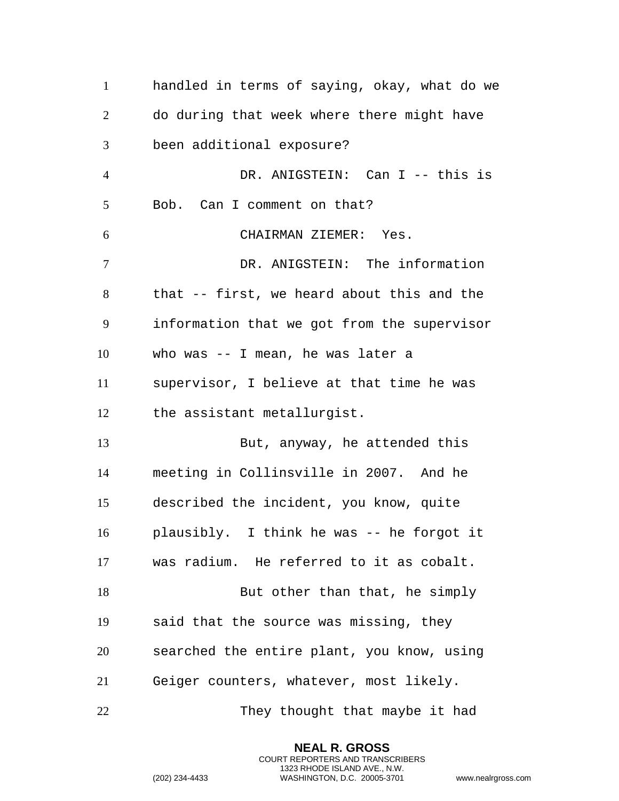| $\mathbf{1}$   | handled in terms of saying, okay, what do we |
|----------------|----------------------------------------------|
| $\overline{2}$ | do during that week where there might have   |
| 3              | been additional exposure?                    |
| $\overline{4}$ | DR. ANIGSTEIN: Can I -- this is              |
| 5              | Bob. Can I comment on that?                  |
| 6              | CHAIRMAN ZIEMER: Yes.                        |
| $\overline{7}$ | DR. ANIGSTEIN: The information               |
| 8              | that -- first, we heard about this and the   |
| 9              | information that we got from the supervisor  |
| 10             | who was -- I mean, he was later a            |
| 11             | supervisor, I believe at that time he was    |
| 12             | the assistant metallurgist.                  |
| 13             | But, anyway, he attended this                |
| 14             | meeting in Collinsville in 2007. And he      |
| 15             | described the incident, you know, quite      |
| 16             | plausibly. I think he was -- he forgot it    |
| 17             | was radium. He referred to it as cobalt.     |
| 18             | But other than that, he simply               |
| 19             | said that the source was missing, they       |
| 20             | searched the entire plant, you know, using   |
| 21             | Geiger counters, whatever, most likely.      |
| 22             | They thought that maybe it had               |

**NEAL R. GROSS** COURT REPORTERS AND TRANSCRIBERS 1323 RHODE ISLAND AVE., N.W.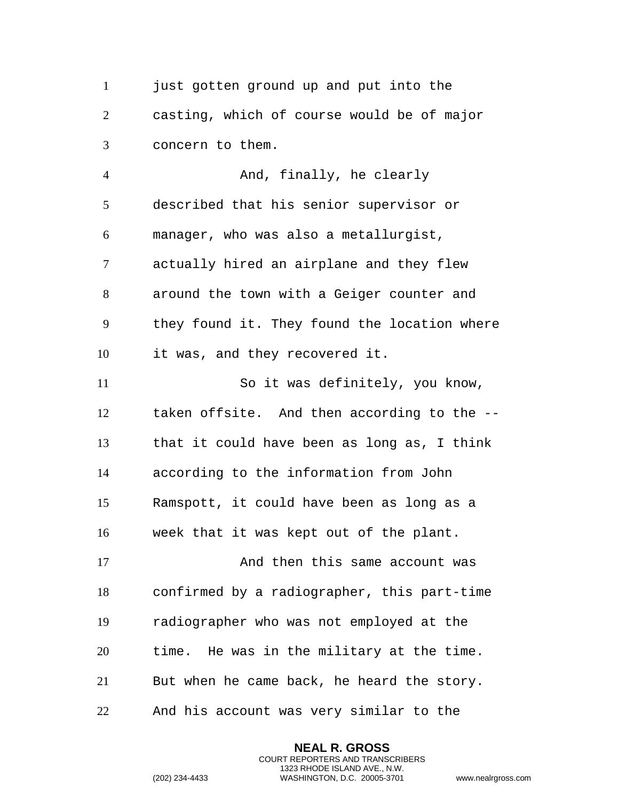1 just gotten ground up and put into the casting, which of course would be of major concern to them.

4 And, finally, he clearly described that his senior supervisor or manager, who was also a metallurgist, actually hired an airplane and they flew around the town with a Geiger counter and they found it. They found the location where it was, and they recovered it. So it was definitely, you know, taken offsite. And then according to the -- that it could have been as long as, I think

according to the information from John

Ramspott, it could have been as long as a

week that it was kept out of the plant.

17 And then this same account was confirmed by a radiographer, this part-time radiographer who was not employed at the time. He was in the military at the time. But when he came back, he heard the story. And his account was very similar to the

> **NEAL R. GROSS** COURT REPORTERS AND TRANSCRIBERS 1323 RHODE ISLAND AVE., N.W.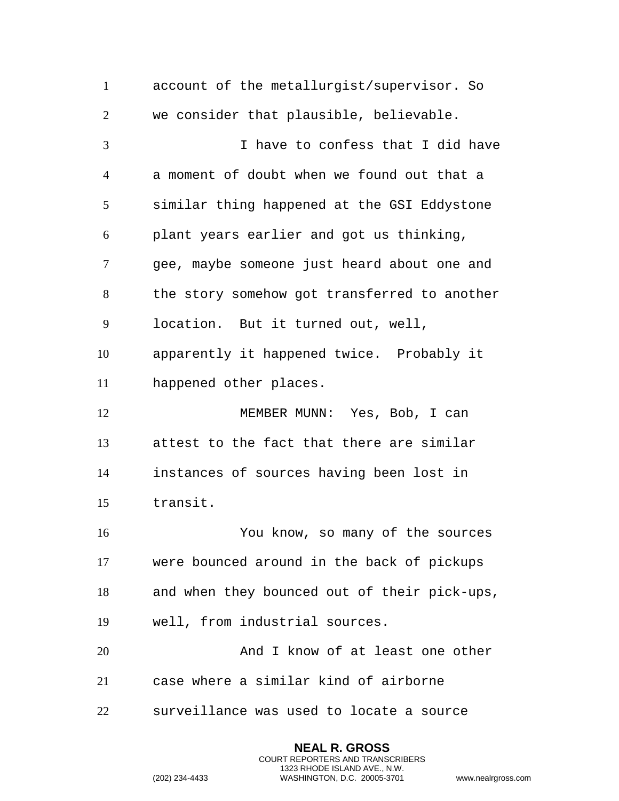account of the metallurgist/supervisor. So we consider that plausible, believable. I have to confess that I did have a moment of doubt when we found out that a similar thing happened at the GSI Eddystone plant years earlier and got us thinking, gee, maybe someone just heard about one and the story somehow got transferred to another location. But it turned out, well, apparently it happened twice. Probably it happened other places. 12 MEMBER MUNN: Yes, Bob, I can attest to the fact that there are similar instances of sources having been lost in transit. You know, so many of the sources were bounced around in the back of pickups and when they bounced out of their pick-ups, well, from industrial sources. 20 And I know of at least one other case where a similar kind of airborne surveillance was used to locate a source

> **NEAL R. GROSS** COURT REPORTERS AND TRANSCRIBERS 1323 RHODE ISLAND AVE., N.W.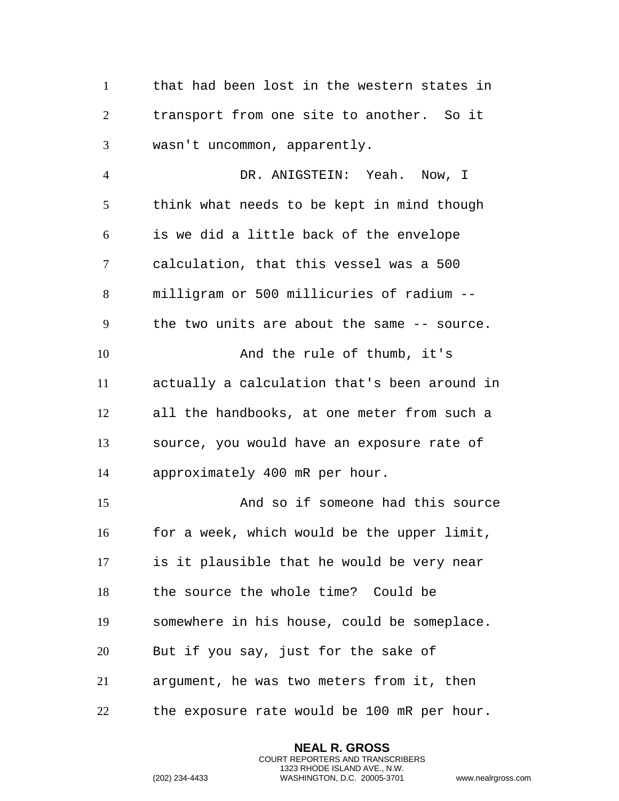that had been lost in the western states in transport from one site to another. So it wasn't uncommon, apparently.

 DR. ANIGSTEIN: Yeah. Now, I think what needs to be kept in mind though is we did a little back of the envelope calculation, that this vessel was a 500 milligram or 500 millicuries of radium -- the two units are about the same -- source. 10 And the rule of thumb, it's actually a calculation that's been around in all the handbooks, at one meter from such a source, you would have an exposure rate of approximately 400 mR per hour. And so if someone had this source for a week, which would be the upper limit, is it plausible that he would be very near the source the whole time? Could be somewhere in his house, could be someplace.

- But if you say, just for the sake of
- argument, he was two meters from it, then
- the exposure rate would be 100 mR per hour.

**NEAL R. GROSS** COURT REPORTERS AND TRANSCRIBERS 1323 RHODE ISLAND AVE., N.W.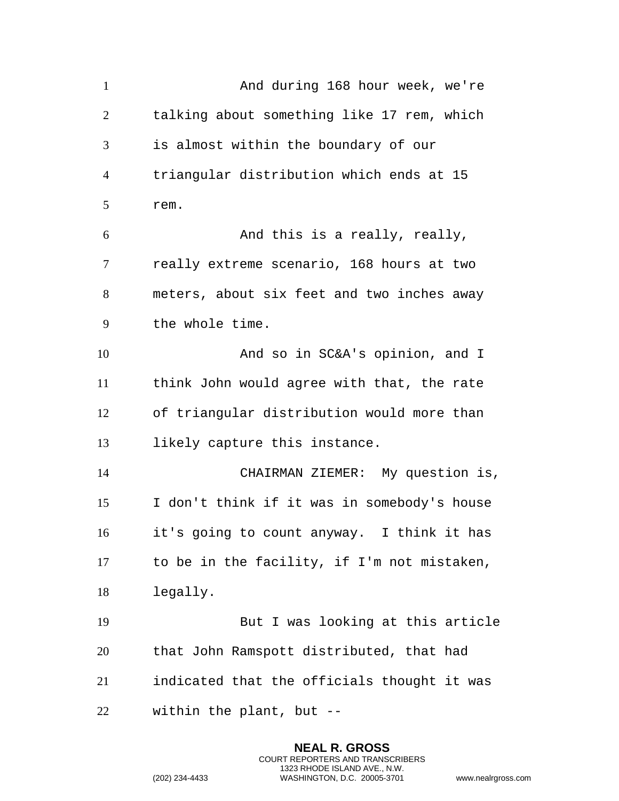And during 168 hour week, we're talking about something like 17 rem, which is almost within the boundary of our triangular distribution which ends at 15 rem. And this is a really, really, really extreme scenario, 168 hours at two meters, about six feet and two inches away the whole time. And so in SC&A's opinion, and I think John would agree with that, the rate of triangular distribution would more than likely capture this instance. CHAIRMAN ZIEMER: My question is, I don't think if it was in somebody's house it's going to count anyway. I think it has to be in the facility, if I'm not mistaken, legally. But I was looking at this article that John Ramspott distributed, that had indicated that the officials thought it was within the plant, but --

> **NEAL R. GROSS** COURT REPORTERS AND TRANSCRIBERS 1323 RHODE ISLAND AVE., N.W.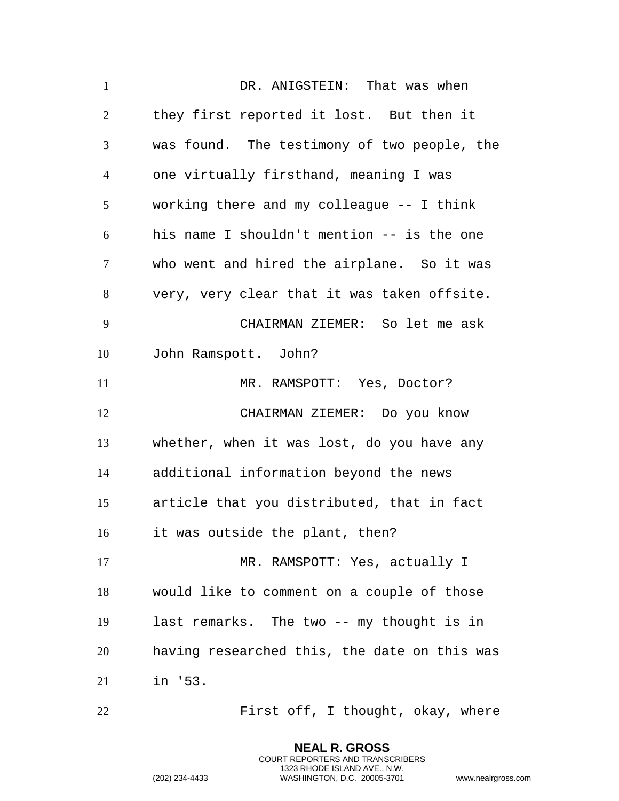DR. ANIGSTEIN: That was when they first reported it lost. But then it was found. The testimony of two people, the one virtually firsthand, meaning I was working there and my colleague -- I think his name I shouldn't mention -- is the one who went and hired the airplane. So it was very, very clear that it was taken offsite. CHAIRMAN ZIEMER: So let me ask John Ramspott. John? 11 MR. RAMSPOTT: Yes, Doctor? CHAIRMAN ZIEMER: Do you know whether, when it was lost, do you have any additional information beyond the news article that you distributed, that in fact it was outside the plant, then? 17 MR. RAMSPOTT: Yes, actually I would like to comment on a couple of those last remarks. The two -- my thought is in having researched this, the date on this was in '53. First off, I thought, okay, where

**NEAL R. GROSS** COURT REPORTERS AND TRANSCRIBERS 1323 RHODE ISLAND AVE., N.W.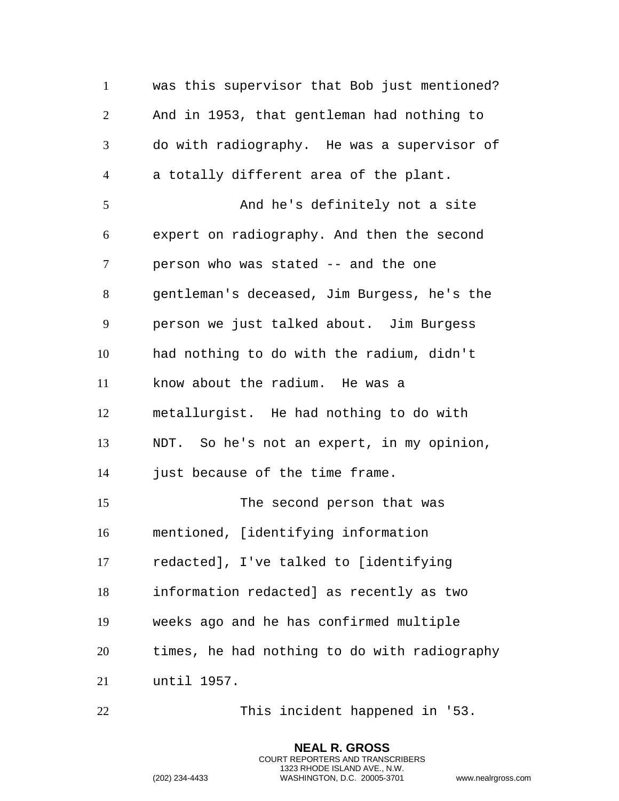was this supervisor that Bob just mentioned? And in 1953, that gentleman had nothing to do with radiography. He was a supervisor of a totally different area of the plant. And he's definitely not a site expert on radiography. And then the second person who was stated -- and the one gentleman's deceased, Jim Burgess, he's the person we just talked about. Jim Burgess had nothing to do with the radium, didn't know about the radium. He was a metallurgist. He had nothing to do with NDT. So he's not an expert, in my opinion, just because of the time frame. The second person that was mentioned, [identifying information redacted], I've talked to [identifying information redacted] as recently as two weeks ago and he has confirmed multiple times, he had nothing to do with radiography until 1957.

This incident happened in '53.

**NEAL R. GROSS** COURT REPORTERS AND TRANSCRIBERS 1323 RHODE ISLAND AVE., N.W.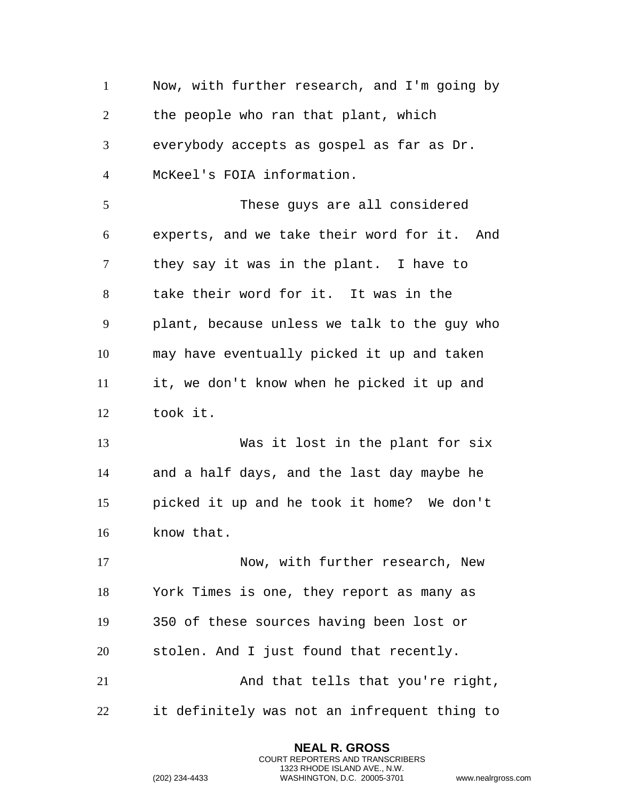Now, with further research, and I'm going by the people who ran that plant, which everybody accepts as gospel as far as Dr. McKeel's FOIA information. These guys are all considered experts, and we take their word for it. And they say it was in the plant. I have to take their word for it. It was in the plant, because unless we talk to the guy who may have eventually picked it up and taken it, we don't know when he picked it up and took it. Was it lost in the plant for six and a half days, and the last day maybe he picked it up and he took it home? We don't know that. 17 Now, with further research, New York Times is one, they report as many as 350 of these sources having been lost or stolen. And I just found that recently. 21 And that tells that you're right, it definitely was not an infrequent thing to

> **NEAL R. GROSS** COURT REPORTERS AND TRANSCRIBERS 1323 RHODE ISLAND AVE., N.W.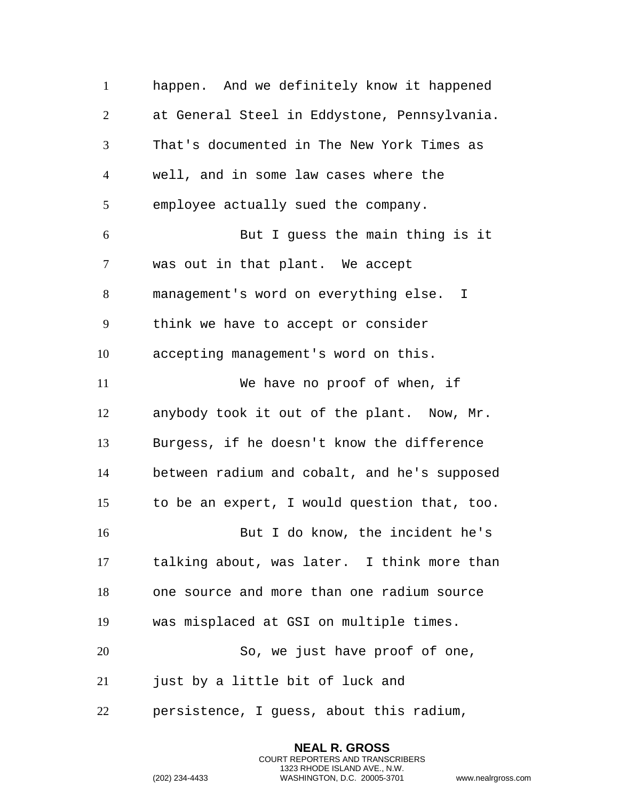happen. And we definitely know it happened at General Steel in Eddystone, Pennsylvania. That's documented in The New York Times as well, and in some law cases where the employee actually sued the company. But I guess the main thing is it was out in that plant. We accept management's word on everything else. I think we have to accept or consider accepting management's word on this. We have no proof of when, if anybody took it out of the plant. Now, Mr. Burgess, if he doesn't know the difference between radium and cobalt, and he's supposed to be an expert, I would question that, too. But I do know, the incident he's talking about, was later. I think more than one source and more than one radium source was misplaced at GSI on multiple times. 20 So, we just have proof of one, just by a little bit of luck and persistence, I guess, about this radium,

> **NEAL R. GROSS** COURT REPORTERS AND TRANSCRIBERS 1323 RHODE ISLAND AVE., N.W.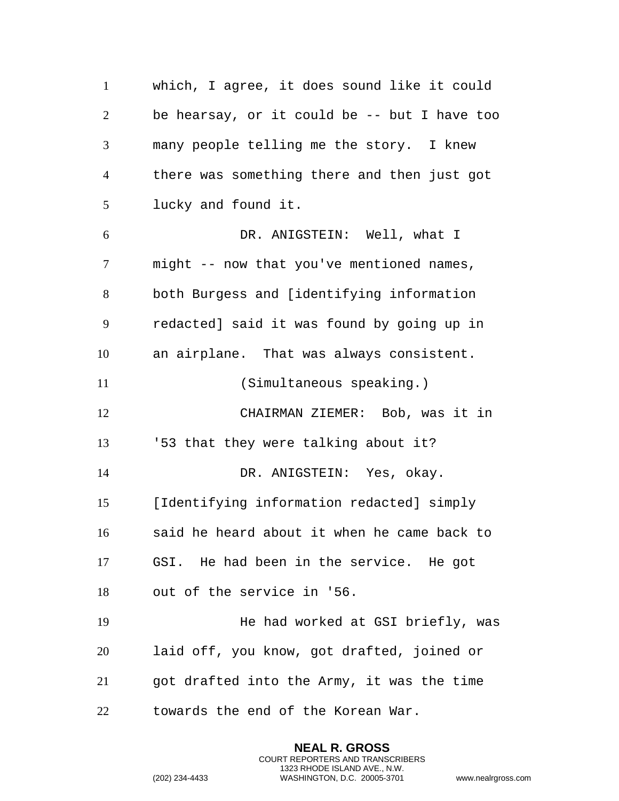which, I agree, it does sound like it could be hearsay, or it could be -- but I have too many people telling me the story. I knew there was something there and then just got lucky and found it. DR. ANIGSTEIN: Well, what I might -- now that you've mentioned names, both Burgess and [identifying information redacted] said it was found by going up in an airplane. That was always consistent. (Simultaneous speaking.) CHAIRMAN ZIEMER: Bob, was it in '53 that they were talking about it? DR. ANIGSTEIN: Yes, okay. [Identifying information redacted] simply said he heard about it when he came back to GSI. He had been in the service. He got out of the service in '56. He had worked at GSI briefly, was laid off, you know, got drafted, joined or got drafted into the Army, it was the time towards the end of the Korean War.

> **NEAL R. GROSS** COURT REPORTERS AND TRANSCRIBERS 1323 RHODE ISLAND AVE., N.W.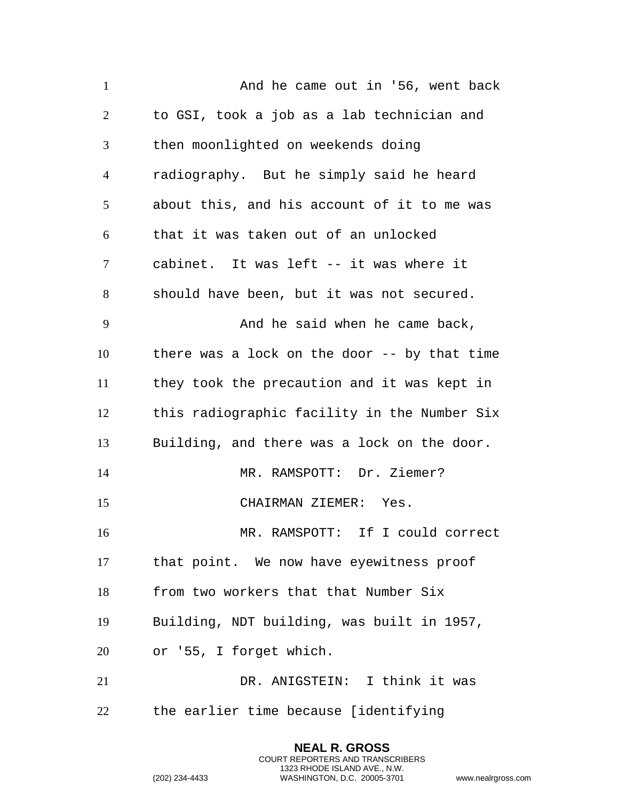1 And he came out in '56, went back to GSI, took a job as a lab technician and then moonlighted on weekends doing radiography. But he simply said he heard about this, and his account of it to me was that it was taken out of an unlocked cabinet. It was left -- it was where it should have been, but it was not secured. 9 And he said when he came back, there was a lock on the door -- by that time they took the precaution and it was kept in this radiographic facility in the Number Six Building, and there was a lock on the door. MR. RAMSPOTT: Dr. Ziemer? CHAIRMAN ZIEMER: Yes. MR. RAMSPOTT: If I could correct that point. We now have eyewitness proof from two workers that that Number Six Building, NDT building, was built in 1957, or '55, I forget which. DR. ANIGSTEIN: I think it was the earlier time because [identifying

> **NEAL R. GROSS** COURT REPORTERS AND TRANSCRIBERS 1323 RHODE ISLAND AVE., N.W.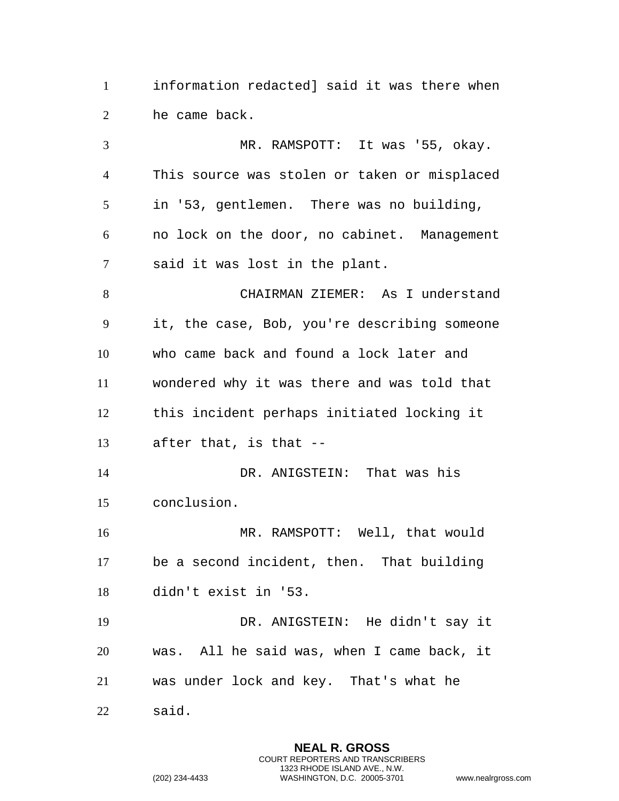information redacted] said it was there when he came back.

 MR. RAMSPOTT: It was '55, okay. This source was stolen or taken or misplaced in '53, gentlemen. There was no building, no lock on the door, no cabinet. Management said it was lost in the plant. CHAIRMAN ZIEMER: As I understand it, the case, Bob, you're describing someone who came back and found a lock later and wondered why it was there and was told that this incident perhaps initiated locking it after that, is that -- DR. ANIGSTEIN: That was his conclusion. MR. RAMSPOTT: Well, that would be a second incident, then. That building didn't exist in '53. DR. ANIGSTEIN: He didn't say it was. All he said was, when I came back, it was under lock and key. That's what he said.

> **NEAL R. GROSS** COURT REPORTERS AND TRANSCRIBERS 1323 RHODE ISLAND AVE., N.W.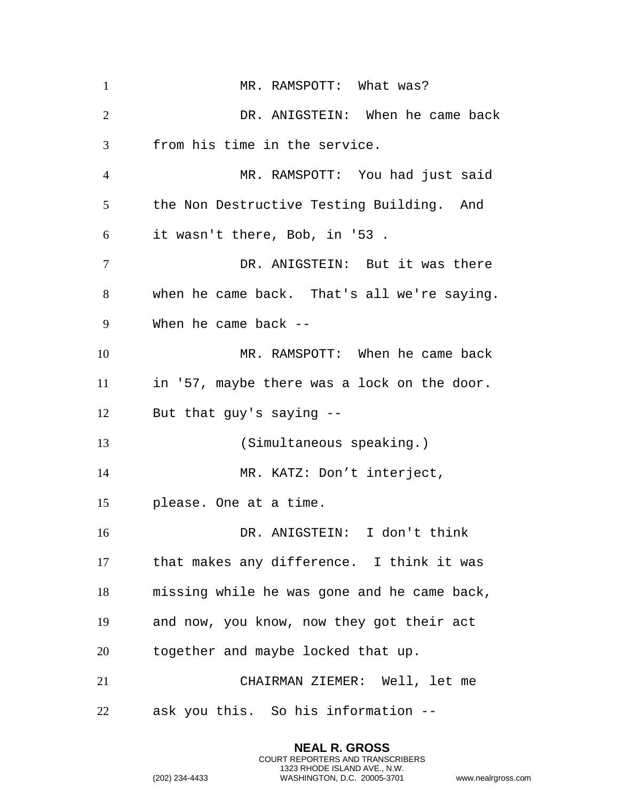| $\mathbf{1}$   | MR. RAMSPOTT: What was?                     |
|----------------|---------------------------------------------|
| $\overline{2}$ | DR. ANIGSTEIN: When he came back            |
| 3              | from his time in the service.               |
| $\overline{4}$ | MR. RAMSPOTT: You had just said             |
| 5              | the Non Destructive Testing Building. And   |
| 6              | it wasn't there, Bob, in '53.               |
| $\tau$         | DR. ANIGSTEIN: But it was there             |
| 8              | when he came back. That's all we're saying. |
| 9              | When he came back $-$                       |
| 10             | MR. RAMSPOTT: When he came back             |
| 11             | in '57, maybe there was a lock on the door. |
| 12             | But that guy's saying --                    |
| 13             | (Simultaneous speaking.)                    |
| 14             | MR. KATZ: Don't interject,                  |
| 15             | please. One at a time.                      |
| 16             | DR. ANIGSTEIN: I don't think                |
| 17             | that makes any difference. I think it was   |
| 18             | missing while he was gone and he came back, |
| 19             | and now, you know, now they got their act   |
| 20             | together and maybe locked that up.          |
| 21             | CHAIRMAN ZIEMER: Well, let me               |
| 22             | ask you this. So his information --         |

**NEAL R. GROSS** COURT REPORTERS AND TRANSCRIBERS 1323 RHODE ISLAND AVE., N.W.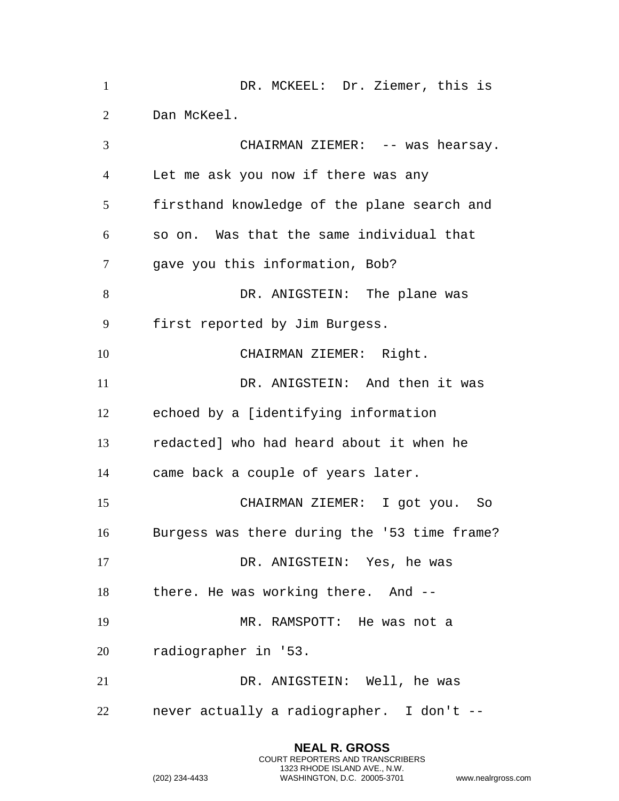DR. MCKEEL: Dr. Ziemer, this is Dan McKeel. CHAIRMAN ZIEMER: -- was hearsay. Let me ask you now if there was any firsthand knowledge of the plane search and so on. Was that the same individual that gave you this information, Bob? 8 DR. ANIGSTEIN: The plane was first reported by Jim Burgess. CHAIRMAN ZIEMER: Right. 11 DR. ANIGSTEIN: And then it was echoed by a [identifying information redacted] who had heard about it when he came back a couple of years later. CHAIRMAN ZIEMER: I got you. So Burgess was there during the '53 time frame? DR. ANIGSTEIN: Yes, he was there. He was working there. And -- MR. RAMSPOTT: He was not a radiographer in '53. DR. ANIGSTEIN: Well, he was never actually a radiographer. I don't --

```
(202) 234-4433 WASHINGTON, D.C. 20005-3701 www.nealrgross.com
```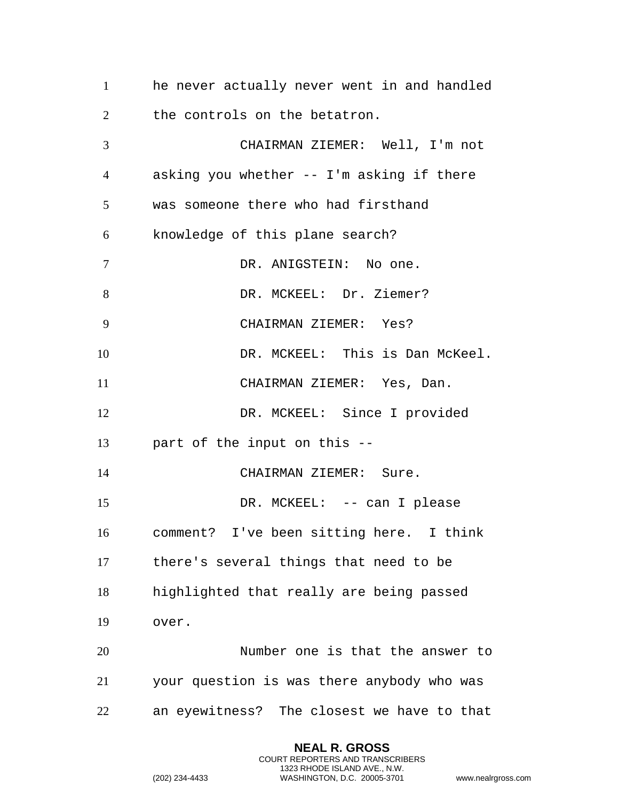he never actually never went in and handled 2 the controls on the betatron.

 CHAIRMAN ZIEMER: Well, I'm not asking you whether -- I'm asking if there was someone there who had firsthand knowledge of this plane search? 7 DR. ANIGSTEIN: No one. 8 DR. MCKEEL: Dr. Ziemer? CHAIRMAN ZIEMER: Yes? DR. MCKEEL: This is Dan McKeel. CHAIRMAN ZIEMER: Yes, Dan. 12 DR. MCKEEL: Since I provided part of the input on this -- 14 CHAIRMAN ZIEMER: Sure. DR. MCKEEL: -- can I please comment? I've been sitting here. I think there's several things that need to be highlighted that really are being passed over. Number one is that the answer to your question is was there anybody who was an eyewitness? The closest we have to that

> **NEAL R. GROSS** COURT REPORTERS AND TRANSCRIBERS 1323 RHODE ISLAND AVE., N.W.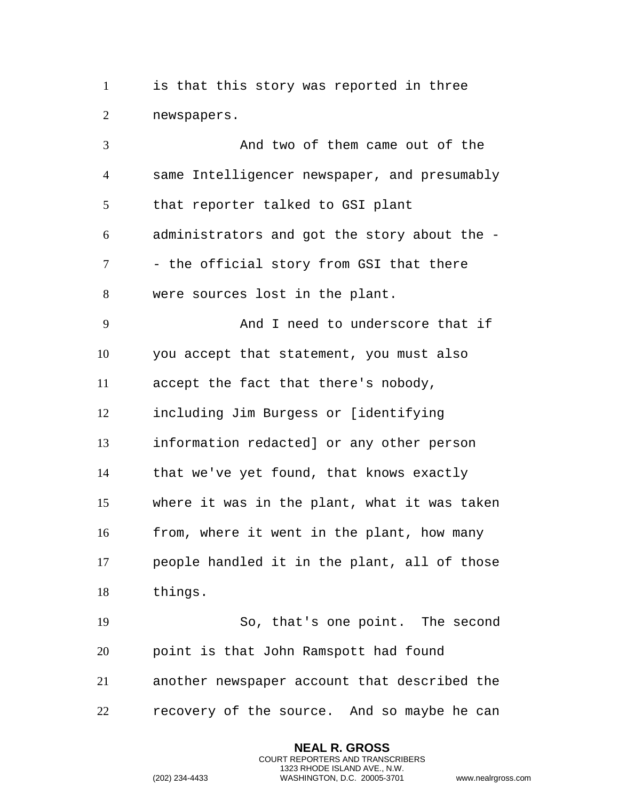is that this story was reported in three newspapers.

 And two of them came out of the same Intelligencer newspaper, and presumably that reporter talked to GSI plant administrators and got the story about the - 7 - the official story from GSI that there were sources lost in the plant. And I need to underscore that if you accept that statement, you must also accept the fact that there's nobody, including Jim Burgess or [identifying information redacted] or any other person that we've yet found, that knows exactly where it was in the plant, what it was taken from, where it went in the plant, how many people handled it in the plant, all of those things. So, that's one point. The second point is that John Ramspott had found another newspaper account that described the recovery of the source. And so maybe he can

> **NEAL R. GROSS** COURT REPORTERS AND TRANSCRIBERS 1323 RHODE ISLAND AVE., N.W.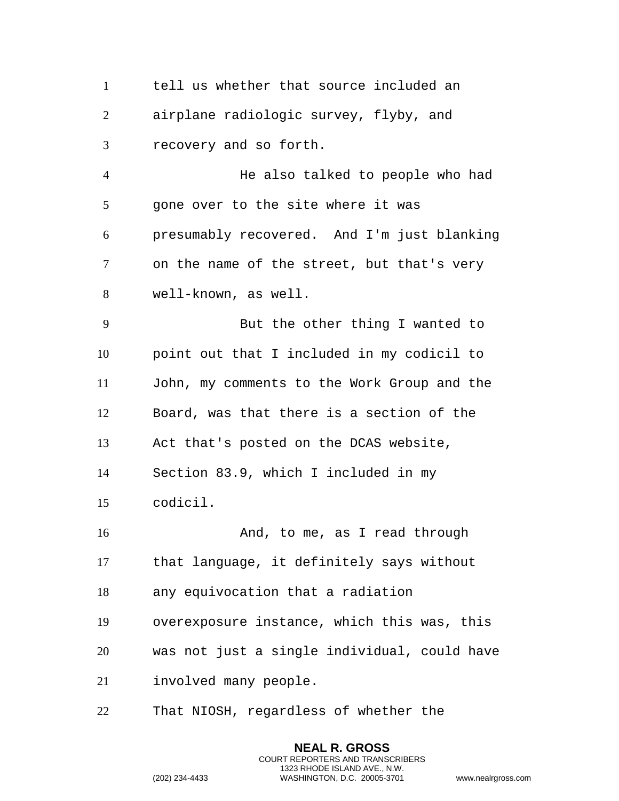tell us whether that source included an airplane radiologic survey, flyby, and recovery and so forth.

 He also talked to people who had 5 gone over to the site where it was presumably recovered. And I'm just blanking on the name of the street, but that's very well-known, as well.

 But the other thing I wanted to point out that I included in my codicil to John, my comments to the Work Group and the Board, was that there is a section of the Act that's posted on the DCAS website, Section 83.9, which I included in my codicil.

16 And, to me, as I read through that language, it definitely says without any equivocation that a radiation overexposure instance, which this was, this was not just a single individual, could have involved many people.

> **NEAL R. GROSS** COURT REPORTERS AND TRANSCRIBERS 1323 RHODE ISLAND AVE., N.W.

That NIOSH, regardless of whether the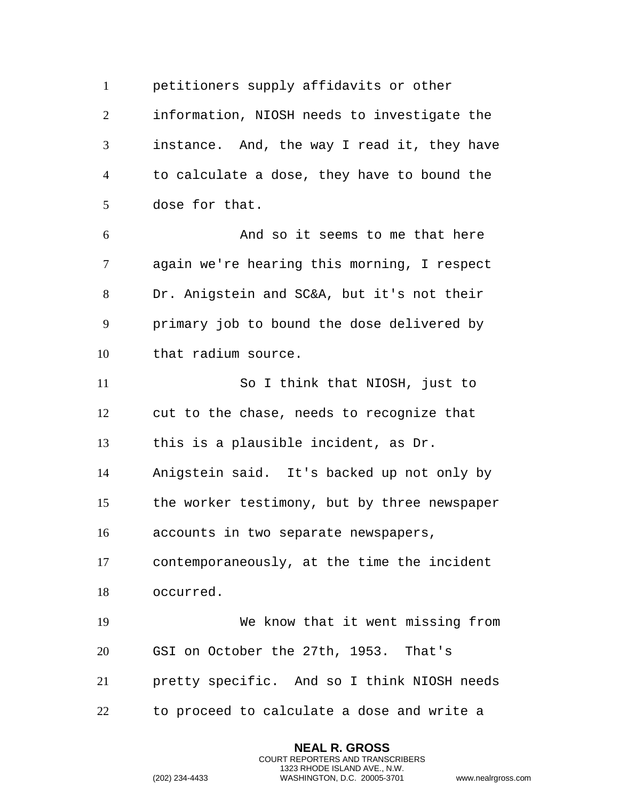petitioners supply affidavits or other information, NIOSH needs to investigate the instance. And, the way I read it, they have to calculate a dose, they have to bound the dose for that. And so it seems to me that here again we're hearing this morning, I respect Dr. Anigstein and SC&A, but it's not their primary job to bound the dose delivered by that radium source. So I think that NIOSH, just to cut to the chase, needs to recognize that this is a plausible incident, as Dr. Anigstein said. It's backed up not only by the worker testimony, but by three newspaper accounts in two separate newspapers, contemporaneously, at the time the incident occurred. We know that it went missing from GSI on October the 27th, 1953. That's pretty specific. And so I think NIOSH needs to proceed to calculate a dose and write a

```
(202) 234-4433 WASHINGTON, D.C. 20005-3701 www.nealrgross.com
```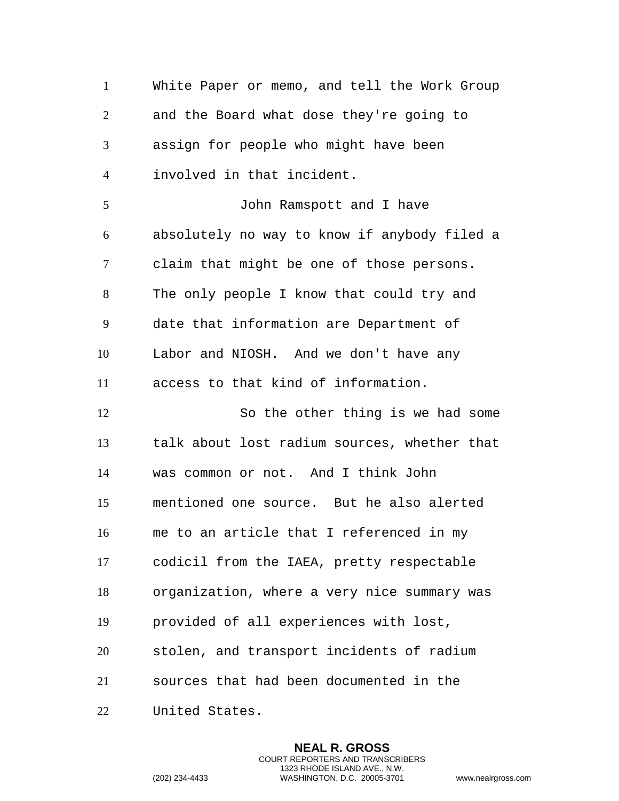White Paper or memo, and tell the Work Group and the Board what dose they're going to assign for people who might have been involved in that incident. John Ramspott and I have absolutely no way to know if anybody filed a claim that might be one of those persons. The only people I know that could try and date that information are Department of Labor and NIOSH. And we don't have any access to that kind of information. So the other thing is we had some talk about lost radium sources, whether that was common or not. And I think John mentioned one source. But he also alerted me to an article that I referenced in my codicil from the IAEA, pretty respectable organization, where a very nice summary was provided of all experiences with lost, stolen, and transport incidents of radium sources that had been documented in the United States.

> **NEAL R. GROSS** COURT REPORTERS AND TRANSCRIBERS 1323 RHODE ISLAND AVE., N.W.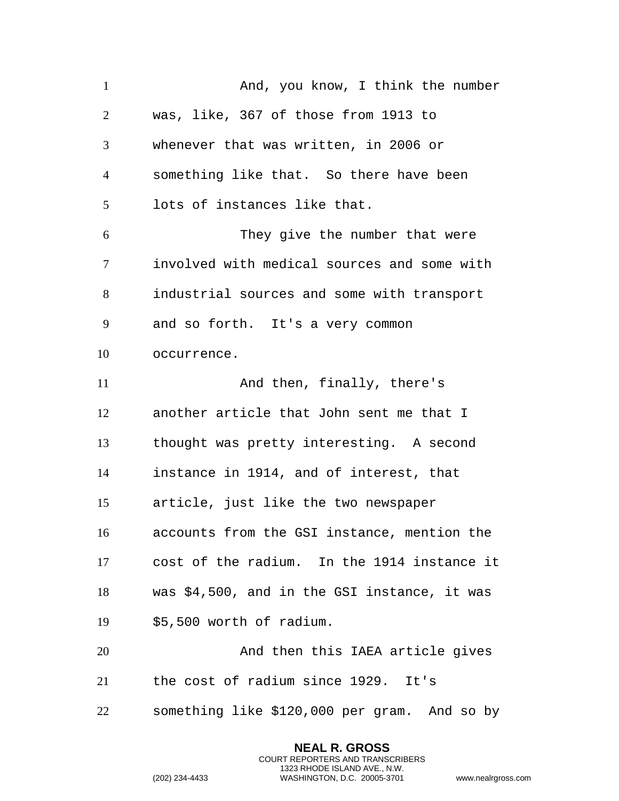1 And, you know, I think the number was, like, 367 of those from 1913 to whenever that was written, in 2006 or something like that. So there have been lots of instances like that. They give the number that were involved with medical sources and some with industrial sources and some with transport and so forth. It's a very common occurrence. 11 And then, finally, there's another article that John sent me that I thought was pretty interesting. A second instance in 1914, and of interest, that article, just like the two newspaper accounts from the GSI instance, mention the cost of the radium. In the 1914 instance it was \$4,500, and in the GSI instance, it was \$5,500 worth of radium. And then this IAEA article gives the cost of radium since 1929. It's something like \$120,000 per gram. And so by

```
(202) 234-4433 WASHINGTON, D.C. 20005-3701 www.nealrgross.com
```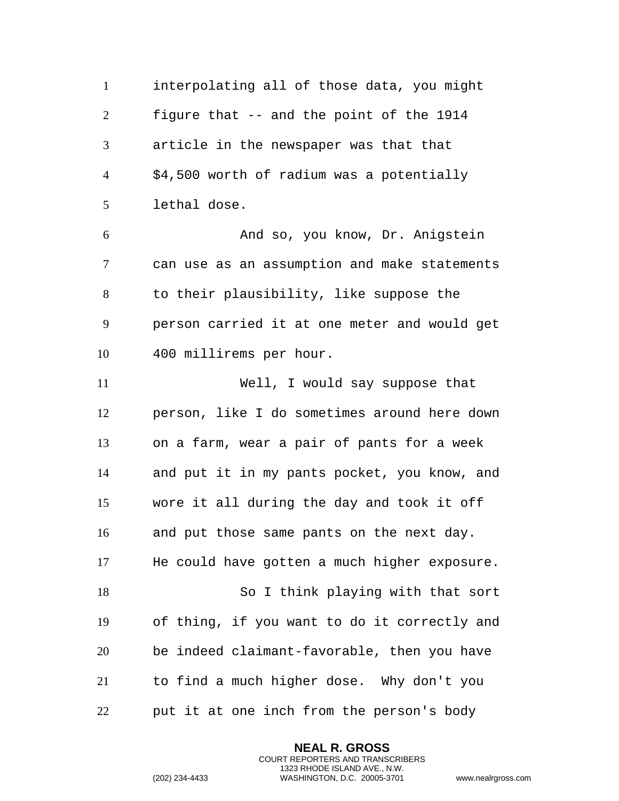interpolating all of those data, you might figure that -- and the point of the 1914 article in the newspaper was that that \$4,500 worth of radium was a potentially lethal dose. And so, you know, Dr. Anigstein can use as an assumption and make statements to their plausibility, like suppose the person carried it at one meter and would get 400 millirems per hour. Well, I would say suppose that person, like I do sometimes around here down on a farm, wear a pair of pants for a week and put it in my pants pocket, you know, and wore it all during the day and took it off and put those same pants on the next day. He could have gotten a much higher exposure. So I think playing with that sort of thing, if you want to do it correctly and be indeed claimant-favorable, then you have to find a much higher dose. Why don't you put it at one inch from the person's body

> **NEAL R. GROSS** COURT REPORTERS AND TRANSCRIBERS 1323 RHODE ISLAND AVE., N.W.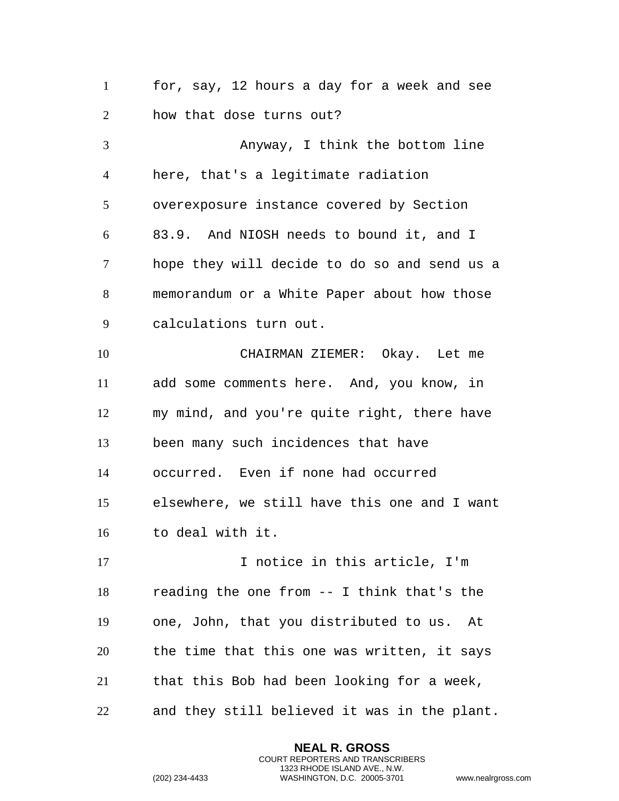for, say, 12 hours a day for a week and see how that dose turns out?

 Anyway, I think the bottom line here, that's a legitimate radiation overexposure instance covered by Section 83.9. And NIOSH needs to bound it, and I hope they will decide to do so and send us a memorandum or a White Paper about how those calculations turn out. CHAIRMAN ZIEMER: Okay. Let me add some comments here. And, you know, in

 my mind, and you're quite right, there have been many such incidences that have occurred. Even if none had occurred elsewhere, we still have this one and I want to deal with it.

17 17 I notice in this article, I'm reading the one from -- I think that's the one, John, that you distributed to us. At the time that this one was written, it says that this Bob had been looking for a week, and they still believed it was in the plant.

> **NEAL R. GROSS** COURT REPORTERS AND TRANSCRIBERS 1323 RHODE ISLAND AVE., N.W.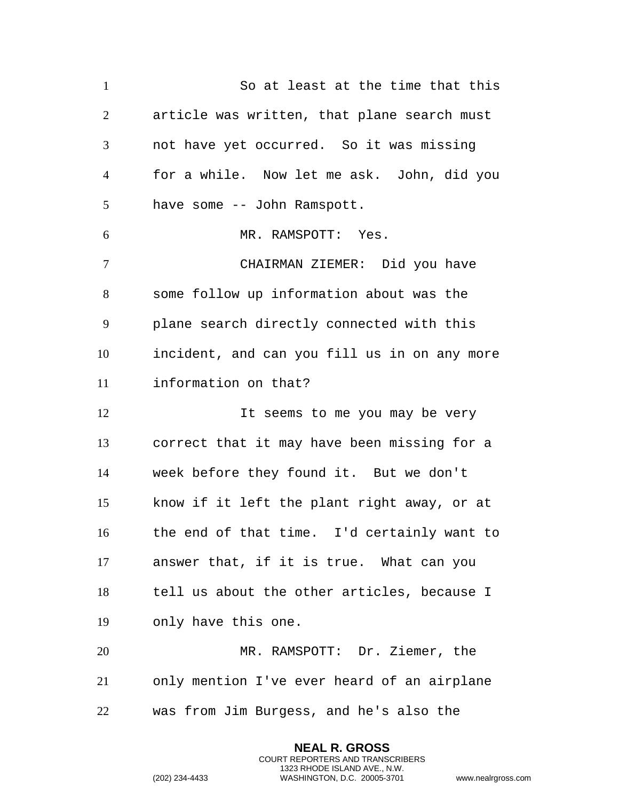So at least at the time that this article was written, that plane search must not have yet occurred. So it was missing for a while. Now let me ask. John, did you have some -- John Ramspott. MR. RAMSPOTT: Yes. CHAIRMAN ZIEMER: Did you have some follow up information about was the plane search directly connected with this incident, and can you fill us in on any more information on that? 12 12 It seems to me you may be very correct that it may have been missing for a week before they found it. But we don't know if it left the plant right away, or at the end of that time. I'd certainly want to answer that, if it is true. What can you tell us about the other articles, because I only have this one. MR. RAMSPOTT: Dr. Ziemer, the only mention I've ever heard of an airplane was from Jim Burgess, and he's also the

> **NEAL R. GROSS** COURT REPORTERS AND TRANSCRIBERS 1323 RHODE ISLAND AVE., N.W.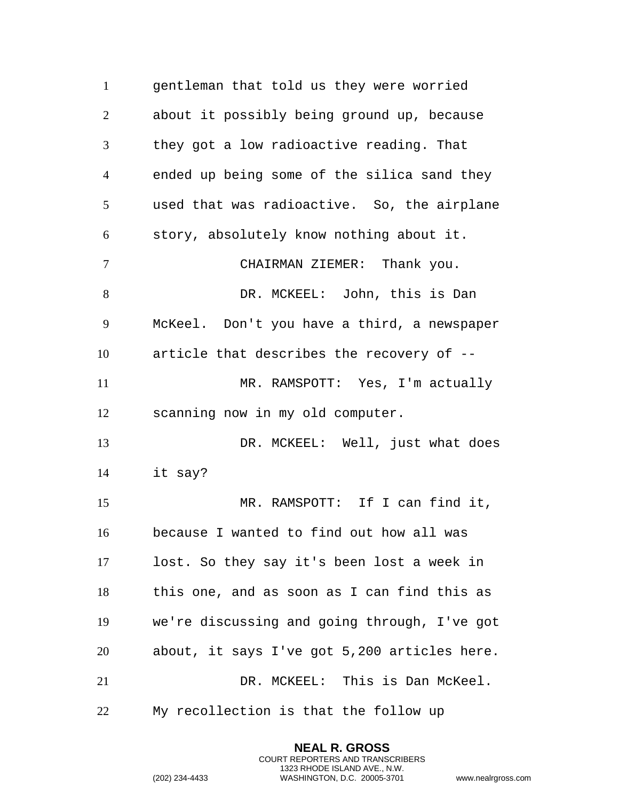gentleman that told us they were worried about it possibly being ground up, because they got a low radioactive reading. That ended up being some of the silica sand they used that was radioactive. So, the airplane story, absolutely know nothing about it. CHAIRMAN ZIEMER: Thank you. 8 DR. MCKEEL: John, this is Dan McKeel. Don't you have a third, a newspaper article that describes the recovery of -- MR. RAMSPOTT: Yes, I'm actually scanning now in my old computer. DR. MCKEEL: Well, just what does it say? MR. RAMSPOTT: If I can find it, because I wanted to find out how all was lost. So they say it's been lost a week in this one, and as soon as I can find this as we're discussing and going through, I've got about, it says I've got 5,200 articles here. DR. MCKEEL: This is Dan McKeel. My recollection is that the follow up

> **NEAL R. GROSS** COURT REPORTERS AND TRANSCRIBERS 1323 RHODE ISLAND AVE., N.W.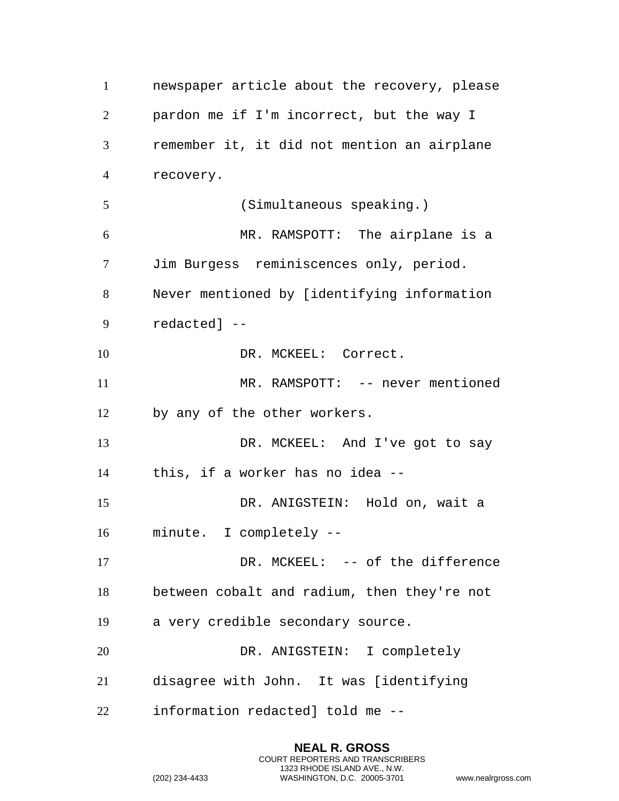newspaper article about the recovery, please pardon me if I'm incorrect, but the way I remember it, it did not mention an airplane recovery. (Simultaneous speaking.) MR. RAMSPOTT: The airplane is a Jim Burgess reminiscences only, period. Never mentioned by [identifying information redacted] -- 10 DR. MCKEEL: Correct. 11 MR. RAMSPOTT: -- never mentioned by any of the other workers. DR. MCKEEL: And I've got to say this, if a worker has no idea -- DR. ANIGSTEIN: Hold on, wait a minute. I completely -- 17 DR. MCKEEL: -- of the difference between cobalt and radium, then they're not a very credible secondary source. DR. ANIGSTEIN: I completely disagree with John. It was [identifying information redacted] told me --

```
(202) 234-4433 WASHINGTON, D.C. 20005-3701 www.nealrgross.com
```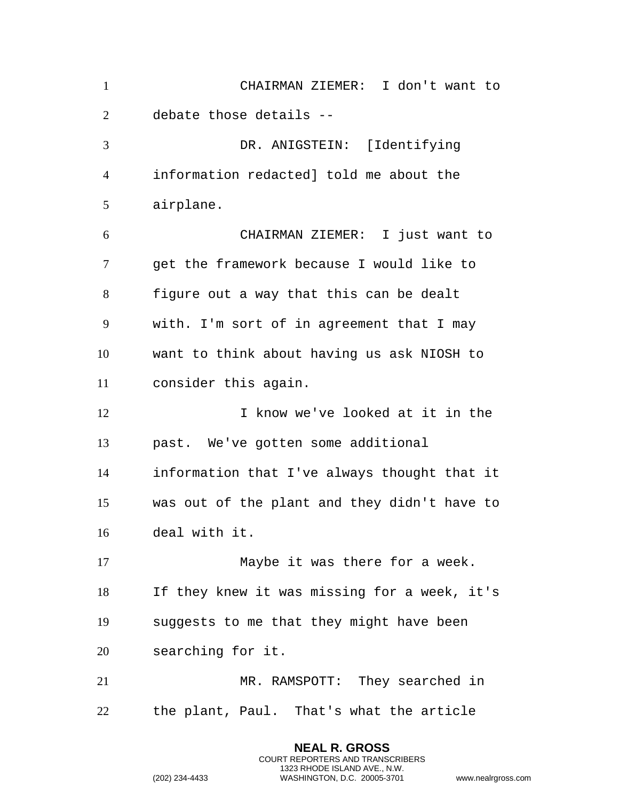| $\mathbf{1}$   | CHAIRMAN ZIEMER: I don't want to             |
|----------------|----------------------------------------------|
| $\overline{2}$ | debate those details --                      |
| 3              | DR. ANIGSTEIN: [Identifying                  |
| 4              | information redacted] told me about the      |
| 5              | airplane.                                    |
| 6              | CHAIRMAN ZIEMER: I just want to              |
| 7              | get the framework because I would like to    |
| 8              | figure out a way that this can be dealt      |
| 9              | with. I'm sort of in agreement that I may    |
| 10             | want to think about having us ask NIOSH to   |
| 11             | consider this again.                         |
|                |                                              |
| 12             | I know we've looked at it in the             |
| 13             | past. We've gotten some additional           |
| 14             | information that I've always thought that it |
| 15             | was out of the plant and they didn't have to |
| 16             | deal with it.                                |
| 17             | Maybe it was there for a week.               |
| 18             | If they knew it was missing for a week, it's |
| 19             | suggests to me that they might have been     |
| 20             | searching for it.                            |
| 21             | MR. RAMSPOTT: They searched in               |

**NEAL R. GROSS** COURT REPORTERS AND TRANSCRIBERS 1323 RHODE ISLAND AVE., N.W.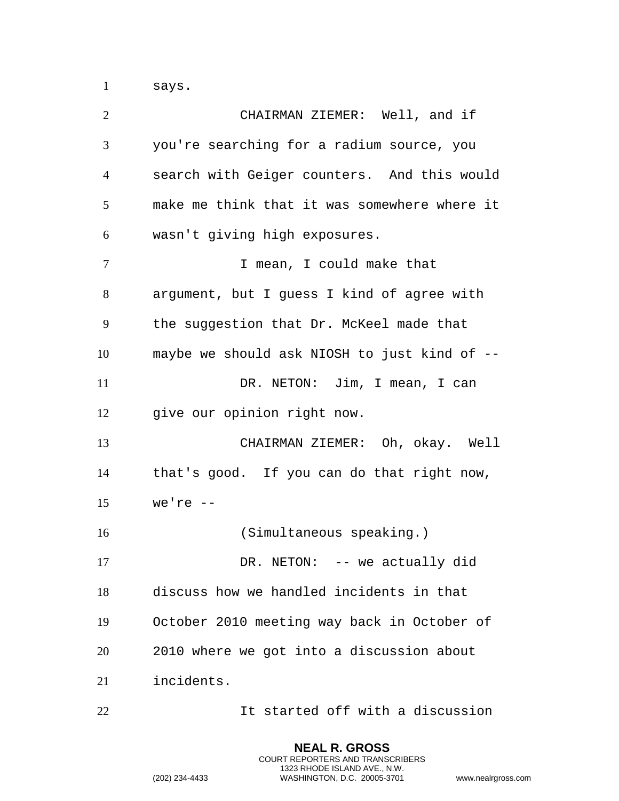says.

| $\overline{2}$ | CHAIRMAN ZIEMER: Well, and if                |
|----------------|----------------------------------------------|
| 3              | you're searching for a radium source, you    |
| $\overline{4}$ | search with Geiger counters. And this would  |
| 5              | make me think that it was somewhere where it |
| 6              | wasn't giving high exposures.                |
| 7              | I mean, I could make that                    |
| 8              | argument, but I guess I kind of agree with   |
| 9              | the suggestion that Dr. McKeel made that     |
| 10             | maybe we should ask NIOSH to just kind of -- |
| 11             | DR. NETON: Jim, I mean, I can                |
| 12             | give our opinion right now.                  |
| 13             | CHAIRMAN ZIEMER: Oh, okay. Well              |
| 14             | that's good. If you can do that right now,   |
| 15             | we're $--$                                   |
| 16             | (Simultaneous speaking.)                     |
| 17             | DR. NETON: $-$ we actually did               |
| 18             | discuss how we handled incidents in that     |
| 19             | October 2010 meeting way back in October of  |
| 20             | 2010 where we got into a discussion about    |
| 21             | incidents.                                   |
| 22             | It started off with a discussion             |

**NEAL R. GROSS** COURT REPORTERS AND TRANSCRIBERS 1323 RHODE ISLAND AVE., N.W.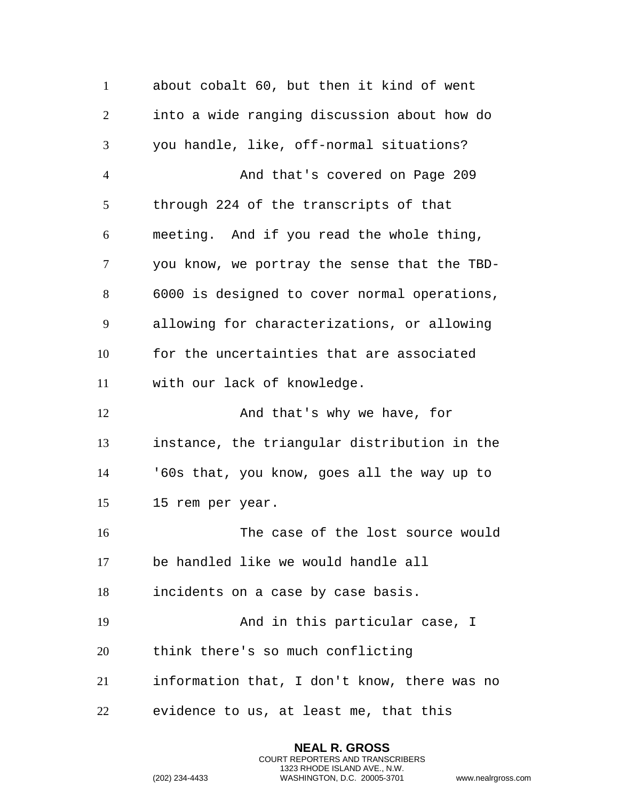about cobalt 60, but then it kind of went into a wide ranging discussion about how do you handle, like, off-normal situations? And that's covered on Page 209 through 224 of the transcripts of that meeting. And if you read the whole thing, you know, we portray the sense that the TBD- 6000 is designed to cover normal operations, allowing for characterizations, or allowing for the uncertainties that are associated with our lack of knowledge. 12 And that's why we have, for instance, the triangular distribution in the '60s that, you know, goes all the way up to 15 rem per year. The case of the lost source would be handled like we would handle all incidents on a case by case basis. And in this particular case, I think there's so much conflicting information that, I don't know, there was no evidence to us, at least me, that this

> **NEAL R. GROSS** COURT REPORTERS AND TRANSCRIBERS 1323 RHODE ISLAND AVE., N.W.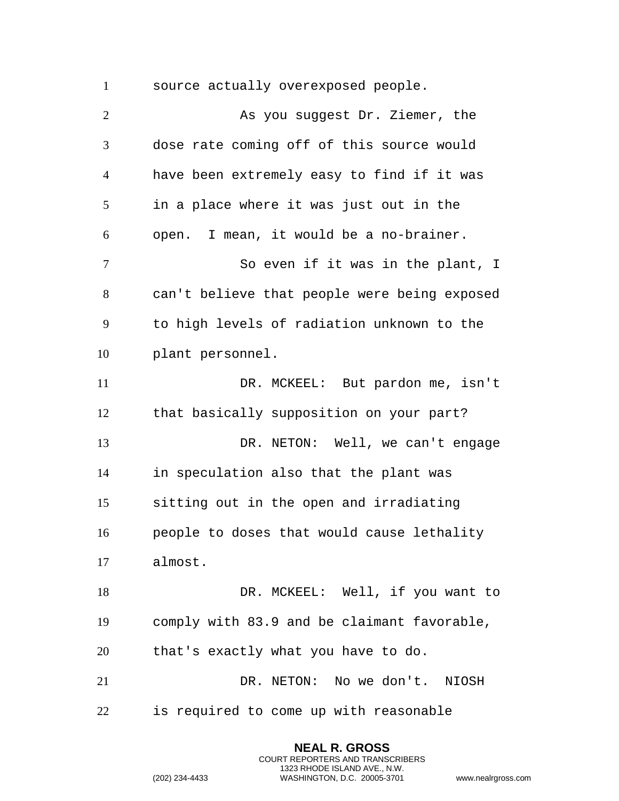source actually overexposed people.

 As you suggest Dr. Ziemer, the dose rate coming off of this source would have been extremely easy to find if it was in a place where it was just out in the open. I mean, it would be a no-brainer. 7 So even if it was in the plant, I can't believe that people were being exposed to high levels of radiation unknown to the plant personnel. DR. MCKEEL: But pardon me, isn't that basically supposition on your part? DR. NETON: Well, we can't engage in speculation also that the plant was sitting out in the open and irradiating people to doses that would cause lethality almost. 18 DR. MCKEEL: Well, if you want to comply with 83.9 and be claimant favorable, that's exactly what you have to do. DR. NETON: No we don't. NIOSH is required to come up with reasonable

> **NEAL R. GROSS** COURT REPORTERS AND TRANSCRIBERS 1323 RHODE ISLAND AVE., N.W.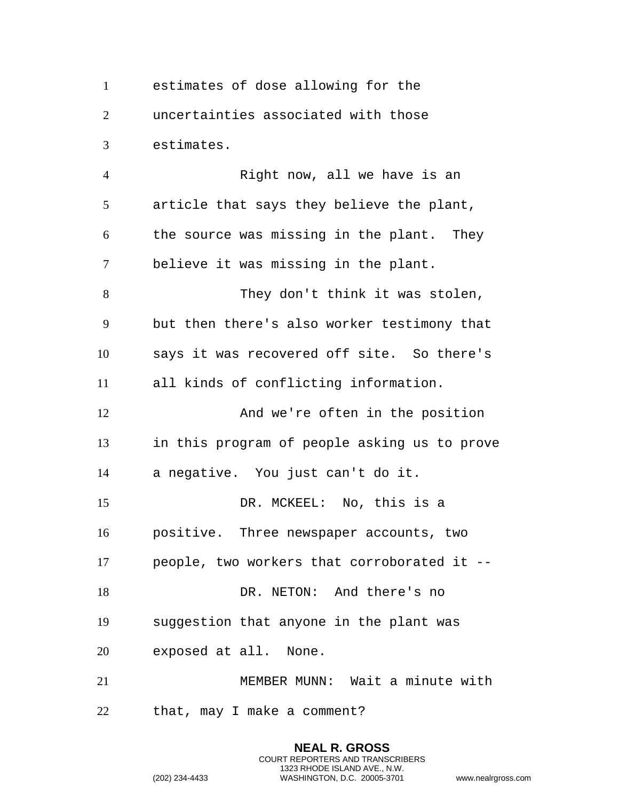estimates of dose allowing for the uncertainties associated with those estimates.

4 Right now, all we have is an article that says they believe the plant, the source was missing in the plant. They believe it was missing in the plant. They don't think it was stolen, but then there's also worker testimony that says it was recovered off site. So there's all kinds of conflicting information. 12 And we're often in the position in this program of people asking us to prove a negative. You just can't do it. DR. MCKEEL: No, this is a positive. Three newspaper accounts, two people, two workers that corroborated it -- 18 DR. NETON: And there's no suggestion that anyone in the plant was exposed at all. None. MEMBER MUNN: Wait a minute with that, may I make a comment?

```
(202) 234-4433 WASHINGTON, D.C. 20005-3701 www.nealrgross.com
```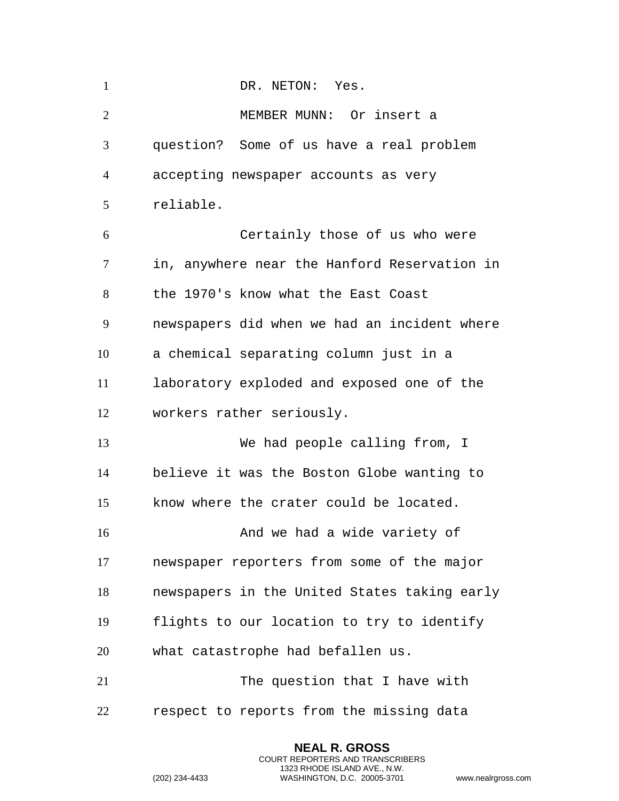| $\mathbf{1}$   | DR. NETON: Yes.                              |
|----------------|----------------------------------------------|
| $\overline{2}$ | MEMBER MUNN: Or insert a                     |
| 3              | question? Some of us have a real problem     |
| $\overline{4}$ | accepting newspaper accounts as very         |
| 5              | reliable.                                    |
| 6              | Certainly those of us who were               |
| $\tau$         | in, anywhere near the Hanford Reservation in |
| 8              | the 1970's know what the East Coast          |
| 9              | newspapers did when we had an incident where |
| 10             | a chemical separating column just in a       |
| 11             | laboratory exploded and exposed one of the   |
| 12             | workers rather seriously.                    |
| 13             | We had people calling from, I                |
| 14             | believe it was the Boston Globe wanting to   |
| 15             | know where the crater could be located.      |
| 16             | And we had a wide variety of                 |
| 17             | newspaper reporters from some of the major   |
| 18             | newspapers in the United States taking early |
| 19             | flights to our location to try to identify   |
| 20             | what catastrophe had befallen us.            |
| 21             | The question that I have with                |
| 22             | respect to reports from the missing data     |

**NEAL R. GROSS** COURT REPORTERS AND TRANSCRIBERS 1323 RHODE ISLAND AVE., N.W.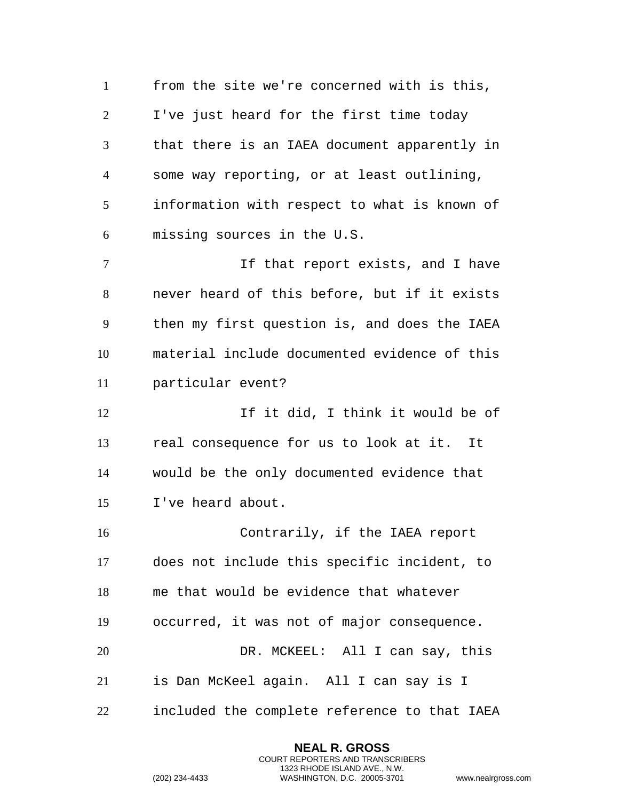from the site we're concerned with is this, I've just heard for the first time today that there is an IAEA document apparently in some way reporting, or at least outlining, information with respect to what is known of missing sources in the U.S. 7 1 If that report exists, and I have never heard of this before, but if it exists then my first question is, and does the IAEA material include documented evidence of this particular event? If it did, I think it would be of real consequence for us to look at it. It would be the only documented evidence that I've heard about. Contrarily, if the IAEA report does not include this specific incident, to me that would be evidence that whatever occurred, it was not of major consequence. DR. MCKEEL: All I can say, this is Dan McKeel again. All I can say is I included the complete reference to that IAEA

```
(202) 234-4433 WASHINGTON, D.C. 20005-3701 www.nealrgross.com
```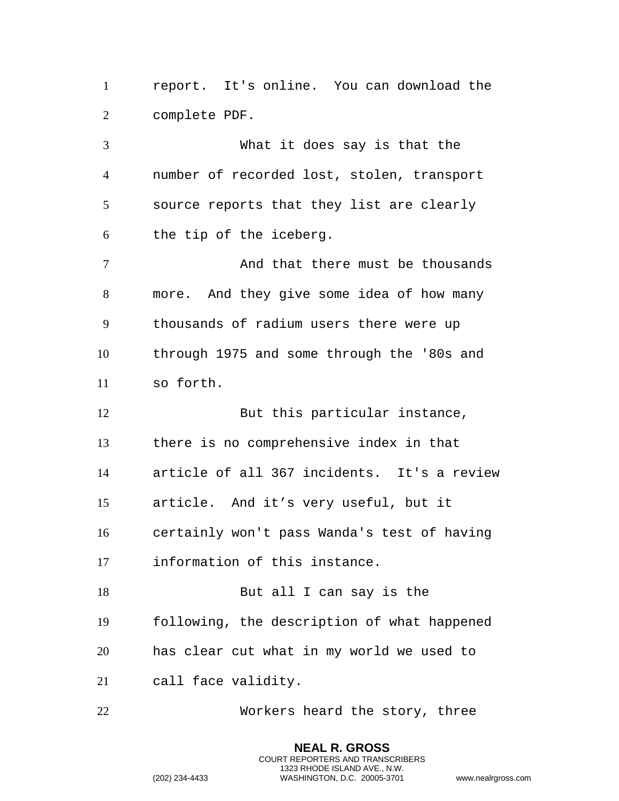report. It's online. You can download the complete PDF.

 What it does say is that the number of recorded lost, stolen, transport source reports that they list are clearly the tip of the iceberg. 7 and that there must be thousands more. And they give some idea of how many thousands of radium users there were up through 1975 and some through the '80s and so forth. 12 But this particular instance, there is no comprehensive index in that article of all 367 incidents. It's a review article. And it's very useful, but it certainly won't pass Wanda's test of having information of this instance. 18 But all I can say is the following, the description of what happened has clear cut what in my world we used to call face validity.

Workers heard the story, three

**NEAL R. GROSS** COURT REPORTERS AND TRANSCRIBERS 1323 RHODE ISLAND AVE., N.W.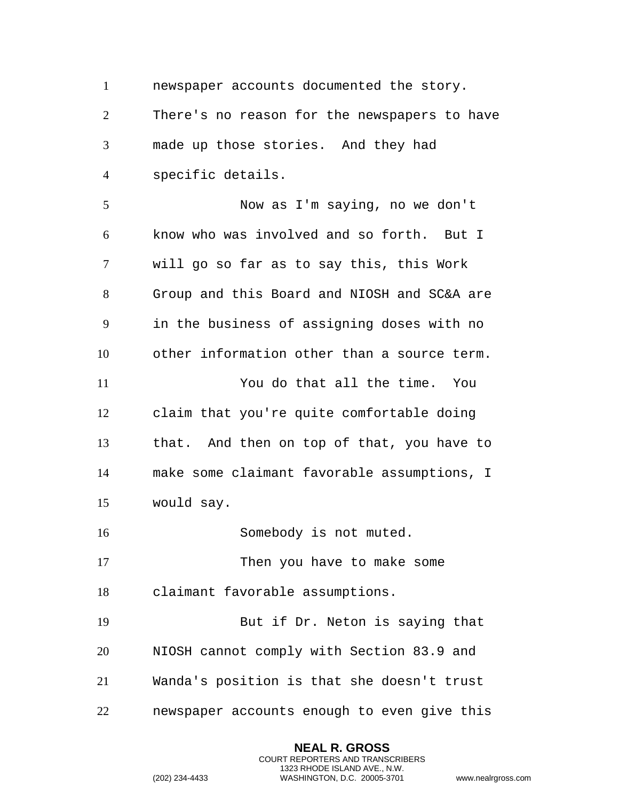newspaper accounts documented the story. There's no reason for the newspapers to have made up those stories. And they had specific details.

 Now as I'm saying, no we don't know who was involved and so forth. But I will go so far as to say this, this Work Group and this Board and NIOSH and SC&A are in the business of assigning doses with no other information other than a source term. You do that all the time. You claim that you're quite comfortable doing that. And then on top of that, you have to make some claimant favorable assumptions, I would say.

16 Somebody is not muted.

17 Then you have to make some claimant favorable assumptions.

 But if Dr. Neton is saying that NIOSH cannot comply with Section 83.9 and Wanda's position is that she doesn't trust newspaper accounts enough to even give this

> **NEAL R. GROSS** COURT REPORTERS AND TRANSCRIBERS 1323 RHODE ISLAND AVE., N.W.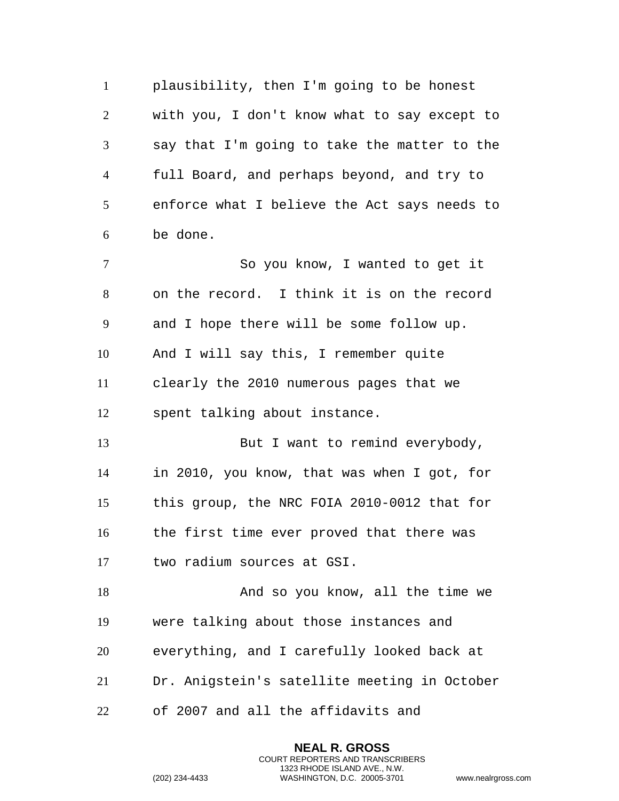plausibility, then I'm going to be honest with you, I don't know what to say except to say that I'm going to take the matter to the full Board, and perhaps beyond, and try to enforce what I believe the Act says needs to be done. So you know, I wanted to get it on the record. I think it is on the record and I hope there will be some follow up. And I will say this, I remember quite clearly the 2010 numerous pages that we spent talking about instance. 13 But I want to remind everybody, in 2010, you know, that was when I got, for this group, the NRC FOIA 2010-0012 that for the first time ever proved that there was two radium sources at GSI. 18 And so you know, all the time we were talking about those instances and everything, and I carefully looked back at Dr. Anigstein's satellite meeting in October of 2007 and all the affidavits and

> **NEAL R. GROSS** COURT REPORTERS AND TRANSCRIBERS 1323 RHODE ISLAND AVE., N.W.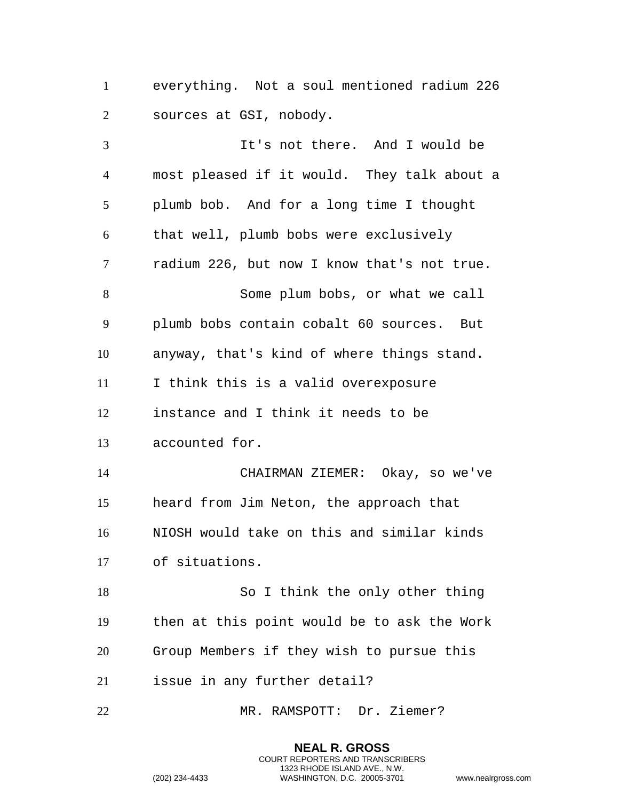everything. Not a soul mentioned radium 226 sources at GSI, nobody.

 It's not there. And I would be most pleased if it would. They talk about a plumb bob. And for a long time I thought that well, plumb bobs were exclusively radium 226, but now I know that's not true. Some plum bobs, or what we call plumb bobs contain cobalt 60 sources. But anyway, that's kind of where things stand. I think this is a valid overexposure instance and I think it needs to be accounted for. CHAIRMAN ZIEMER: Okay, so we've heard from Jim Neton, the approach that NIOSH would take on this and similar kinds of situations. So I think the only other thing then at this point would be to ask the Work Group Members if they wish to pursue this issue in any further detail? MR. RAMSPOTT: Dr. Ziemer?

> **NEAL R. GROSS** COURT REPORTERS AND TRANSCRIBERS 1323 RHODE ISLAND AVE., N.W.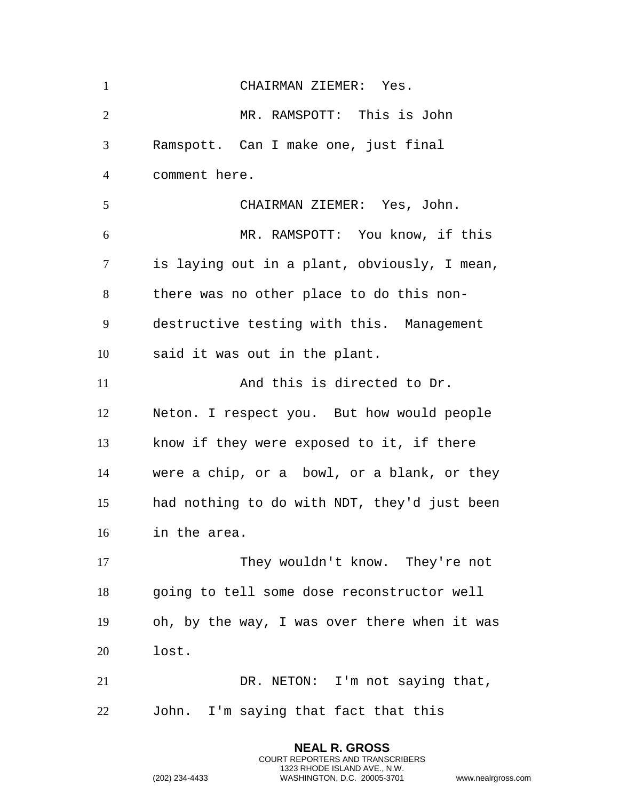| $\mathbf{1}$   | CHAIRMAN ZIEMER: Yes.                        |
|----------------|----------------------------------------------|
| $\overline{2}$ | MR. RAMSPOTT: This is John                   |
| 3              | Ramspott. Can I make one, just final         |
| $\overline{4}$ | comment here.                                |
| 5              | CHAIRMAN ZIEMER: Yes, John.                  |
| 6              | MR. RAMSPOTT: You know, if this              |
| $\tau$         | is laying out in a plant, obviously, I mean, |
| 8              | there was no other place to do this non-     |
| 9              | destructive testing with this. Management    |
| 10             | said it was out in the plant.                |
| 11             | And this is directed to Dr.                  |
| 12             | Neton. I respect you. But how would people   |
| 13             | know if they were exposed to it, if there    |
| 14             | were a chip, or a bowl, or a blank, or they  |
| 15             | had nothing to do with NDT, they'd just been |
| 16             | in the area.                                 |
| 17             | They wouldn't know. They're not              |
| 18             | going to tell some dose reconstructor well   |
| 19             | oh, by the way, I was over there when it was |
| 20             | lost.                                        |
| 21             | DR. NETON: I'm not saying that,              |
| 22             | John. I'm saying that fact that this         |

**NEAL R. GROSS** COURT REPORTERS AND TRANSCRIBERS 1323 RHODE ISLAND AVE., N.W.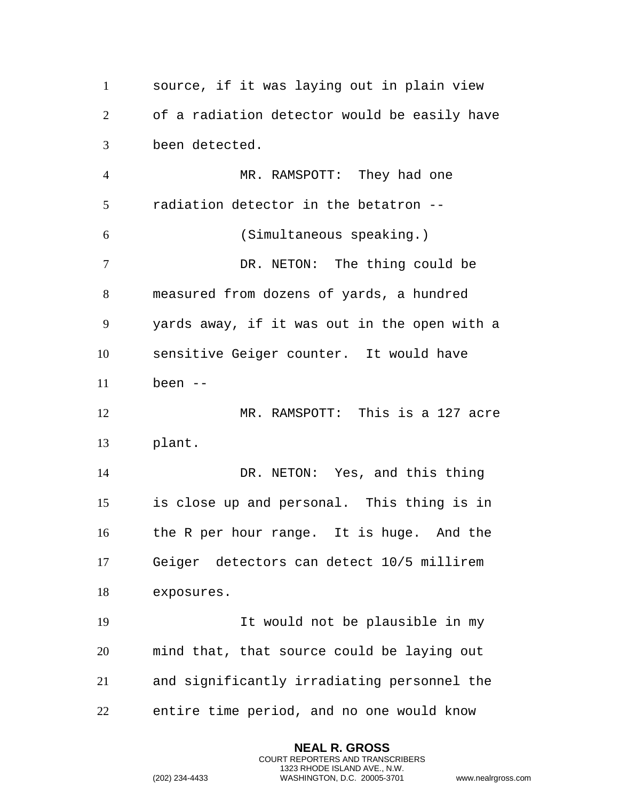source, if it was laying out in plain view of a radiation detector would be easily have been detected. MR. RAMSPOTT: They had one radiation detector in the betatron -- (Simultaneous speaking.) 7 DR. NETON: The thing could be measured from dozens of yards, a hundred yards away, if it was out in the open with a sensitive Geiger counter. It would have been -- MR. RAMSPOTT: This is a 127 acre plant. DR. NETON: Yes, and this thing is close up and personal. This thing is in the R per hour range. It is huge. And the Geiger detectors can detect 10/5 millirem exposures. It would not be plausible in my mind that, that source could be laying out and significantly irradiating personnel the entire time period, and no one would know

```
(202) 234-4433 WASHINGTON, D.C. 20005-3701 www.nealrgross.com
```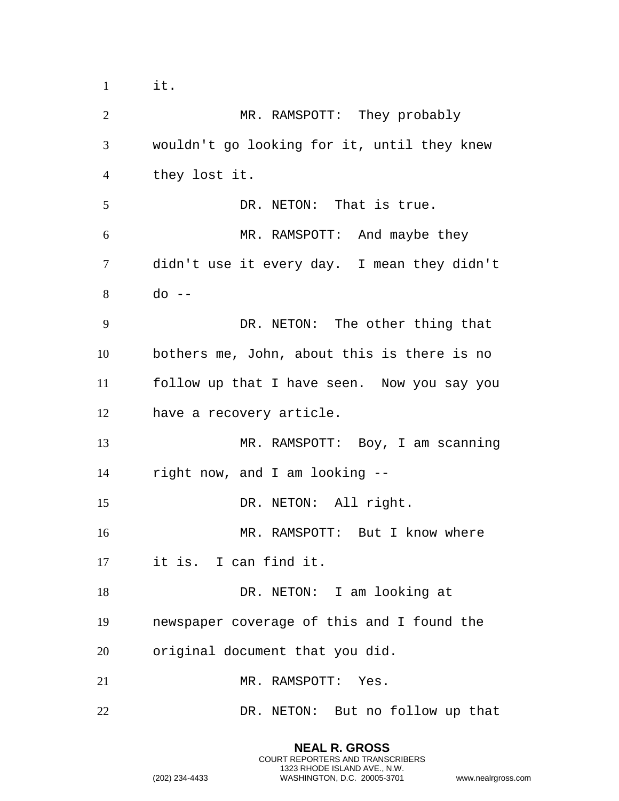it.

 MR. RAMSPOTT: They probably wouldn't go looking for it, until they knew they lost it. 5 DR. NETON: That is true. MR. RAMSPOTT: And maybe they didn't use it every day. I mean they didn't do  $-$  DR. NETON: The other thing that bothers me, John, about this is there is no follow up that I have seen. Now you say you have a recovery article. MR. RAMSPOTT: Boy, I am scanning right now, and I am looking -- 15 DR. NETON: All right. MR. RAMSPOTT: But I know where it is. I can find it. 18 DR. NETON: I am looking at newspaper coverage of this and I found the original document that you did. 21 MR. RAMSPOTT: Yes. DR. NETON: But no follow up that

> **NEAL R. GROSS** COURT REPORTERS AND TRANSCRIBERS 1323 RHODE ISLAND AVE., N.W.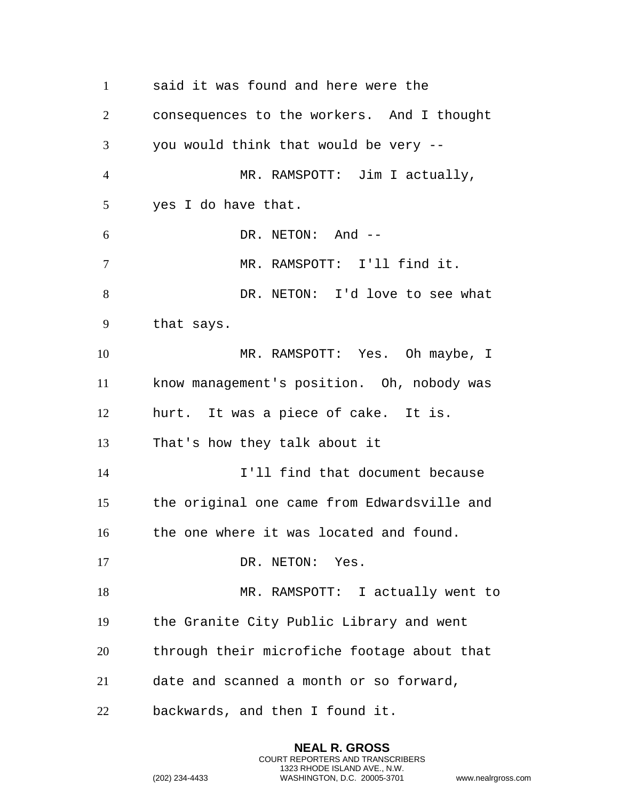said it was found and here were the consequences to the workers. And I thought you would think that would be very -- MR. RAMSPOTT: Jim I actually, yes I do have that. DR. NETON: And -- MR. RAMSPOTT: I'll find it. DR. NETON: I'd love to see what that says. MR. RAMSPOTT: Yes. Oh maybe, I know management's position. Oh, nobody was hurt. It was a piece of cake. It is. That's how they talk about it I'll find that document because the original one came from Edwardsville and the one where it was located and found. 17 DR. NETON: Yes. MR. RAMSPOTT: I actually went to the Granite City Public Library and went through their microfiche footage about that date and scanned a month or so forward, backwards, and then I found it.

```
(202) 234-4433 WASHINGTON, D.C. 20005-3701 www.nealrgross.com
```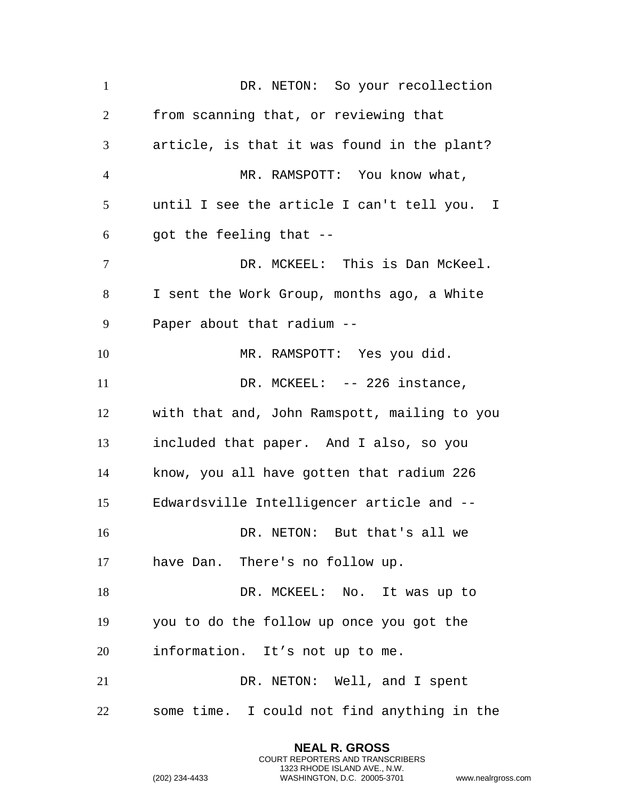DR. NETON: So your recollection from scanning that, or reviewing that article, is that it was found in the plant? MR. RAMSPOTT: You know what, until I see the article I can't tell you. I got the feeling that  $-$  DR. MCKEEL: This is Dan McKeel. I sent the Work Group, months ago, a White Paper about that radium -- MR. RAMSPOTT: Yes you did. 11 DR. MCKEEL: -- 226 instance, with that and, John Ramspott, mailing to you included that paper. And I also, so you know, you all have gotten that radium 226 Edwardsville Intelligencer article and -- DR. NETON: But that's all we have Dan. There's no follow up. 18 DR. MCKEEL: No. It was up to you to do the follow up once you got the information. It's not up to me. DR. NETON: Well, and I spent some time. I could not find anything in the

> **NEAL R. GROSS** COURT REPORTERS AND TRANSCRIBERS 1323 RHODE ISLAND AVE., N.W.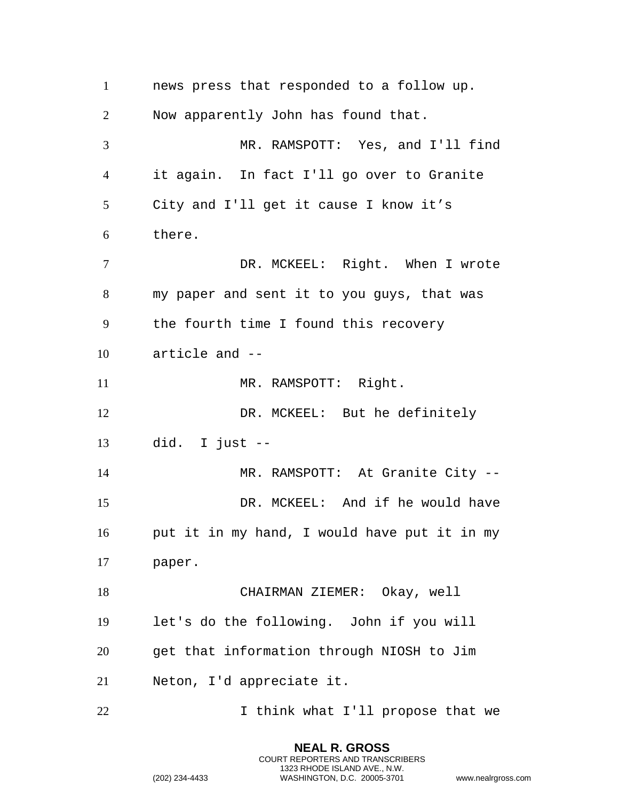news press that responded to a follow up. Now apparently John has found that. MR. RAMSPOTT: Yes, and I'll find it again. In fact I'll go over to Granite City and I'll get it cause I know it's there. DR. MCKEEL: Right. When I wrote my paper and sent it to you guys, that was the fourth time I found this recovery article and -- 11 MR. RAMSPOTT: Right. DR. MCKEEL: But he definitely did. I just  $-$  MR. RAMSPOTT: At Granite City -- DR. MCKEEL: And if he would have put it in my hand, I would have put it in my paper. CHAIRMAN ZIEMER: Okay, well let's do the following. John if you will get that information through NIOSH to Jim Neton, I'd appreciate it. 22 1 I think what I'll propose that we

> **NEAL R. GROSS** COURT REPORTERS AND TRANSCRIBERS 1323 RHODE ISLAND AVE., N.W.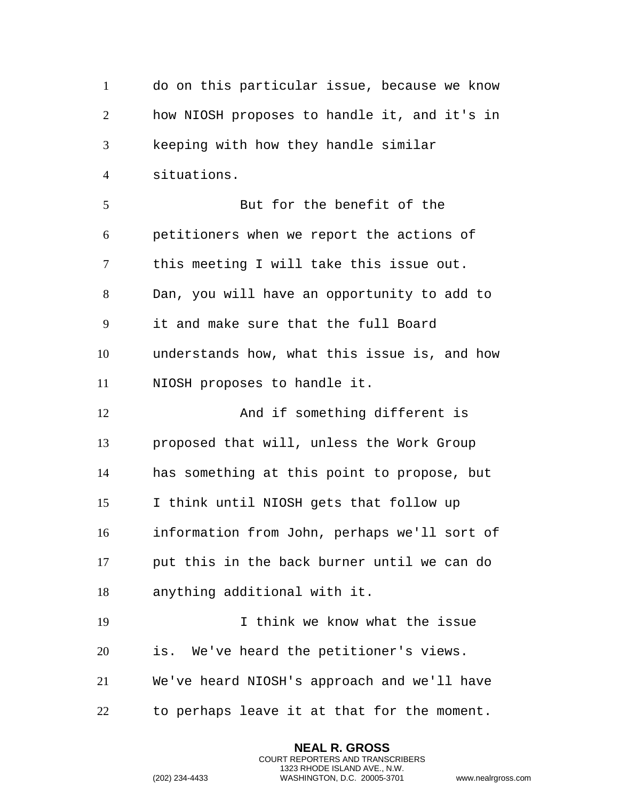do on this particular issue, because we know how NIOSH proposes to handle it, and it's in keeping with how they handle similar situations. But for the benefit of the petitioners when we report the actions of this meeting I will take this issue out. Dan, you will have an opportunity to add to it and make sure that the full Board understands how, what this issue is, and how NIOSH proposes to handle it. 12 And if something different is proposed that will, unless the Work Group has something at this point to propose, but I think until NIOSH gets that follow up information from John, perhaps we'll sort of put this in the back burner until we can do anything additional with it. I think we know what the issue is. We've heard the petitioner's views. We've heard NIOSH's approach and we'll have to perhaps leave it at that for the moment.

> **NEAL R. GROSS** COURT REPORTERS AND TRANSCRIBERS 1323 RHODE ISLAND AVE., N.W.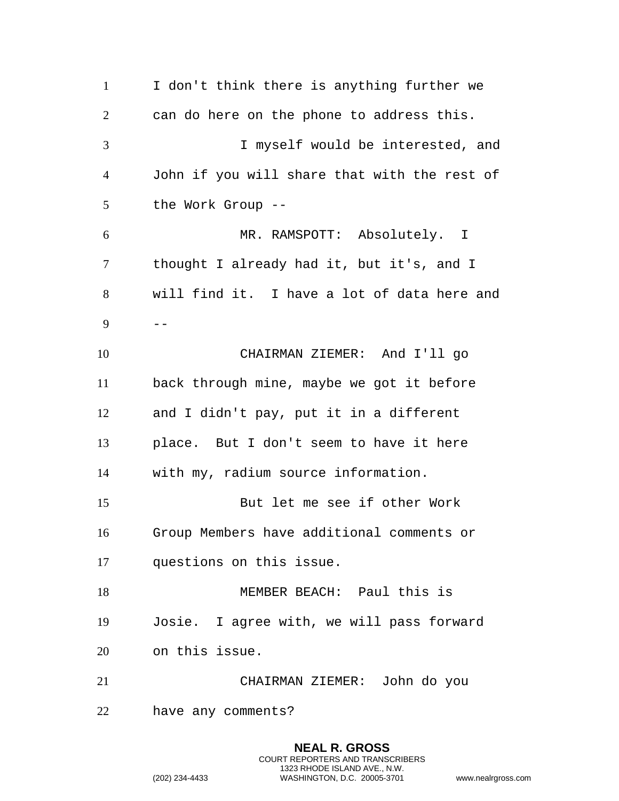I don't think there is anything further we can do here on the phone to address this. I myself would be interested, and John if you will share that with the rest of the Work Group -- MR. RAMSPOTT: Absolutely. I thought I already had it, but it's, and I will find it. I have a lot of data here and  $9 - -$  CHAIRMAN ZIEMER: And I'll go back through mine, maybe we got it before and I didn't pay, put it in a different place. But I don't seem to have it here with my, radium source information. But let me see if other Work Group Members have additional comments or questions on this issue. MEMBER BEACH: Paul this is Josie. I agree with, we will pass forward on this issue. CHAIRMAN ZIEMER: John do you have any comments?

> **NEAL R. GROSS** COURT REPORTERS AND TRANSCRIBERS 1323 RHODE ISLAND AVE., N.W.

```
(202) 234-4433 WASHINGTON, D.C. 20005-3701 www.nealrgross.com
```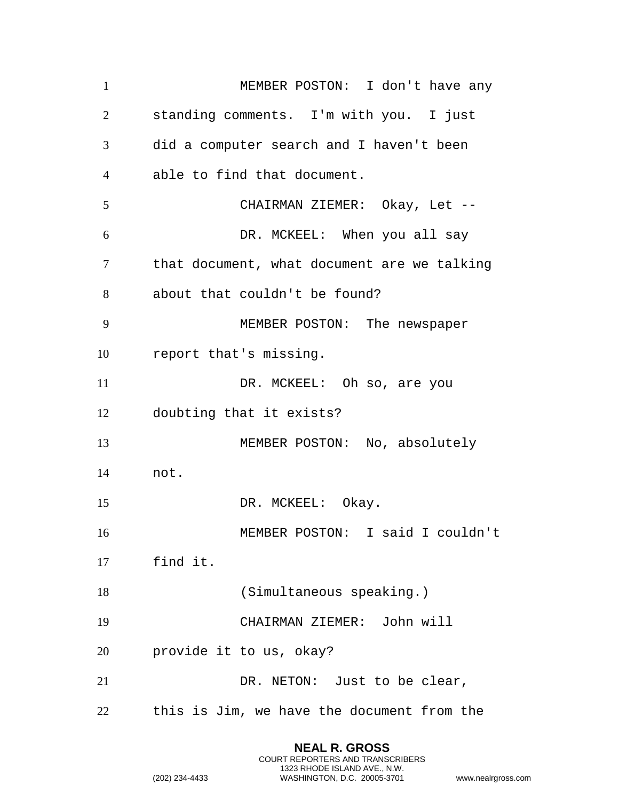MEMBER POSTON: I don't have any standing comments. I'm with you. I just did a computer search and I haven't been able to find that document. CHAIRMAN ZIEMER: Okay, Let -- DR. MCKEEL: When you all say that document, what document are we talking about that couldn't be found? MEMBER POSTON: The newspaper report that's missing. 11 DR. MCKEEL: Oh so, are you doubting that it exists? 13 MEMBER POSTON: No, absolutely not. 15 DR. MCKEEL: Okay. MEMBER POSTON: I said I couldn't find it. (Simultaneous speaking.) CHAIRMAN ZIEMER: John will provide it to us, okay? 21 DR. NETON: Just to be clear, this is Jim, we have the document from the

> **NEAL R. GROSS** COURT REPORTERS AND TRANSCRIBERS 1323 RHODE ISLAND AVE., N.W.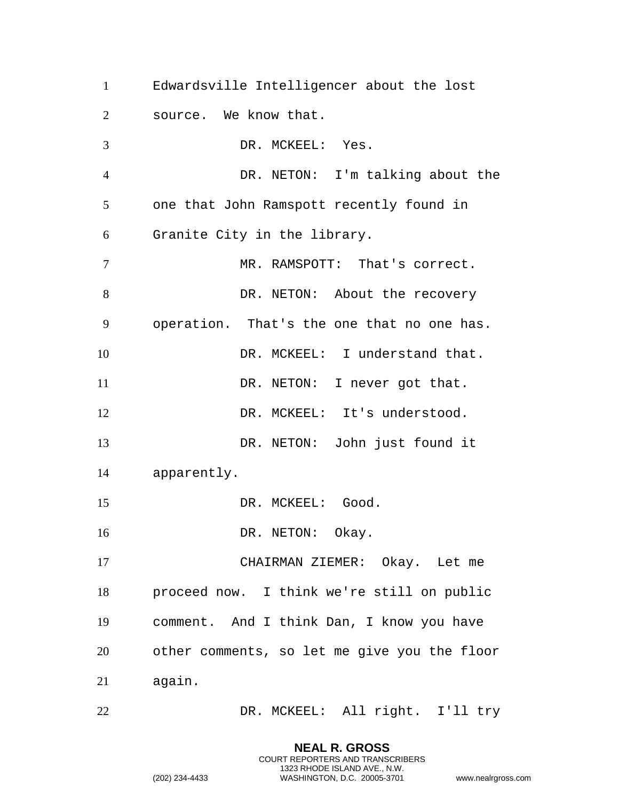Edwardsville Intelligencer about the lost source. We know that. 3 DR. MCKEEL: Yes. DR. NETON: I'm talking about the one that John Ramspott recently found in Granite City in the library. 7 MR. RAMSPOTT: That's correct. 8 DR. NETON: About the recovery operation. That's the one that no one has. DR. MCKEEL: I understand that. 11 DR. NETON: I never got that. DR. MCKEEL: It's understood. DR. NETON: John just found it apparently. 15 DR. MCKEEL: Good. 16 DR. NETON: Okay. CHAIRMAN ZIEMER: Okay. Let me proceed now. I think we're still on public comment. And I think Dan, I know you have other comments, so let me give you the floor again. DR. MCKEEL: All right. I'll try

> **NEAL R. GROSS** COURT REPORTERS AND TRANSCRIBERS 1323 RHODE ISLAND AVE., N.W.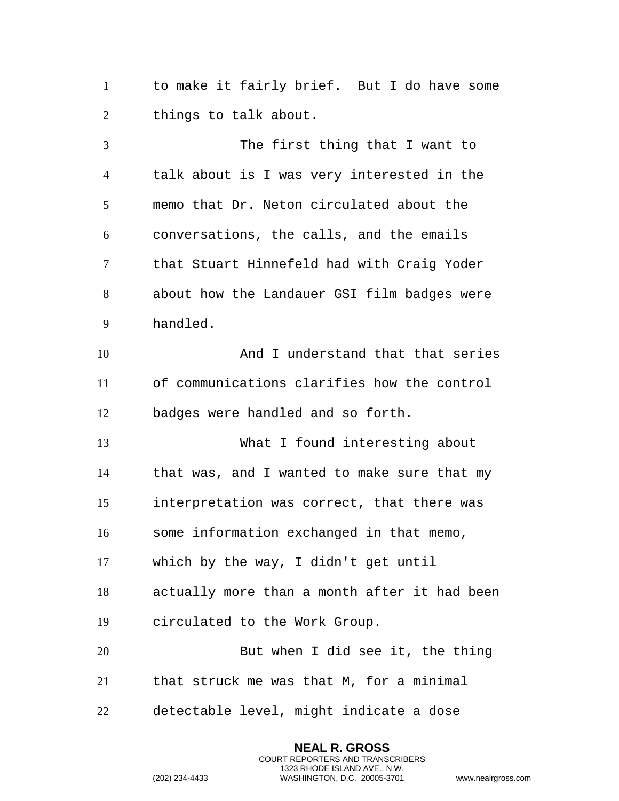to make it fairly brief. But I do have some things to talk about.

 The first thing that I want to talk about is I was very interested in the memo that Dr. Neton circulated about the conversations, the calls, and the emails that Stuart Hinnefeld had with Craig Yoder about how the Landauer GSI film badges were handled. And I understand that that series of communications clarifies how the control badges were handled and so forth. What I found interesting about that was, and I wanted to make sure that my interpretation was correct, that there was some information exchanged in that memo, which by the way, I didn't get until actually more than a month after it had been circulated to the Work Group. But when I did see it, the thing that struck me was that M, for a minimal detectable level, might indicate a dose

> **NEAL R. GROSS** COURT REPORTERS AND TRANSCRIBERS 1323 RHODE ISLAND AVE., N.W.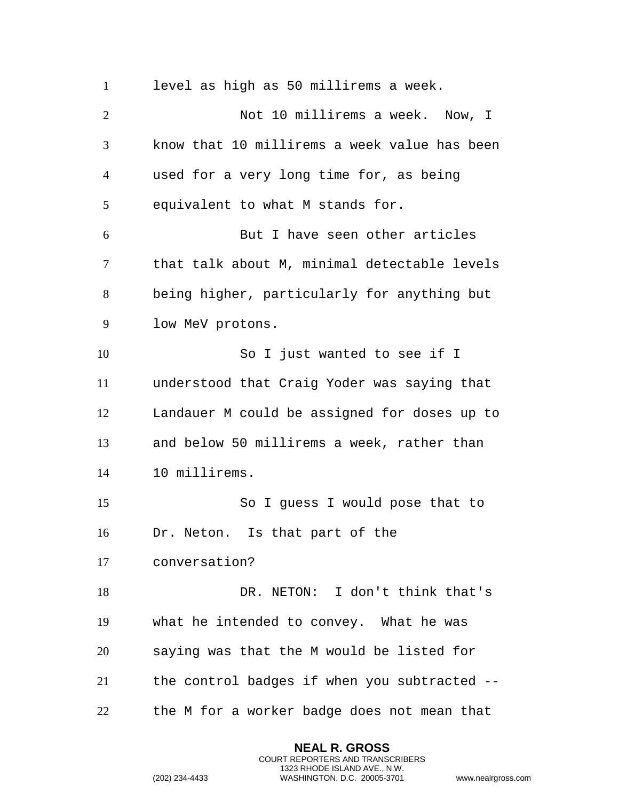level as high as 50 millirems a week. Not 10 millirems a week. Now, I know that 10 millirems a week value has been used for a very long time for, as being equivalent to what M stands for. But I have seen other articles that talk about M, minimal detectable levels being higher, particularly for anything but low MeV protons. So I just wanted to see if I understood that Craig Yoder was saying that Landauer M could be assigned for doses up to and below 50 millirems a week, rather than 10 millirems. So I guess I would pose that to Dr. Neton. Is that part of the conversation? DR. NETON: I don't think that's what he intended to convey. What he was saying was that the M would be listed for the control badges if when you subtracted -- the M for a worker badge does not mean that

> **NEAL R. GROSS** COURT REPORTERS AND TRANSCRIBERS 1323 RHODE ISLAND AVE., N.W.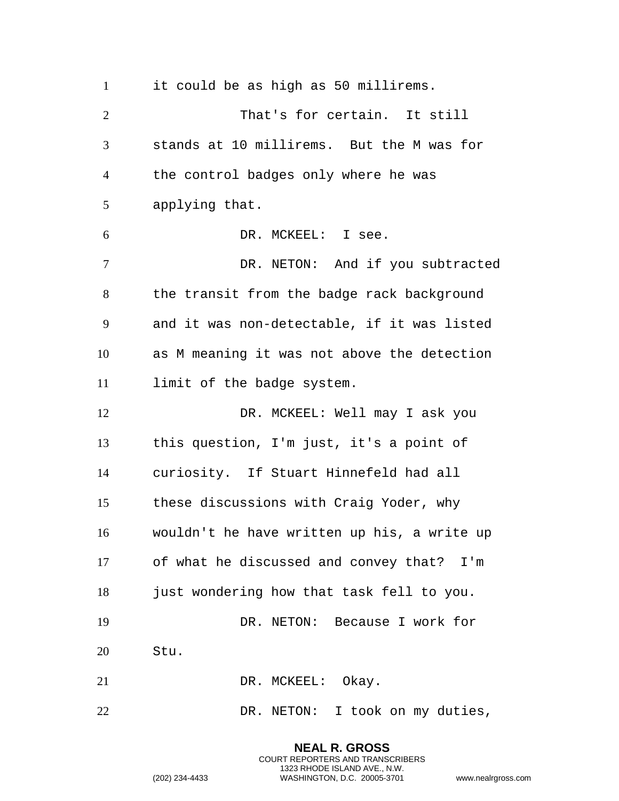it could be as high as 50 millirems. That's for certain. It still stands at 10 millirems. But the M was for the control badges only where he was applying that. DR. MCKEEL: I see. DR. NETON: And if you subtracted 8 the transit from the badge rack background and it was non-detectable, if it was listed as M meaning it was not above the detection limit of the badge system. DR. MCKEEL: Well may I ask you this question, I'm just, it's a point of curiosity. If Stuart Hinnefeld had all these discussions with Craig Yoder, why wouldn't he have written up his, a write up of what he discussed and convey that? I'm just wondering how that task fell to you. DR. NETON: Because I work for Stu. 21 DR. MCKEEL: Okay. 22 DR. NETON: I took on my duties,

> COURT REPORTERS AND TRANSCRIBERS 1323 RHODE ISLAND AVE., N.W. (202) 234-4433 WASHINGTON, D.C. 20005-3701 www.nealrgross.com

**NEAL R. GROSS**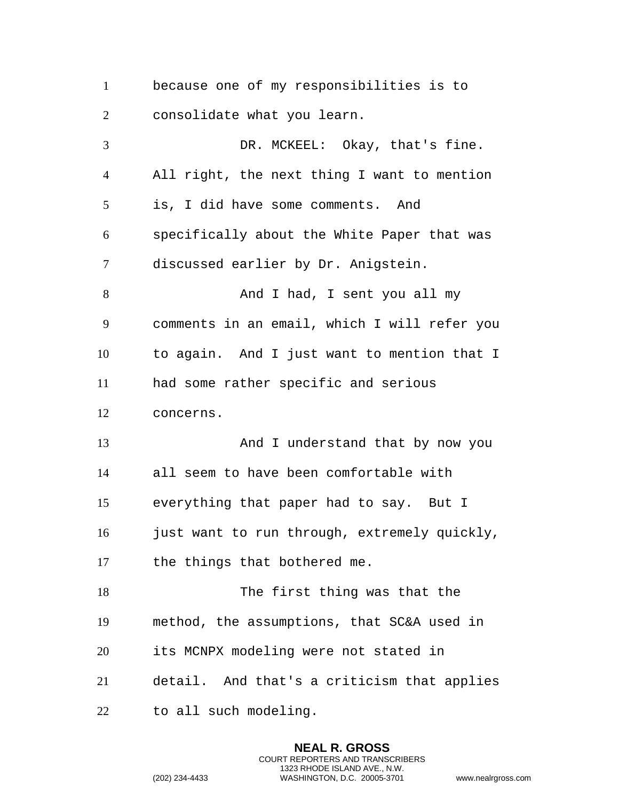because one of my responsibilities is to consolidate what you learn. DR. MCKEEL: Okay, that's fine. All right, the next thing I want to mention is, I did have some comments. And specifically about the White Paper that was discussed earlier by Dr. Anigstein. 8 And I had, I sent you all my comments in an email, which I will refer you to again. And I just want to mention that I had some rather specific and serious concerns. 13 And I understand that by now you

 all seem to have been comfortable with everything that paper had to say. But I just want to run through, extremely quickly,

the things that bothered me.

18 The first thing was that the method, the assumptions, that SC&A used in its MCNPX modeling were not stated in detail. And that's a criticism that applies

> **NEAL R. GROSS** COURT REPORTERS AND TRANSCRIBERS 1323 RHODE ISLAND AVE., N.W.

to all such modeling.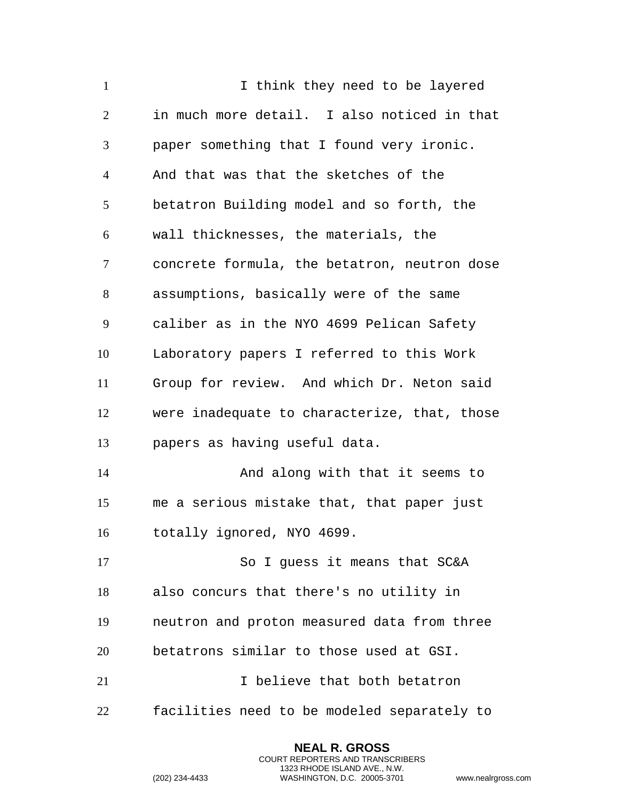I think they need to be layered in much more detail. I also noticed in that paper something that I found very ironic. And that was that the sketches of the betatron Building model and so forth, the wall thicknesses, the materials, the concrete formula, the betatron, neutron dose assumptions, basically were of the same caliber as in the NYO 4699 Pelican Safety Laboratory papers I referred to this Work Group for review. And which Dr. Neton said were inadequate to characterize, that, those papers as having useful data. And along with that it seems to me a serious mistake that, that paper just totally ignored, NYO 4699. 17 So I guess it means that SC&A also concurs that there's no utility in neutron and proton measured data from three betatrons similar to those used at GSI. I believe that both betatron facilities need to be modeled separately to

> **NEAL R. GROSS** COURT REPORTERS AND TRANSCRIBERS 1323 RHODE ISLAND AVE., N.W.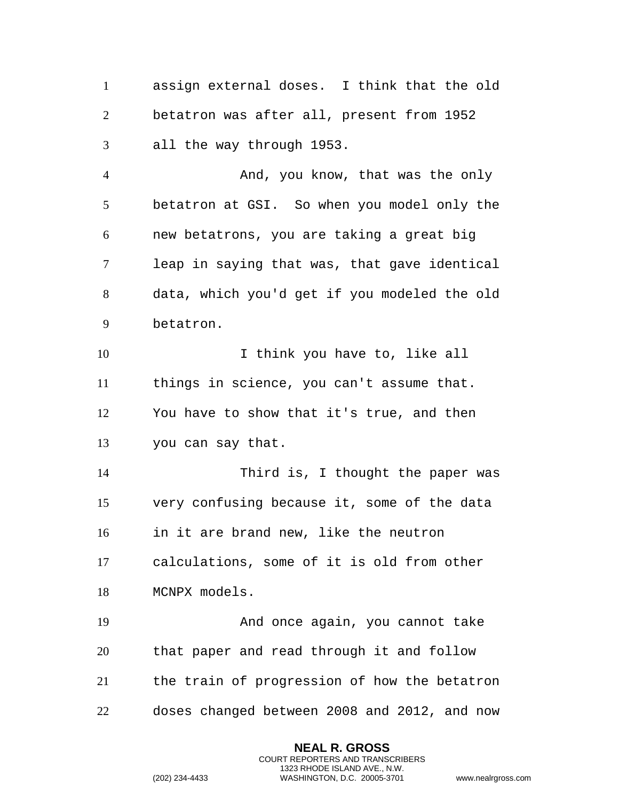assign external doses. I think that the old betatron was after all, present from 1952 all the way through 1953.

 And, you know, that was the only betatron at GSI. So when you model only the new betatrons, you are taking a great big leap in saying that was, that gave identical data, which you'd get if you modeled the old betatron.

10 1 I think you have to, like all things in science, you can't assume that. You have to show that it's true, and then you can say that.

 Third is, I thought the paper was very confusing because it, some of the data in it are brand new, like the neutron calculations, some of it is old from other

 And once again, you cannot take that paper and read through it and follow the train of progression of how the betatron doses changed between 2008 and 2012, and now

> **NEAL R. GROSS** COURT REPORTERS AND TRANSCRIBERS 1323 RHODE ISLAND AVE., N.W.

MCNPX models.

```
(202) 234-4433 WASHINGTON, D.C. 20005-3701 www.nealrgross.com
```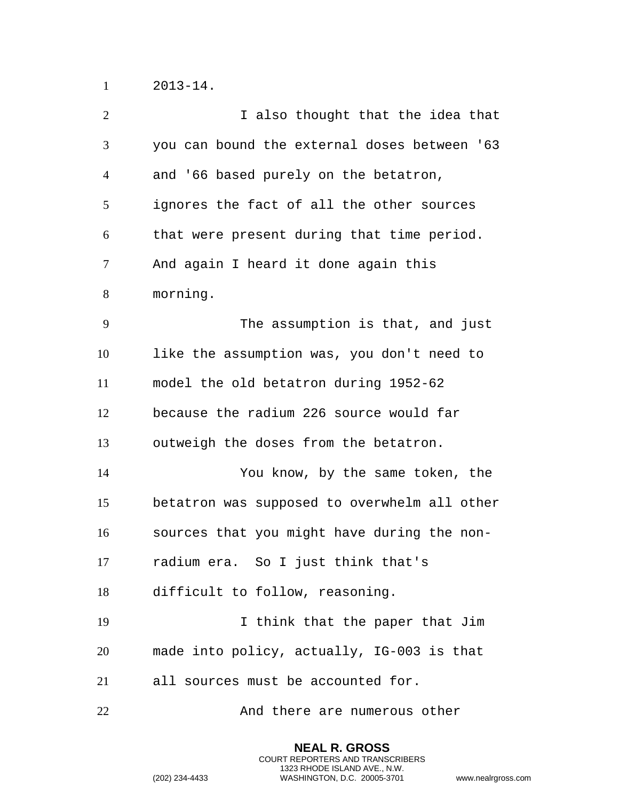2013-14.

| $\overline{2}$ | I also thought that the idea that            |
|----------------|----------------------------------------------|
| 3              | you can bound the external doses between '63 |
| $\overline{4}$ | and '66 based purely on the betatron,        |
| 5              | ignores the fact of all the other sources    |
| 6              | that were present during that time period.   |
| $\overline{7}$ | And again I heard it done again this         |
| 8              | morning.                                     |
| 9              | The assumption is that, and just             |
| 10             | like the assumption was, you don't need to   |
| 11             | model the old betatron during 1952-62        |
| 12             | because the radium 226 source would far      |
| 13             | outweigh the doses from the betatron.        |
| 14             | You know, by the same token, the             |
| 15             | betatron was supposed to overwhelm all other |
| 16             | sources that you might have during the non-  |
| 17             | radium era. So I just think that's           |
| 18             | difficult to follow, reasoning.              |
| 19             | I think that the paper that Jim              |
| 20             | made into policy, actually, IG-003 is that   |
| 21             | all sources must be accounted for.           |
| 22             | And there are numerous other                 |

**NEAL R. GROSS** COURT REPORTERS AND TRANSCRIBERS 1323 RHODE ISLAND AVE., N.W.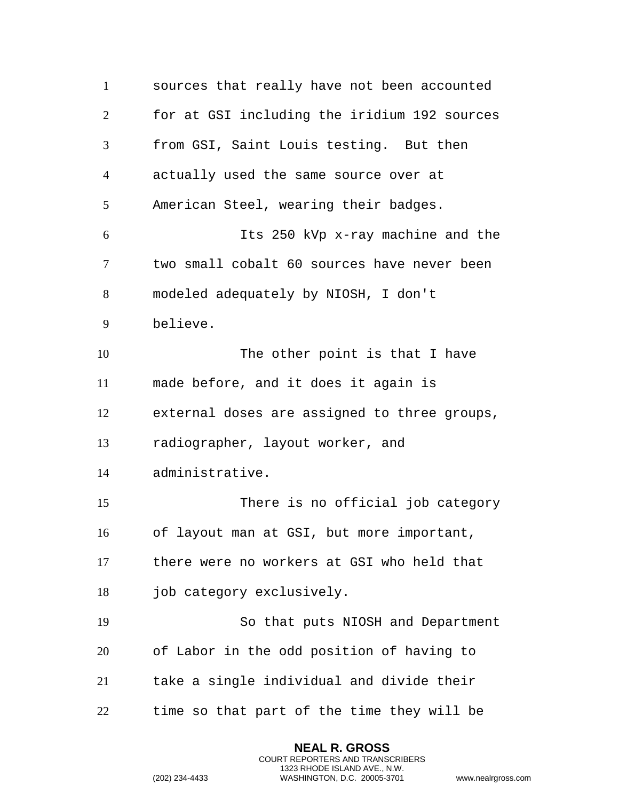sources that really have not been accounted for at GSI including the iridium 192 sources from GSI, Saint Louis testing. But then actually used the same source over at American Steel, wearing their badges. Its 250 kVp x-ray machine and the two small cobalt 60 sources have never been modeled adequately by NIOSH, I don't believe. The other point is that I have made before, and it does it again is external doses are assigned to three groups, radiographer, layout worker, and administrative. There is no official job category of layout man at GSI, but more important, there were no workers at GSI who held that job category exclusively. So that puts NIOSH and Department of Labor in the odd position of having to take a single individual and divide their time so that part of the time they will be

> **NEAL R. GROSS** COURT REPORTERS AND TRANSCRIBERS 1323 RHODE ISLAND AVE., N.W.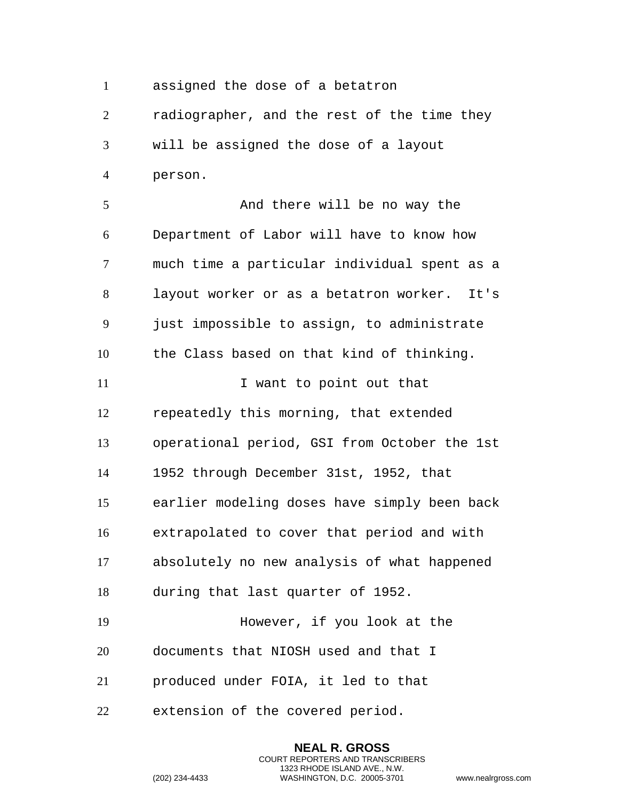assigned the dose of a betatron

 radiographer, and the rest of the time they will be assigned the dose of a layout person.

 And there will be no way the Department of Labor will have to know how much time a particular individual spent as a layout worker or as a betatron worker. It's just impossible to assign, to administrate the Class based on that kind of thinking. 11 I want to point out that repeatedly this morning, that extended

operational period, GSI from October the 1st

1952 through December 31st, 1952, that

earlier modeling doses have simply been back

 extrapolated to cover that period and with absolutely no new analysis of what happened

> **NEAL R. GROSS** COURT REPORTERS AND TRANSCRIBERS 1323 RHODE ISLAND AVE., N.W.

during that last quarter of 1952.

However, if you look at the

documents that NIOSH used and that I

produced under FOIA, it led to that

extension of the covered period.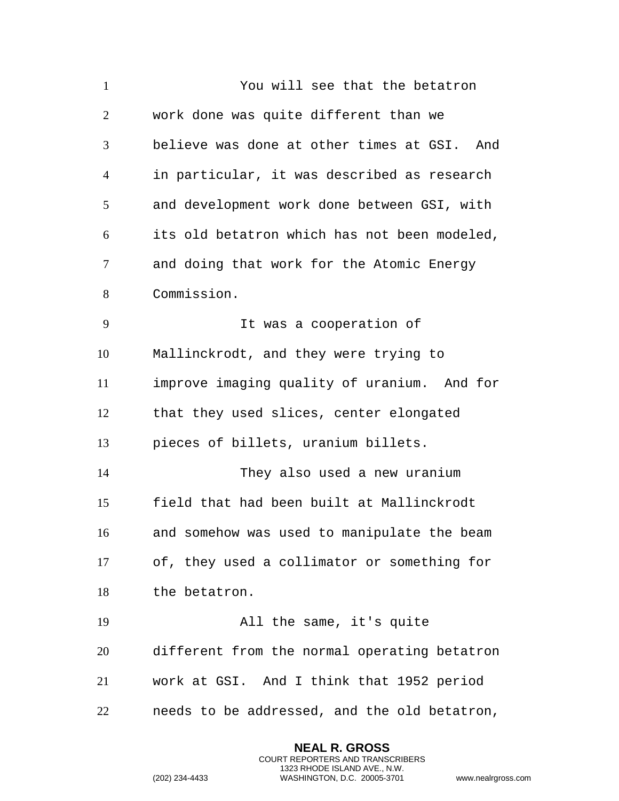| $\mathbf{1}$   | You will see that the betatron               |
|----------------|----------------------------------------------|
| $\overline{2}$ | work done was quite different than we        |
| 3              | believe was done at other times at GSI. And  |
| $\overline{4}$ | in particular, it was described as research  |
| 5              | and development work done between GSI, with  |
| 6              | its old betatron which has not been modeled, |
| $\tau$         | and doing that work for the Atomic Energy    |
| 8              | Commission.                                  |
| 9              | It was a cooperation of                      |
| 10             | Mallinckrodt, and they were trying to        |
| 11             | improve imaging quality of uranium. And for  |
| 12             | that they used slices, center elongated      |
| 13             | pieces of billets, uranium billets.          |
| 14             | They also used a new uranium                 |
| 15             | field that had been built at Mallinckrodt    |
| 16             | and somehow was used to manipulate the beam  |
| 17             | of, they used a collimator or something for  |
| 18             | the betatron.                                |
| 19             | All the same, it's quite                     |
| 20             | different from the normal operating betatron |
| 21             | work at GSI. And I think that 1952 period    |
| 22             | needs to be addressed, and the old betatron, |

**NEAL R. GROSS** COURT REPORTERS AND TRANSCRIBERS 1323 RHODE ISLAND AVE., N.W.

```
(202) 234-4433 WASHINGTON, D.C. 20005-3701 www.nealrgross.com
```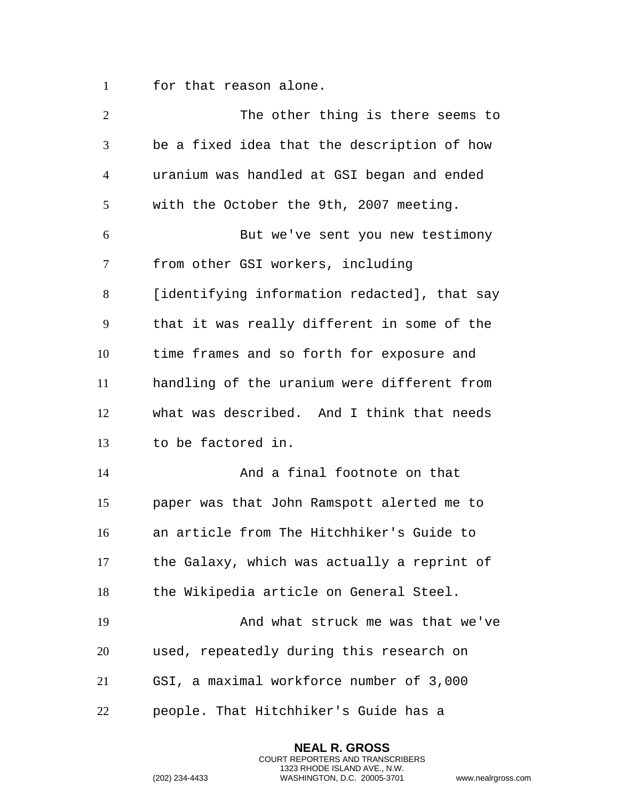for that reason alone.

| $\overline{2}$ | The other thing is there seems to            |
|----------------|----------------------------------------------|
| 3              | be a fixed idea that the description of how  |
| $\overline{4}$ | uranium was handled at GSI began and ended   |
| 5              | with the October the 9th, 2007 meeting.      |
| 6              | But we've sent you new testimony             |
| 7              | from other GSI workers, including            |
| 8              | [identifying information redacted], that say |
| 9              | that it was really different in some of the  |
| 10             | time frames and so forth for exposure and    |
| 11             | handling of the uranium were different from  |
| 12             | what was described. And I think that needs   |
| 13             | to be factored in.                           |
| 14             | And a final footnote on that                 |
| 15             | paper was that John Ramspott alerted me to   |
| 16             | an article from The Hitchhiker's Guide to    |
| 17             | the Galaxy, which was actually a reprint of  |
| 18             | the Wikipedia article on General Steel.      |
| 19             | And what struck me was that we've            |
| 20             | used, repeatedly during this research on     |
| 21             | GSI, a maximal workforce number of 3,000     |
| 22             | people. That Hitchhiker's Guide has a        |

**NEAL R. GROSS** COURT REPORTERS AND TRANSCRIBERS 1323 RHODE ISLAND AVE., N.W.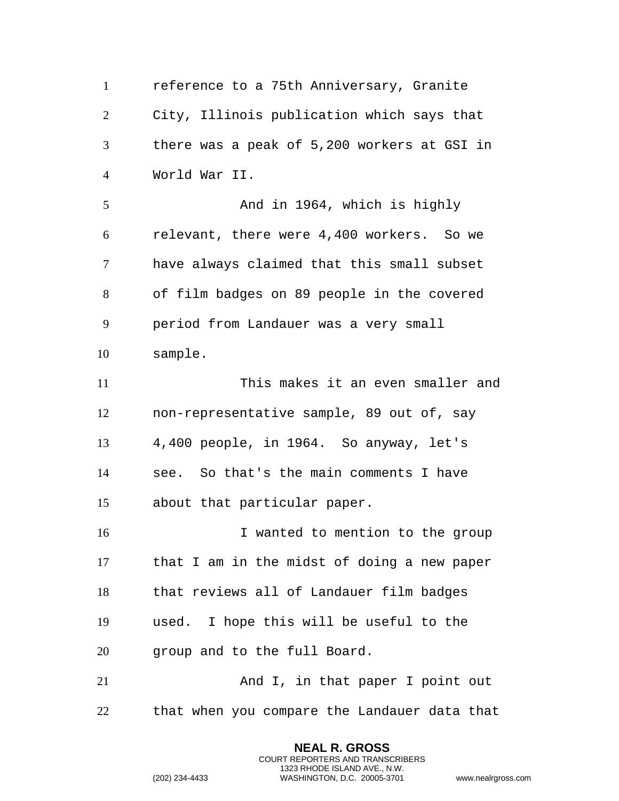reference to a 75th Anniversary, Granite City, Illinois publication which says that there was a peak of 5,200 workers at GSI in World War II. And in 1964, which is highly relevant, there were 4,400 workers. So we have always claimed that this small subset of film badges on 89 people in the covered period from Landauer was a very small sample. This makes it an even smaller and non-representative sample, 89 out of, say 4,400 people, in 1964. So anyway, let's see. So that's the main comments I have about that particular paper. 16 I wanted to mention to the group that I am in the midst of doing a new paper that reviews all of Landauer film badges used. I hope this will be useful to the 20 group and to the full Board. 21 And I, in that paper I point out that when you compare the Landauer data that

> **NEAL R. GROSS** COURT REPORTERS AND TRANSCRIBERS 1323 RHODE ISLAND AVE., N.W.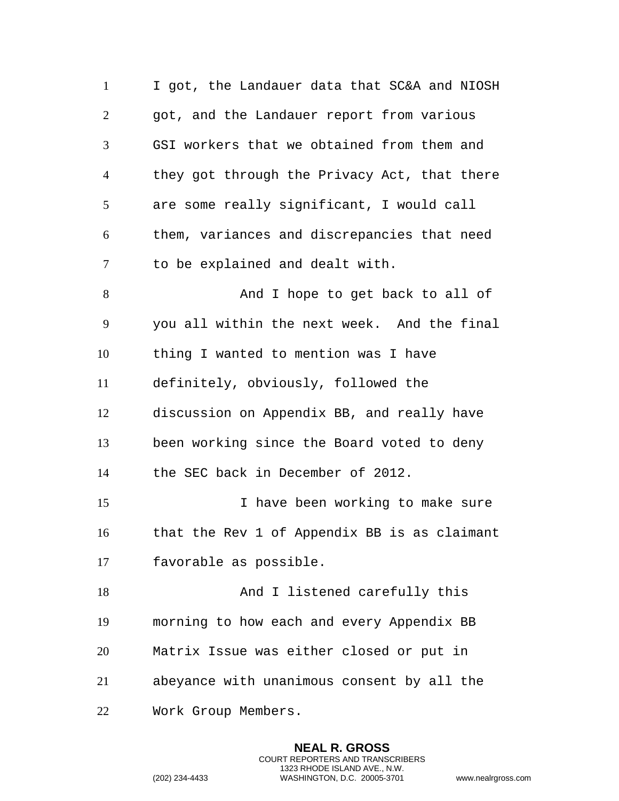I got, the Landauer data that SC&A and NIOSH got, and the Landauer report from various GSI workers that we obtained from them and they got through the Privacy Act, that there are some really significant, I would call them, variances and discrepancies that need to be explained and dealt with. 8 And I hope to get back to all of you all within the next week. And the final thing I wanted to mention was I have definitely, obviously, followed the discussion on Appendix BB, and really have been working since the Board voted to deny the SEC back in December of 2012. I have been working to make sure that the Rev 1 of Appendix BB is as claimant favorable as possible. 18 And I listened carefully this morning to how each and every Appendix BB Matrix Issue was either closed or put in abeyance with unanimous consent by all the Work Group Members.

> **NEAL R. GROSS** COURT REPORTERS AND TRANSCRIBERS 1323 RHODE ISLAND AVE., N.W.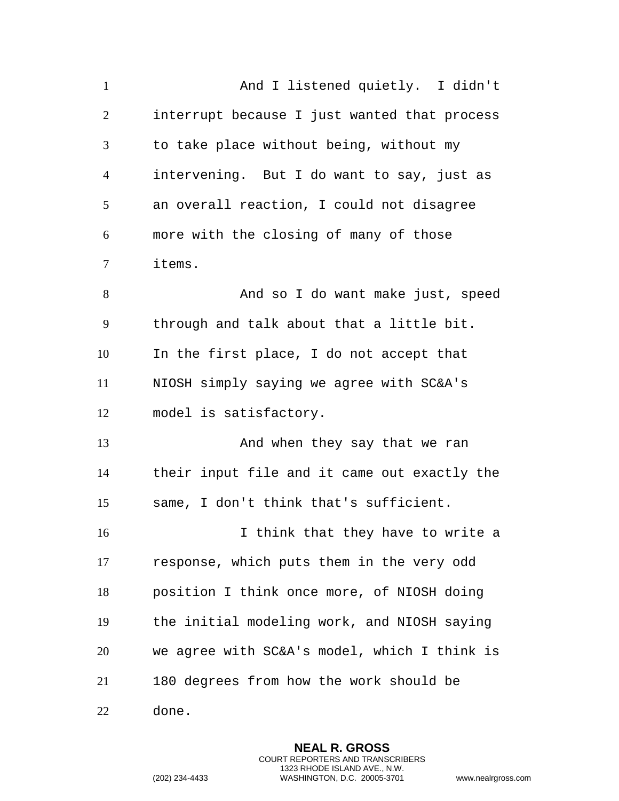And I listened quietly. I didn't interrupt because I just wanted that process to take place without being, without my intervening. But I do want to say, just as an overall reaction, I could not disagree more with the closing of many of those items. 8 And so I do want make just, speed through and talk about that a little bit. In the first place, I do not accept that NIOSH simply saying we agree with SC&A's model is satisfactory. 13 And when they say that we ran their input file and it came out exactly the same, I don't think that's sufficient. 16 16 I think that they have to write a response, which puts them in the very odd position I think once more, of NIOSH doing the initial modeling work, and NIOSH saying we agree with SC&A's model, which I think is 180 degrees from how the work should be done.

> **NEAL R. GROSS** COURT REPORTERS AND TRANSCRIBERS 1323 RHODE ISLAND AVE., N.W.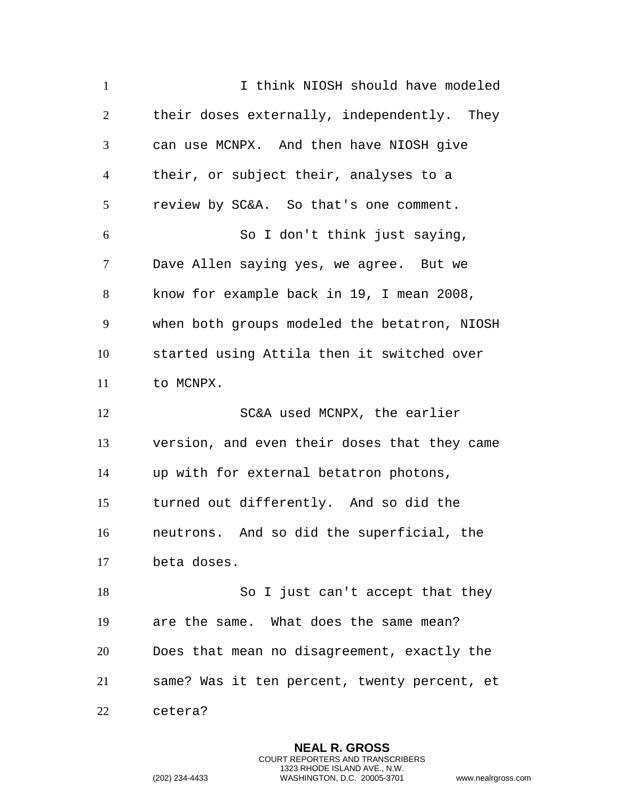1 1 I think NIOSH should have modeled their doses externally, independently. They can use MCNPX. And then have NIOSH give their, or subject their, analyses to a review by SC&A. So that's one comment. So I don't think just saying, Dave Allen saying yes, we agree. But we know for example back in 19, I mean 2008, when both groups modeled the betatron, NIOSH started using Attila then it switched over 11 to MCNPX. SC&A used MCNPX, the earlier version, and even their doses that they came up with for external betatron photons, turned out differently. And so did the neutrons. And so did the superficial, the beta doses. 18 So I just can't accept that they are the same. What does the same mean? Does that mean no disagreement, exactly the same? Was it ten percent, twenty percent, et cetera?

> **NEAL R. GROSS** COURT REPORTERS AND TRANSCRIBERS 1323 RHODE ISLAND AVE., N.W.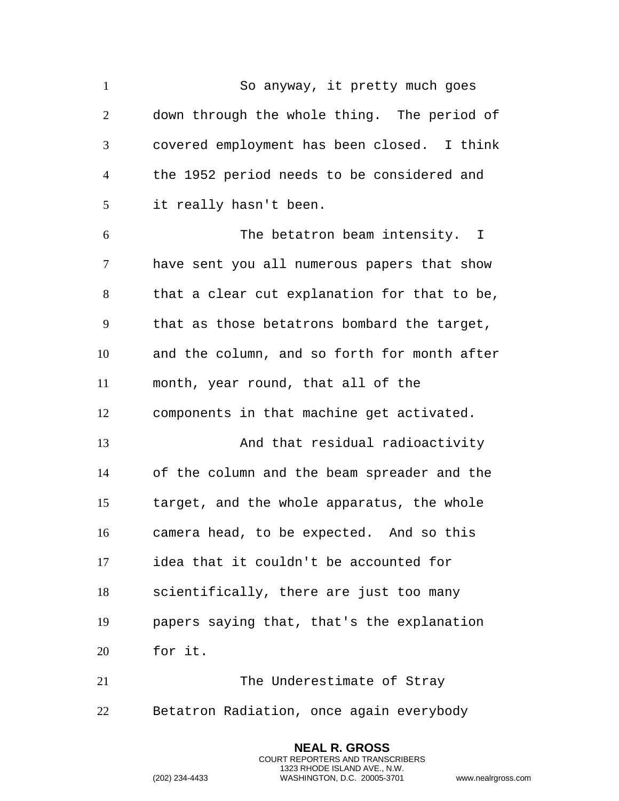So anyway, it pretty much goes down through the whole thing. The period of covered employment has been closed. I think the 1952 period needs to be considered and it really hasn't been. The betatron beam intensity. I have sent you all numerous papers that show that a clear cut explanation for that to be, that as those betatrons bombard the target, and the column, and so forth for month after month, year round, that all of the components in that machine get activated. And that residual radioactivity of the column and the beam spreader and the target, and the whole apparatus, the whole camera head, to be expected. And so this idea that it couldn't be accounted for scientifically, there are just too many papers saying that, that's the explanation for it. The Underestimate of Stray Betatron Radiation, once again everybody

> **NEAL R. GROSS** COURT REPORTERS AND TRANSCRIBERS 1323 RHODE ISLAND AVE., N.W.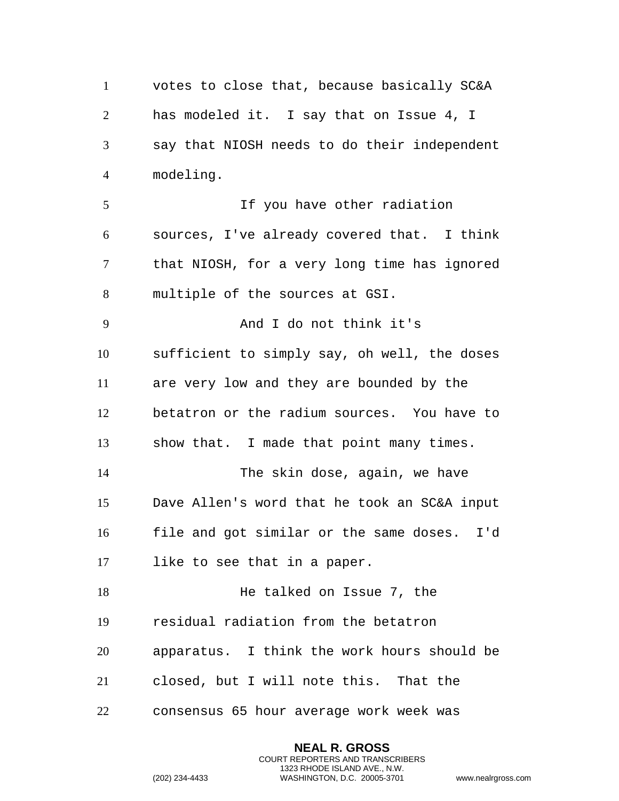votes to close that, because basically SC&A has modeled it. I say that on Issue 4, I say that NIOSH needs to do their independent modeling. If you have other radiation sources, I've already covered that. I think that NIOSH, for a very long time has ignored multiple of the sources at GSI. And I do not think it's sufficient to simply say, oh well, the doses are very low and they are bounded by the betatron or the radium sources. You have to show that. I made that point many times. The skin dose, again, we have Dave Allen's word that he took an SC&A input file and got similar or the same doses. I'd like to see that in a paper. 18 He talked on Issue 7, the residual radiation from the betatron apparatus. I think the work hours should be closed, but I will note this. That the consensus 65 hour average work week was

> **NEAL R. GROSS** COURT REPORTERS AND TRANSCRIBERS 1323 RHODE ISLAND AVE., N.W.

```
(202) 234-4433 WASHINGTON, D.C. 20005-3701 www.nealrgross.com
```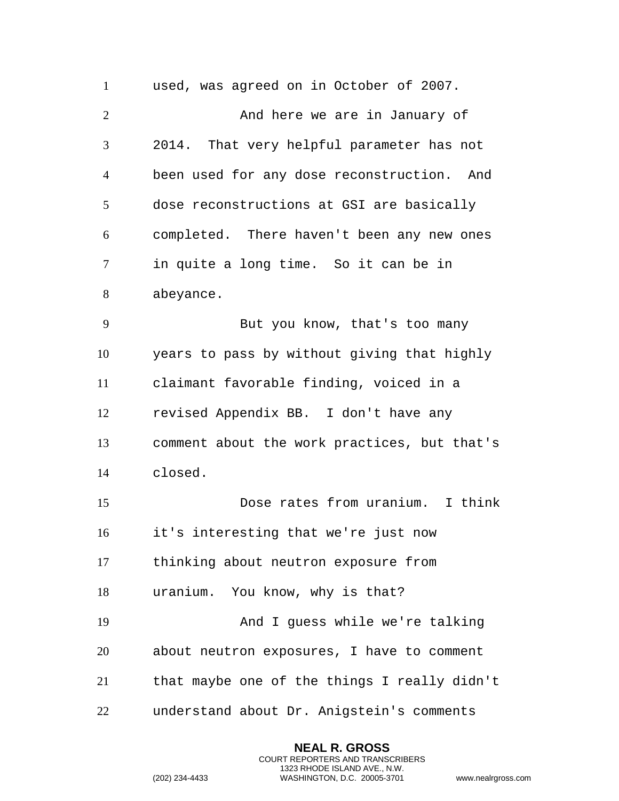used, was agreed on in October of 2007. 2 And here we are in January of 2014. That very helpful parameter has not been used for any dose reconstruction. And dose reconstructions at GSI are basically completed. There haven't been any new ones in quite a long time. So it can be in abeyance. But you know, that's too many years to pass by without giving that highly claimant favorable finding, voiced in a revised Appendix BB. I don't have any comment about the work practices, but that's closed. Dose rates from uranium. I think it's interesting that we're just now thinking about neutron exposure from uranium. You know, why is that? And I guess while we're talking about neutron exposures, I have to comment that maybe one of the things I really didn't understand about Dr. Anigstein's comments

> **NEAL R. GROSS** COURT REPORTERS AND TRANSCRIBERS 1323 RHODE ISLAND AVE., N.W.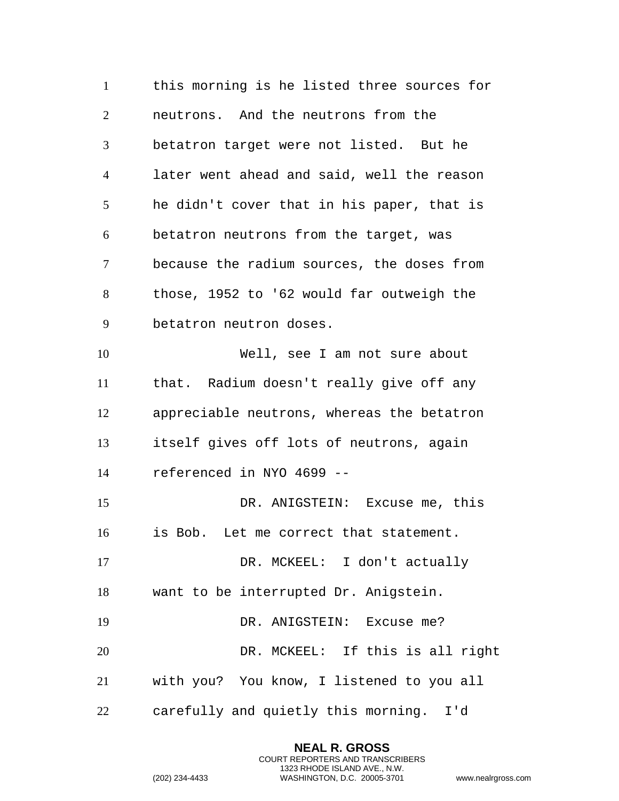this morning is he listed three sources for neutrons. And the neutrons from the betatron target were not listed. But he later went ahead and said, well the reason he didn't cover that in his paper, that is betatron neutrons from the target, was because the radium sources, the doses from those, 1952 to '62 would far outweigh the betatron neutron doses. Well, see I am not sure about that. Radium doesn't really give off any appreciable neutrons, whereas the betatron itself gives off lots of neutrons, again referenced in NYO 4699 -- DR. ANIGSTEIN: Excuse me, this is Bob. Let me correct that statement. DR. MCKEEL: I don't actually want to be interrupted Dr. Anigstein. 19 DR. ANIGSTEIN: Excuse me? DR. MCKEEL: If this is all right with you? You know, I listened to you all carefully and quietly this morning. I'd

> **NEAL R. GROSS** COURT REPORTERS AND TRANSCRIBERS 1323 RHODE ISLAND AVE., N.W.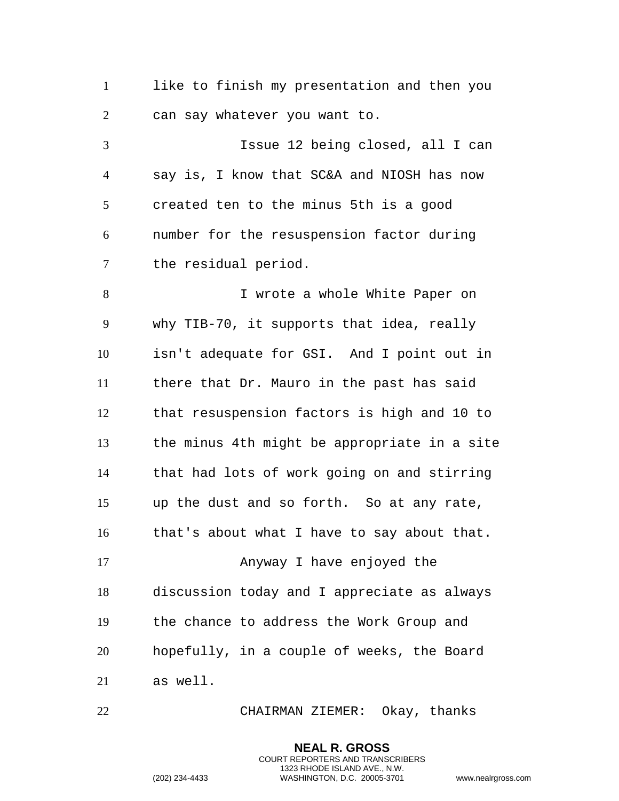like to finish my presentation and then you can say whatever you want to.

 Issue 12 being closed, all I can say is, I know that SC&A and NIOSH has now created ten to the minus 5th is a good number for the resuspension factor during the residual period.

 I wrote a whole White Paper on why TIB-70, it supports that idea, really isn't adequate for GSI. And I point out in there that Dr. Mauro in the past has said that resuspension factors is high and 10 to the minus 4th might be appropriate in a site that had lots of work going on and stirring up the dust and so forth. So at any rate, that's about what I have to say about that. Anyway I have enjoyed the discussion today and I appreciate as always the chance to address the Work Group and hopefully, in a couple of weeks, the Board as well.

CHAIRMAN ZIEMER: Okay, thanks

**NEAL R. GROSS** COURT REPORTERS AND TRANSCRIBERS 1323 RHODE ISLAND AVE., N.W.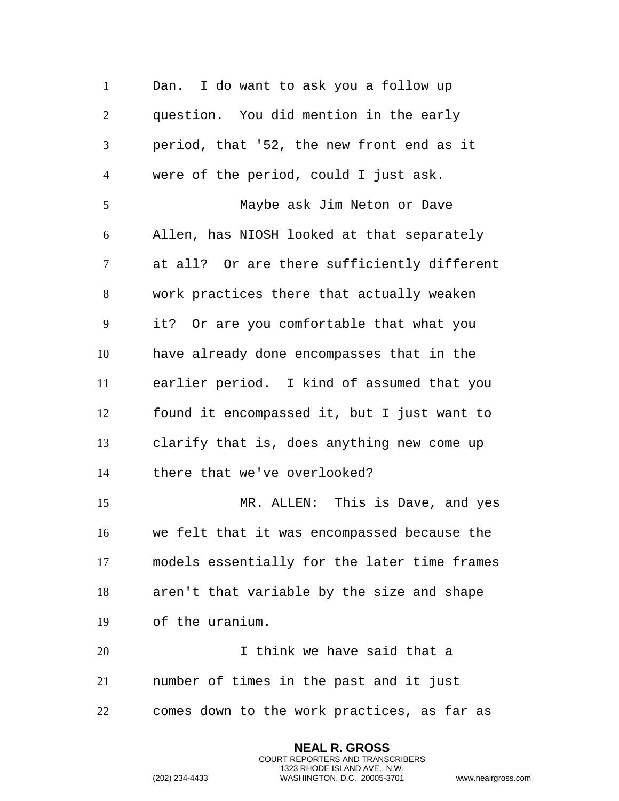Dan. I do want to ask you a follow up question. You did mention in the early period, that '52, the new front end as it were of the period, could I just ask. Maybe ask Jim Neton or Dave Allen, has NIOSH looked at that separately at all? Or are there sufficiently different work practices there that actually weaken it? Or are you comfortable that what you have already done encompasses that in the earlier period. I kind of assumed that you found it encompassed it, but I just want to clarify that is, does anything new come up there that we've overlooked? MR. ALLEN: This is Dave, and yes we felt that it was encompassed because the models essentially for the later time frames aren't that variable by the size and shape of the uranium. I think we have said that a number of times in the past and it just comes down to the work practices, as far as

> **NEAL R. GROSS** COURT REPORTERS AND TRANSCRIBERS 1323 RHODE ISLAND AVE., N.W.

```
(202) 234-4433 WASHINGTON, D.C. 20005-3701 www.nealrgross.com
```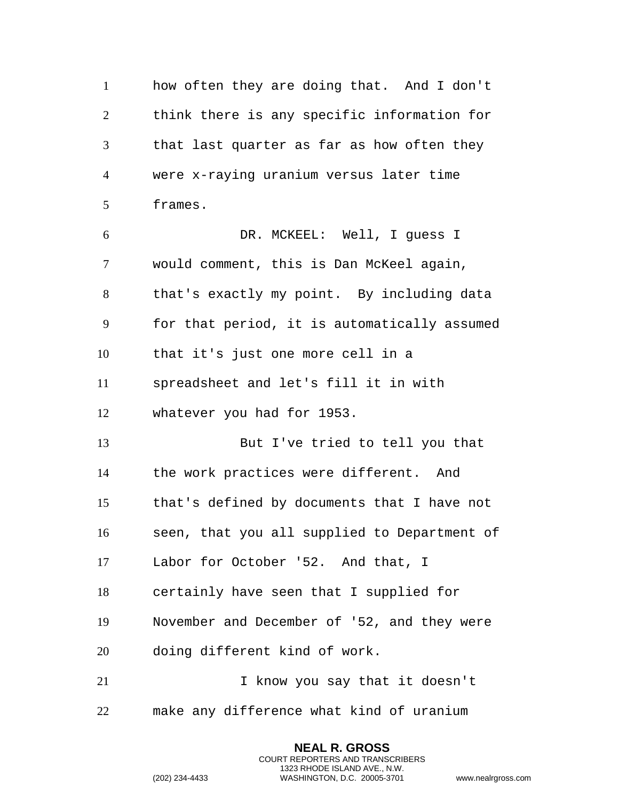how often they are doing that. And I don't think there is any specific information for that last quarter as far as how often they were x-raying uranium versus later time frames. DR. MCKEEL: Well, I guess I would comment, this is Dan McKeel again, that's exactly my point. By including data for that period, it is automatically assumed that it's just one more cell in a spreadsheet and let's fill it in with whatever you had for 1953. But I've tried to tell you that the work practices were different. And that's defined by documents that I have not seen, that you all supplied to Department of Labor for October '52. And that, I certainly have seen that I supplied for November and December of '52, and they were doing different kind of work. I know you say that it doesn't make any difference what kind of uranium

> **NEAL R. GROSS** COURT REPORTERS AND TRANSCRIBERS 1323 RHODE ISLAND AVE., N.W.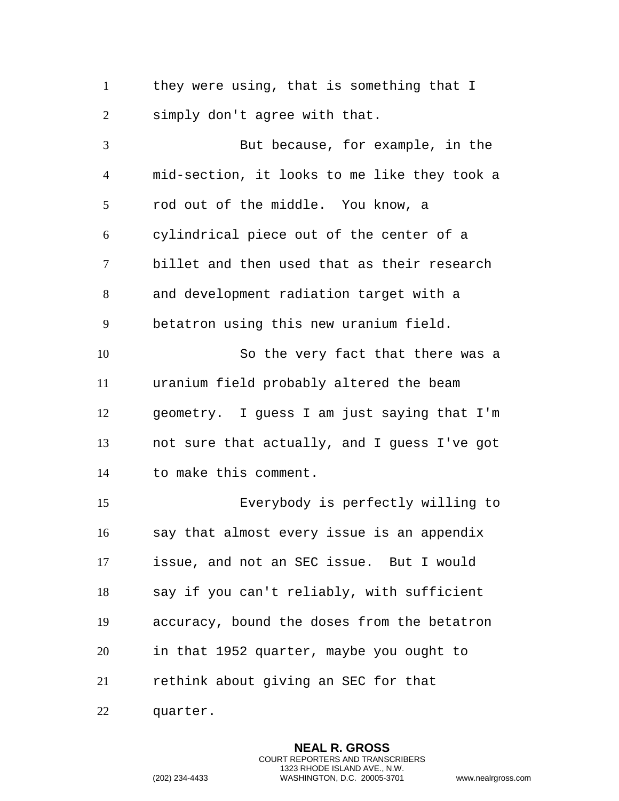they were using, that is something that I simply don't agree with that.

 But because, for example, in the mid-section, it looks to me like they took a rod out of the middle. You know, a cylindrical piece out of the center of a billet and then used that as their research and development radiation target with a betatron using this new uranium field. So the very fact that there was a uranium field probably altered the beam geometry. I guess I am just saying that I'm not sure that actually, and I guess I've got to make this comment. Everybody is perfectly willing to say that almost every issue is an appendix issue, and not an SEC issue. But I would say if you can't reliably, with sufficient accuracy, bound the doses from the betatron in that 1952 quarter, maybe you ought to rethink about giving an SEC for that

quarter.

**NEAL R. GROSS** COURT REPORTERS AND TRANSCRIBERS 1323 RHODE ISLAND AVE., N.W. (202) 234-4433 WASHINGTON, D.C. 20005-3701 www.nealrgross.com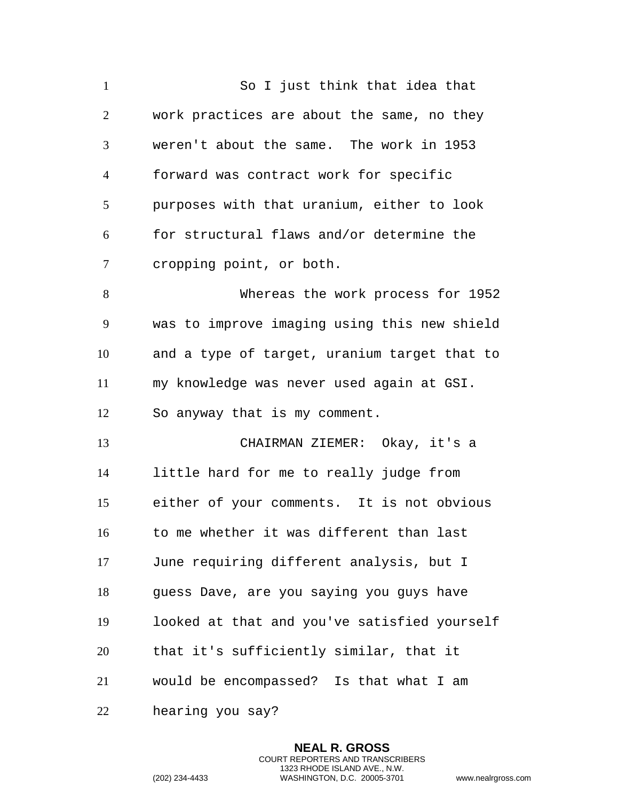| $\mathbf{1}$   | So I just think that idea that               |
|----------------|----------------------------------------------|
| $\overline{c}$ | work practices are about the same, no they   |
| 3              | weren't about the same. The work in 1953     |
| $\overline{4}$ | forward was contract work for specific       |
| 5              | purposes with that uranium, either to look   |
| 6              | for structural flaws and/or determine the    |
| $\overline{7}$ | cropping point, or both.                     |
| 8              | Whereas the work process for 1952            |
| 9              | was to improve imaging using this new shield |
| 10             | and a type of target, uranium target that to |
| 11             | my knowledge was never used again at GSI.    |
| 12             | So anyway that is my comment.                |
| 13             | CHAIRMAN ZIEMER: Okay, it's a                |
| 14             | little hard for me to really judge from      |
| 15             | either of your comments. It is not obvious   |
| 16             | to me whether it was different than last     |
| 17             | June requiring different analysis, but I     |
| 18             | quess Dave, are you saying you guys have     |
| 19             | looked at that and you've satisfied yourself |
| 20             | that it's sufficiently similar, that it      |
| 21             | would be encompassed? Is that what I am      |
| 22             | hearing you say?                             |

**NEAL R. GROSS** COURT REPORTERS AND TRANSCRIBERS 1323 RHODE ISLAND AVE., N.W.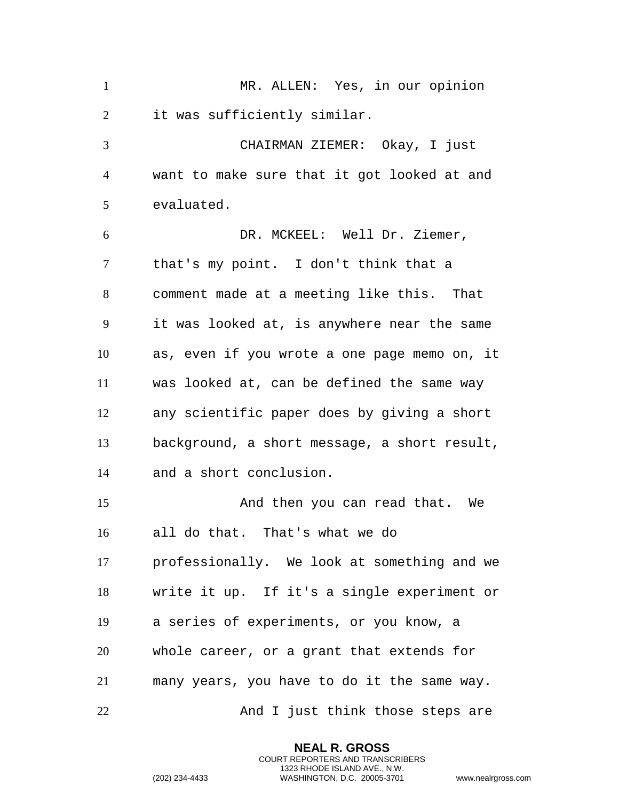MR. ALLEN: Yes, in our opinion it was sufficiently similar. CHAIRMAN ZIEMER: Okay, I just want to make sure that it got looked at and evaluated. DR. MCKEEL: Well Dr. Ziemer, that's my point. I don't think that a comment made at a meeting like this. That it was looked at, is anywhere near the same as, even if you wrote a one page memo on, it was looked at, can be defined the same way any scientific paper does by giving a short background, a short message, a short result, and a short conclusion. And then you can read that. We all do that. That's what we do professionally. We look at something and we write it up. If it's a single experiment or a series of experiments, or you know, a whole career, or a grant that extends for many years, you have to do it the same way. 22 And I just think those steps are

> **NEAL R. GROSS** COURT REPORTERS AND TRANSCRIBERS 1323 RHODE ISLAND AVE., N.W.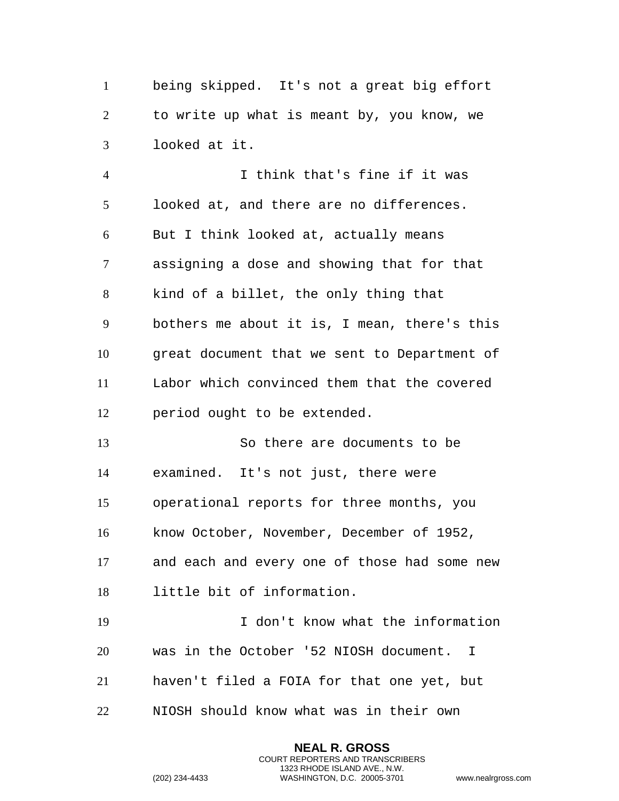being skipped. It's not a great big effort to write up what is meant by, you know, we looked at it.

 I think that's fine if it was looked at, and there are no differences. But I think looked at, actually means assigning a dose and showing that for that kind of a billet, the only thing that bothers me about it is, I mean, there's this great document that we sent to Department of Labor which convinced them that the covered period ought to be extended.

 So there are documents to be examined. It's not just, there were operational reports for three months, you know October, November, December of 1952, and each and every one of those had some new little bit of information.

 I don't know what the information was in the October '52 NIOSH document. I haven't filed a FOIA for that one yet, but

> **NEAL R. GROSS** COURT REPORTERS AND TRANSCRIBERS 1323 RHODE ISLAND AVE., N.W.

NIOSH should know what was in their own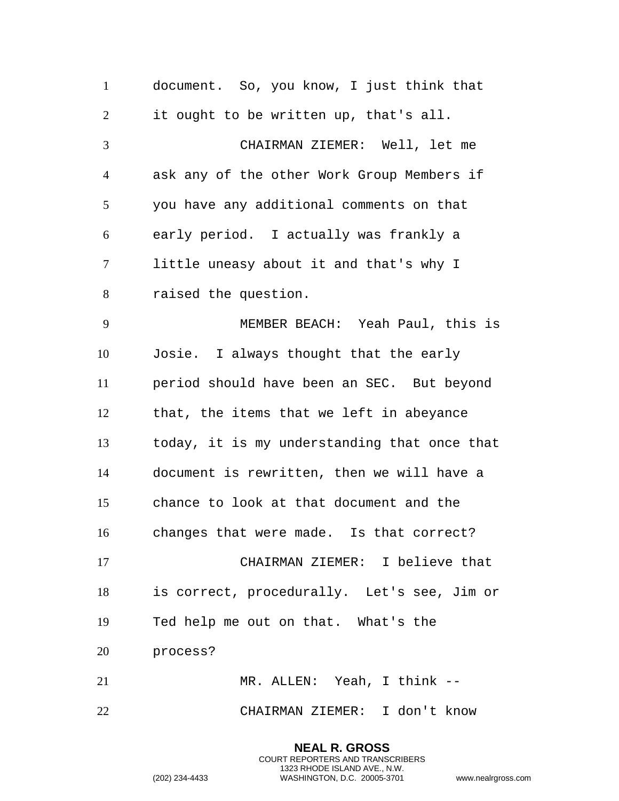document. So, you know, I just think that it ought to be written up, that's all. CHAIRMAN ZIEMER: Well, let me ask any of the other Work Group Members if you have any additional comments on that early period. I actually was frankly a little uneasy about it and that's why I raised the question. MEMBER BEACH: Yeah Paul, this is Josie. I always thought that the early period should have been an SEC. But beyond that, the items that we left in abeyance today, it is my understanding that once that document is rewritten, then we will have a chance to look at that document and the changes that were made. Is that correct? CHAIRMAN ZIEMER: I believe that is correct, procedurally. Let's see, Jim or Ted help me out on that. What's the process? MR. ALLEN: Yeah, I think -- CHAIRMAN ZIEMER: I don't know

> **NEAL R. GROSS** COURT REPORTERS AND TRANSCRIBERS 1323 RHODE ISLAND AVE., N.W.

```
(202) 234-4433 WASHINGTON, D.C. 20005-3701 www.nealrgross.com
```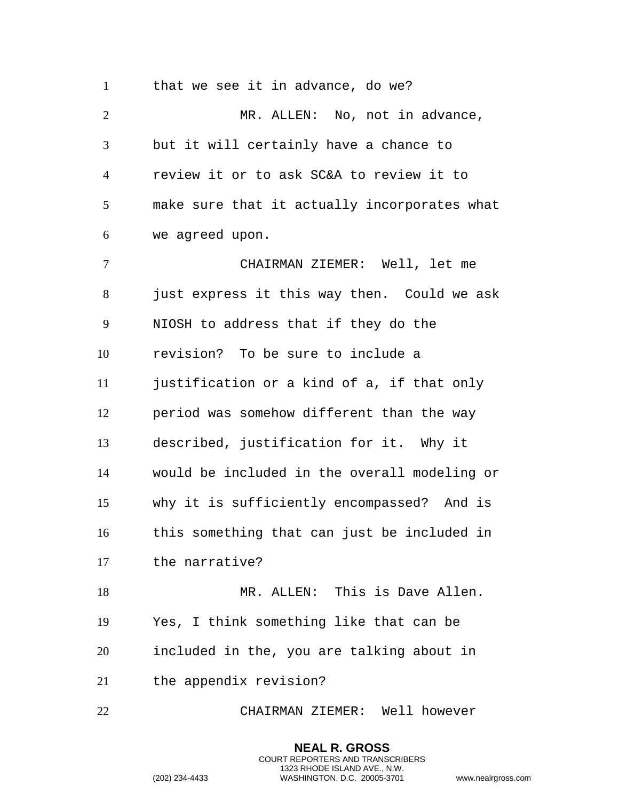that we see it in advance, do we? MR. ALLEN: No, not in advance, but it will certainly have a chance to review it or to ask SC&A to review it to make sure that it actually incorporates what we agreed upon. CHAIRMAN ZIEMER: Well, let me just express it this way then. Could we ask NIOSH to address that if they do the revision? To be sure to include a justification or a kind of a, if that only period was somehow different than the way described, justification for it. Why it would be included in the overall modeling or why it is sufficiently encompassed? And is this something that can just be included in the narrative? MR. ALLEN: This is Dave Allen. Yes, I think something like that can be included in the, you are talking about in the appendix revision?

CHAIRMAN ZIEMER: Well however

**NEAL R. GROSS** COURT REPORTERS AND TRANSCRIBERS 1323 RHODE ISLAND AVE., N.W.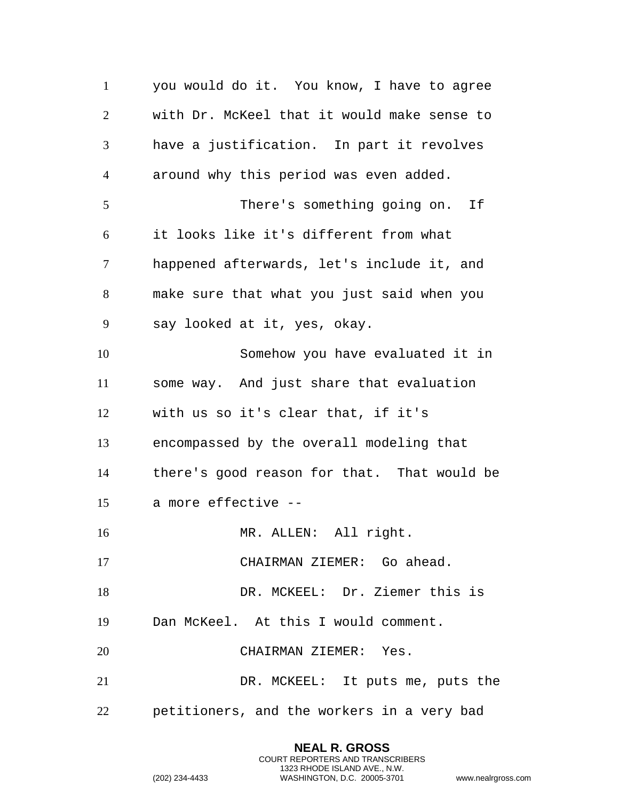you would do it. You know, I have to agree with Dr. McKeel that it would make sense to have a justification. In part it revolves around why this period was even added. There's something going on. If it looks like it's different from what happened afterwards, let's include it, and make sure that what you just said when you say looked at it, yes, okay. Somehow you have evaluated it in some way. And just share that evaluation with us so it's clear that, if it's encompassed by the overall modeling that there's good reason for that. That would be a more effective -- 16 MR. ALLEN: All right. CHAIRMAN ZIEMER: Go ahead. DR. MCKEEL: Dr. Ziemer this is Dan McKeel. At this I would comment. CHAIRMAN ZIEMER: Yes. DR. MCKEEL: It puts me, puts the petitioners, and the workers in a very bad

> **NEAL R. GROSS** COURT REPORTERS AND TRANSCRIBERS 1323 RHODE ISLAND AVE., N.W.

```
(202) 234-4433 WASHINGTON, D.C. 20005-3701 www.nealrgross.com
```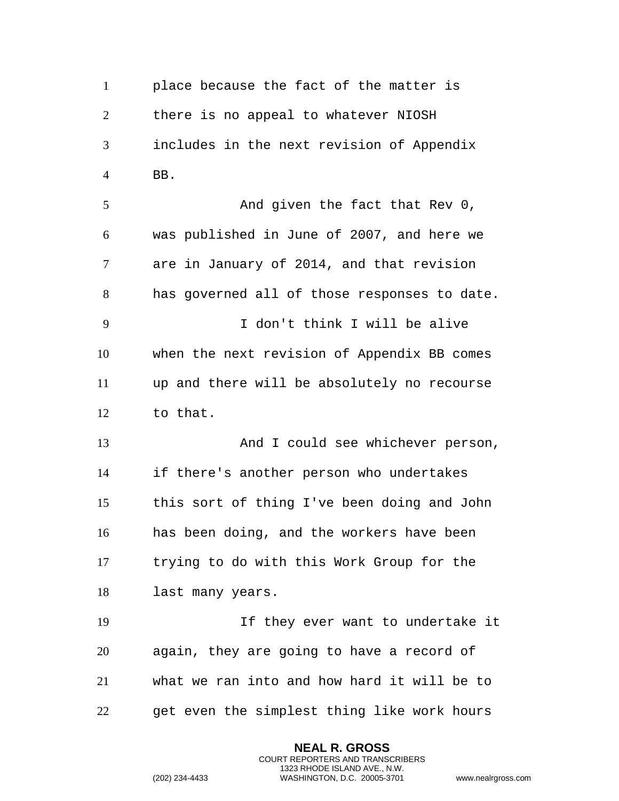place because the fact of the matter is there is no appeal to whatever NIOSH includes in the next revision of Appendix BB. 5 And given the fact that Rev 0, was published in June of 2007, and here we are in January of 2014, and that revision has governed all of those responses to date. I don't think I will be alive when the next revision of Appendix BB comes up and there will be absolutely no recourse to that. 13 And I could see whichever person, if there's another person who undertakes this sort of thing I've been doing and John has been doing, and the workers have been trying to do with this Work Group for the last many years. If they ever want to undertake it again, they are going to have a record of

 what we ran into and how hard it will be to get even the simplest thing like work hours

> **NEAL R. GROSS** COURT REPORTERS AND TRANSCRIBERS 1323 RHODE ISLAND AVE., N.W.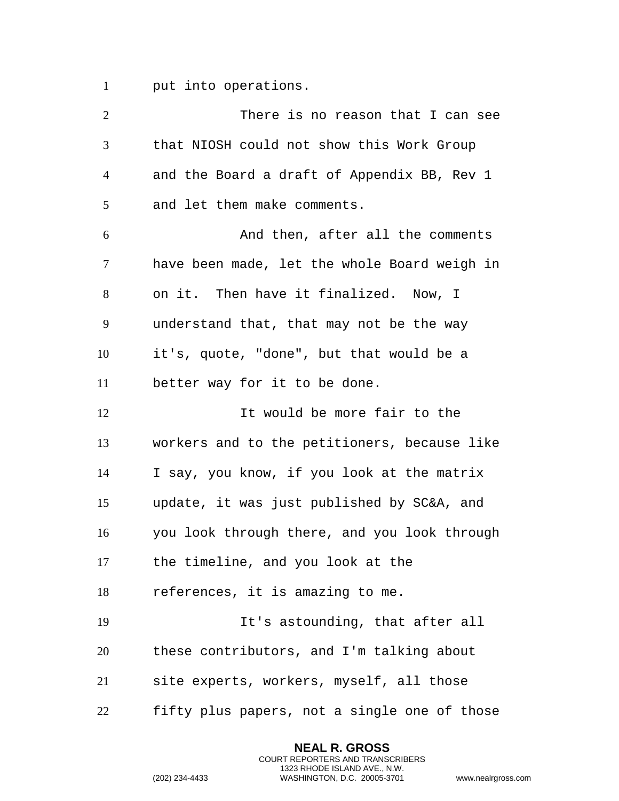put into operations.

| $\overline{2}$ | There is no reason that I can see            |
|----------------|----------------------------------------------|
| $\mathfrak{Z}$ | that NIOSH could not show this Work Group    |
| $\overline{4}$ | and the Board a draft of Appendix BB, Rev 1  |
| 5              | and let them make comments.                  |
| 6              | And then, after all the comments             |
| 7              | have been made, let the whole Board weigh in |
| $8\,$          | on it. Then have it finalized. Now, I        |
| 9              | understand that, that may not be the way     |
| 10             | it's, quote, "done", but that would be a     |
| 11             | better way for it to be done.                |
| 12             | It would be more fair to the                 |
| 13             | workers and to the petitioners, because like |
| 14             | I say, you know, if you look at the matrix   |
| 15             | update, it was just published by SC&A, and   |
| 16             | you look through there, and you look through |
| 17             | the timeline, and you look at the            |
| 18             | references, it is amazing to me.             |
| 19             | It's astounding, that after all              |
| 20             | these contributors, and I'm talking about    |
| 21             | site experts, workers, myself, all those     |
| 22             | fifty plus papers, not a single one of those |
|                |                                              |

**NEAL R. GROSS** COURT REPORTERS AND TRANSCRIBERS 1323 RHODE ISLAND AVE., N.W.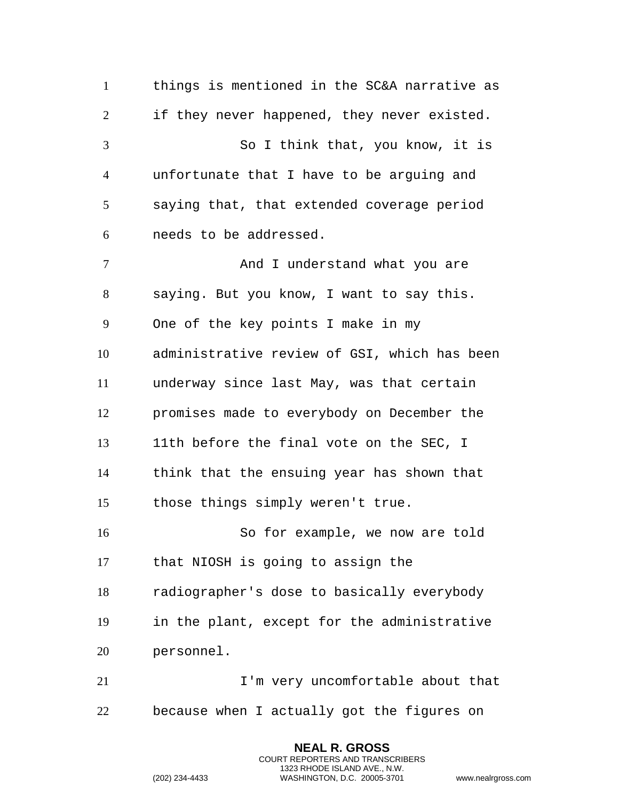things is mentioned in the SC&A narrative as if they never happened, they never existed. So I think that, you know, it is unfortunate that I have to be arguing and saying that, that extended coverage period needs to be addressed. 7 And I understand what you are saying. But you know, I want to say this. One of the key points I make in my administrative review of GSI, which has been underway since last May, was that certain promises made to everybody on December the 11th before the final vote on the SEC, I think that the ensuing year has shown that those things simply weren't true. So for example, we now are told that NIOSH is going to assign the radiographer's dose to basically everybody in the plant, except for the administrative personnel. 21 I'm very uncomfortable about that because when I actually got the figures on

> **NEAL R. GROSS** COURT REPORTERS AND TRANSCRIBERS 1323 RHODE ISLAND AVE., N.W.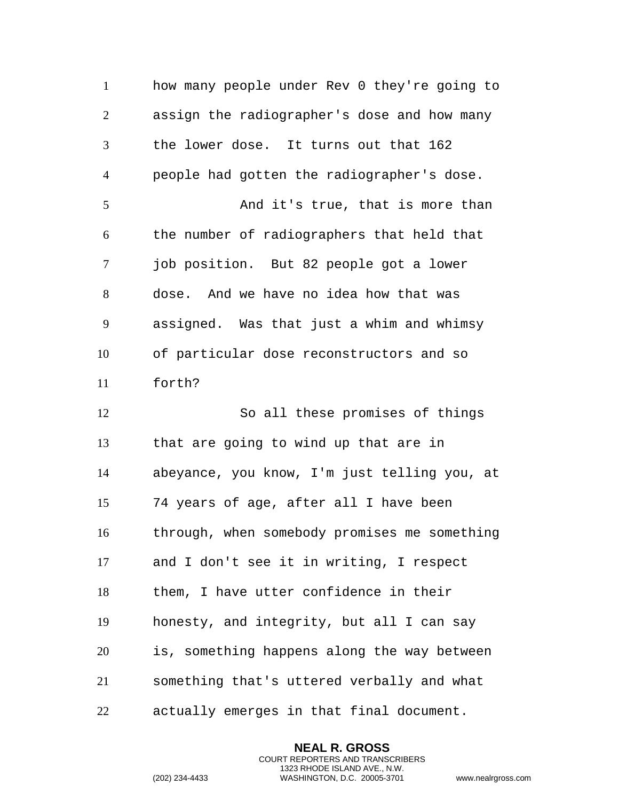how many people under Rev 0 they're going to assign the radiographer's dose and how many the lower dose. It turns out that 162 people had gotten the radiographer's dose. And it's true, that is more than the number of radiographers that held that job position. But 82 people got a lower dose. And we have no idea how that was assigned. Was that just a whim and whimsy of particular dose reconstructors and so forth? So all these promises of things that are going to wind up that are in abeyance, you know, I'm just telling you, at 74 years of age, after all I have been through, when somebody promises me something and I don't see it in writing, I respect them, I have utter confidence in their honesty, and integrity, but all I can say is, something happens along the way between something that's uttered verbally and what actually emerges in that final document.

> **NEAL R. GROSS** COURT REPORTERS AND TRANSCRIBERS 1323 RHODE ISLAND AVE., N.W.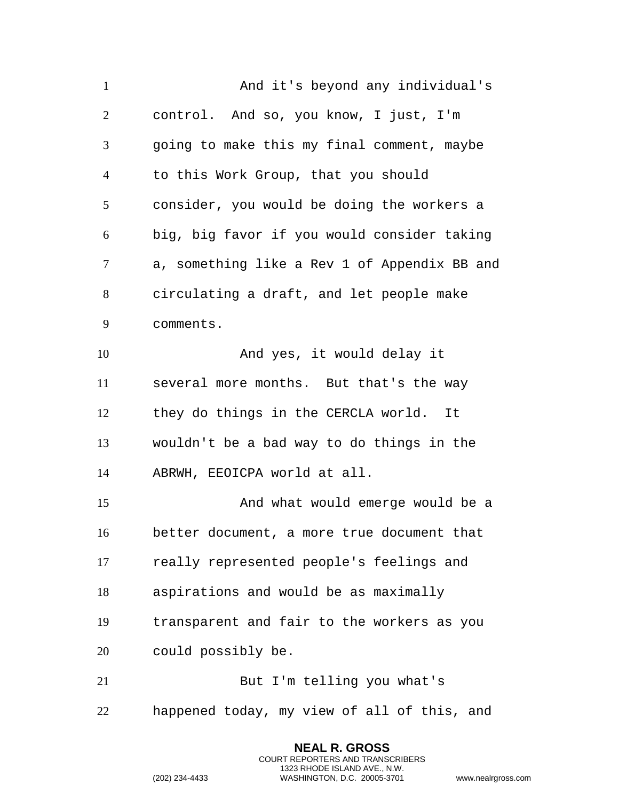And it's beyond any individual's control. And so, you know, I just, I'm going to make this my final comment, maybe to this Work Group, that you should consider, you would be doing the workers a big, big favor if you would consider taking a, something like a Rev 1 of Appendix BB and circulating a draft, and let people make comments. 10 And yes, it would delay it several more months. But that's the way they do things in the CERCLA world. It wouldn't be a bad way to do things in the ABRWH, EEOICPA world at all. And what would emerge would be a better document, a more true document that really represented people's feelings and aspirations and would be as maximally transparent and fair to the workers as you could possibly be. But I'm telling you what's happened today, my view of all of this, and

> **NEAL R. GROSS** COURT REPORTERS AND TRANSCRIBERS 1323 RHODE ISLAND AVE., N.W.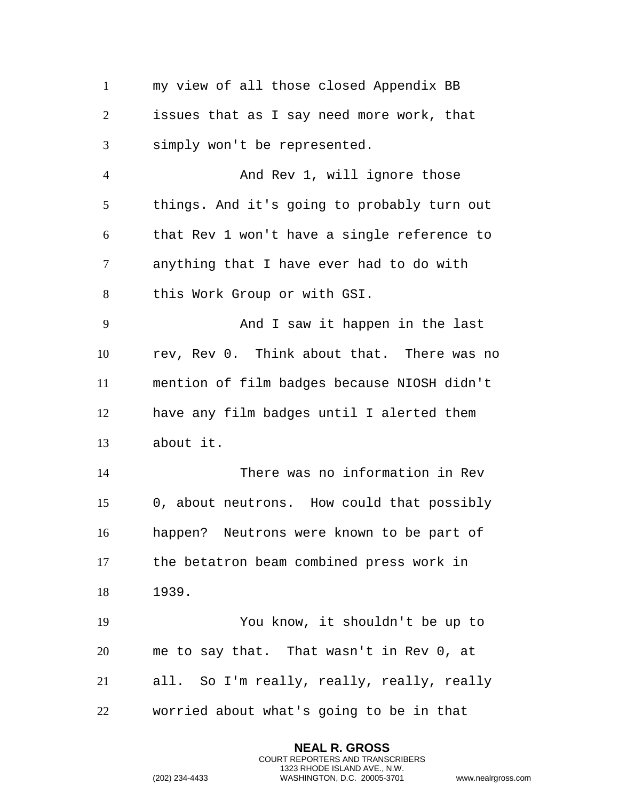my view of all those closed Appendix BB issues that as I say need more work, that simply won't be represented. 4 And Rev 1, will ignore those things. And it's going to probably turn out that Rev 1 won't have a single reference to anything that I have ever had to do with this Work Group or with GSI. And I saw it happen in the last rev, Rev 0. Think about that. There was no mention of film badges because NIOSH didn't have any film badges until I alerted them about it. There was no information in Rev 0, about neutrons. How could that possibly happen? Neutrons were known to be part of the betatron beam combined press work in 1939. You know, it shouldn't be up to me to say that. That wasn't in Rev 0, at all. So I'm really, really, really, really worried about what's going to be in that

> **NEAL R. GROSS** COURT REPORTERS AND TRANSCRIBERS 1323 RHODE ISLAND AVE., N.W.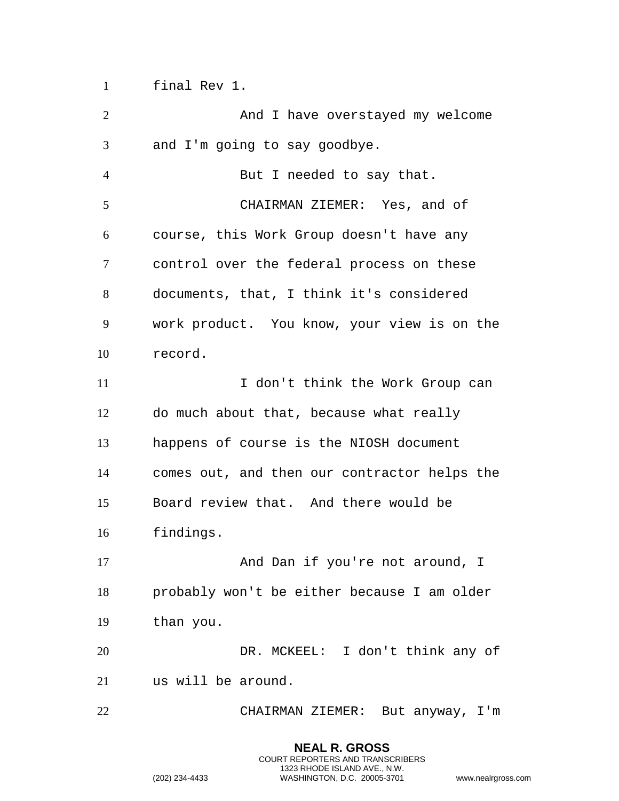final Rev 1.

| $\overline{2}$ | And I have overstayed my welcome             |
|----------------|----------------------------------------------|
| 3              | and I'm going to say goodbye.                |
| $\overline{4}$ | But I needed to say that.                    |
| 5              | CHAIRMAN ZIEMER: Yes, and of                 |
| 6              | course, this Work Group doesn't have any     |
| 7              | control over the federal process on these    |
| 8              | documents, that, I think it's considered     |
| 9              | work product. You know, your view is on the  |
| 10             | record.                                      |
| 11             | I don't think the Work Group can             |
| 12             | do much about that, because what really      |
| 13             | happens of course is the NIOSH document      |
| 14             | comes out, and then our contractor helps the |
| 15             | Board review that. And there would be        |
| 16             | findings.                                    |
| 17             | And Dan if you're not around, I              |
| 18             | probably won't be either because I am older  |
| 19             | than you.                                    |
| 20             | DR. MCKEEL: I don't think any of             |
| 21             | us will be around.                           |
| 22             | CHAIRMAN ZIEMER: But anyway, I'm             |

**NEAL R. GROSS** COURT REPORTERS AND TRANSCRIBERS 1323 RHODE ISLAND AVE., N.W.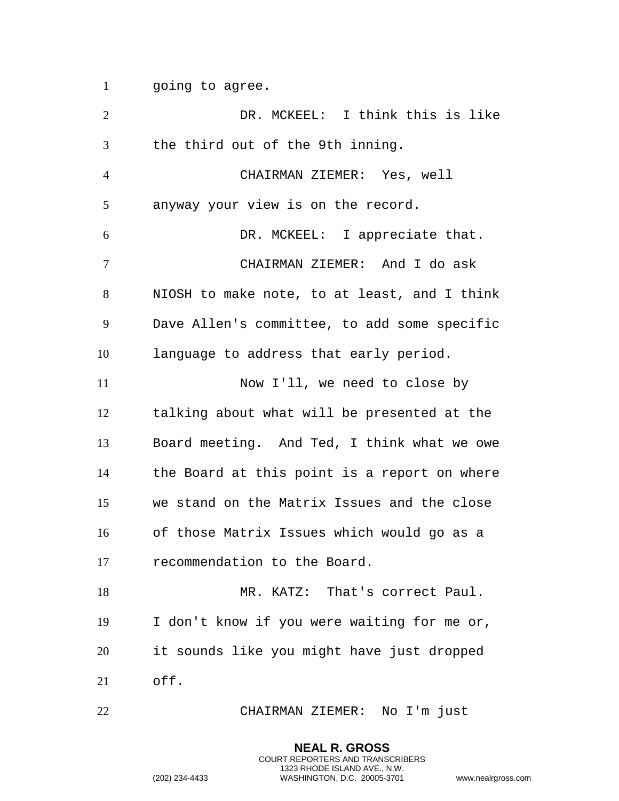1 going to agree.

 DR. MCKEEL: I think this is like the third out of the 9th inning. CHAIRMAN ZIEMER: Yes, well anyway your view is on the record. DR. MCKEEL: I appreciate that. CHAIRMAN ZIEMER: And I do ask NIOSH to make note, to at least, and I think Dave Allen's committee, to add some specific language to address that early period. 11 Now I'll, we need to close by talking about what will be presented at the Board meeting. And Ted, I think what we owe the Board at this point is a report on where we stand on the Matrix Issues and the close of those Matrix Issues which would go as a recommendation to the Board. MR. KATZ: That's correct Paul. I don't know if you were waiting for me or, it sounds like you might have just dropped off. CHAIRMAN ZIEMER: No I'm just

> **NEAL R. GROSS** COURT REPORTERS AND TRANSCRIBERS 1323 RHODE ISLAND AVE., N.W.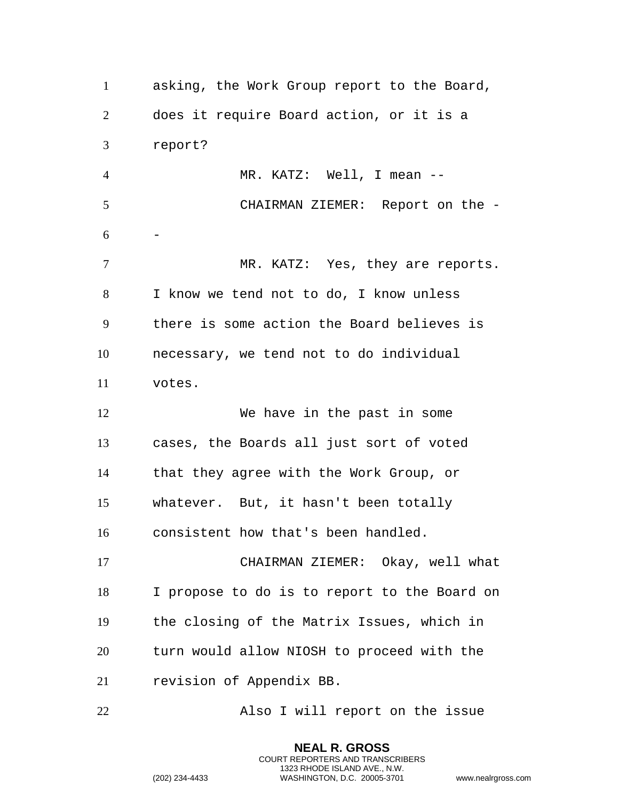asking, the Work Group report to the Board, does it require Board action, or it is a report? MR. KATZ: Well, I mean -- CHAIRMAN ZIEMER: Report on the - -7 MR. KATZ: Yes, they are reports. I know we tend not to do, I know unless there is some action the Board believes is necessary, we tend not to do individual votes. 12 We have in the past in some cases, the Boards all just sort of voted that they agree with the Work Group, or whatever. But, it hasn't been totally consistent how that's been handled. CHAIRMAN ZIEMER: Okay, well what I propose to do is to report to the Board on the closing of the Matrix Issues, which in turn would allow NIOSH to proceed with the revision of Appendix BB. Also I will report on the issue

> **NEAL R. GROSS** COURT REPORTERS AND TRANSCRIBERS 1323 RHODE ISLAND AVE., N.W.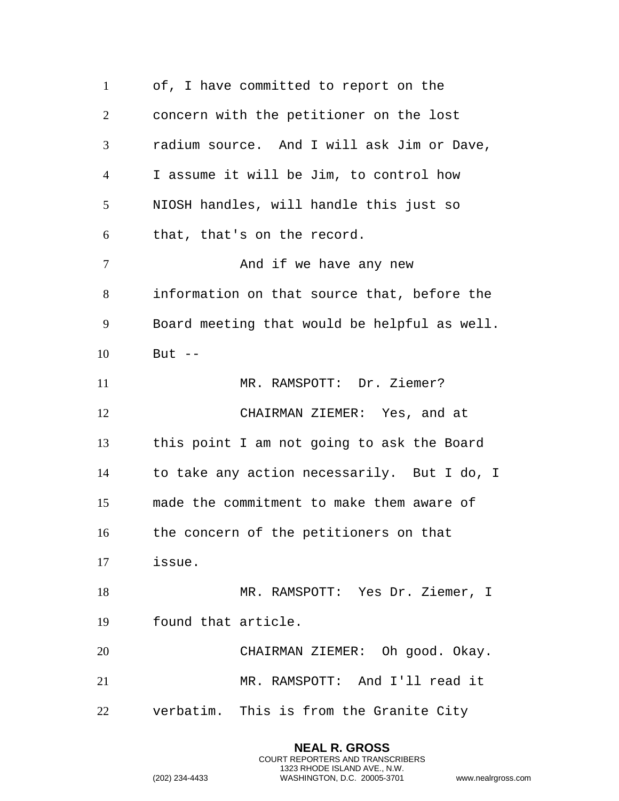of, I have committed to report on the concern with the petitioner on the lost radium source. And I will ask Jim or Dave, I assume it will be Jim, to control how NIOSH handles, will handle this just so that, that's on the record. 7 And if we have any new information on that source that, before the Board meeting that would be helpful as well. But -- 11 MR. RAMSPOTT: Dr. Ziemer? CHAIRMAN ZIEMER: Yes, and at this point I am not going to ask the Board to take any action necessarily. But I do, I made the commitment to make them aware of the concern of the petitioners on that issue. MR. RAMSPOTT: Yes Dr. Ziemer, I found that article. CHAIRMAN ZIEMER: Oh good. Okay. MR. RAMSPOTT: And I'll read it verbatim. This is from the Granite City

> **NEAL R. GROSS** COURT REPORTERS AND TRANSCRIBERS 1323 RHODE ISLAND AVE., N.W.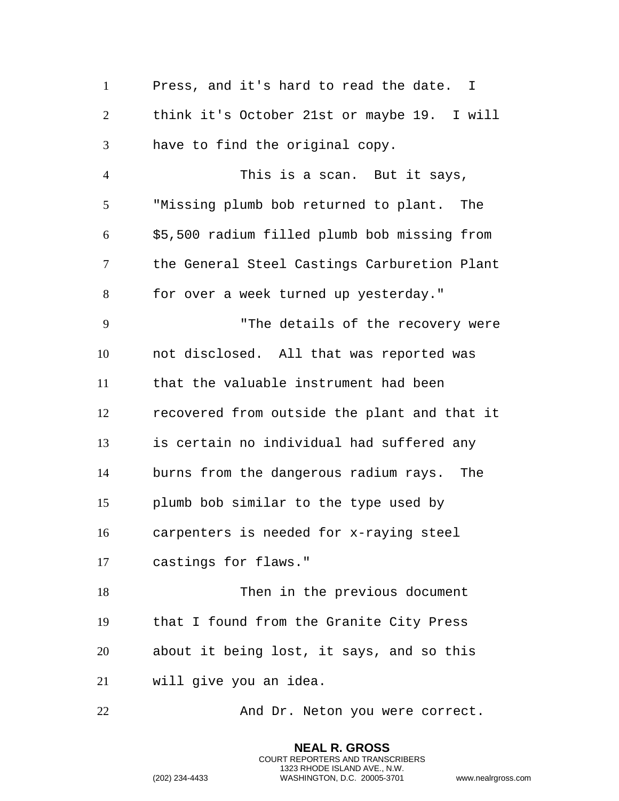Press, and it's hard to read the date. I think it's October 21st or maybe 19. I will have to find the original copy. This is a scan. But it says, "Missing plumb bob returned to plant. The \$5,500 radium filled plumb bob missing from the General Steel Castings Carburetion Plant for over a week turned up yesterday." "The details of the recovery were not disclosed. All that was reported was that the valuable instrument had been recovered from outside the plant and that it is certain no individual had suffered any burns from the dangerous radium rays. The plumb bob similar to the type used by carpenters is needed for x-raying steel castings for flaws." Then in the previous document that I found from the Granite City Press about it being lost, it says, and so this will give you an idea. 22 And Dr. Neton you were correct.

```
(202) 234-4433 WASHINGTON, D.C. 20005-3701 www.nealrgross.com
```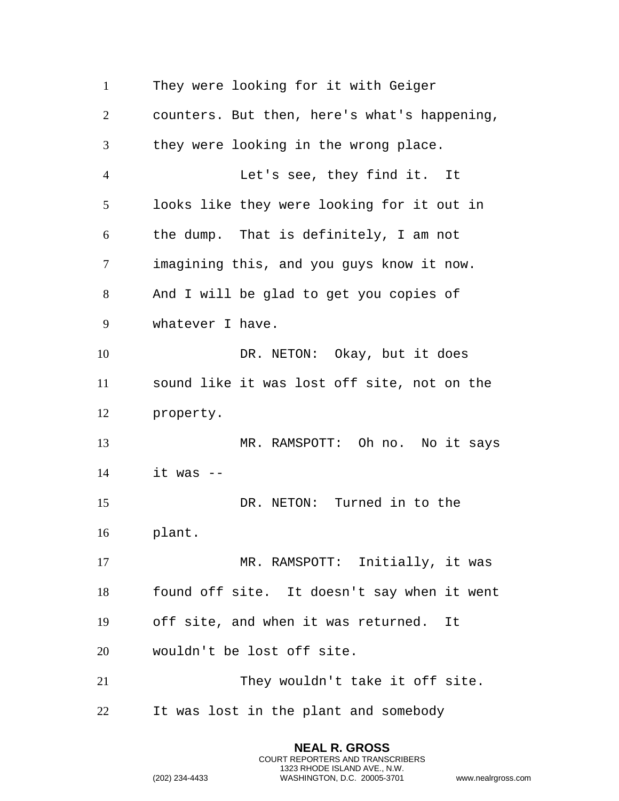They were looking for it with Geiger counters. But then, here's what's happening, they were looking in the wrong place. Let's see, they find it. It looks like they were looking for it out in the dump. That is definitely, I am not imagining this, and you guys know it now. And I will be glad to get you copies of whatever I have. 10 DR. NETON: Okay, but it does sound like it was lost off site, not on the property. MR. RAMSPOTT: Oh no. No it says it was  $-$  DR. NETON: Turned in to the plant. 17 MR. RAMSPOTT: Initially, it was found off site. It doesn't say when it went off site, and when it was returned. It wouldn't be lost off site. 21 They wouldn't take it off site. It was lost in the plant and somebody

```
(202) 234-4433 WASHINGTON, D.C. 20005-3701 www.nealrgross.com
```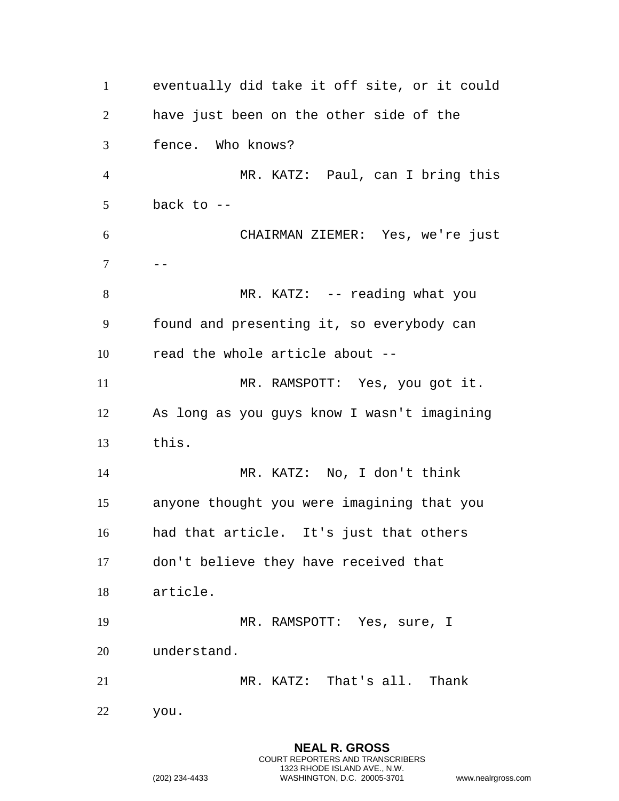eventually did take it off site, or it could have just been on the other side of the fence. Who knows? MR. KATZ: Paul, can I bring this back to  $-$  CHAIRMAN ZIEMER: Yes, we're just --8 MR. KATZ: -- reading what you found and presenting it, so everybody can read the whole article about -- MR. RAMSPOTT: Yes, you got it. As long as you guys know I wasn't imagining this. MR. KATZ: No, I don't think anyone thought you were imagining that you had that article. It's just that others don't believe they have received that article. MR. RAMSPOTT: Yes, sure, I understand. MR. KATZ: That's all. Thank you.

```
(202) 234-4433 WASHINGTON, D.C. 20005-3701 www.nealrgross.com
```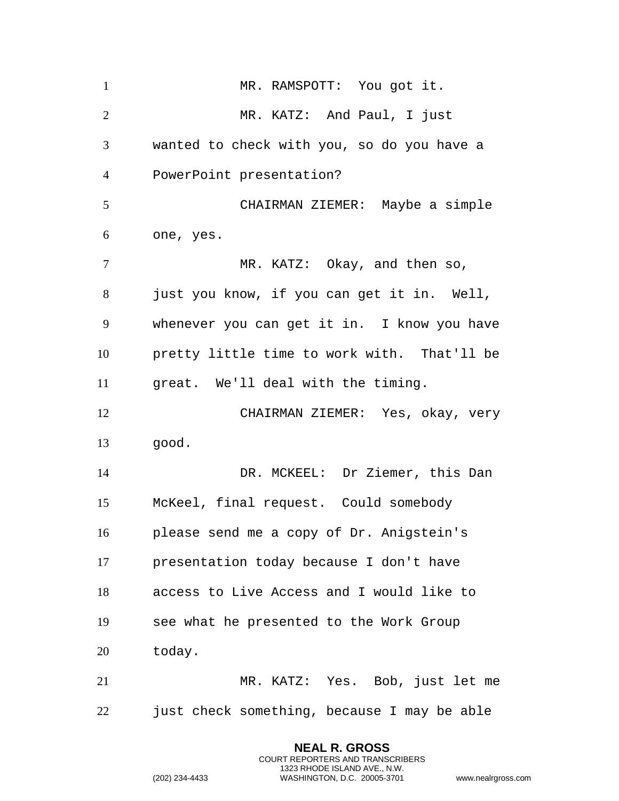1 MR. RAMSPOTT: You got it. MR. KATZ: And Paul, I just wanted to check with you, so do you have a PowerPoint presentation? CHAIRMAN ZIEMER: Maybe a simple one, yes. 7 MR. KATZ: Okay, and then so, just you know, if you can get it in. Well, whenever you can get it in. I know you have pretty little time to work with. That'll be great. We'll deal with the timing. CHAIRMAN ZIEMER: Yes, okay, very good. DR. MCKEEL: Dr Ziemer, this Dan McKeel, final request. Could somebody please send me a copy of Dr. Anigstein's presentation today because I don't have access to Live Access and I would like to see what he presented to the Work Group today. MR. KATZ: Yes. Bob, just let me just check something, because I may be able

```
(202) 234-4433 WASHINGTON, D.C. 20005-3701 www.nealrgross.com
```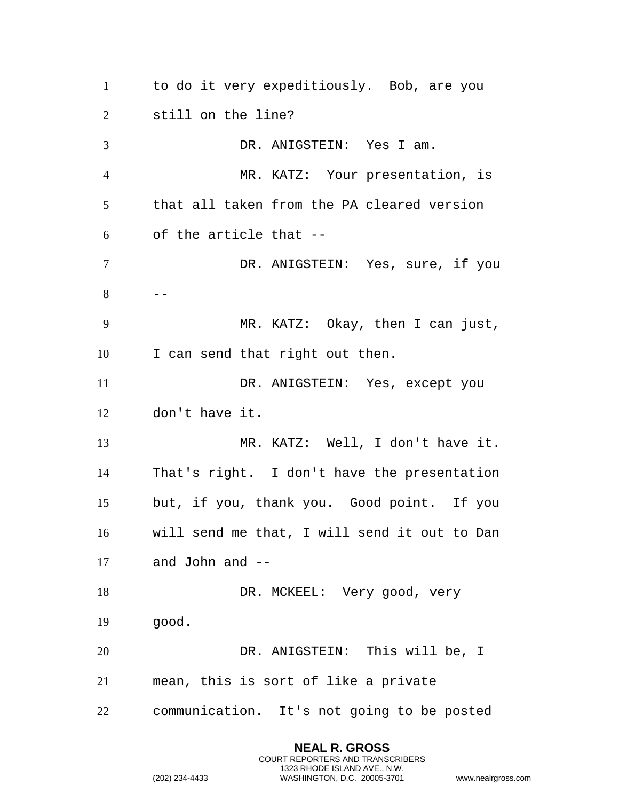to do it very expeditiously. Bob, are you still on the line? DR. ANIGSTEIN: Yes I am. MR. KATZ: Your presentation, is that all taken from the PA cleared version of the article that -- DR. ANIGSTEIN: Yes, sure, if you  $8 \qquad --$  MR. KATZ: Okay, then I can just, I can send that right out then. DR. ANIGSTEIN: Yes, except you don't have it. MR. KATZ: Well, I don't have it. That's right. I don't have the presentation but, if you, thank you. Good point. If you will send me that, I will send it out to Dan and John and -- 18 DR. MCKEEL: Very good, very good. DR. ANIGSTEIN: This will be, I mean, this is sort of like a private communication. It's not going to be posted

> **NEAL R. GROSS** COURT REPORTERS AND TRANSCRIBERS 1323 RHODE ISLAND AVE., N.W.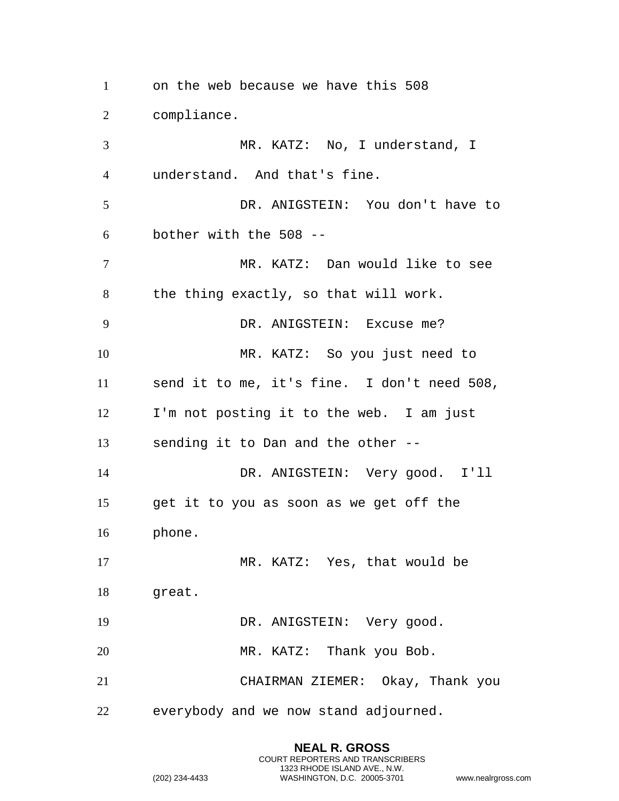on the web because we have this 508 compliance. MR. KATZ: No, I understand, I understand. And that's fine. DR. ANIGSTEIN: You don't have to bother with the 508 -- MR. KATZ: Dan would like to see the thing exactly, so that will work. DR. ANIGSTEIN: Excuse me? MR. KATZ: So you just need to send it to me, it's fine. I don't need 508, I'm not posting it to the web. I am just sending it to Dan and the other -- DR. ANIGSTEIN: Very good. I'll get it to you as soon as we get off the phone. 17 MR. KATZ: Yes, that would be great. 19 DR. ANIGSTEIN: Very good. 20 MR. KATZ: Thank you Bob. CHAIRMAN ZIEMER: Okay, Thank you everybody and we now stand adjourned.

> **NEAL R. GROSS** COURT REPORTERS AND TRANSCRIBERS 1323 RHODE ISLAND AVE., N.W.